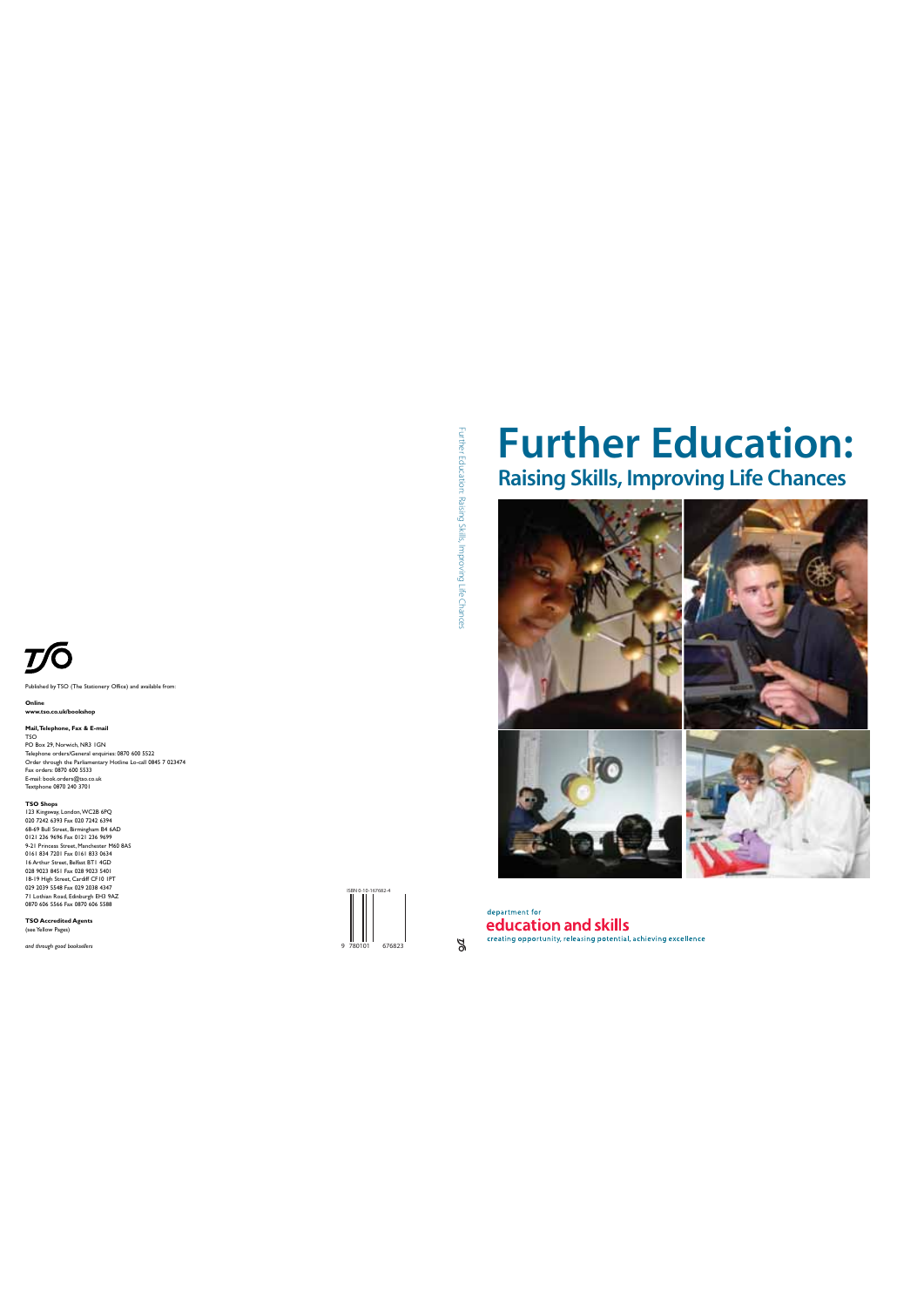

by TSO (The Stationery Office) and available from:

**Online**

**www.tso.co.uk/bookshop**

Mail, Telephone, Fax & E-mail<br>150<br>TsiO<br>Telephone orders/General enquiries: 0870 600 5522<br>Orlen through the Parlianentary Hotline Lo-call 0845 7 023474<br>Enx orders: 0870 640 5533<br>Enxtphone 0870 240 3701<br>Textphone 0870 240 37

**TSO Shops**<br> **COMPAST COMPAST COMPANY CONTENT CONTRACT CONTRACT CONTRACT CONTRACT CONTRACT CONTRACT CONTRACT CONTRACT CONTRACT CONTRACT CONTRACT CONTRACT CONTRACT CONTRACT CONTRACT CONTRACT CONTRACT CONTRACT CONTRACT CONTR** 

**TSO Accredited Agents**  (see Yellow Pages)

*and through good booksellers*

Further Education: Raising Skills, Improving Life Chance Further Education: Raising Skills, Improving Life Chances

## **Further Education: Raising Skills, Improving Life Chances**





 $\frac{1}{2}$ 

department for education and skills creating opportunity, releasing potential, achieving excellence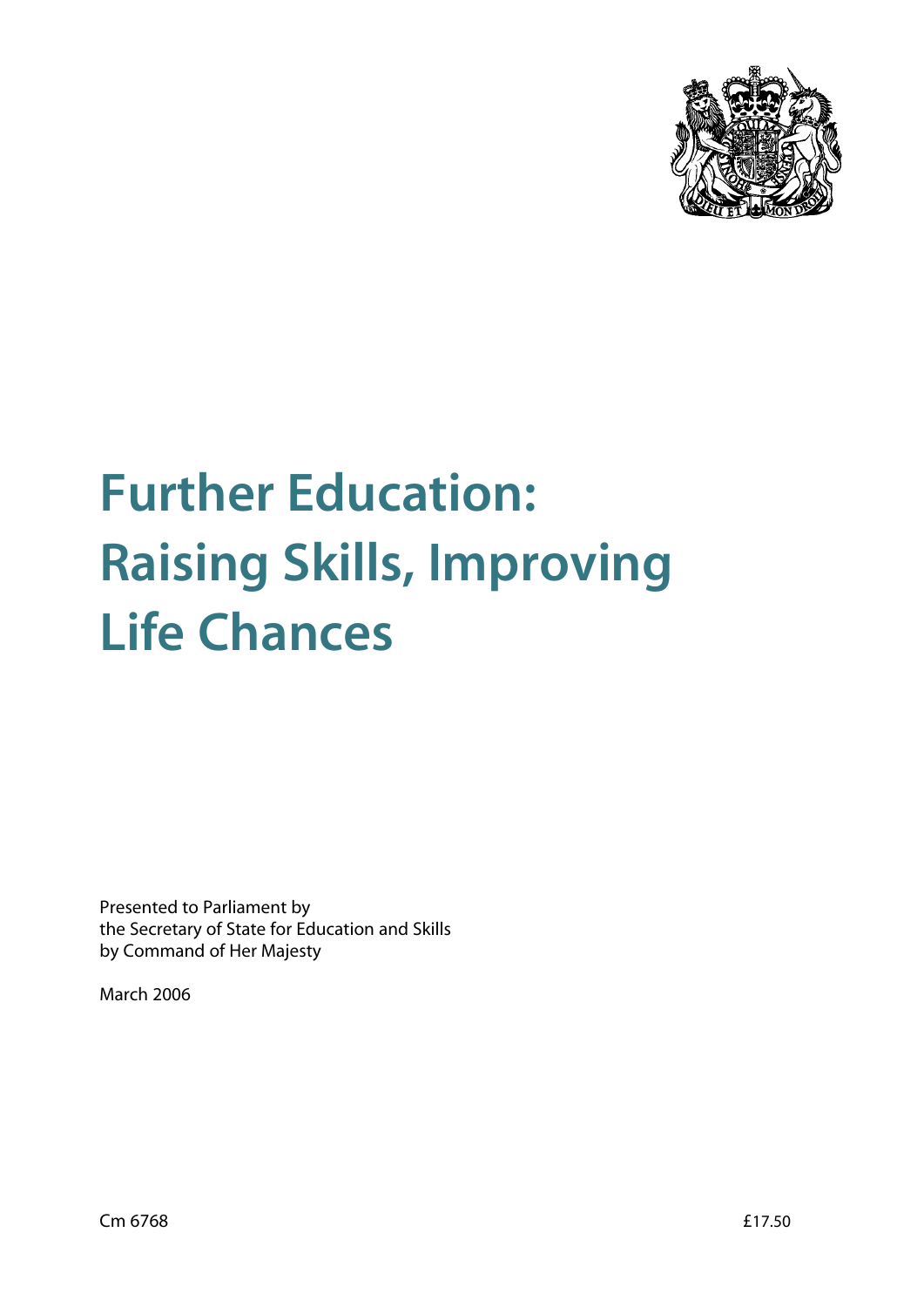

# **Further Education: Raising Skills, Improving Life Chances**

Presented to Parliament by the Secretary of State for Education and Skills by Command of Her Majesty

March 2006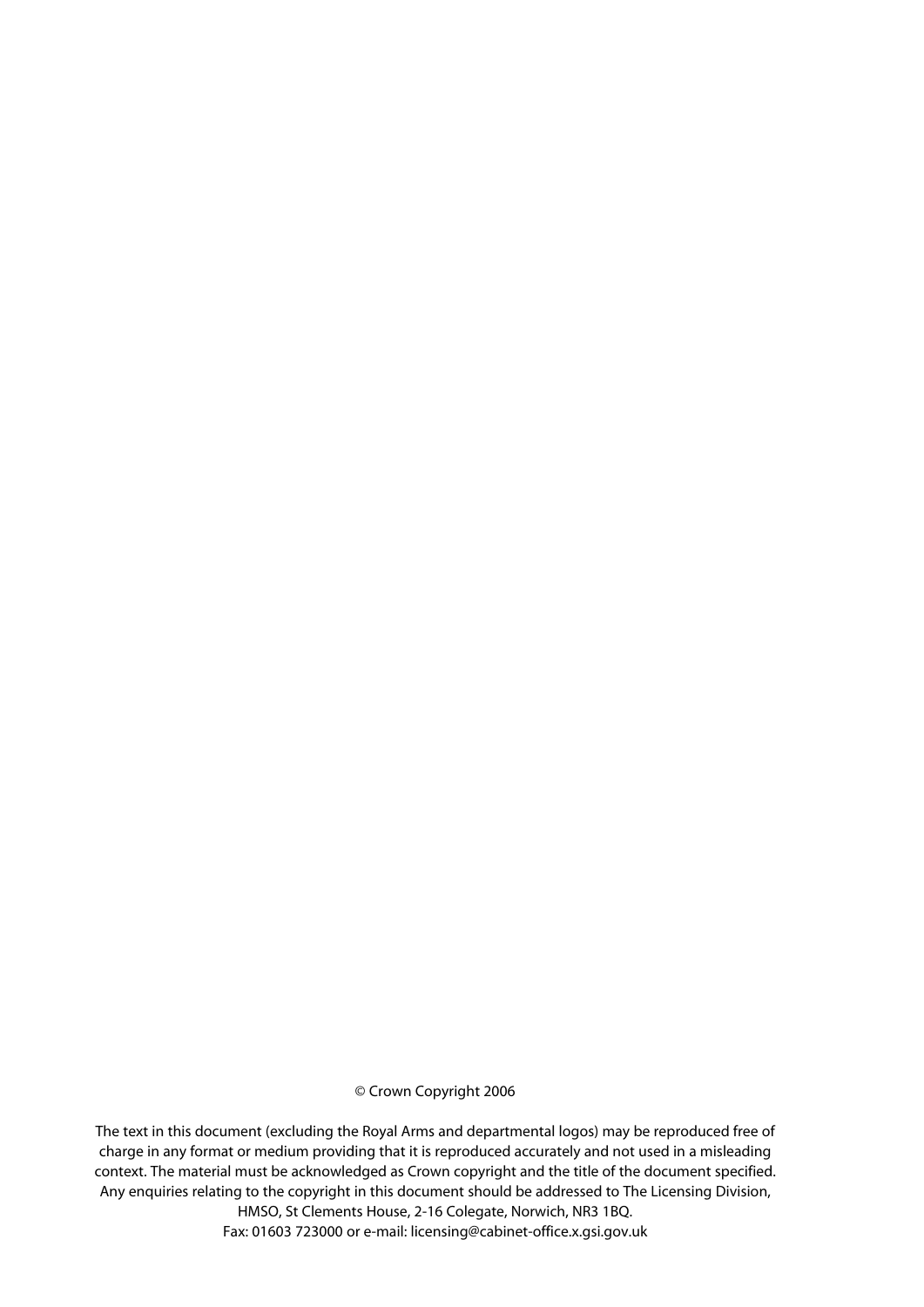#### © Crown Copyright 2006

The text in this document (excluding the Royal Arms and departmental logos) may be reproduced free of charge in any format or medium providing that it is reproduced accurately and not used in a misleading context. The material must be acknowledged as Crown copyright and the title of the document specified. Any enquiries relating to the copyright in this document should be addressed to The Licensing Division,

HMSO, St Clements House, 2-16 Colegate, Norwich, NR3 1BQ. Fax: 01603 723000 or e-mail: licensing@cabinet-office.x.gsi.gov.uk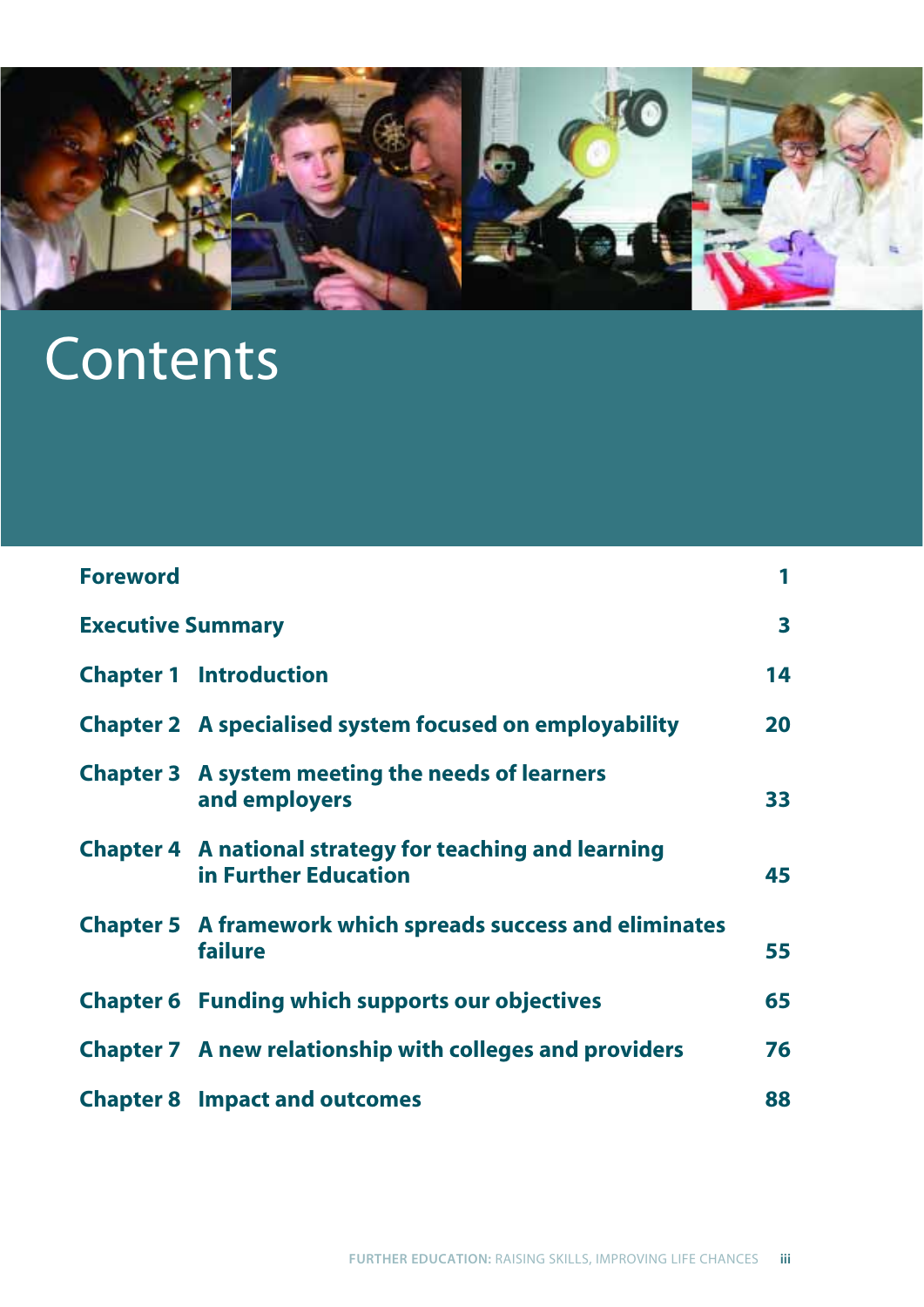

## Contents

| <b>Foreword</b>          |                                                                                        |    |
|--------------------------|----------------------------------------------------------------------------------------|----|
| <b>Executive Summary</b> |                                                                                        | 3  |
|                          | <b>Chapter 1 Introduction</b>                                                          | 14 |
|                          | <b>Chapter 2</b> A specialised system focused on employability                         | 20 |
|                          | <b>Chapter 3</b> A system meeting the needs of learners<br>and employers               | 33 |
|                          | <b>Chapter 4</b> A national strategy for teaching and learning<br>in Further Education | 45 |
|                          | <b>Chapter 5</b> A framework which spreads success and eliminates<br>failure           | 55 |
|                          | <b>Chapter 6 Funding which supports our objectives</b>                                 | 65 |
|                          | <b>Chapter 7</b> A new relationship with colleges and providers                        | 76 |
|                          | <b>Chapter 8 Impact and outcomes</b>                                                   | 88 |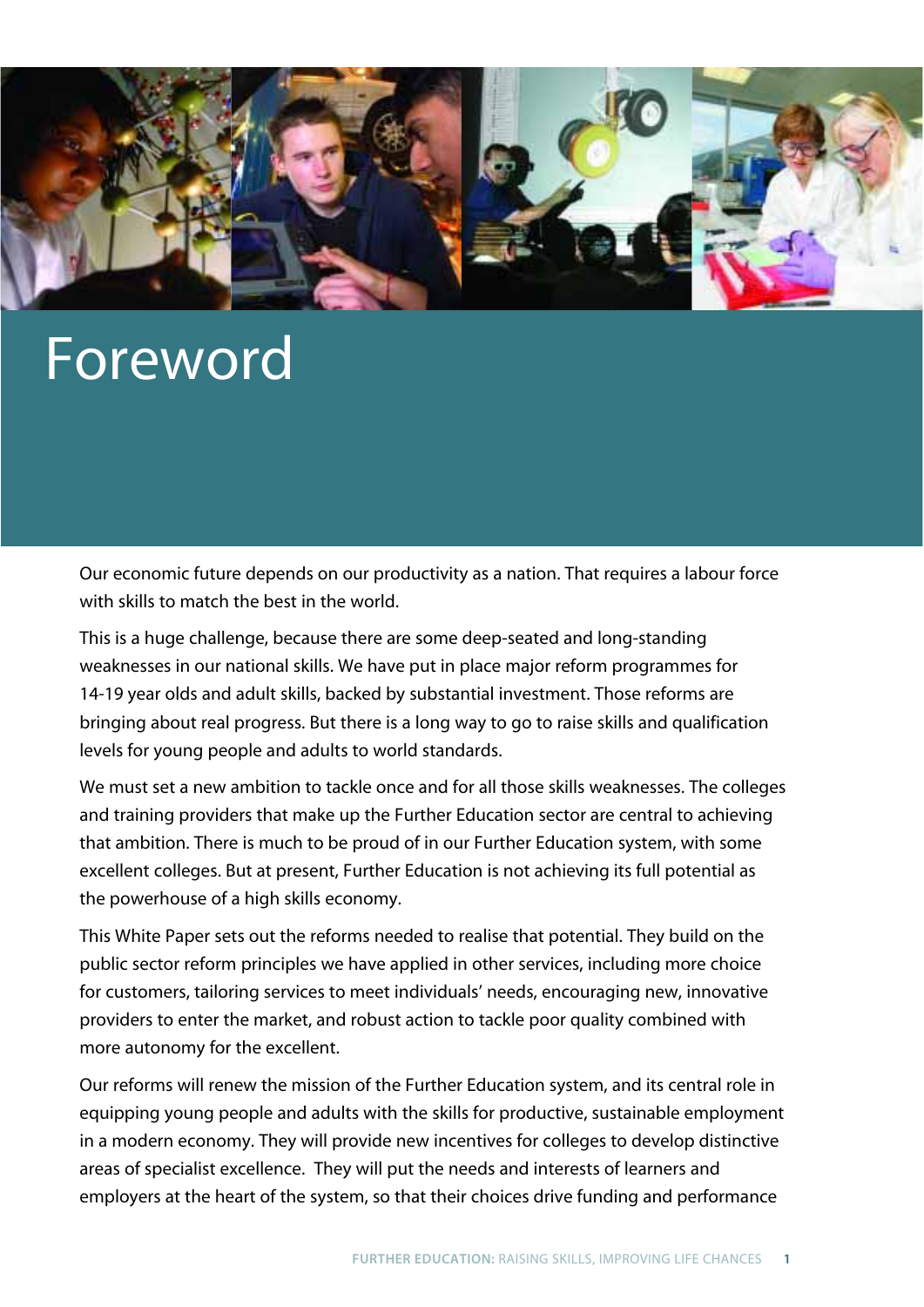

## Foreword

Our economic future depends on our productivity as a nation. That requires a labour force with skills to match the best in the world.

This is a huge challenge, because there are some deep-seated and long-standing weaknesses in our national skills. We have put in place major reform programmes for 14-19 year olds and adult skills, backed by substantial investment. Those reforms are bringing about real progress. But there is a long way to go to raise skills and qualification levels for young people and adults to world standards.

We must set a new ambition to tackle once and for all those skills weaknesses. The colleges and training providers that make up the Further Education sector are central to achieving that ambition. There is much to be proud of in our Further Education system, with some excellent colleges. But at present, Further Education is not achieving its full potential as the powerhouse of a high skills economy.

This White Paper sets out the reforms needed to realise that potential. They build on the public sector reform principles we have applied in other services, including more choice for customers, tailoring services to meet individuals' needs, encouraging new, innovative providers to enter the market, and robust action to tackle poor quality combined with more autonomy for the excellent.

Our reforms will renew the mission of the Further Education system, and its central role in equipping young people and adults with the skills for productive, sustainable employment in a modern economy. They will provide new incentives for colleges to develop distinctive areas of specialist excellence. They will put the needs and interests of learners and employers at the heart of the system, so that their choices drive funding and performance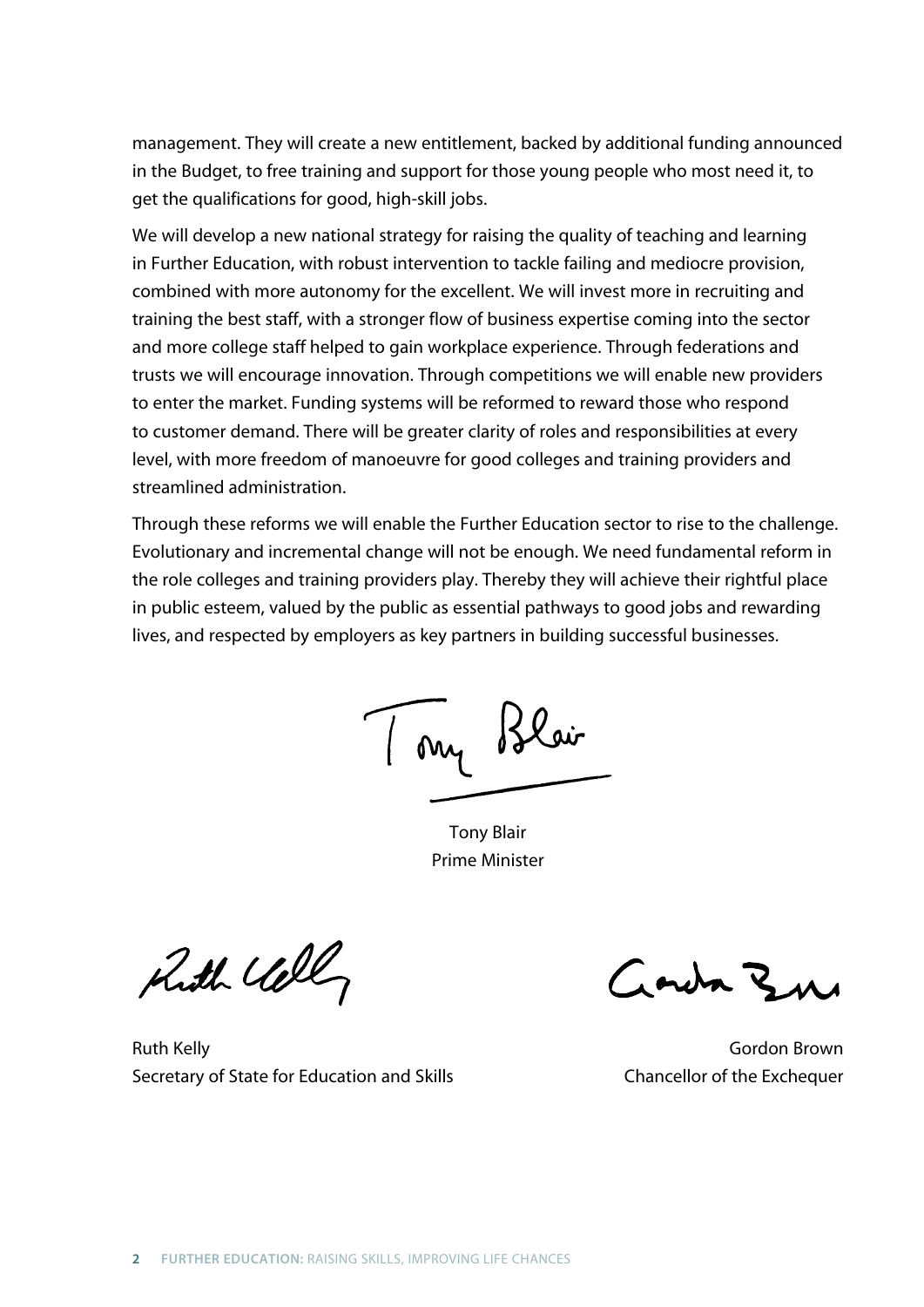management. They will create a new entitlement, backed by additional funding announced in the Budget, to free training and support for those young people who most need it, to get the qualifications for good, high-skill jobs.

We will develop a new national strategy for raising the quality of teaching and learning in Further Education, with robust intervention to tackle failing and mediocre provision, combined with more autonomy for the excellent. We will invest more in recruiting and training the best staff, with a stronger flow of business expertise coming into the sector and more college staff helped to gain workplace experience. Through federations and trusts we will encourage innovation. Through competitions we will enable new providers to enter the market. Funding systems will be reformed to reward those who respond to customer demand. There will be greater clarity of roles and responsibilities at every level, with more freedom of manoeuvre for good colleges and training providers and streamlined administration.

Through these reforms we will enable the Further Education sector to rise to the challenge. Evolutionary and incremental change will not be enough. We need fundamental reform in the role colleges and training providers play. Thereby they will achieve their rightful place in public esteem, valued by the public as essential pathways to good jobs and rewarding lives, and respected by employers as key partners in building successful businesses.

7 my Blair

Tony Blair Prime Minister

Ruth Call

Town Bu

Ruth Kelly **Gordon Brown** Secretary of State for Education and Skills **Chancellor of the Exchequer**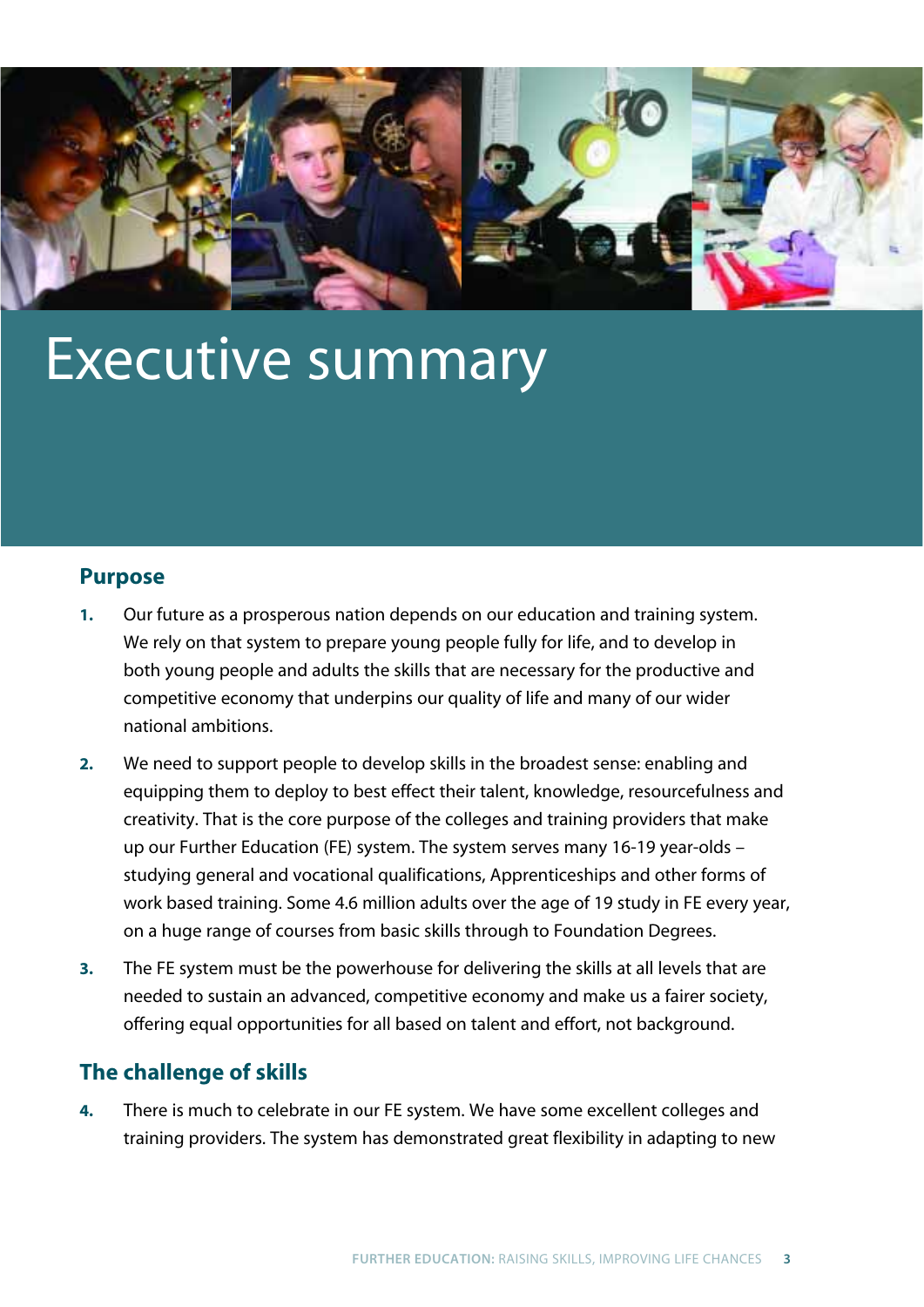

## Executive summary

### **Purpose**

- **1.** Our future as a prosperous nation depends on our education and training system. We rely on that system to prepare young people fully for life, and to develop in both young people and adults the skills that are necessary for the productive and competitive economy that underpins our quality of life and many of our wider national ambitions.
- **2.** We need to support people to develop skills in the broadest sense: enabling and equipping them to deploy to best effect their talent, knowledge, resourcefulness and creativity. That is the core purpose of the colleges and training providers that make up our Further Education (FE) system. The system serves many 16-19 year-olds – studying general and vocational qualifications, Apprenticeships and other forms of work based training. Some 4.6 million adults over the age of 19 study in FE every year, on a huge range of courses from basic skills through to Foundation Degrees.
- **3.** The FE system must be the powerhouse for delivering the skills at all levels that are needed to sustain an advanced, competitive economy and make us a fairer society, offering equal opportunities for all based on talent and effort, not background.

### **The challenge of skills**

**4.** There is much to celebrate in our FE system. We have some excellent colleges and training providers. The system has demonstrated great flexibility in adapting to new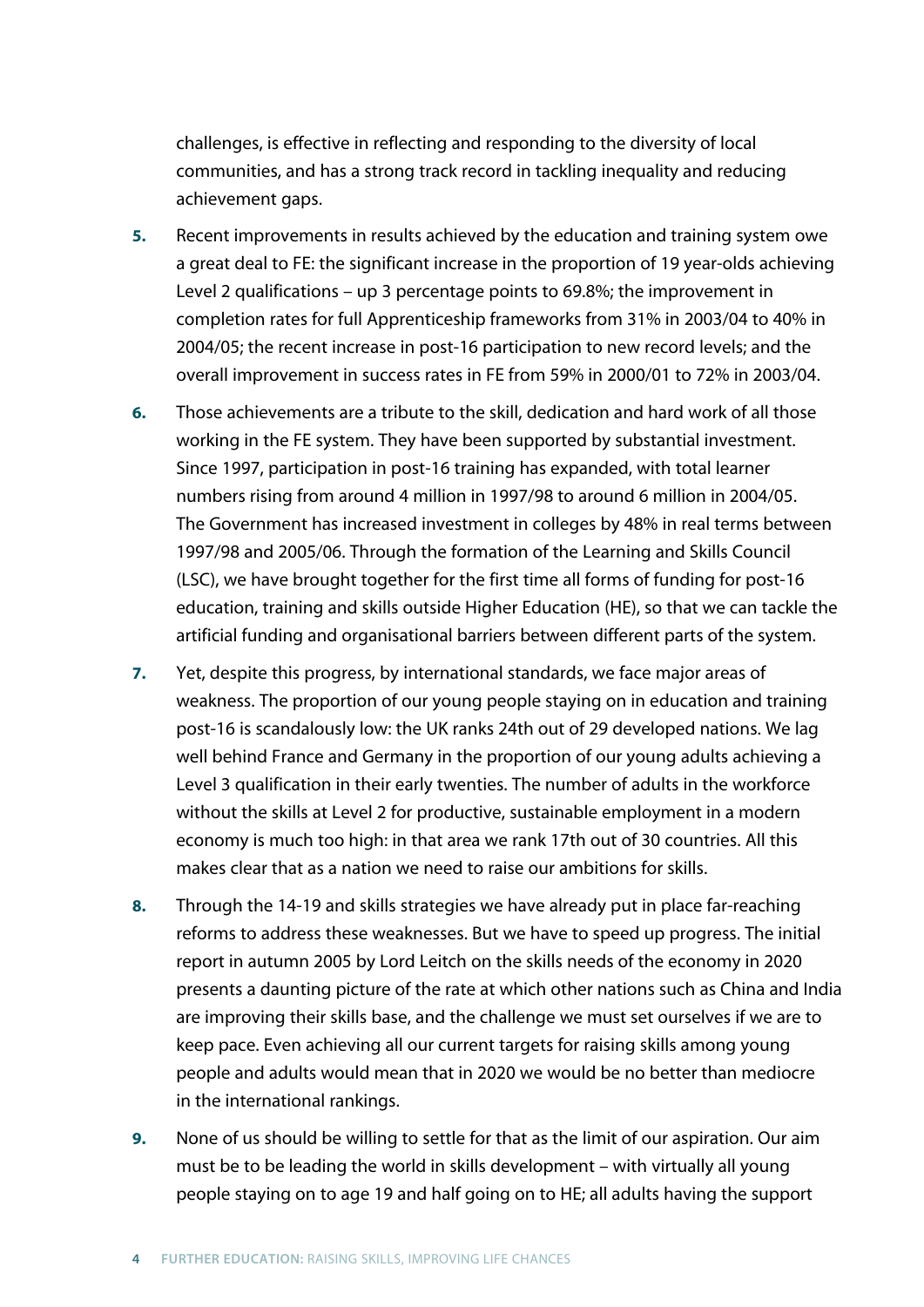challenges, is effective in reflecting and responding to the diversity of local communities, and has a strong track record in tackling inequality and reducing achievement gaps.

- **5.** Recent improvements in results achieved by the education and training system owe a great deal to FE: the significant increase in the proportion of 19 year-olds achieving Level 2 qualifications – up 3 percentage points to 69.8%; the improvement in completion rates for full Apprenticeship frameworks from 31% in 2003/04 to 40% in 2004/05; the recent increase in post-16 participation to new record levels; and the overall improvement in success rates in FE from 59% in 2000/01 to 72% in 2003/04.
- **6.** Those achievements are a tribute to the skill, dedication and hard work of all those working in the FE system. They have been supported by substantial investment. Since 1997, participation in post-16 training has expanded, with total learner numbers rising from around 4 million in 1997/98 to around 6 million in 2004/05. The Government has increased investment in colleges by 48% in real terms between 1997/98 and 2005/06. Through the formation of the Learning and Skills Council (LSC), we have brought together for the first time all forms of funding for post-16 education, training and skills outside Higher Education (HE), so that we can tackle the artificial funding and organisational barriers between different parts of the system.
- **7.** Yet, despite this progress, by international standards, we face major areas of weakness. The proportion of our young people staying on in education and training post-16 is scandalously low: the UK ranks 24th out of 29 developed nations. We lag well behind France and Germany in the proportion of our young adults achieving a Level 3 qualification in their early twenties. The number of adults in the workforce without the skills at Level 2 for productive, sustainable employment in a modern economy is much too high: in that area we rank 17th out of 30 countries. All this makes clear that as a nation we need to raise our ambitions for skills.
- **8.** Through the 14-19 and skills strategies we have already put in place far-reaching reforms to address these weaknesses. But we have to speed up progress. The initial report in autumn 2005 by Lord Leitch on the skills needs of the economy in 2020 presents a daunting picture of the rate at which other nations such as China and India are improving their skills base, and the challenge we must set ourselves if we are to keep pace. Even achieving all our current targets for raising skills among young people and adults would mean that in 2020 we would be no better than mediocre in the international rankings.
- **9.** None of us should be willing to settle for that as the limit of our aspiration. Our aim must be to be leading the world in skills development – with virtually all young people staying on to age 19 and half going on to HE; all adults having the support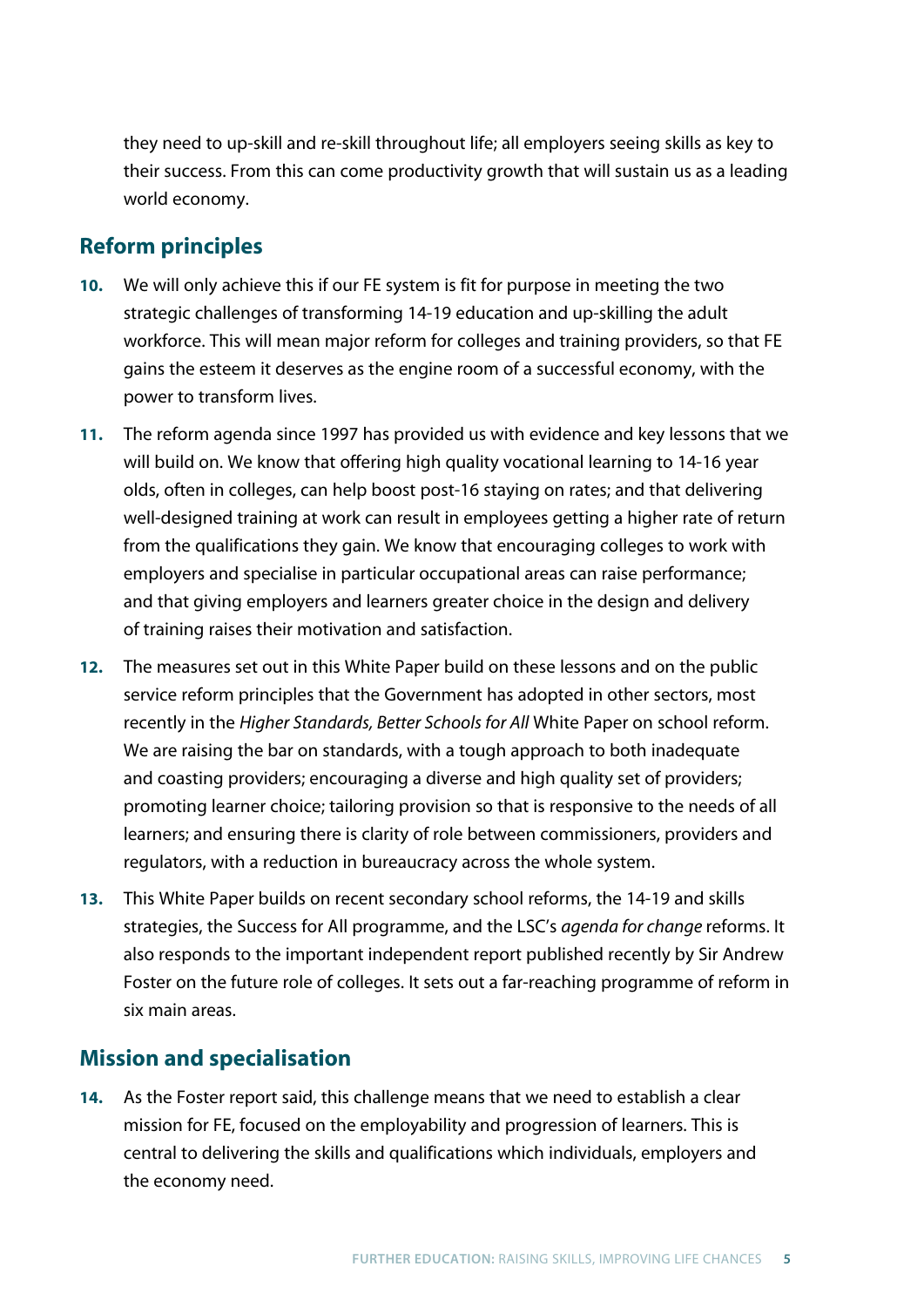they need to up-skill and re-skill throughout life; all employers seeing skills as key to their success. From this can come productivity growth that will sustain us as a leading world economy.

## **Reform principles**

- **10.** We will only achieve this if our FE system is fit for purpose in meeting the two strategic challenges of transforming 14-19 education and up-skilling the adult workforce. This will mean major reform for colleges and training providers, so that FE gains the esteem it deserves as the engine room of a successful economy, with the power to transform lives.
- **11.** The reform agenda since 1997 has provided us with evidence and key lessons that we will build on. We know that offering high quality vocational learning to 14-16 year olds, often in colleges, can help boost post-16 staying on rates; and that delivering well-designed training at work can result in employees getting a higher rate of return from the qualifications they gain. We know that encouraging colleges to work with employers and specialise in particular occupational areas can raise performance; and that giving employers and learners greater choice in the design and delivery of training raises their motivation and satisfaction.
- **12.** The measures set out in this White Paper build on these lessons and on the public service reform principles that the Government has adopted in other sectors, most recently in the *Higher Standards, Better Schools for All* White Paper on school reform. We are raising the bar on standards, with a tough approach to both inadequate and coasting providers; encouraging a diverse and high quality set of providers; promoting learner choice; tailoring provision so that is responsive to the needs of all learners; and ensuring there is clarity of role between commissioners, providers and regulators, with a reduction in bureaucracy across the whole system.
- **13.** This White Paper builds on recent secondary school reforms, the 14-19 and skills strategies, the Success for All programme, and the LSC's *agenda for change* reforms. It also responds to the important independent report published recently by Sir Andrew Foster on the future role of colleges. It sets out a far-reaching programme of reform in six main areas.

## **Mission and specialisation**

**14.** As the Foster report said, this challenge means that we need to establish a clear mission for FE, focused on the employability and progression of learners. This is central to delivering the skills and qualifications which individuals, employers and the economy need.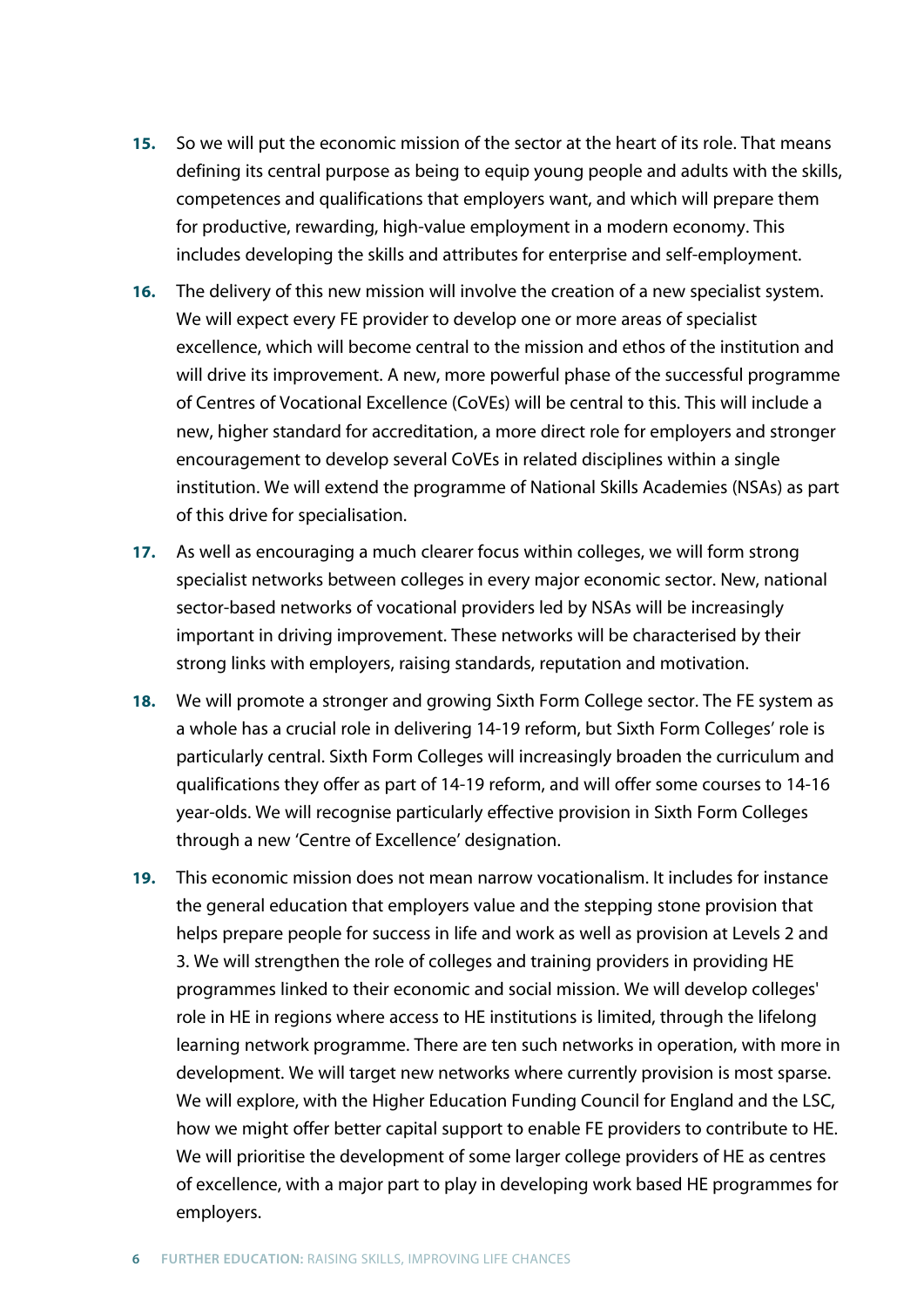- **15.** So we will put the economic mission of the sector at the heart of its role. That means defining its central purpose as being to equip young people and adults with the skills, competences and qualifications that employers want, and which will prepare them for productive, rewarding, high-value employment in a modern economy. This includes developing the skills and attributes for enterprise and self-employment.
- **16.** The delivery of this new mission will involve the creation of a new specialist system. We will expect every FE provider to develop one or more areas of specialist excellence, which will become central to the mission and ethos of the institution and will drive its improvement. A new, more powerful phase of the successful programme of Centres of Vocational Excellence (CoVEs) will be central to this. This will include a new, higher standard for accreditation, a more direct role for employers and stronger encouragement to develop several CoVEs in related disciplines within a single institution. We will extend the programme of National Skills Academies (NSAs) as part of this drive for specialisation.
- **17.** As well as encouraging a much clearer focus within colleges, we will form strong specialist networks between colleges in every major economic sector. New, national sector-based networks of vocational providers led by NSAs will be increasingly important in driving improvement. These networks will be characterised by their strong links with employers, raising standards, reputation and motivation.
- **18.** We will promote a stronger and growing Sixth Form College sector. The FE system as a whole has a crucial role in delivering 14-19 reform, but Sixth Form Colleges' role is particularly central. Sixth Form Colleges will increasingly broaden the curriculum and qualifications they offer as part of 14-19 reform, and will offer some courses to 14-16 year-olds. We will recognise particularly effective provision in Sixth Form Colleges through a new 'Centre of Excellence' designation.
- **19.** This economic mission does not mean narrow vocationalism. It includes for instance the general education that employers value and the stepping stone provision that helps prepare people for success in life and work as well as provision at Levels 2 and 3. We will strengthen the role of colleges and training providers in providing HE programmes linked to their economic and social mission. We will develop colleges' role in HE in regions where access to HE institutions is limited, through the lifelong learning network programme. There are ten such networks in operation, with more in development. We will target new networks where currently provision is most sparse. We will explore, with the Higher Education Funding Council for England and the LSC, how we might offer better capital support to enable FE providers to contribute to HE. We will prioritise the development of some larger college providers of HE as centres of excellence, with a major part to play in developing work based HE programmes for employers.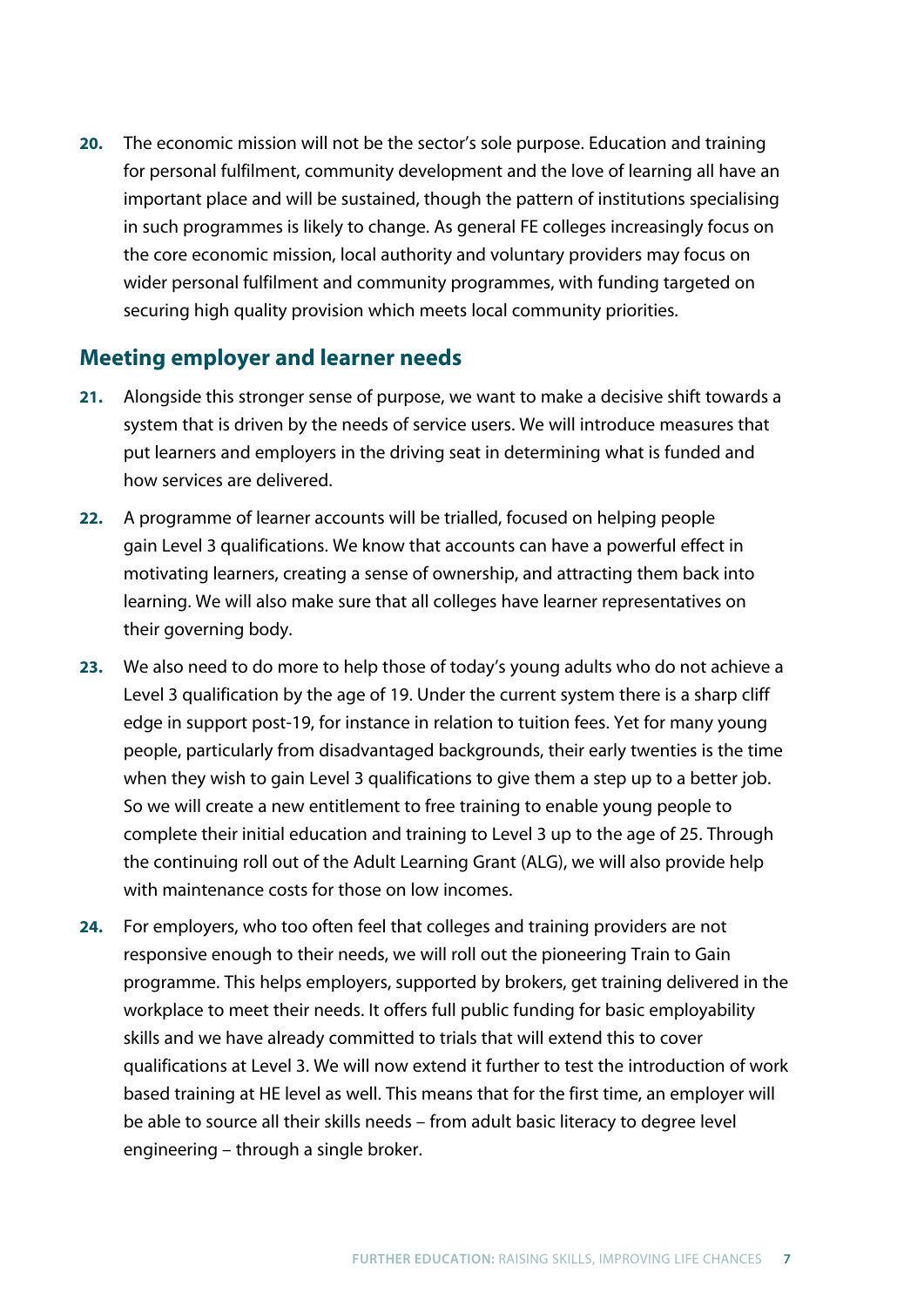**20.** The economic mission will not be the sector's sole purpose. Education and training for personal fulfilment, community development and the love of learning all have an important place and will be sustained, though the pattern of institutions specialising in such programmes is likely to change. As general FE colleges increasingly focus on the core economic mission, local authority and voluntary providers may focus on wider personal fulfilment and community programmes, with funding targeted on securing high quality provision which meets local community priorities.

### **Meeting employer and learner needs**

- **21.** Alongside this stronger sense of purpose, we want to make a decisive shift towards a system that is driven by the needs of service users. We will introduce measures that put learners and employers in the driving seat in determining what is funded and how services are delivered.
- **22.** A programme of learner accounts will be trialled, focused on helping people gain Level 3 qualifications. We know that accounts can have a powerful effect in motivating learners, creating a sense of ownership, and attracting them back into learning. We will also make sure that all colleges have learner representatives on their governing body.
- **23.** We also need to do more to help those of today's young adults who do not achieve a Level 3 qualification by the age of 19. Under the current system there is a sharp cliff edge in support post-19, for instance in relation to tuition fees. Yet for many young people, particularly from disadvantaged backgrounds, their early twenties is the time when they wish to gain Level 3 qualifications to give them a step up to a better job. So we will create a new entitlement to free training to enable young people to complete their initial education and training to Level 3 up to the age of 25. Through the continuing roll out of the Adult Learning Grant (ALG), we will also provide help with maintenance costs for those on low incomes.
- **24.** For employers, who too often feel that colleges and training providers are not responsive enough to their needs, we will roll out the pioneering Train to Gain programme. This helps employers, supported by brokers, get training delivered in the workplace to meet their needs. It offers full public funding for basic employability skills and we have already committed to trials that will extend this to cover qualifications at Level 3. We will now extend it further to test the introduction of work based training at HE level as well. This means that for the first time, an employer will be able to source all their skills needs – from adult basic literacy to degree level engineering – through a single broker.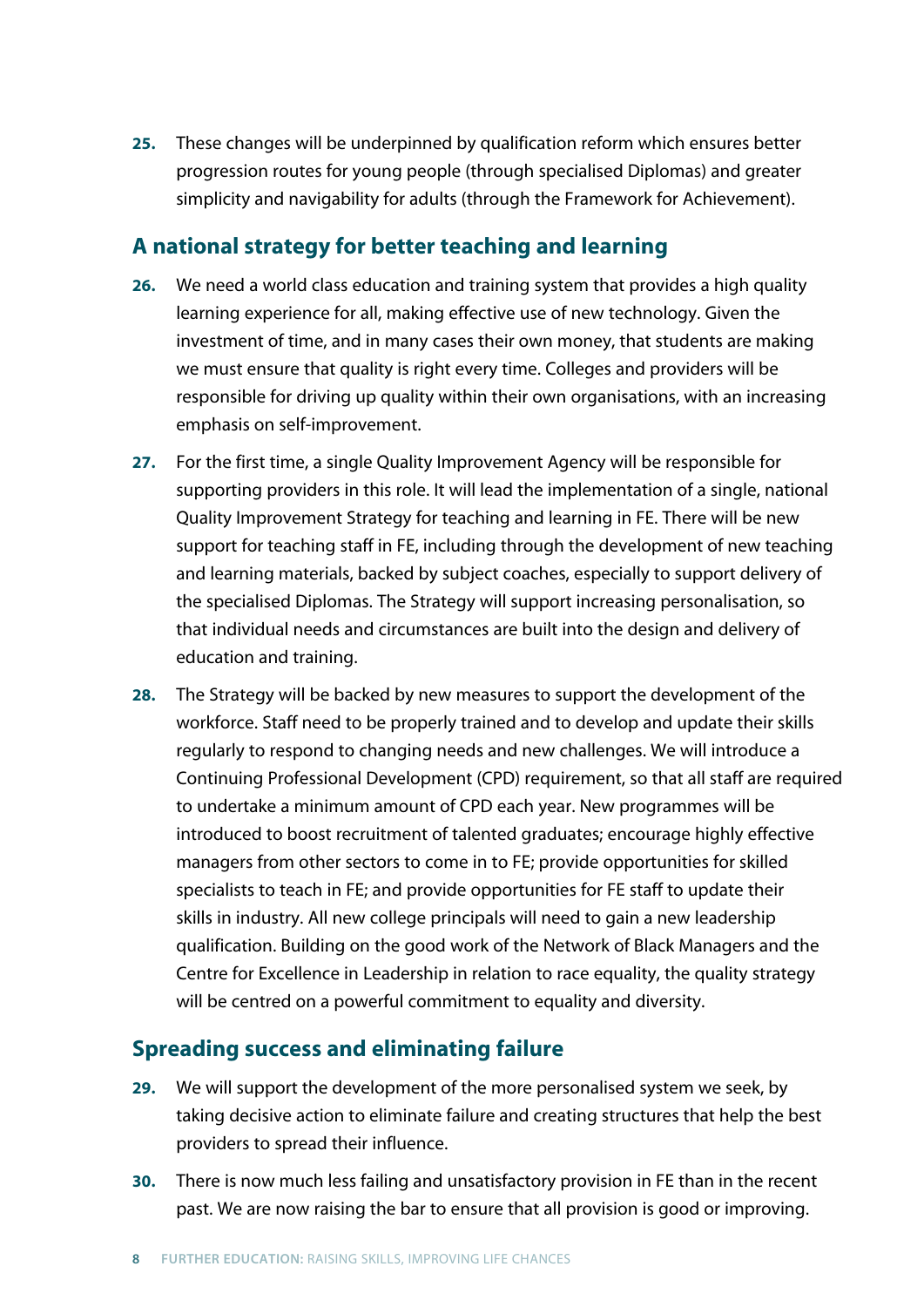**25.** These changes will be underpinned by qualification reform which ensures better progression routes for young people (through specialised Diplomas) and greater simplicity and navigability for adults (through the Framework for Achievement).

## **A national strategy for better teaching and learning**

- **26.** We need a world class education and training system that provides a high quality learning experience for all, making effective use of new technology. Given the investment of time, and in many cases their own money, that students are making we must ensure that quality is right every time. Colleges and providers will be responsible for driving up quality within their own organisations, with an increasing emphasis on self-improvement.
- **27.** For the first time, a single Quality Improvement Agency will be responsible for supporting providers in this role. It will lead the implementation of a single, national Quality Improvement Strategy for teaching and learning in FE. There will be new support for teaching staff in FE, including through the development of new teaching and learning materials, backed by subject coaches, especially to support delivery of the specialised Diplomas. The Strategy will support increasing personalisation, so that individual needs and circumstances are built into the design and delivery of education and training.
- **28.** The Strategy will be backed by new measures to support the development of the workforce. Staff need to be properly trained and to develop and update their skills regularly to respond to changing needs and new challenges. We will introduce a Continuing Professional Development (CPD) requirement, so that all staff are required to undertake a minimum amount of CPD each year. New programmes will be introduced to boost recruitment of talented graduates; encourage highly effective managers from other sectors to come in to FE; provide opportunities for skilled specialists to teach in FE; and provide opportunities for FE staff to update their skills in industry. All new college principals will need to gain a new leadership qualification. Building on the good work of the Network of Black Managers and the Centre for Excellence in Leadership in relation to race equality, the quality strategy will be centred on a powerful commitment to equality and diversity.

## **Spreading success and eliminating failure**

- **29.** We will support the development of the more personalised system we seek, by taking decisive action to eliminate failure and creating structures that help the best providers to spread their influence.
- **30.** There is now much less failing and unsatisfactory provision in FE than in the recent past. We are now raising the bar to ensure that all provision is good or improving.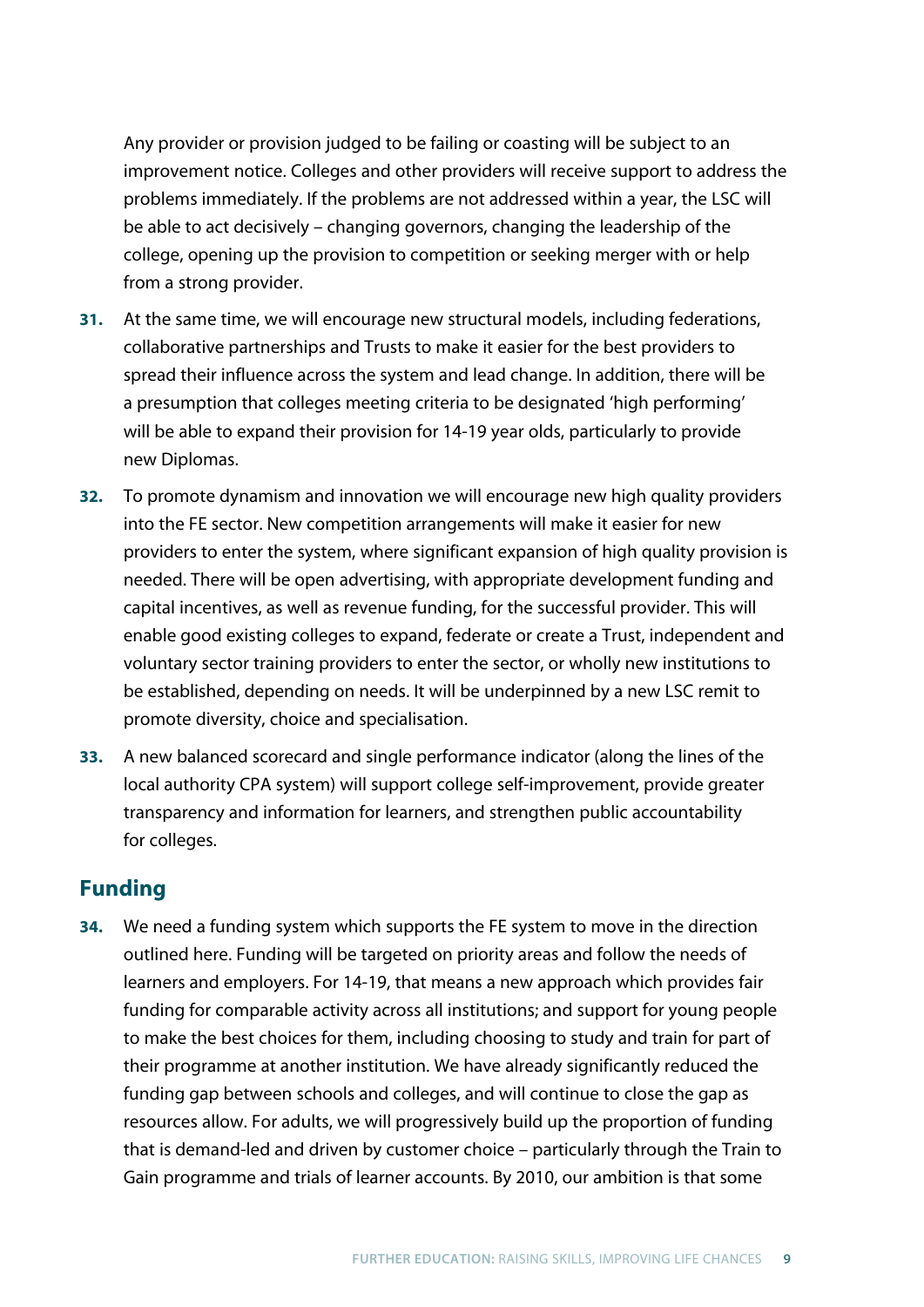Any provider or provision judged to be failing or coasting will be subject to an improvement notice. Colleges and other providers will receive support to address the problems immediately. If the problems are not addressed within a year, the LSC will be able to act decisively – changing governors, changing the leadership of the college, opening up the provision to competition or seeking merger with or help from a strong provider.

- **31.** At the same time, we will encourage new structural models, including federations, collaborative partnerships and Trusts to make it easier for the best providers to spread their influence across the system and lead change. In addition, there will be a presumption that colleges meeting criteria to be designated 'high performing' will be able to expand their provision for 14-19 year olds, particularly to provide new Diplomas.
- **32.** To promote dynamism and innovation we will encourage new high quality providers into the FE sector. New competition arrangements will make it easier for new providers to enter the system, where significant expansion of high quality provision is needed. There will be open advertising, with appropriate development funding and capital incentives, as well as revenue funding, for the successful provider. This will enable good existing colleges to expand, federate or create a Trust, independent and voluntary sector training providers to enter the sector, or wholly new institutions to be established, depending on needs. It will be underpinned by a new LSC remit to promote diversity, choice and specialisation.
- **33.** A new balanced scorecard and single performance indicator (along the lines of the local authority CPA system) will support college self-improvement, provide greater transparency and information for learners, and strengthen public accountability for colleges.

## **Funding**

**34.** We need a funding system which supports the FE system to move in the direction outlined here. Funding will be targeted on priority areas and follow the needs of learners and employers. For 14-19, that means a new approach which provides fair funding for comparable activity across all institutions; and support for young people to make the best choices for them, including choosing to study and train for part of their programme at another institution. We have already significantly reduced the funding gap between schools and colleges, and will continue to close the gap as resources allow. For adults, we will progressively build up the proportion of funding that is demand-led and driven by customer choice – particularly through the Train to Gain programme and trials of learner accounts. By 2010, our ambition is that some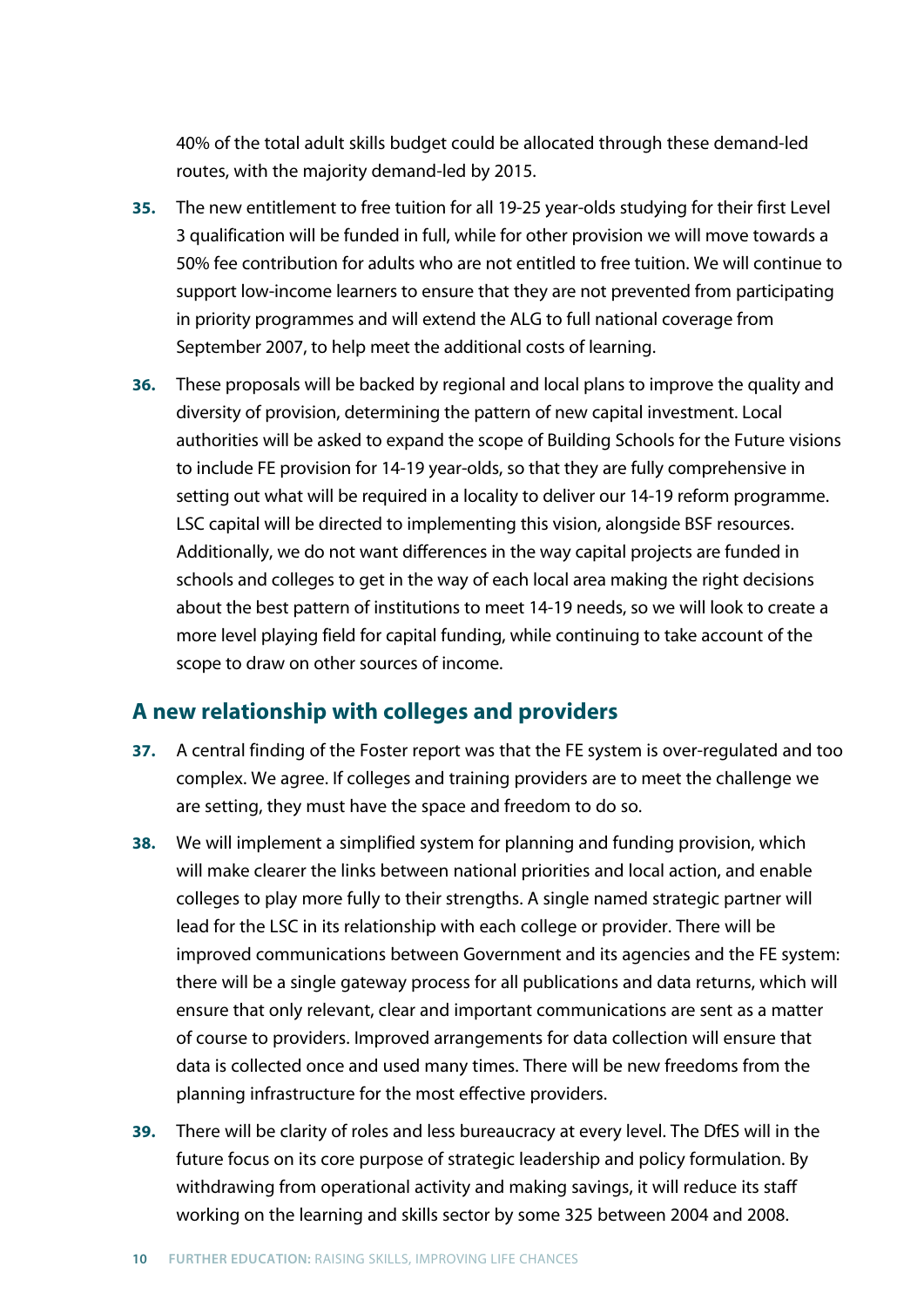40% of the total adult skills budget could be allocated through these demand-led routes, with the majority demand-led by 2015.

- **35.** The new entitlement to free tuition for all 19-25 year-olds studying for their first Level 3 qualification will be funded in full, while for other provision we will move towards a 50% fee contribution for adults who are not entitled to free tuition. We will continue to support low-income learners to ensure that they are not prevented from participating in priority programmes and will extend the ALG to full national coverage from September 2007, to help meet the additional costs of learning.
- **36.** These proposals will be backed by regional and local plans to improve the quality and diversity of provision, determining the pattern of new capital investment. Local authorities will be asked to expand the scope of Building Schools for the Future visions to include FE provision for 14-19 year-olds, so that they are fully comprehensive in setting out what will be required in a locality to deliver our 14-19 reform programme. LSC capital will be directed to implementing this vision, alongside BSF resources. Additionally, we do not want differences in the way capital projects are funded in schools and colleges to get in the way of each local area making the right decisions about the best pattern of institutions to meet 14-19 needs, so we will look to create a more level playing field for capital funding, while continuing to take account of the scope to draw on other sources of income.

## **A new relationship with colleges and providers**

- **37.** A central finding of the Foster report was that the FE system is over-regulated and too complex. We agree. If colleges and training providers are to meet the challenge we are setting, they must have the space and freedom to do so.
- **38.** We will implement a simplified system for planning and funding provision, which will make clearer the links between national priorities and local action, and enable colleges to play more fully to their strengths. A single named strategic partner will lead for the LSC in its relationship with each college or provider. There will be improved communications between Government and its agencies and the FE system: there will be a single gateway process for all publications and data returns, which will ensure that only relevant, clear and important communications are sent as a matter of course to providers. Improved arrangements for data collection will ensure that data is collected once and used many times. There will be new freedoms from the planning infrastructure for the most effective providers.
- **39.** There will be clarity of roles and less bureaucracy at every level. The DfES will in the future focus on its core purpose of strategic leadership and policy formulation. By withdrawing from operational activity and making savings, it will reduce its staff working on the learning and skills sector by some 325 between 2004 and 2008.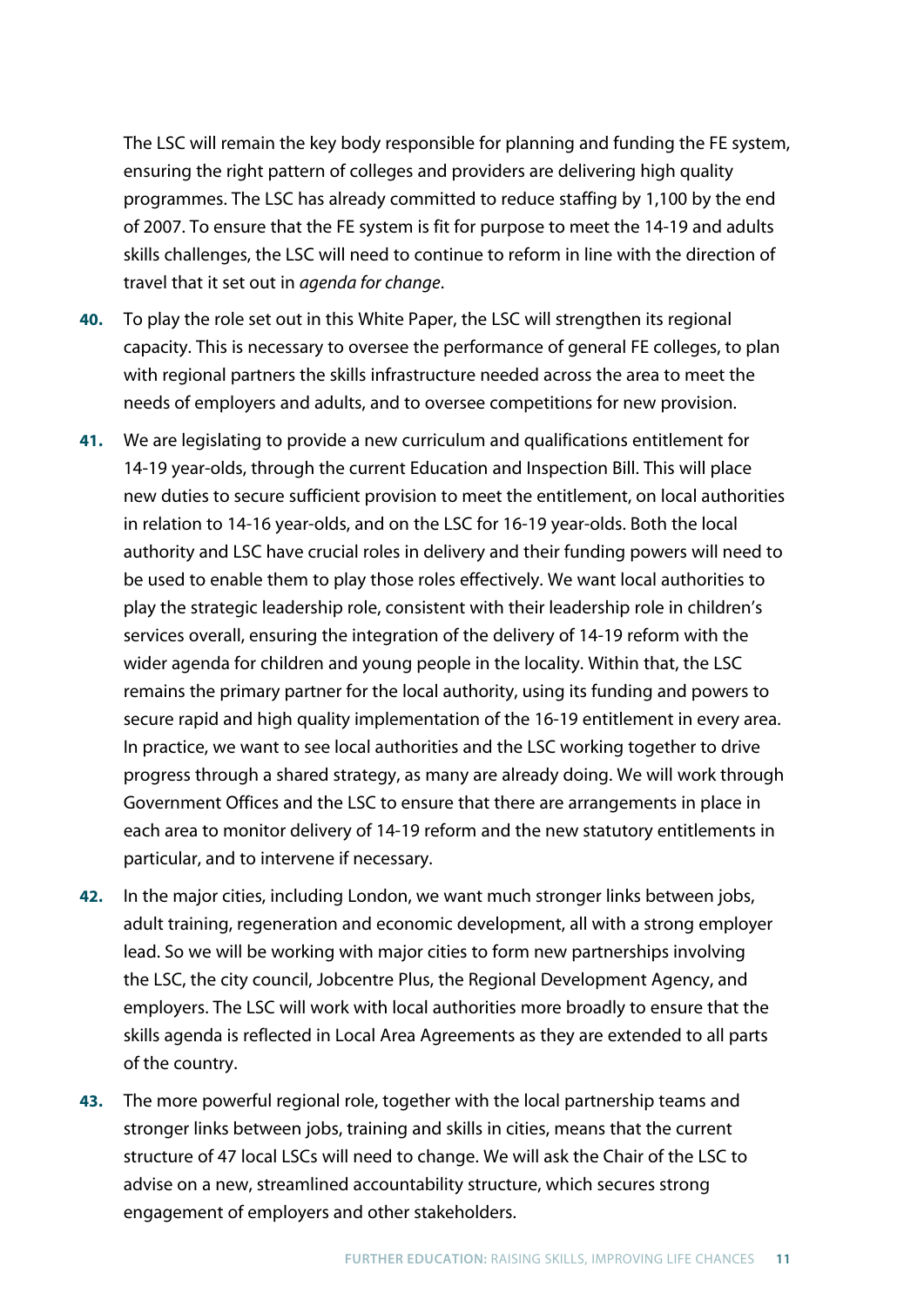The LSC will remain the key body responsible for planning and funding the FE system, ensuring the right pattern of colleges and providers are delivering high quality programmes. The LSC has already committed to reduce staffing by 1,100 by the end of 2007. To ensure that the FE system is fit for purpose to meet the 14-19 and adults skills challenges, the LSC will need to continue to reform in line with the direction of travel that it set out in *agenda for change*.

- **40.** To play the role set out in this White Paper, the LSC will strengthen its regional capacity. This is necessary to oversee the performance of general FE colleges, to plan with regional partners the skills infrastructure needed across the area to meet the needs of employers and adults, and to oversee competitions for new provision.
- **41.** We are legislating to provide a new curriculum and qualifications entitlement for 14-19 year-olds, through the current Education and Inspection Bill. This will place new duties to secure sufficient provision to meet the entitlement, on local authorities in relation to 14-16 year-olds, and on the LSC for 16-19 year-olds. Both the local authority and LSC have crucial roles in delivery and their funding powers will need to be used to enable them to play those roles effectively. We want local authorities to play the strategic leadership role, consistent with their leadership role in children's services overall, ensuring the integration of the delivery of 14-19 reform with the wider agenda for children and young people in the locality. Within that, the LSC remains the primary partner for the local authority, using its funding and powers to secure rapid and high quality implementation of the 16-19 entitlement in every area. In practice, we want to see local authorities and the LSC working together to drive progress through a shared strategy, as many are already doing. We will work through Government Offices and the LSC to ensure that there are arrangements in place in each area to monitor delivery of 14-19 reform and the new statutory entitlements in particular, and to intervene if necessary.
- **42.** In the major cities, including London, we want much stronger links between jobs, adult training, regeneration and economic development, all with a strong employer lead. So we will be working with major cities to form new partnerships involving the LSC, the city council, Jobcentre Plus, the Regional Development Agency, and employers. The LSC will work with local authorities more broadly to ensure that the skills agenda is reflected in Local Area Agreements as they are extended to all parts of the country.
- **43.** The more powerful regional role, together with the local partnership teams and stronger links between jobs, training and skills in cities, means that the current structure of 47 local LSCs will need to change. We will ask the Chair of the LSC to advise on a new, streamlined accountability structure, which secures strong engagement of employers and other stakeholders.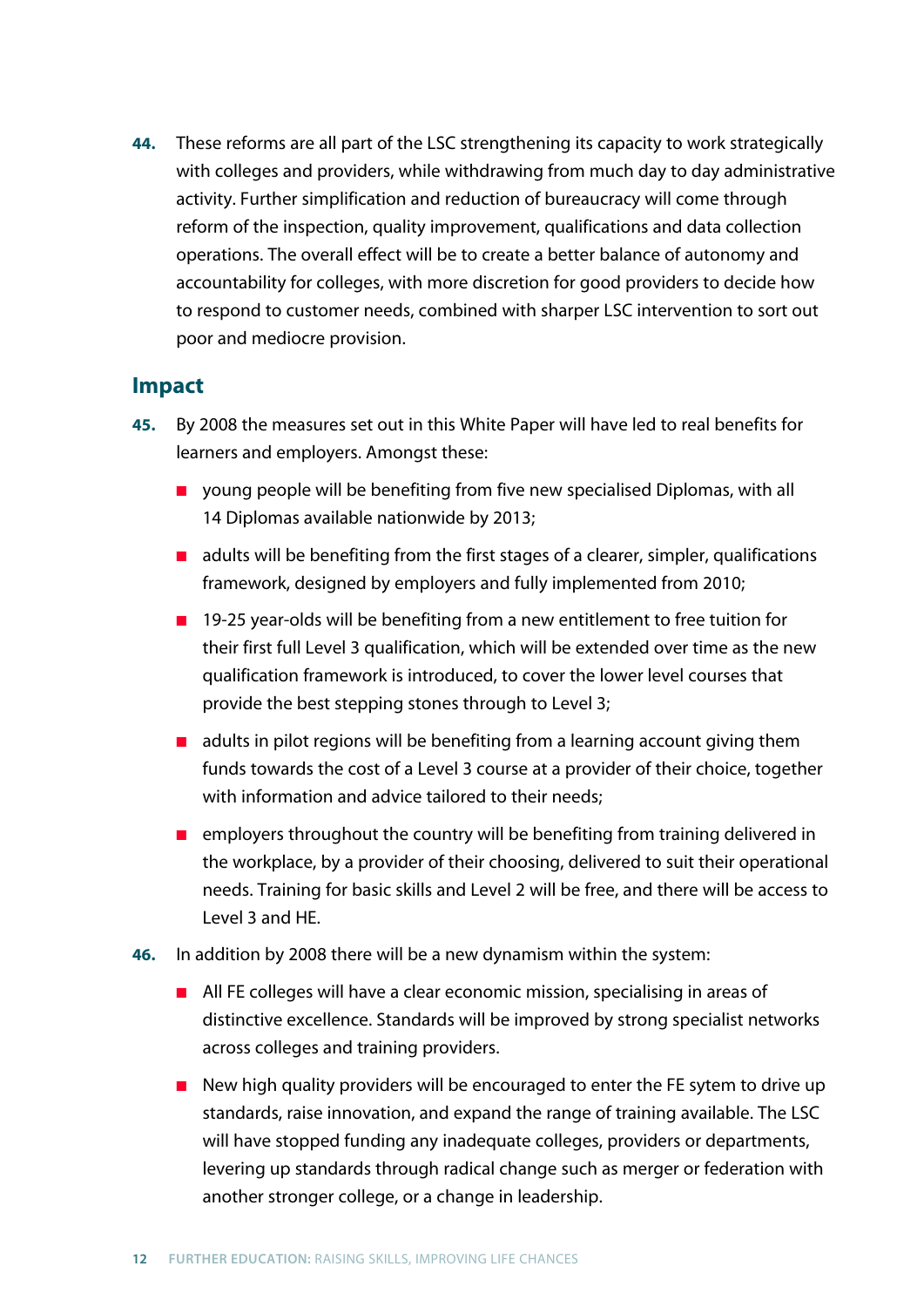**44.** These reforms are all part of the LSC strengthening its capacity to work strategically with colleges and providers, while withdrawing from much day to day administrative activity. Further simplification and reduction of bureaucracy will come through reform of the inspection, quality improvement, qualifications and data collection operations. The overall effect will be to create a better balance of autonomy and accountability for colleges, with more discretion for good providers to decide how to respond to customer needs, combined with sharper LSC intervention to sort out poor and mediocre provision.

#### **Impact**

- **45.** By 2008 the measures set out in this White Paper will have led to real benefits for learners and employers. Amongst these:
	- young people will be benefiting from five new specialised Diplomas, with all 14 Diplomas available nationwide by 2013;
	- adults will be benefiting from the first stages of a clearer, simpler, qualifications framework, designed by employers and fully implemented from 2010;
	- 19-25 year-olds will be benefiting from a new entitlement to free tuition for their first full Level 3 qualification, which will be extended over time as the new qualification framework is introduced, to cover the lower level courses that provide the best stepping stones through to Level 3;
	- adults in pilot regions will be benefiting from a learning account giving them funds towards the cost of a Level 3 course at a provider of their choice, together with information and advice tailored to their needs;
	- employers throughout the country will be benefiting from training delivered in the workplace, by a provider of their choosing, delivered to suit their operational needs. Training for basic skills and Level 2 will be free, and there will be access to Level 3 and HE.
- **46.** In addition by 2008 there will be a new dynamism within the system:
	- All FE colleges will have a clear economic mission, specialising in areas of distinctive excellence. Standards will be improved by strong specialist networks across colleges and training providers.
	- New high quality providers will be encouraged to enter the FE sytem to drive up standards, raise innovation, and expand the range of training available. The LSC will have stopped funding any inadequate colleges, providers or departments, levering up standards through radical change such as merger or federation with another stronger college, or a change in leadership.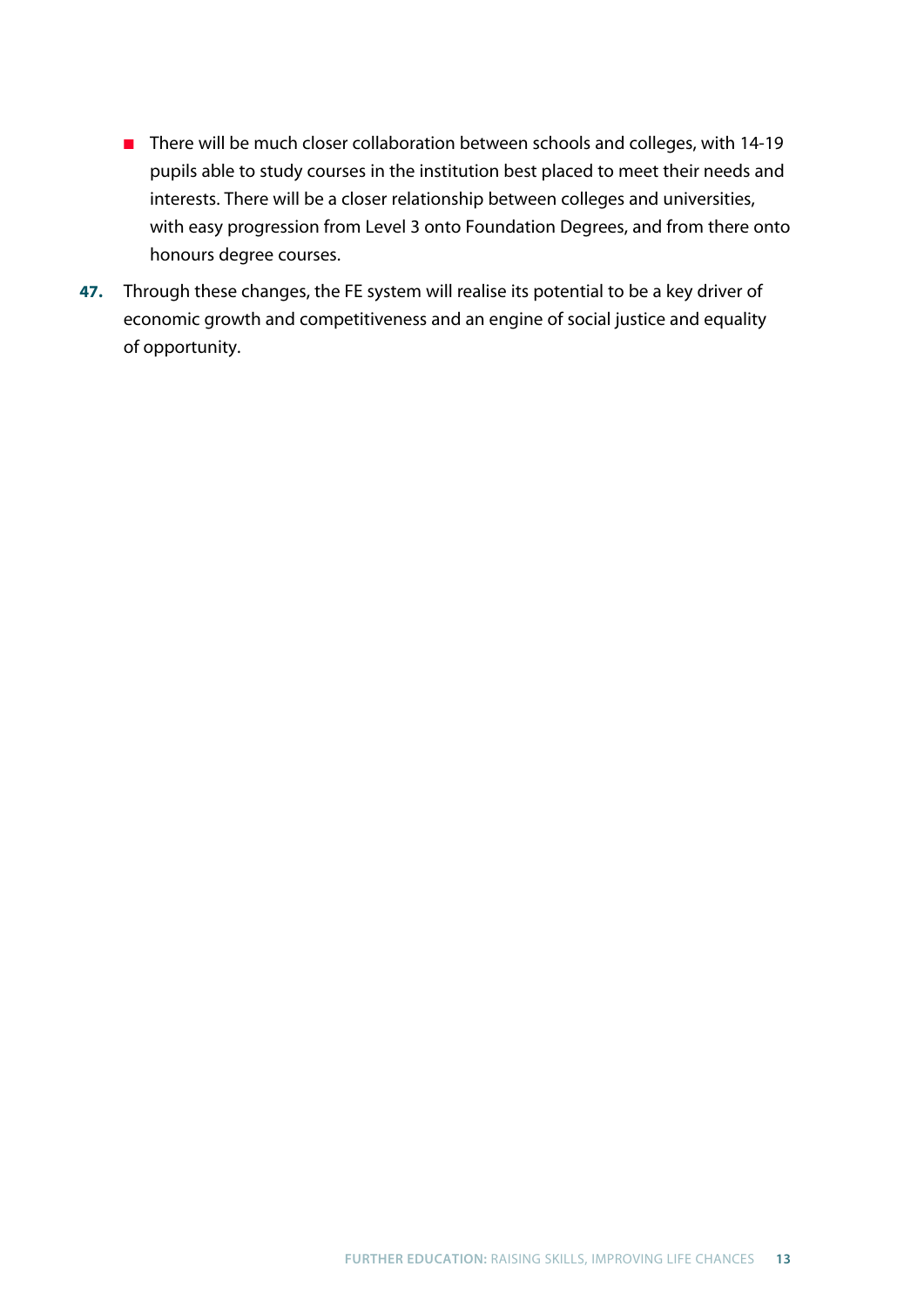- There will be much closer collaboration between schools and colleges, with 14-19 pupils able to study courses in the institution best placed to meet their needs and interests. There will be a closer relationship between colleges and universities, with easy progression from Level 3 onto Foundation Degrees, and from there onto honours degree courses.
- **47.** Through these changes, the FE system will realise its potential to be a key driver of economic growth and competitiveness and an engine of social justice and equality of opportunity.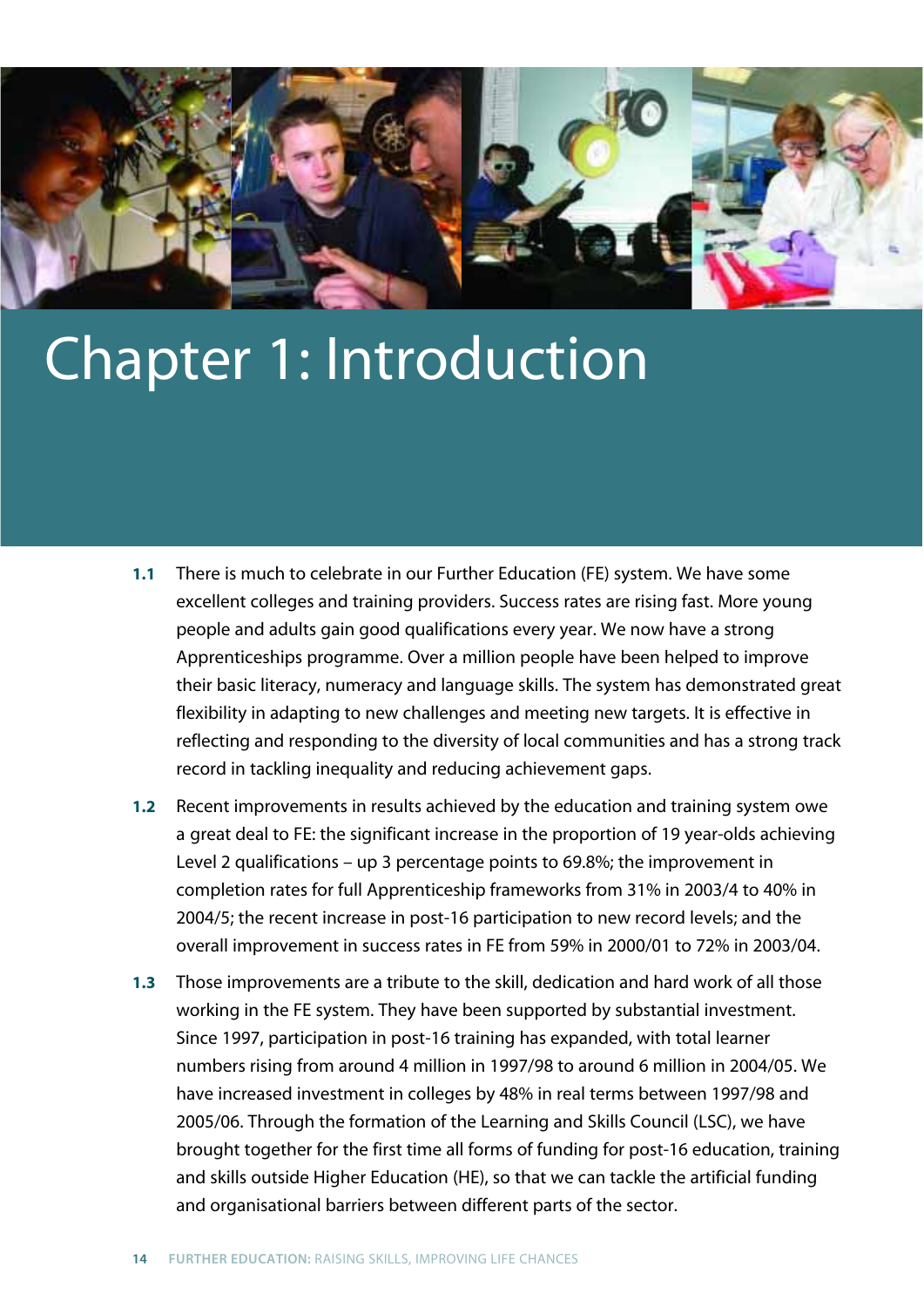

## Chapter 1: Introduction

- **1.1** There is much to celebrate in our Further Education (FE) system. We have some excellent colleges and training providers. Success rates are rising fast. More young people and adults gain good qualifications every year. We now have a strong Apprenticeships programme. Over a million people have been helped to improve their basic literacy, numeracy and language skills. The system has demonstrated great flexibility in adapting to new challenges and meeting new targets. It is effective in reflecting and responding to the diversity of local communities and has a strong track record in tackling inequality and reducing achievement gaps.
- **1.2** Recent improvements in results achieved by the education and training system owe a great deal to FE: the significant increase in the proportion of 19 year-olds achieving Level 2 qualifications – up 3 percentage points to 69.8%; the improvement in completion rates for full Apprenticeship frameworks from 31% in 2003/4 to 40% in 2004/5; the recent increase in post-16 participation to new record levels; and the overall improvement in success rates in FE from 59% in 2000/01 to 72% in 2003/04.
- **1.3** Those improvements are a tribute to the skill, dedication and hard work of all those working in the FE system. They have been supported by substantial investment. Since 1997, participation in post-16 training has expanded, with total learner numbers rising from around 4 million in 1997/98 to around 6 million in 2004/05. We have increased investment in colleges by 48% in real terms between 1997/98 and 2005/06. Through the formation of the Learning and Skills Council (LSC), we have brought together for the first time all forms of funding for post-16 education, training and skills outside Higher Education (HE), so that we can tackle the artificial funding and organisational barriers between different parts of the sector.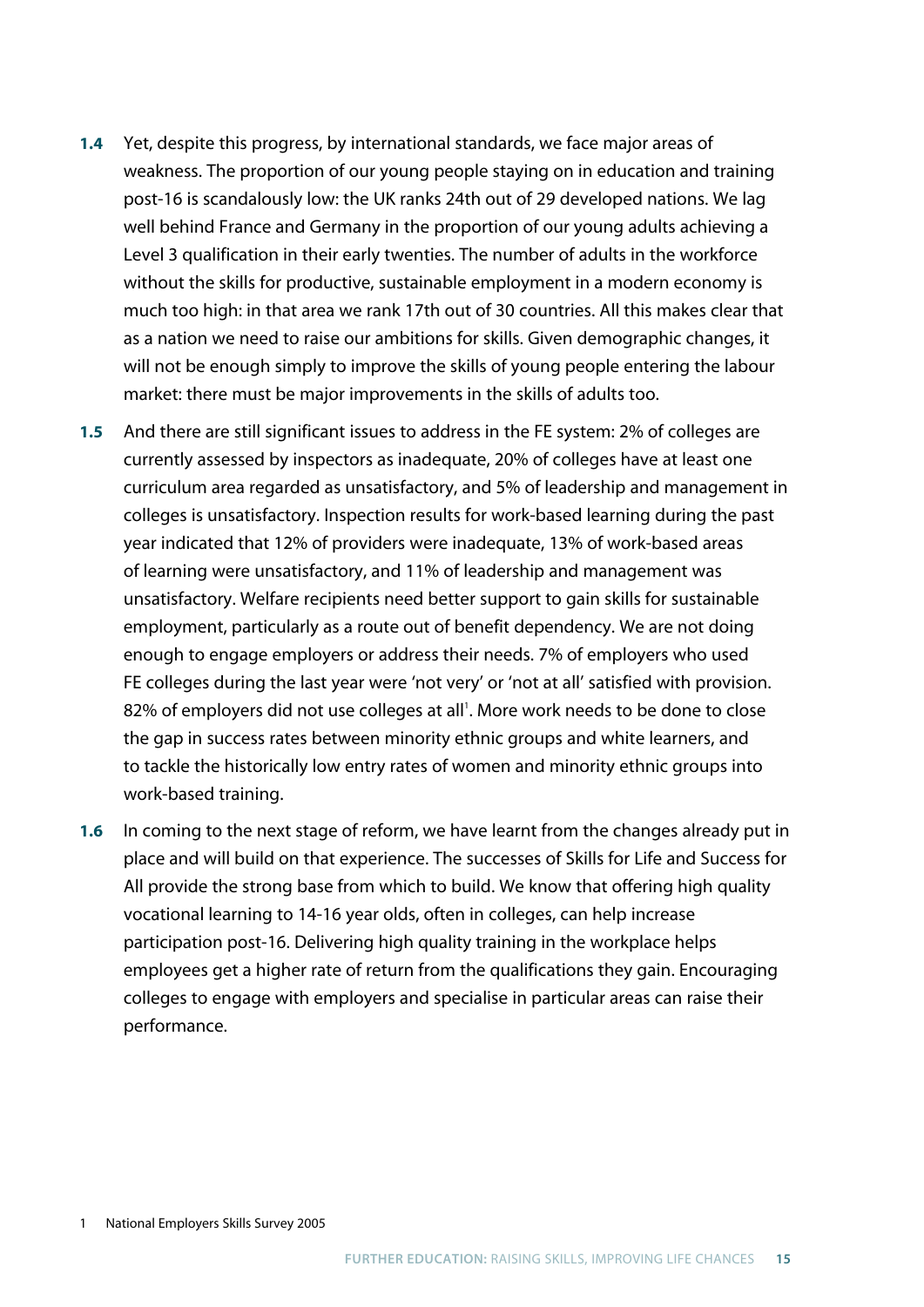- **1.4** Yet, despite this progress, by international standards, we face major areas of weakness. The proportion of our young people staying on in education and training post-16 is scandalously low: the UK ranks 24th out of 29 developed nations. We lag well behind France and Germany in the proportion of our young adults achieving a Level 3 qualification in their early twenties. The number of adults in the workforce without the skills for productive, sustainable employment in a modern economy is much too high: in that area we rank 17th out of 30 countries. All this makes clear that as a nation we need to raise our ambitions for skills. Given demographic changes, it will not be enough simply to improve the skills of young people entering the labour market: there must be major improvements in the skills of adults too.
- **1.5** And there are still significant issues to address in the FE system: 2% of colleges are currently assessed by inspectors as inadequate, 20% of colleges have at least one curriculum area regarded as unsatisfactory, and 5% of leadership and management in colleges is unsatisfactory. Inspection results for work-based learning during the past year indicated that 12% of providers were inadequate, 13% of work-based areas of learning were unsatisfactory, and 11% of leadership and management was unsatisfactory. Welfare recipients need better support to gain skills for sustainable employment, particularly as a route out of benefit dependency. We are not doing enough to engage employers or address their needs. 7% of employers who used FE colleges during the last year were 'not very' or 'not at all' satisfied with provision. 82% of employers did not use colleges at all'. More work needs to be done to close the gap in success rates between minority ethnic groups and white learners, and to tackle the historically low entry rates of women and minority ethnic groups into work-based training.
- **1.6** In coming to the next stage of reform, we have learnt from the changes already put in place and will build on that experience. The successes of Skills for Life and Success for All provide the strong base from which to build. We know that offering high quality vocational learning to 14-16 year olds, often in colleges, can help increase participation post-16. Delivering high quality training in the workplace helps employees get a higher rate of return from the qualifications they gain. Encouraging colleges to engage with employers and specialise in particular areas can raise their performance.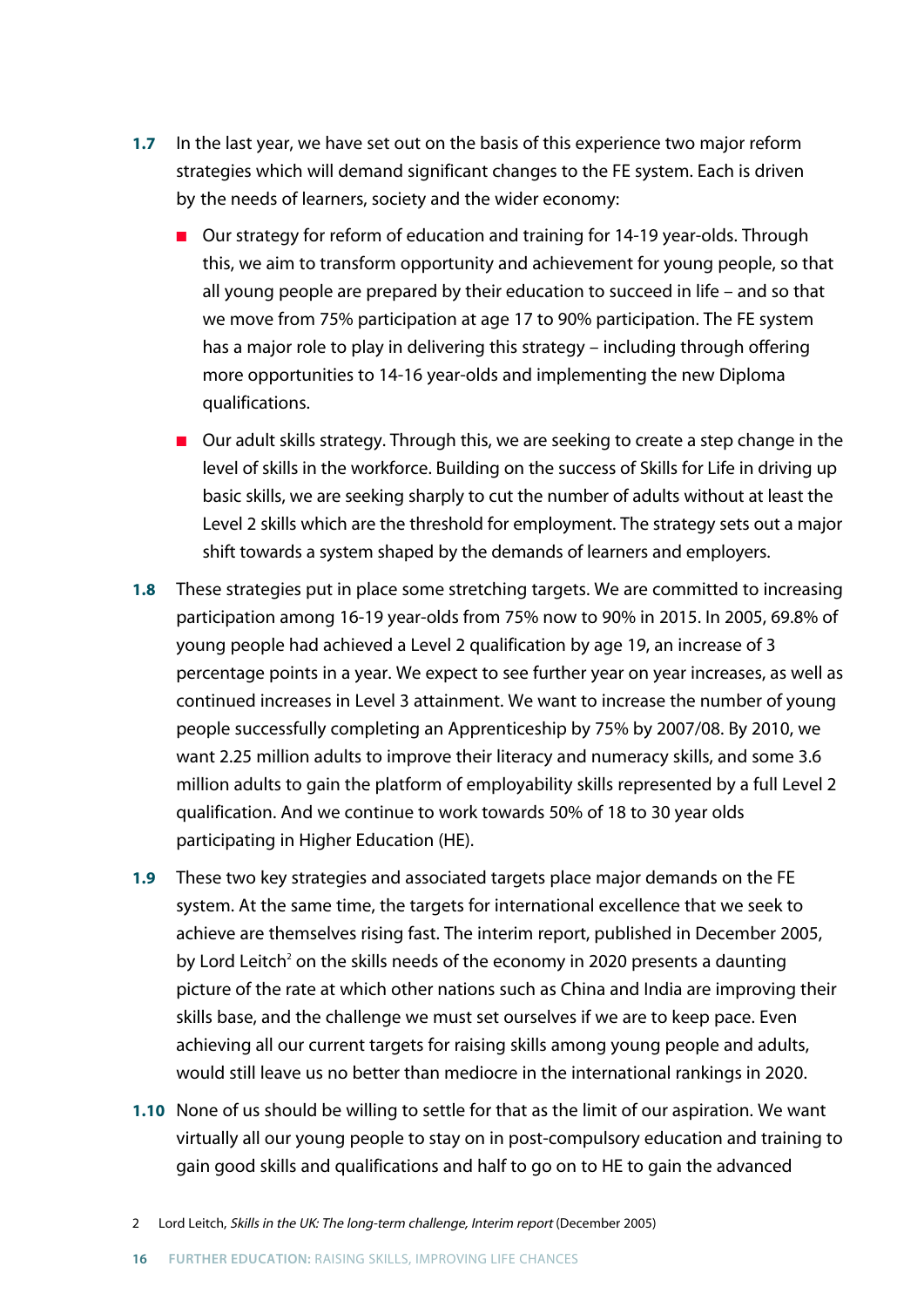- **1.7** In the last year, we have set out on the basis of this experience two major reform strategies which will demand significant changes to the FE system. Each is driven by the needs of learners, society and the wider economy:
	- Our strategy for reform of education and training for 14-19 year-olds. Through this, we aim to transform opportunity and achievement for young people, so that all young people are prepared by their education to succeed in life – and so that we move from 75% participation at age 17 to 90% participation. The FE system has a major role to play in delivering this strategy – including through offering more opportunities to 14-16 year-olds and implementing the new Diploma qualifications.
	- Our adult skills strategy. Through this, we are seeking to create a step change in the level of skills in the workforce. Building on the success of Skills for Life in driving up basic skills, we are seeking sharply to cut the number of adults without at least the Level 2 skills which are the threshold for employment. The strategy sets out a major shift towards a system shaped by the demands of learners and employers.
- **1.8** These strategies put in place some stretching targets. We are committed to increasing participation among 16-19 year-olds from 75% now to 90% in 2015. In 2005, 69.8% of young people had achieved a Level 2 qualification by age 19, an increase of 3 percentage points in a year. We expect to see further year on year increases, as well as continued increases in Level 3 attainment. We want to increase the number of young people successfully completing an Apprenticeship by 75% by 2007/08. By 2010, we want 2.25 million adults to improve their literacy and numeracy skills, and some 3.6 million adults to gain the platform of employability skills represented by a full Level 2 qualification. And we continue to work towards 50% of 18 to 30 year olds participating in Higher Education (HE).
- **1.9** These two key strategies and associated targets place major demands on the FE system. At the same time, the targets for international excellence that we seek to achieve are themselves rising fast. The interim report, published in December 2005, by Lord Leitch<sup>2</sup> on the skills needs of the economy in 2020 presents a daunting picture of the rate at which other nations such as China and India are improving their skills base, and the challenge we must set ourselves if we are to keep pace. Even achieving all our current targets for raising skills among young people and adults, would still leave us no better than mediocre in the international rankings in 2020.
- **1.10** None of us should be willing to settle for that as the limit of our aspiration. We want virtually all our young people to stay on in post-compulsory education and training to gain good skills and qualifications and half to go on to HE to gain the advanced
- 2 Lord Leitch, Skills in the UK: The long-term challenge, Interim report (December 2005)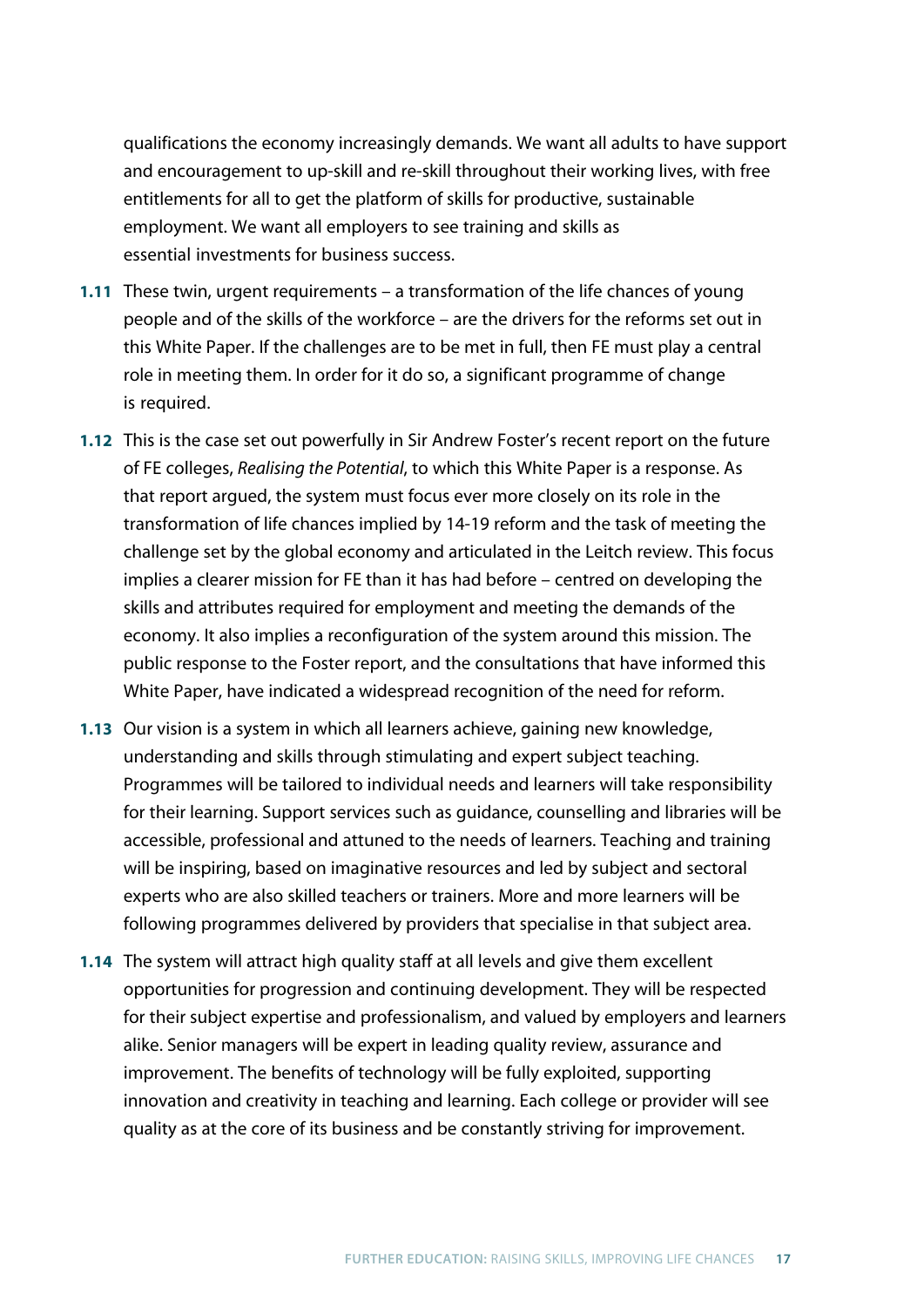qualifications the economy increasingly demands. We want all adults to have support and encouragement to up-skill and re-skill throughout their working lives, with free entitlements for all to get the platform of skills for productive, sustainable employment. We want all employers to see training and skills as essential investments for business success.

- **1.11** These twin, urgent requirements a transformation of the life chances of young people and of the skills of the workforce – are the drivers for the reforms set out in this White Paper. If the challenges are to be met in full, then FE must play a central role in meeting them. In order for it do so, a significant programme of change is required.
- **1.12** This is the case set out powerfully in Sir Andrew Foster's recent report on the future of FE colleges, *Realising the Potential*, to which this White Paper is a response. As that report argued, the system must focus ever more closely on its role in the transformation of life chances implied by 14-19 reform and the task of meeting the challenge set by the global economy and articulated in the Leitch review. This focus implies a clearer mission for FE than it has had before – centred on developing the skills and attributes required for employment and meeting the demands of the economy. It also implies a reconfiguration of the system around this mission. The public response to the Foster report, and the consultations that have informed this White Paper, have indicated a widespread recognition of the need for reform.
- **1.13** Our vision is a system in which all learners achieve, gaining new knowledge, understanding and skills through stimulating and expert subject teaching. Programmes will be tailored to individual needs and learners will take responsibility for their learning. Support services such as guidance, counselling and libraries will be accessible, professional and attuned to the needs of learners. Teaching and training will be inspiring, based on imaginative resources and led by subject and sectoral experts who are also skilled teachers or trainers. More and more learners will be following programmes delivered by providers that specialise in that subject area.
- **1.14** The system will attract high quality staff at all levels and give them excellent opportunities for progression and continuing development. They will be respected for their subject expertise and professionalism, and valued by employers and learners alike. Senior managers will be expert in leading quality review, assurance and improvement. The benefits of technology will be fully exploited, supporting innovation and creativity in teaching and learning. Each college or provider will see quality as at the core of its business and be constantly striving for improvement.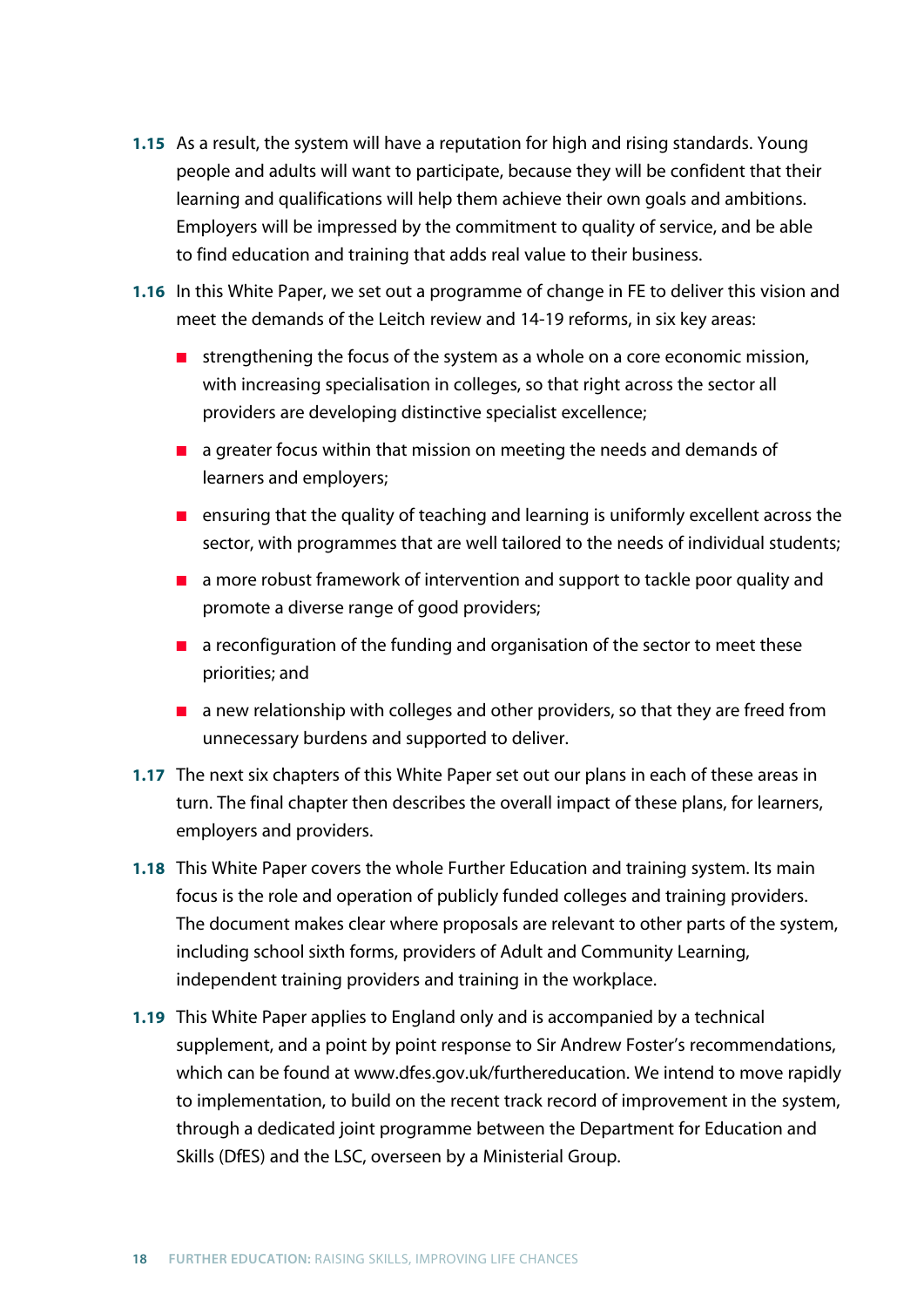- **1.15** As a result, the system will have a reputation for high and rising standards. Young people and adults will want to participate, because they will be confident that their learning and qualifications will help them achieve their own goals and ambitions. Employers will be impressed by the commitment to quality of service, and be able to find education and training that adds real value to their business.
- **1.16** In this White Paper, we set out a programme of change in FE to deliver this vision and meet the demands of the Leitch review and 14-19 reforms, in six key areas:
	- strengthening the focus of the system as a whole on a core economic mission, with increasing specialisation in colleges, so that right across the sector all providers are developing distinctive specialist excellence;
	- a greater focus within that mission on meeting the needs and demands of learners and employers;
	- ensuring that the quality of teaching and learning is uniformly excellent across the sector, with programmes that are well tailored to the needs of individual students;
	- a more robust framework of intervention and support to tackle poor quality and promote a diverse range of good providers;
	- a reconfiguration of the funding and organisation of the sector to meet these priorities; and
	- a new relationship with colleges and other providers, so that they are freed from unnecessary burdens and supported to deliver.
- **1.17** The next six chapters of this White Paper set out our plans in each of these areas in turn. The final chapter then describes the overall impact of these plans, for learners, employers and providers.
- **1.18** This White Paper covers the whole Further Education and training system. Its main focus is the role and operation of publicly funded colleges and training providers. The document makes clear where proposals are relevant to other parts of the system, including school sixth forms, providers of Adult and Community Learning, independent training providers and training in the workplace.
- **1.19** This White Paper applies to England only and is accompanied by a technical supplement, and a point by point response to Sir Andrew Foster's recommendations, which can be found at www.dfes.gov.uk/furthereducation. We intend to move rapidly to implementation, to build on the recent track record of improvement in the system, through a dedicated joint programme between the Department for Education and Skills (DfES) and the LSC, overseen by a Ministerial Group.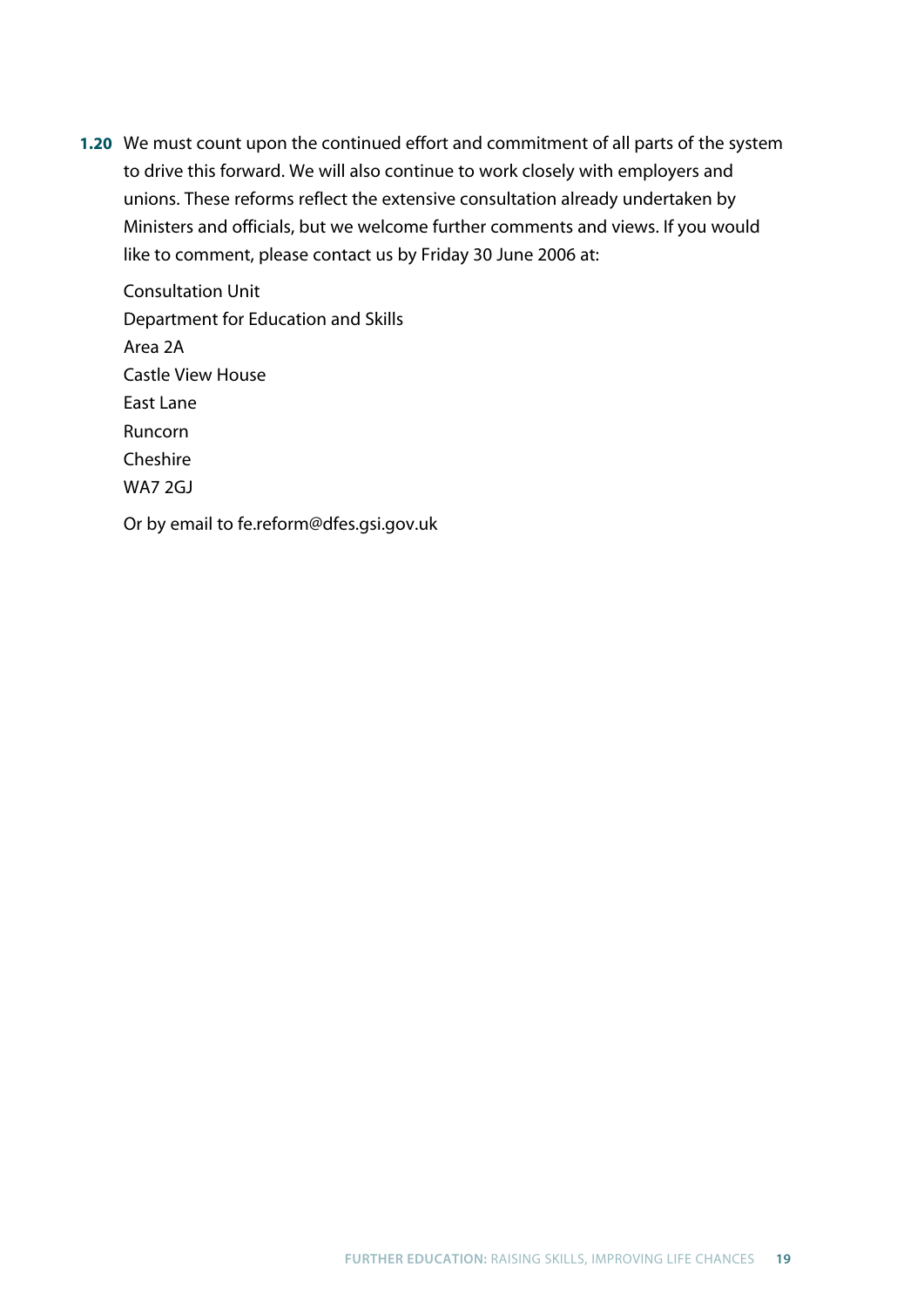**1.20** We must count upon the continued effort and commitment of all parts of the system to drive this forward. We will also continue to work closely with employers and unions. These reforms reflect the extensive consultation already undertaken by Ministers and officials, but we welcome further comments and views. If you would like to comment, please contact us by Friday 30 June 2006 at:

Consultation Unit Department for Education and Skills Area 2A Castle View House East Lane Runcorn **Cheshire** WA7 2GJ

Or by email to fe.reform@dfes.gsi.gov.uk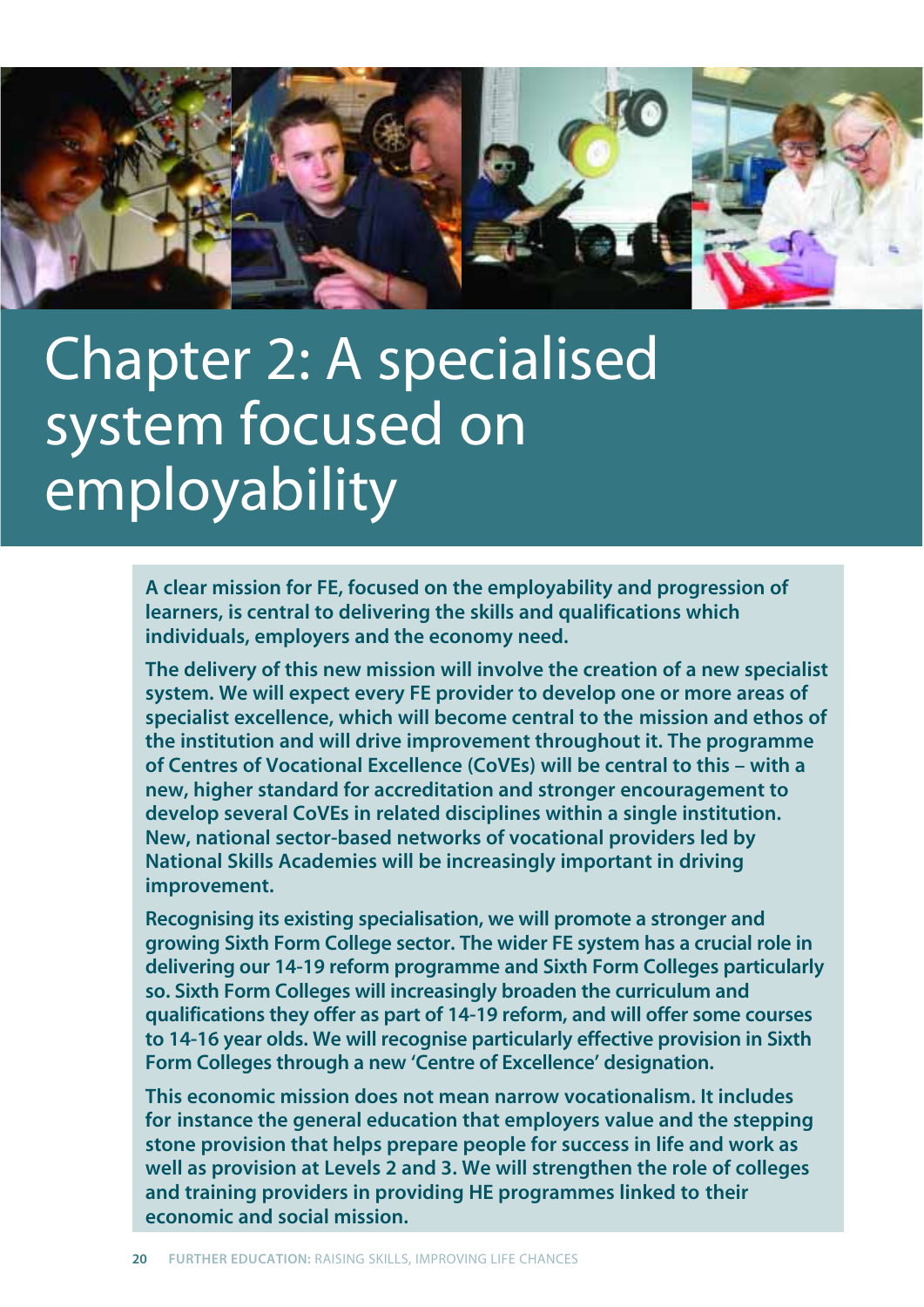

## Chapter 2: A specialised system focused on employability

**A clear mission for FE, focused on the employability and progression of learners, is central to delivering the skills and qualifications which individuals, employers and the economy need.** 

**The delivery of this new mission will involve the creation of a new specialist system. We will expect every FE provider to develop one or more areas of specialist excellence, which will become central to the mission and ethos of the institution and will drive improvement throughout it. The programme of Centres of Vocational Excellence (CoVEs) will be central to this – with a new, higher standard for accreditation and stronger encouragement to develop several CoVEs in related disciplines within a single institution. New, national sector-based networks of vocational providers led by National Skills Academies will be increasingly important in driving improvement.**

**Recognising its existing specialisation, we will promote a stronger and growing Sixth Form College sector. The wider FE system has a crucial role in delivering our 14-19 reform programme and Sixth Form Colleges particularly so. Sixth Form Colleges will increasingly broaden the curriculum and qualifications they offer as part of 14-19 reform, and will offer some courses to 14-16 year olds. We will recognise particularly effective provision in Sixth Form Colleges through a new 'Centre of Excellence' designation.** 

**This economic mission does not mean narrow vocationalism. It includes for instance the general education that employers value and the stepping stone provision that helps prepare people for success in life and work as well as provision at Levels 2 and 3. We will strengthen the role of colleges and training providers in providing HE programmes linked to their economic and social mission.**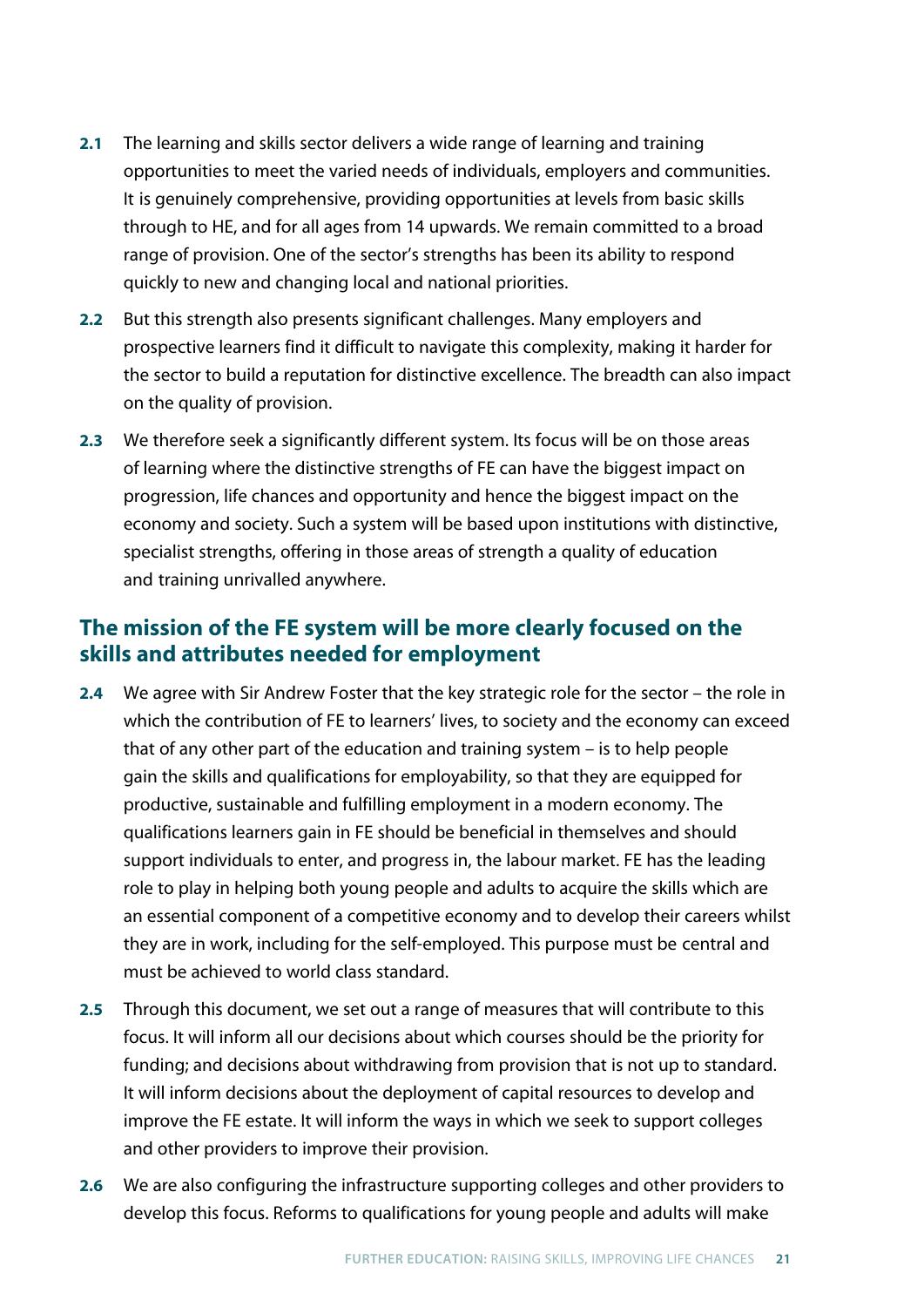- **2.1** The learning and skills sector delivers a wide range of learning and training opportunities to meet the varied needs of individuals, employers and communities. It is genuinely comprehensive, providing opportunities at levels from basic skills through to HE, and for all ages from 14 upwards. We remain committed to a broad range of provision. One of the sector's strengths has been its ability to respond quickly to new and changing local and national priorities.
- **2.2** But this strength also presents significant challenges. Many employers and prospective learners find it difficult to navigate this complexity, making it harder for the sector to build a reputation for distinctive excellence. The breadth can also impact on the quality of provision.
- **2.3** We therefore seek a significantly different system. Its focus will be on those areas of learning where the distinctive strengths of FE can have the biggest impact on progression, life chances and opportunity and hence the biggest impact on the economy and society. Such a system will be based upon institutions with distinctive, specialist strengths, offering in those areas of strength a quality of education and training unrivalled anywhere.

## **The mission of the FE system will be more clearly focused on the skills and attributes needed for employment**

- **2.4** We agree with Sir Andrew Foster that the key strategic role for the sector the role in which the contribution of FE to learners' lives, to society and the economy can exceed that of any other part of the education and training system – is to help people gain the skills and qualifications for employability, so that they are equipped for productive, sustainable and fulfilling employment in a modern economy. The qualifications learners gain in FE should be beneficial in themselves and should support individuals to enter, and progress in, the labour market. FE has the leading role to play in helping both young people and adults to acquire the skills which are an essential component of a competitive economy and to develop their careers whilst they are in work, including for the self-employed. This purpose must be central and must be achieved to world class standard.
- **2.5** Through this document, we set out a range of measures that will contribute to this focus. It will inform all our decisions about which courses should be the priority for funding; and decisions about withdrawing from provision that is not up to standard. It will inform decisions about the deployment of capital resources to develop and improve the FE estate. It will inform the ways in which we seek to support colleges and other providers to improve their provision.
- **2.6** We are also configuring the infrastructure supporting colleges and other providers to develop this focus. Reforms to qualifications for young people and adults will make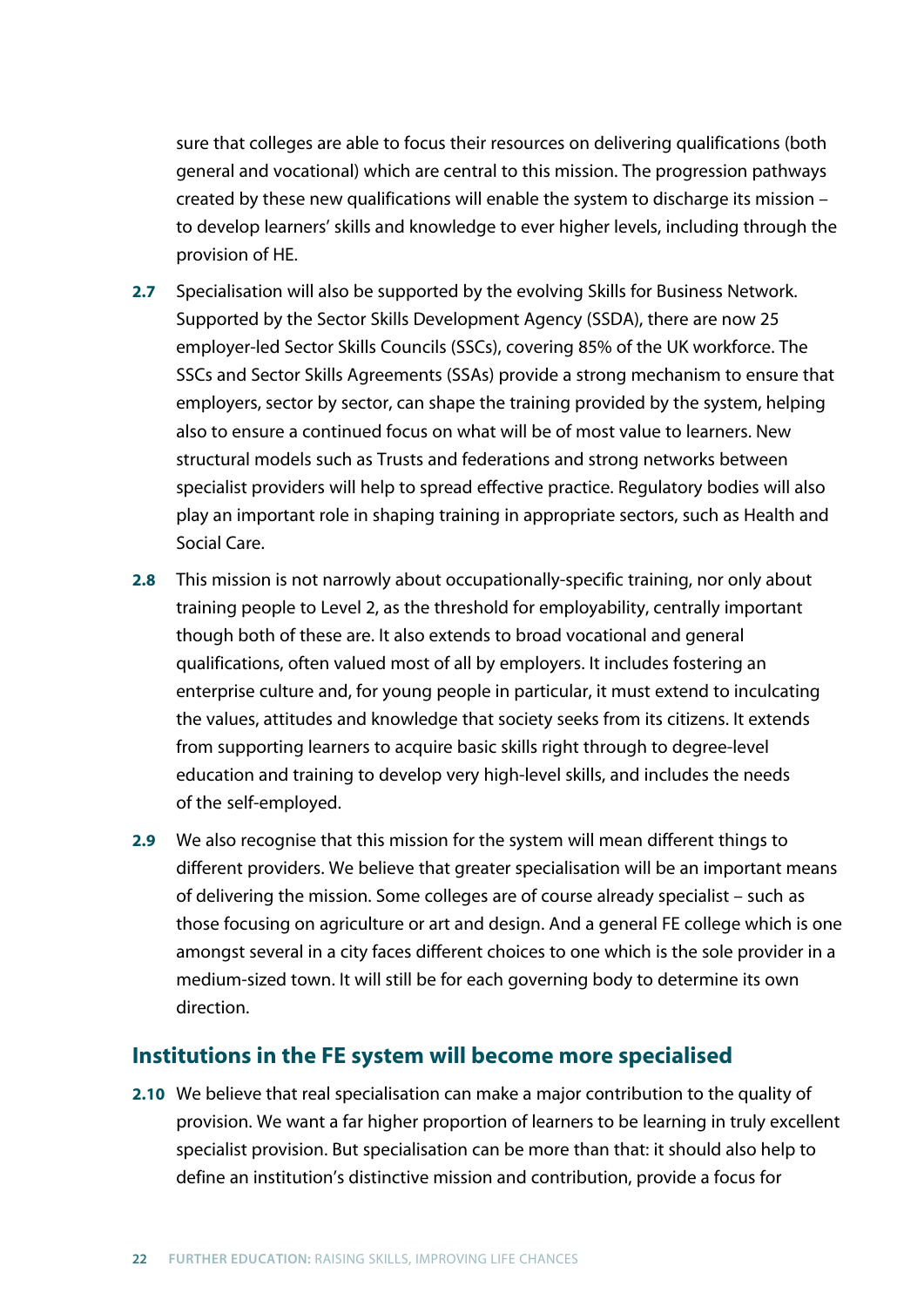sure that colleges are able to focus their resources on delivering qualifications (both general and vocational) which are central to this mission. The progression pathways created by these new qualifications will enable the system to discharge its mission – to develop learners' skills and knowledge to ever higher levels, including through the provision of HE.

- **2.7** Specialisation will also be supported by the evolving Skills for Business Network. Supported by the Sector Skills Development Agency (SSDA), there are now 25 employer-led Sector Skills Councils (SSCs), covering 85% of the UK workforce. The SSCs and Sector Skills Agreements (SSAs) provide a strong mechanism to ensure that employers, sector by sector, can shape the training provided by the system, helping also to ensure a continued focus on what will be of most value to learners. New structural models such as Trusts and federations and strong networks between specialist providers will help to spread effective practice. Regulatory bodies will also play an important role in shaping training in appropriate sectors, such as Health and Social Care.
- **2.8** This mission is not narrowly about occupationally-specific training, nor only about training people to Level 2, as the threshold for employability, centrally important though both of these are. It also extends to broad vocational and general qualifications, often valued most of all by employers. It includes fostering an enterprise culture and, for young people in particular, it must extend to inculcating the values, attitudes and knowledge that society seeks from its citizens. It extends from supporting learners to acquire basic skills right through to degree-level education and training to develop very high-level skills, and includes the needs of the self-employed.
- **2.9** We also recognise that this mission for the system will mean different things to different providers. We believe that greater specialisation will be an important means of delivering the mission. Some colleges are of course already specialist – such as those focusing on agriculture or art and design. And a general FE college which is one amongst several in a city faces different choices to one which is the sole provider in a medium-sized town. It will still be for each governing body to determine its own direction.

#### **Institutions in the FE system will become more specialised**

**2.10** We believe that real specialisation can make a major contribution to the quality of provision. We want a far higher proportion of learners to be learning in truly excellent specialist provision. But specialisation can be more than that: it should also help to define an institution's distinctive mission and contribution, provide a focus for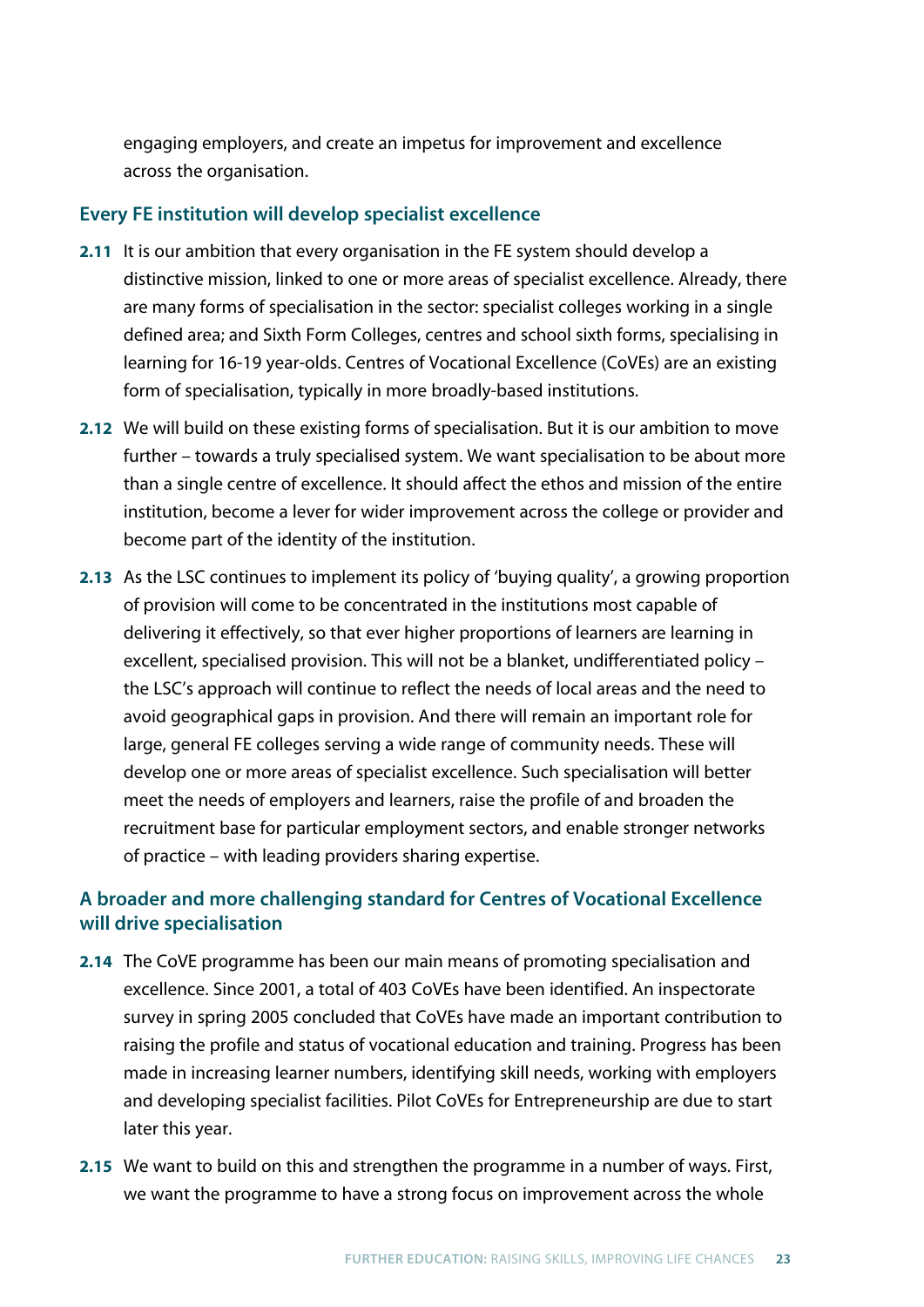engaging employers, and create an impetus for improvement and excellence across the organisation.

#### **Every FE institution will develop specialist excellence**

- **2.11** It is our ambition that every organisation in the FE system should develop a distinctive mission, linked to one or more areas of specialist excellence. Already, there are many forms of specialisation in the sector: specialist colleges working in a single defined area; and Sixth Form Colleges, centres and school sixth forms, specialising in learning for 16-19 year-olds. Centres of Vocational Excellence (CoVEs) are an existing form of specialisation, typically in more broadly-based institutions.
- **2.12** We will build on these existing forms of specialisation. But it is our ambition to move further – towards a truly specialised system. We want specialisation to be about more than a single centre of excellence. It should affect the ethos and mission of the entire institution, become a lever for wider improvement across the college or provider and become part of the identity of the institution.
- **2.13** As the LSC continues to implement its policy of 'buying quality', a growing proportion of provision will come to be concentrated in the institutions most capable of delivering it effectively, so that ever higher proportions of learners are learning in excellent, specialised provision. This will not be a blanket, undifferentiated policy – the LSC's approach will continue to reflect the needs of local areas and the need to avoid geographical gaps in provision. And there will remain an important role for large, general FE colleges serving a wide range of community needs. These will develop one or more areas of specialist excellence. Such specialisation will better meet the needs of employers and learners, raise the profile of and broaden the recruitment base for particular employment sectors, and enable stronger networks of practice – with leading providers sharing expertise.

### **A broader and more challenging standard for Centres of Vocational Excellence will drive specialisation**

- **2.14** The CoVE programme has been our main means of promoting specialisation and excellence. Since 2001, a total of 403 CoVEs have been identified. An inspectorate survey in spring 2005 concluded that CoVEs have made an important contribution to raising the profile and status of vocational education and training. Progress has been made in increasing learner numbers, identifying skill needs, working with employers and developing specialist facilities. Pilot CoVEs for Entrepreneurship are due to start later this year.
- **2.15** We want to build on this and strengthen the programme in a number of ways. First, we want the programme to have a strong focus on improvement across the whole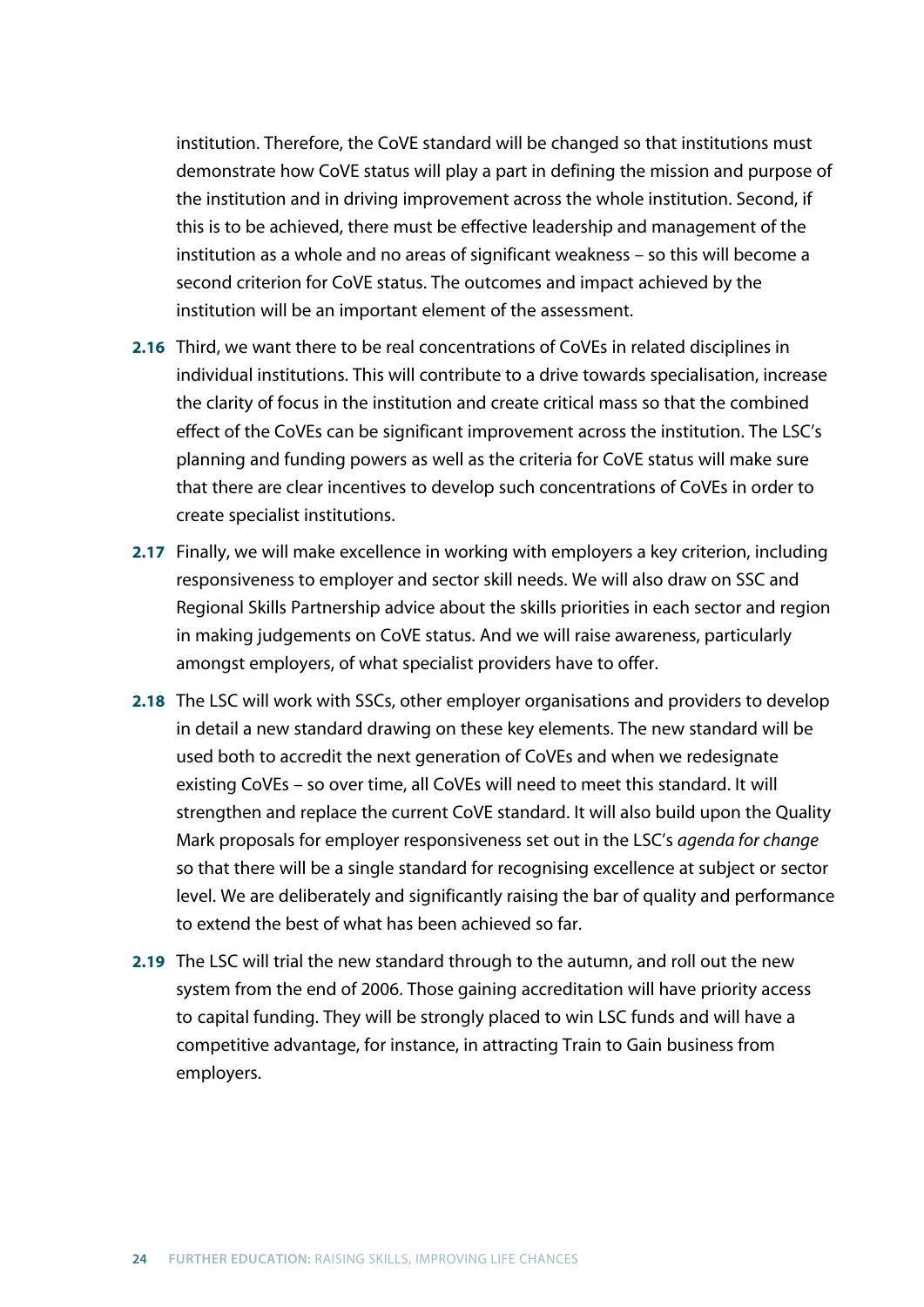institution. Therefore, the CoVE standard will be changed so that institutions must demonstrate how CoVE status will play a part in defining the mission and purpose of the institution and in driving improvement across the whole institution. Second, if this is to be achieved, there must be effective leadership and management of the institution as a whole and no areas of significant weakness – so this will become a second criterion for CoVE status. The outcomes and impact achieved by the institution will be an important element of the assessment.

- **2.16** Third, we want there to be real concentrations of CoVEs in related disciplines in individual institutions. This will contribute to a drive towards specialisation, increase the clarity of focus in the institution and create critical mass so that the combined effect of the CoVEs can be significant improvement across the institution. The LSC's planning and funding powers as well as the criteria for CoVE status will make sure that there are clear incentives to develop such concentrations of CoVEs in order to create specialist institutions.
- **2.17** Finally, we will make excellence in working with employers a key criterion, including responsiveness to employer and sector skill needs. We will also draw on SSC and Regional Skills Partnership advice about the skills priorities in each sector and region in making judgements on CoVE status. And we will raise awareness, particularly amongst employers, of what specialist providers have to offer.
- **2.18** The LSC will work with SSCs, other employer organisations and providers to develop in detail a new standard drawing on these key elements. The new standard will be used both to accredit the next generation of CoVEs and when we redesignate existing CoVEs – so over time, all CoVEs will need to meet this standard. It will strengthen and replace the current CoVE standard. It will also build upon the Quality Mark proposals for employer responsiveness set out in the LSC's *agenda for change* so that there will be a single standard for recognising excellence at subject or sector level. We are deliberately and significantly raising the bar of quality and performance to extend the best of what has been achieved so far.
- **2.19** The LSC will trial the new standard through to the autumn, and roll out the new system from the end of 2006. Those gaining accreditation will have priority access to capital funding. They will be strongly placed to win LSC funds and will have a competitive advantage, for instance, in attracting Train to Gain business from employers.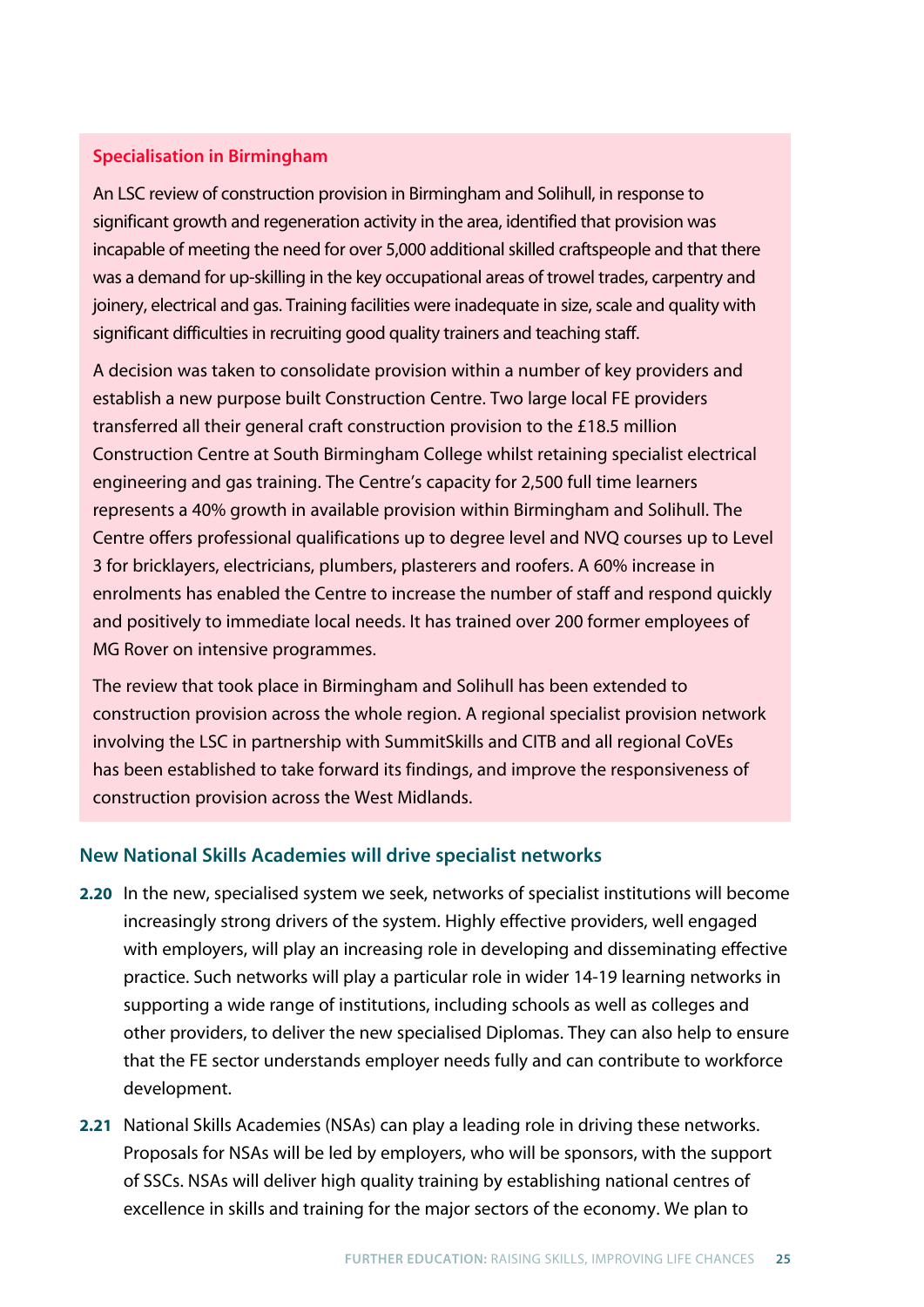#### **Specialisation in Birmingham**

An LSC review of construction provision in Birmingham and Solihull, in response to significant growth and regeneration activity in the area, identified that provision was incapable of meeting the need for over 5,000 additional skilled craftspeople and that there was a demand for up-skilling in the key occupational areas of trowel trades, carpentry and joinery, electrical and gas. Training facilities were inadequate in size, scale and quality with significant difficulties in recruiting good quality trainers and teaching staff.

A decision was taken to consolidate provision within a number of key providers and establish a new purpose built Construction Centre. Two large local FE providers transferred all their general craft construction provision to the £18.5 million Construction Centre at South Birmingham College whilst retaining specialist electrical engineering and gas training. The Centre's capacity for 2,500 full time learners represents a 40% growth in available provision within Birmingham and Solihull. The Centre offers professional qualifications up to degree level and NVQ courses up to Level 3 for bricklayers, electricians, plumbers, plasterers and roofers. A 60% increase in enrolments has enabled the Centre to increase the number of staff and respond quickly and positively to immediate local needs. It has trained over 200 former employees of MG Rover on intensive programmes.

The review that took place in Birmingham and Solihull has been extended to construction provision across the whole region. A regional specialist provision network involving the LSC in partnership with SummitSkills and CITB and all regional CoVEs has been established to take forward its findings, and improve the responsiveness of construction provision across the West Midlands.

#### **New National Skills Academies will drive specialist networks**

- **2.20** In the new, specialised system we seek, networks of specialist institutions will become increasingly strong drivers of the system. Highly effective providers, well engaged with employers, will play an increasing role in developing and disseminating effective practice. Such networks will play a particular role in wider 14-19 learning networks in supporting a wide range of institutions, including schools as well as colleges and other providers, to deliver the new specialised Diplomas. They can also help to ensure that the FE sector understands employer needs fully and can contribute to workforce development.
- **2.21** National Skills Academies (NSAs) can play a leading role in driving these networks. Proposals for NSAs will be led by employers, who will be sponsors, with the support of SSCs. NSAs will deliver high quality training by establishing national centres of excellence in skills and training for the major sectors of the economy. We plan to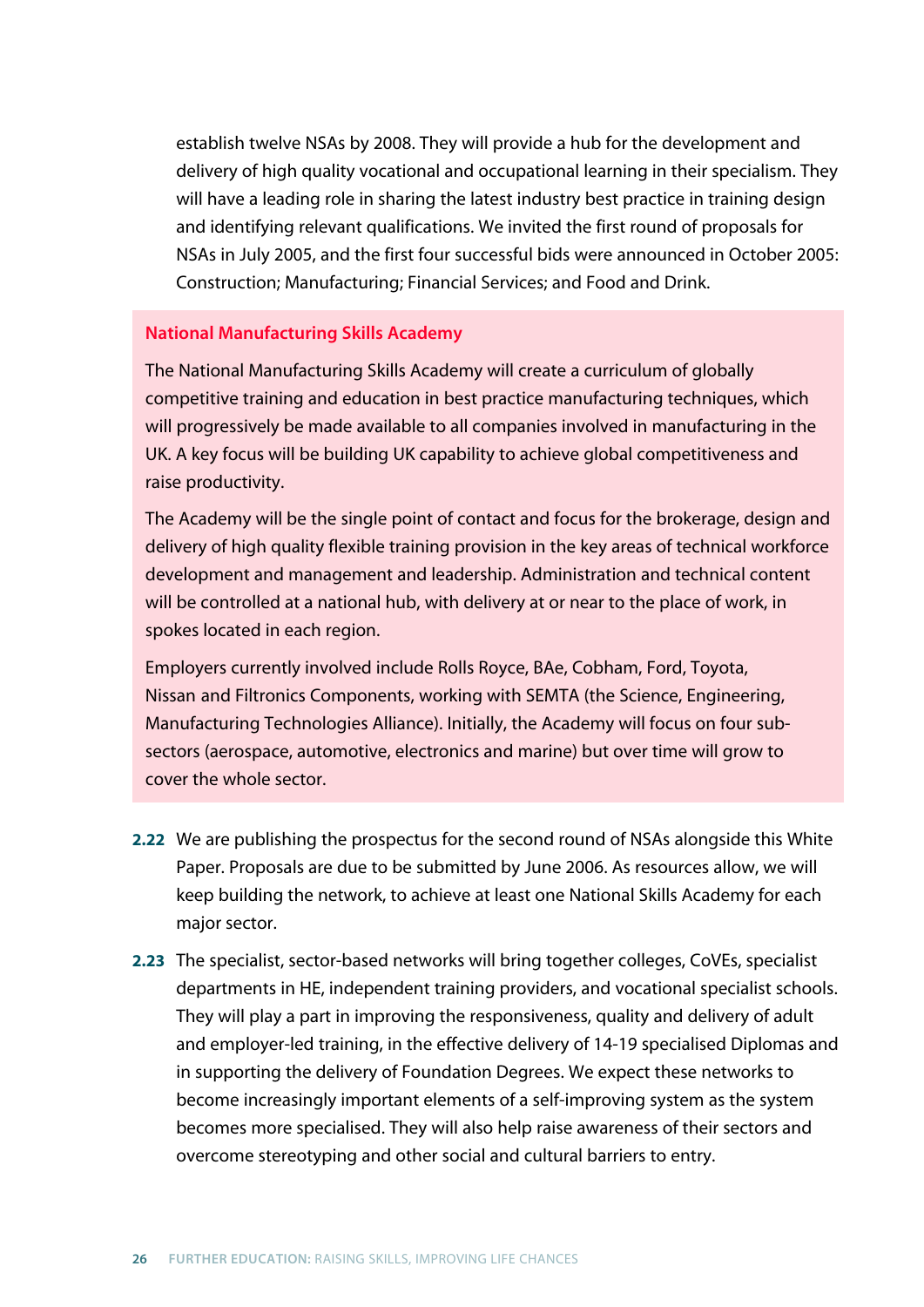establish twelve NSAs by 2008. They will provide a hub for the development and delivery of high quality vocational and occupational learning in their specialism. They will have a leading role in sharing the latest industry best practice in training design and identifying relevant qualifications. We invited the first round of proposals for NSAs in July 2005, and the first four successful bids were announced in October 2005: Construction; Manufacturing; Financial Services; and Food and Drink.

#### **National Manufacturing Skills Academy**

The National Manufacturing Skills Academy will create a curriculum of globally competitive training and education in best practice manufacturing techniques, which will progressively be made available to all companies involved in manufacturing in the UK. A key focus will be building UK capability to achieve global competitiveness and raise productivity.

The Academy will be the single point of contact and focus for the brokerage, design and delivery of high quality flexible training provision in the key areas of technical workforce development and management and leadership. Administration and technical content will be controlled at a national hub, with delivery at or near to the place of work, in spokes located in each region.

Employers currently involved include Rolls Royce, BAe, Cobham, Ford, Toyota, Nissan and Filtronics Components, working with SEMTA (the Science, Engineering, Manufacturing Technologies Alliance). Initially, the Academy will focus on four subsectors (aerospace, automotive, electronics and marine) but over time will grow to cover the whole sector.

- **2.22** We are publishing the prospectus for the second round of NSAs alongside this White Paper. Proposals are due to be submitted by June 2006. As resources allow, we will keep building the network, to achieve at least one National Skills Academy for each major sector.
- **2.23** The specialist, sector-based networks will bring together colleges, CoVEs, specialist departments in HE, independent training providers, and vocational specialist schools. They will play a part in improving the responsiveness, quality and delivery of adult and employer-led training, in the effective delivery of 14-19 specialised Diplomas and in supporting the delivery of Foundation Degrees. We expect these networks to become increasingly important elements of a self-improving system as the system becomes more specialised. They will also help raise awareness of their sectors and overcome stereotyping and other social and cultural barriers to entry.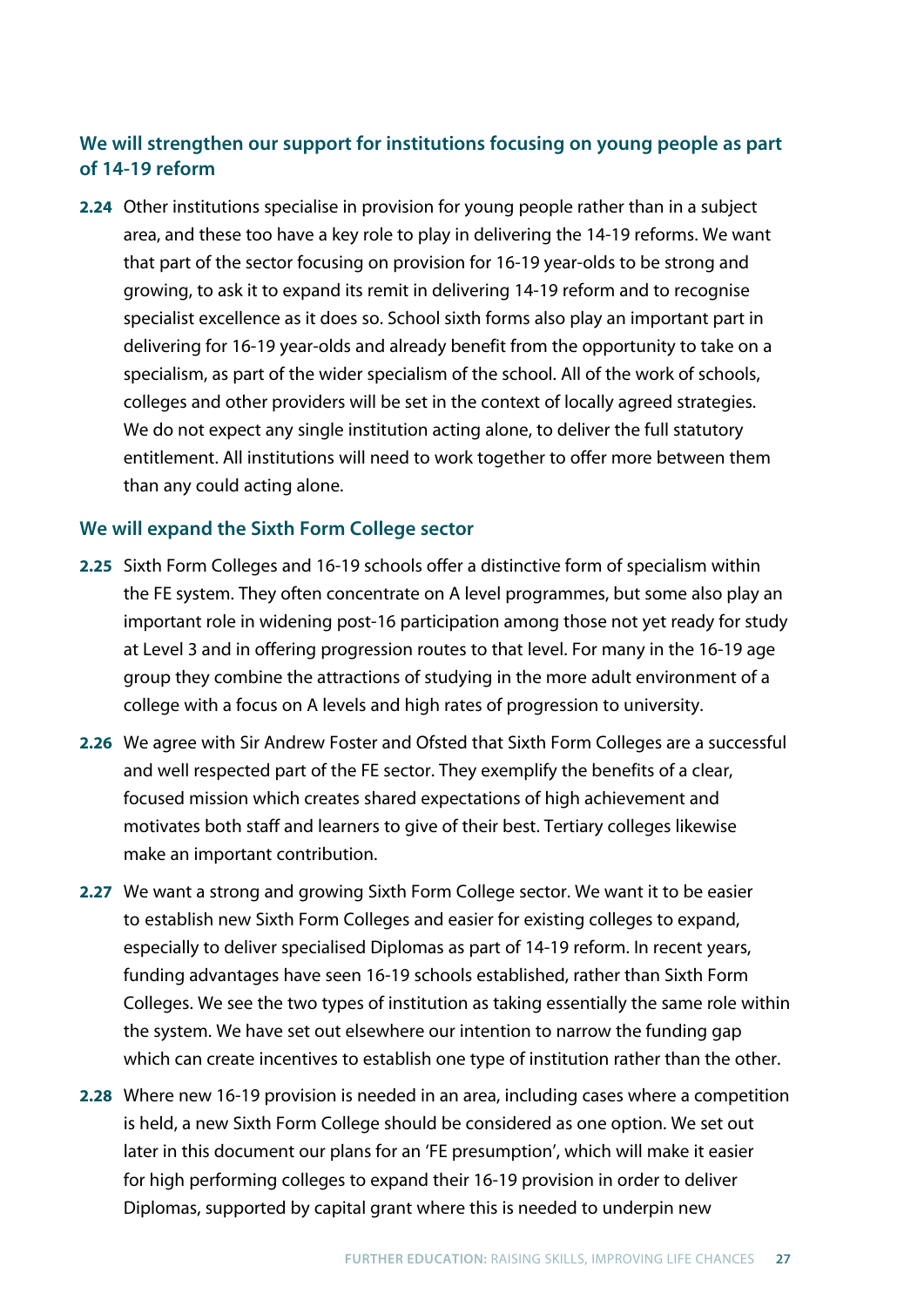### **We will strengthen our support for institutions focusing on young people as part of 14-19 reform**

**2.24** Other institutions specialise in provision for young people rather than in a subject area, and these too have a key role to play in delivering the 14-19 reforms. We want that part of the sector focusing on provision for 16-19 year-olds to be strong and growing, to ask it to expand its remit in delivering 14-19 reform and to recognise specialist excellence as it does so. School sixth forms also play an important part in delivering for 16-19 year-olds and already benefit from the opportunity to take on a specialism, as part of the wider specialism of the school. All of the work of schools, colleges and other providers will be set in the context of locally agreed strategies. We do not expect any single institution acting alone, to deliver the full statutory entitlement. All institutions will need to work together to offer more between them than any could acting alone.

#### **We will expand the Sixth Form College sector**

- **2.25** Sixth Form Colleges and 16-19 schools offer a distinctive form of specialism within the FE system. They often concentrate on A level programmes, but some also play an important role in widening post-16 participation among those not yet ready for study at Level 3 and in offering progression routes to that level. For many in the 16-19 age group they combine the attractions of studying in the more adult environment of a college with a focus on A levels and high rates of progression to university.
- **2.26** We agree with Sir Andrew Foster and Ofsted that Sixth Form Colleges are a successful and well respected part of the FE sector. They exemplify the benefits of a clear, focused mission which creates shared expectations of high achievement and motivates both staff and learners to give of their best. Tertiary colleges likewise make an important contribution.
- **2.27** We want a strong and growing Sixth Form College sector. We want it to be easier to establish new Sixth Form Colleges and easier for existing colleges to expand, especially to deliver specialised Diplomas as part of 14-19 reform. In recent years, funding advantages have seen 16-19 schools established, rather than Sixth Form Colleges. We see the two types of institution as taking essentially the same role within the system. We have set out elsewhere our intention to narrow the funding gap which can create incentives to establish one type of institution rather than the other.
- **2.28** Where new 16-19 provision is needed in an area, including cases where a competition is held, a new Sixth Form College should be considered as one option. We set out later in this document our plans for an 'FE presumption', which will make it easier for high performing colleges to expand their 16-19 provision in order to deliver Diplomas, supported by capital grant where this is needed to underpin new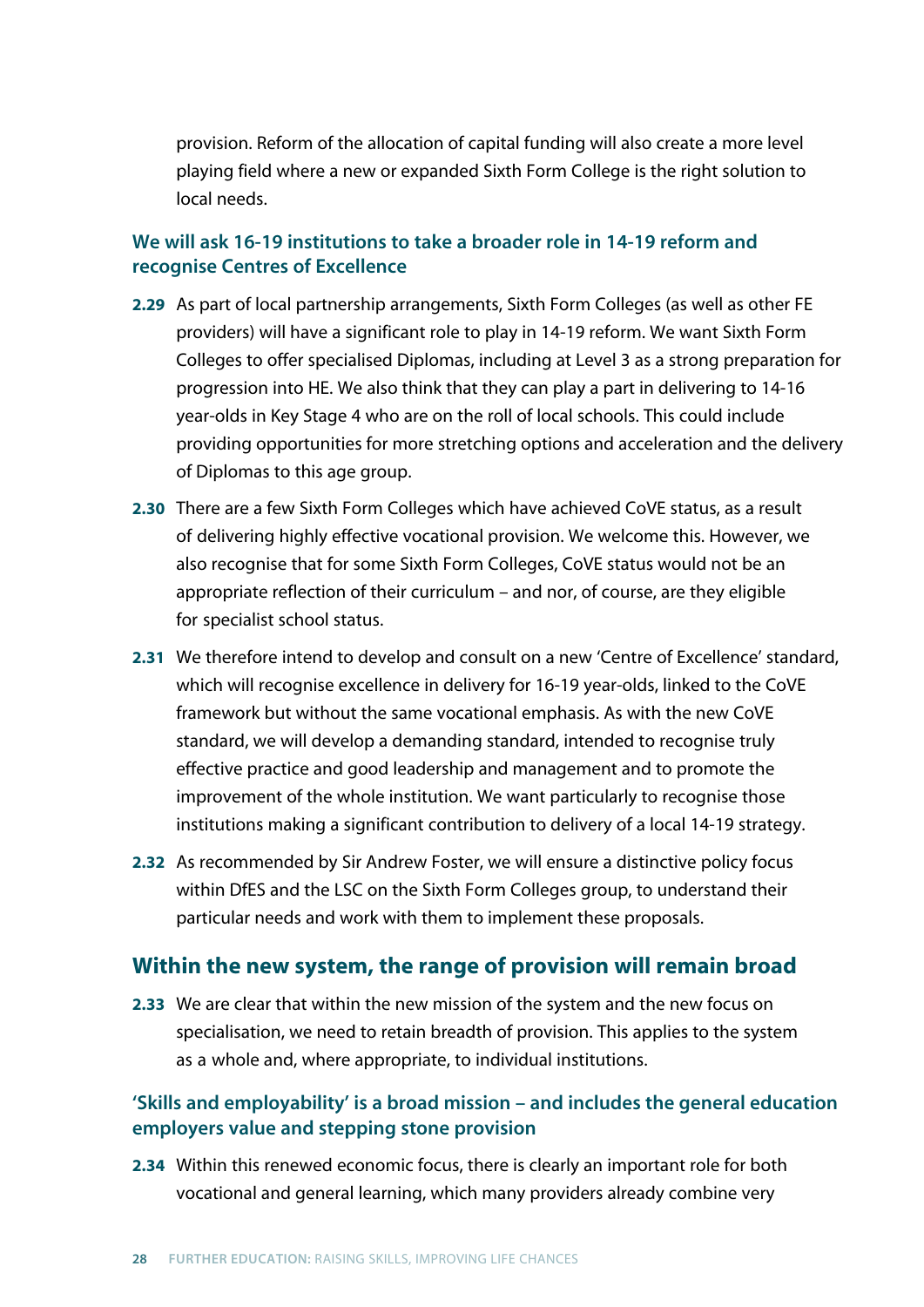provision. Reform of the allocation of capital funding will also create a more level playing field where a new or expanded Sixth Form College is the right solution to local needs.

#### **We will ask 16-19 institutions to take a broader role in 14-19 reform and recognise Centres of Excellence**

- **2.29** As part of local partnership arrangements, Sixth Form Colleges (as well as other FE providers) will have a significant role to play in 14-19 reform. We want Sixth Form Colleges to offer specialised Diplomas, including at Level 3 as a strong preparation for progression into HE. We also think that they can play a part in delivering to 14-16 year-olds in Key Stage 4 who are on the roll of local schools. This could include providing opportunities for more stretching options and acceleration and the delivery of Diplomas to this age group.
- **2.30** There are a few Sixth Form Colleges which have achieved CoVE status, as a result of delivering highly effective vocational provision. We welcome this. However, we also recognise that for some Sixth Form Colleges, CoVE status would not be an appropriate reflection of their curriculum – and nor, of course, are they eligible for specialist school status.
- **2.31** We therefore intend to develop and consult on a new 'Centre of Excellence' standard, which will recognise excellence in delivery for 16-19 year-olds, linked to the CoVE framework but without the same vocational emphasis. As with the new CoVE standard, we will develop a demanding standard, intended to recognise truly effective practice and good leadership and management and to promote the improvement of the whole institution. We want particularly to recognise those institutions making a significant contribution to delivery of a local 14-19 strategy.
- **2.32** As recommended by Sir Andrew Foster, we will ensure a distinctive policy focus within DfES and the LSC on the Sixth Form Colleges group, to understand their particular needs and work with them to implement these proposals.

### **Within the new system, the range of provision will remain broad**

**2.33** We are clear that within the new mission of the system and the new focus on specialisation, we need to retain breadth of provision. This applies to the system as a whole and, where appropriate, to individual institutions.

#### **'Skills and employability' is a broad mission – and includes the general education employers value and stepping stone provision**

**2.34** Within this renewed economic focus, there is clearly an important role for both vocational and general learning, which many providers already combine very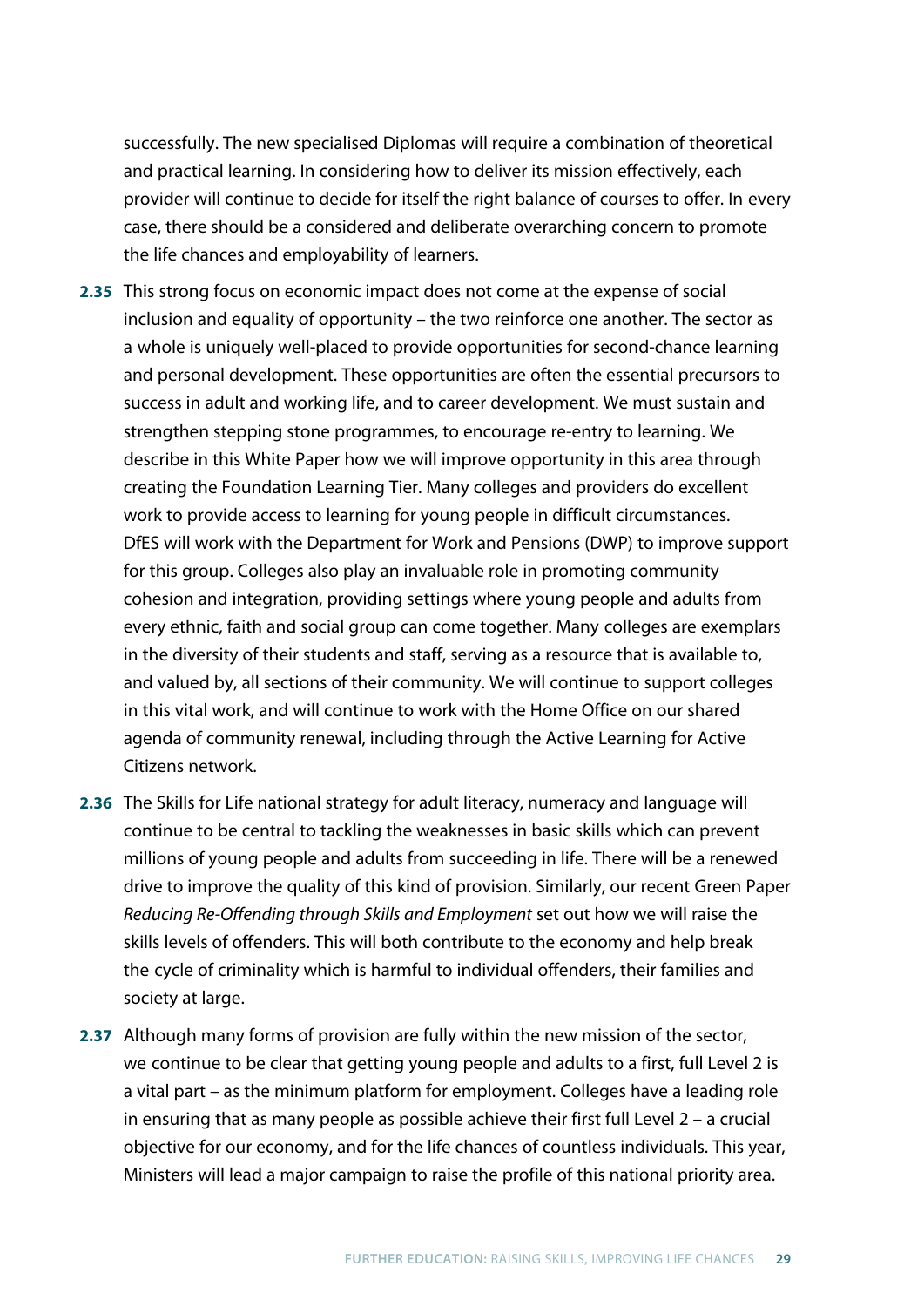successfully. The new specialised Diplomas will require a combination of theoretical and practical learning. In considering how to deliver its mission effectively, each provider will continue to decide for itself the right balance of courses to offer. In every case, there should be a considered and deliberate overarching concern to promote the life chances and employability of learners.

- **2.35** This strong focus on economic impact does not come at the expense of social inclusion and equality of opportunity – the two reinforce one another. The sector as a whole is uniquely well-placed to provide opportunities for second-chance learning and personal development. These opportunities are often the essential precursors to success in adult and working life, and to career development. We must sustain and strengthen stepping stone programmes, to encourage re-entry to learning. We describe in this White Paper how we will improve opportunity in this area through creating the Foundation Learning Tier. Many colleges and providers do excellent work to provide access to learning for young people in difficult circumstances. DfES will work with the Department for Work and Pensions (DWP) to improve support for this group. Colleges also play an invaluable role in promoting community cohesion and integration, providing settings where young people and adults from every ethnic, faith and social group can come together. Many colleges are exemplars in the diversity of their students and staff, serving as a resource that is available to, and valued by, all sections of their community. We will continue to support colleges in this vital work, and will continue to work with the Home Office on our shared agenda of community renewal, including through the Active Learning for Active Citizens network.
- **2.36** The Skills for Life national strategy for adult literacy, numeracy and language will continue to be central to tackling the weaknesses in basic skills which can prevent millions of young people and adults from succeeding in life. There will be a renewed drive to improve the quality of this kind of provision. Similarly, our recent Green Paper *Reducing Re-Offending through Skills and Employment* set out how we will raise the skills levels of offenders. This will both contribute to the economy and help break the cycle of criminality which is harmful to individual offenders, their families and society at large.
- **2.37** Although many forms of provision are fully within the new mission of the sector, we continue to be clear that getting young people and adults to a first, full Level 2 is a vital part – as the minimum platform for employment. Colleges have a leading role in ensuring that as many people as possible achieve their first full Level 2 – a crucial objective for our economy, and for the life chances of countless individuals. This year, Ministers will lead a major campaign to raise the profile of this national priority area.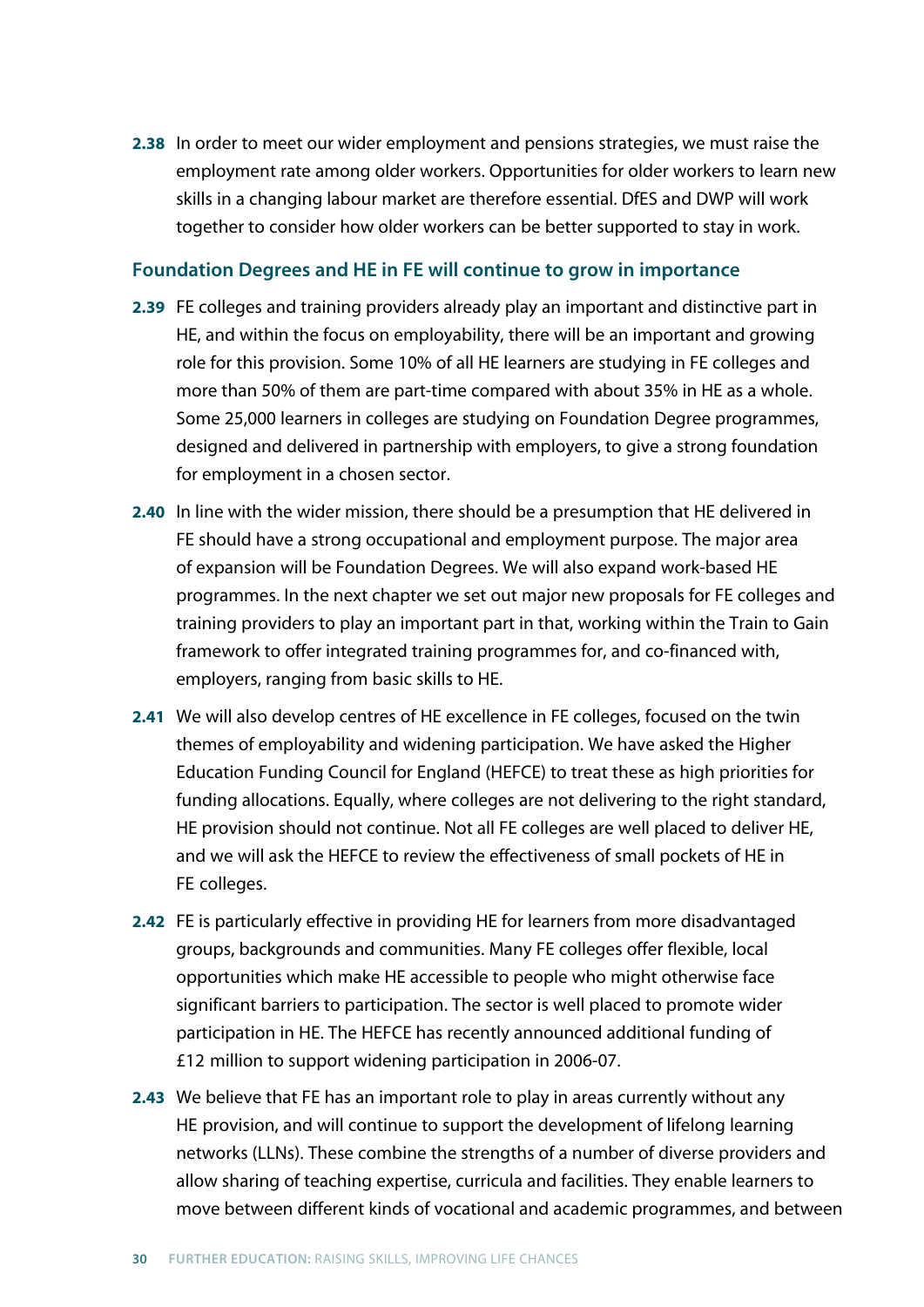**2.38** In order to meet our wider employment and pensions strategies, we must raise the employment rate among older workers. Opportunities for older workers to learn new skills in a changing labour market are therefore essential. DfES and DWP will work together to consider how older workers can be better supported to stay in work.

#### **Foundation Degrees and HE in FE will continue to grow in importance**

- **2.39** FE colleges and training providers already play an important and distinctive part in HE, and within the focus on employability, there will be an important and growing role for this provision. Some 10% of all HE learners are studying in FE colleges and more than 50% of them are part-time compared with about 35% in HE as a whole. Some 25,000 learners in colleges are studying on Foundation Degree programmes, designed and delivered in partnership with employers, to give a strong foundation for employment in a chosen sector.
- **2.40** In line with the wider mission, there should be a presumption that HE delivered in FE should have a strong occupational and employment purpose. The major area of expansion will be Foundation Degrees. We will also expand work-based HE programmes. In the next chapter we set out major new proposals for FE colleges and training providers to play an important part in that, working within the Train to Gain framework to offer integrated training programmes for, and co-financed with, employers, ranging from basic skills to HE.
- **2.41** We will also develop centres of HE excellence in FE colleges, focused on the twin themes of employability and widening participation. We have asked the Higher Education Funding Council for England (HEFCE) to treat these as high priorities for funding allocations. Equally, where colleges are not delivering to the right standard, HE provision should not continue. Not all FE colleges are well placed to deliver HE, and we will ask the HEFCE to review the effectiveness of small pockets of HE in FE colleges.
- **2.42** FE is particularly effective in providing HE for learners from more disadvantaged groups, backgrounds and communities. Many FE colleges offer flexible, local opportunities which make HE accessible to people who might otherwise face significant barriers to participation. The sector is well placed to promote wider participation in HE. The HEFCE has recently announced additional funding of £12 million to support widening participation in 2006-07.
- **2.43** We believe that FE has an important role to play in areas currently without any HE provision, and will continue to support the development of lifelong learning networks (LLNs). These combine the strengths of a number of diverse providers and allow sharing of teaching expertise, curricula and facilities. They enable learners to move between different kinds of vocational and academic programmes, and between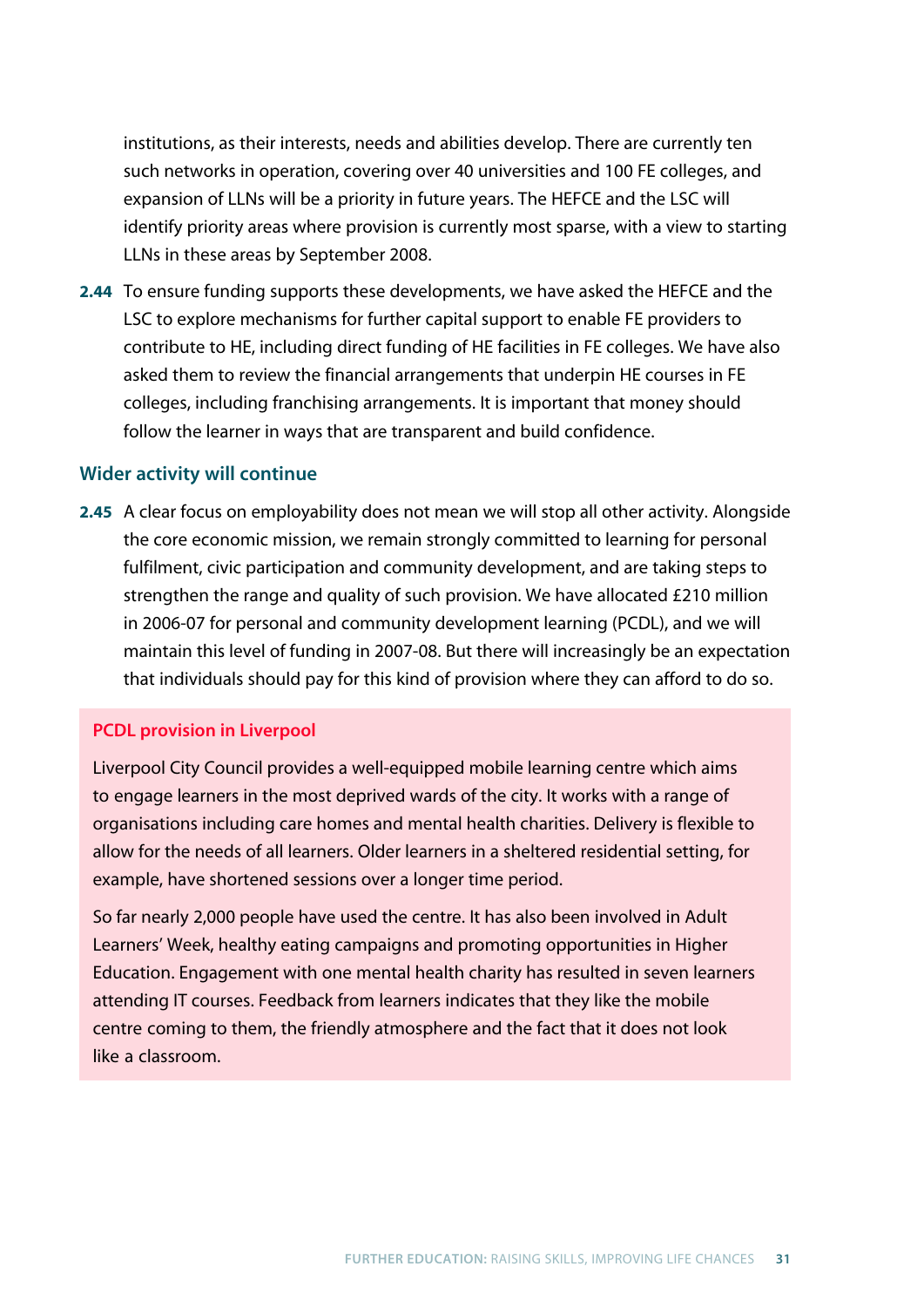institutions, as their interests, needs and abilities develop. There are currently ten such networks in operation, covering over 40 universities and 100 FE colleges, and expansion of LLNs will be a priority in future years. The HEFCE and the LSC will identify priority areas where provision is currently most sparse, with a view to starting LLNs in these areas by September 2008.

**2.44** To ensure funding supports these developments, we have asked the HEFCE and the LSC to explore mechanisms for further capital support to enable FE providers to contribute to HE, including direct funding of HE facilities in FE colleges. We have also asked them to review the financial arrangements that underpin HE courses in FE colleges, including franchising arrangements. It is important that money should follow the learner in ways that are transparent and build confidence.

#### **Wider activity will continue**

**2.45** A clear focus on employability does not mean we will stop all other activity. Alongside the core economic mission, we remain strongly committed to learning for personal fulfilment, civic participation and community development, and are taking steps to strengthen the range and quality of such provision. We have allocated £210 million in 2006-07 for personal and community development learning (PCDL), and we will maintain this level of funding in 2007-08. But there will increasingly be an expectation that individuals should pay for this kind of provision where they can afford to do so.

#### **PCDL provision in Liverpool**

Liverpool City Council provides a well-equipped mobile learning centre which aims to engage learners in the most deprived wards of the city. It works with a range of organisations including care homes and mental health charities. Delivery is flexible to allow for the needs of all learners. Older learners in a sheltered residential setting, for example, have shortened sessions over a longer time period.

So far nearly 2,000 people have used the centre. It has also been involved in Adult Learners' Week, healthy eating campaigns and promoting opportunities in Higher Education. Engagement with one mental health charity has resulted in seven learners attending IT courses. Feedback from learners indicates that they like the mobile centre coming to them, the friendly atmosphere and the fact that it does not look like a classroom.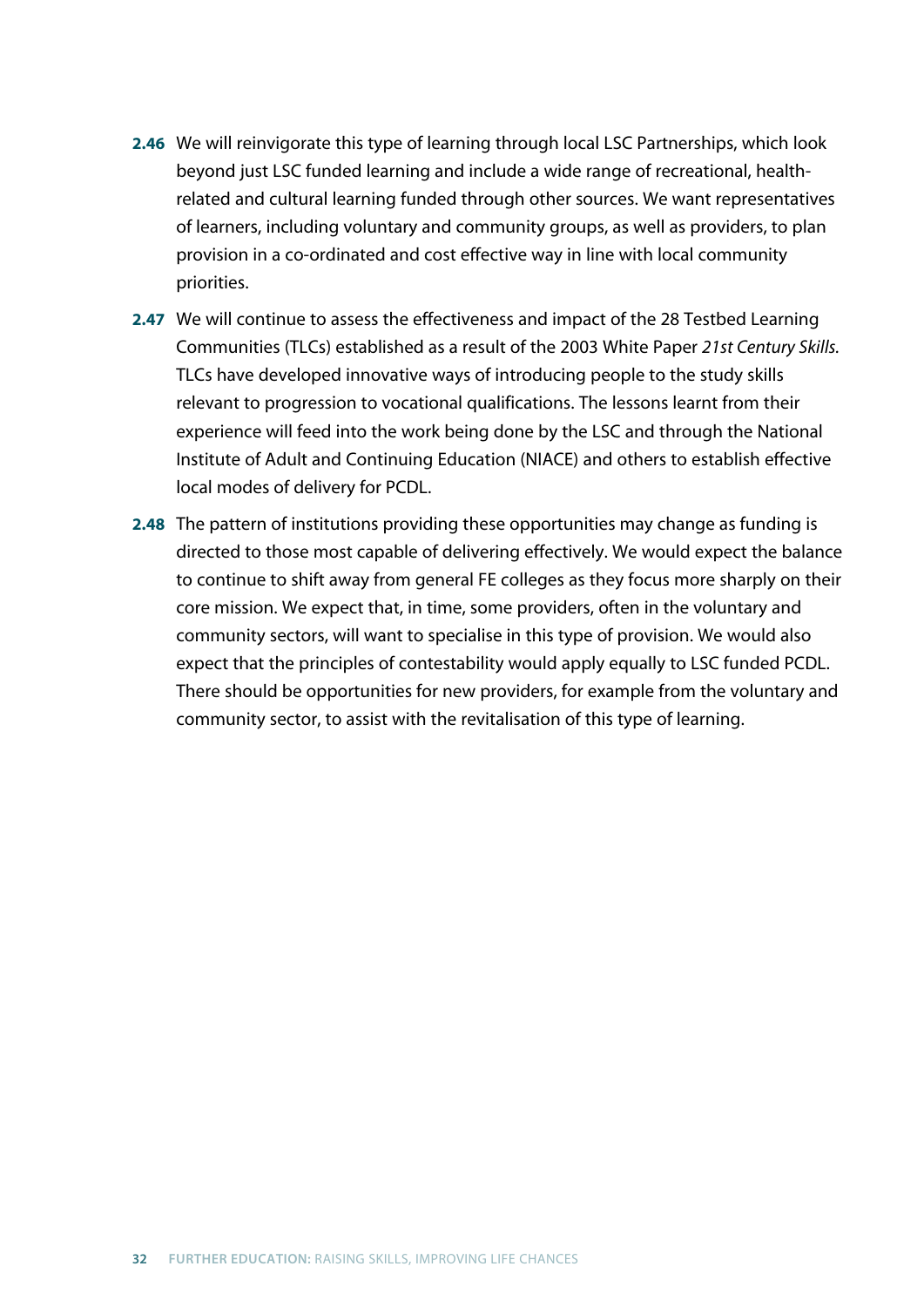- **2.46** We will reinvigorate this type of learning through local LSC Partnerships, which look beyond just LSC funded learning and include a wide range of recreational, healthrelated and cultural learning funded through other sources. We want representatives of learners, including voluntary and community groups, as well as providers, to plan provision in a co-ordinated and cost effective way in line with local community priorities.
- **2.47** We will continue to assess the effectiveness and impact of the 28 Testbed Learning Communities (TLCs) established as a result of the 2003 White Paper *21st Century Skills.* TLCs have developed innovative ways of introducing people to the study skills relevant to progression to vocational qualifications. The lessons learnt from their experience will feed into the work being done by the LSC and through the National Institute of Adult and Continuing Education (NIACE) and others to establish effective local modes of delivery for PCDL.
- **2.48** The pattern of institutions providing these opportunities may change as funding is directed to those most capable of delivering effectively. We would expect the balance to continue to shift away from general FE colleges as they focus more sharply on their core mission. We expect that, in time, some providers, often in the voluntary and community sectors, will want to specialise in this type of provision. We would also expect that the principles of contestability would apply equally to LSC funded PCDL. There should be opportunities for new providers, for example from the voluntary and community sector, to assist with the revitalisation of this type of learning.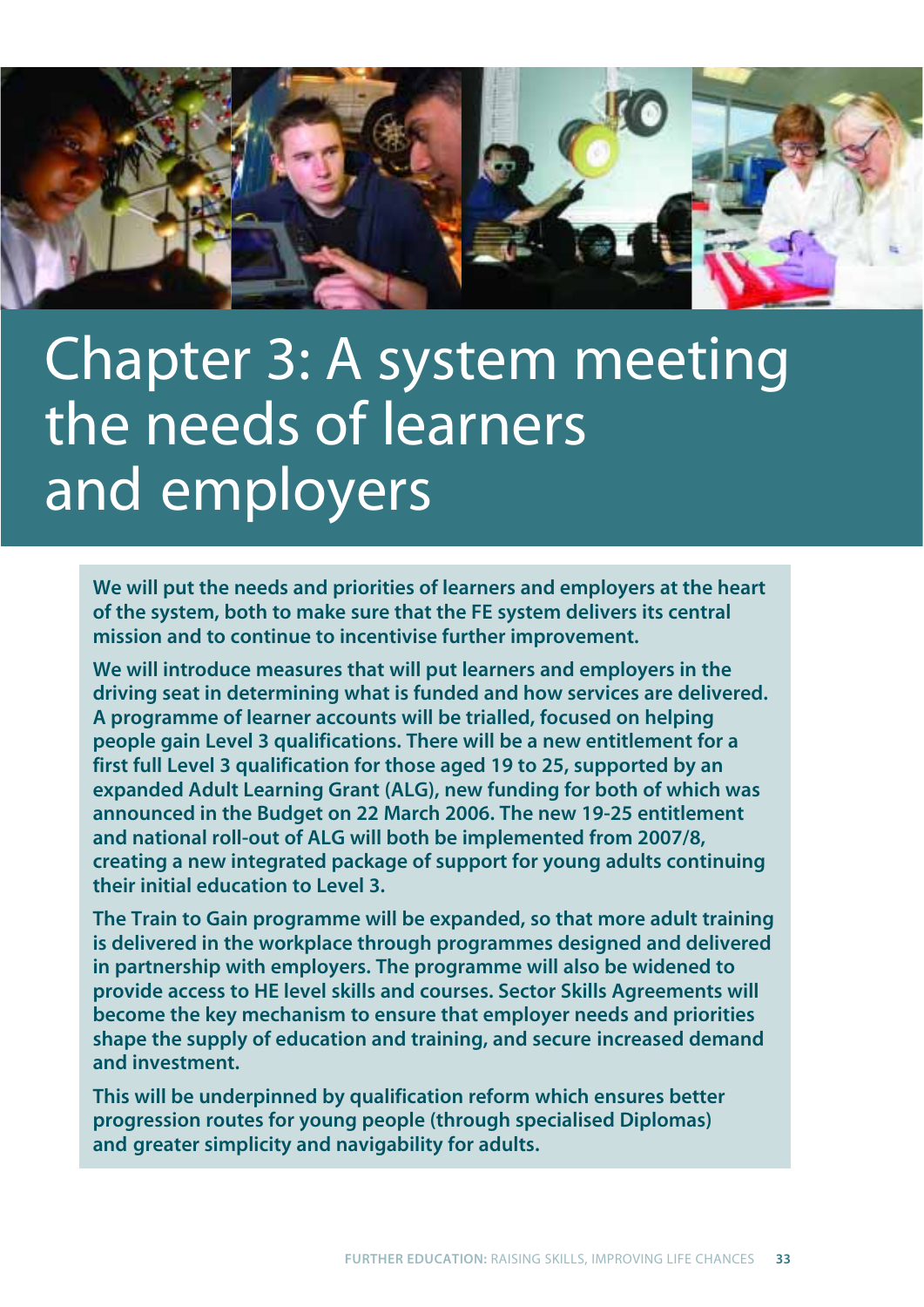

# Chapter 3: A system meeting the needs of learners and employers

**We will put the needs and priorities of learners and employers at the heart of the system, both to make sure that the FE system delivers its central mission and to continue to incentivise further improvement.** 

**We will introduce measures that will put learners and employers in the driving seat in determining what is funded and how services are delivered. A programme of learner accounts will be trialled, focused on helping people gain Level 3 qualifications. There will be a new entitlement for a first full Level 3 qualification for those aged 19 to 25, supported by an expanded Adult Learning Grant (ALG), new funding for both of which was announced in the Budget on 22 March 2006. The new 19-25 entitlement and national roll-out of ALG will both be implemented from 2007/8, creating a new integrated package of support for young adults continuing their initial education to Level 3.**

**The Train to Gain programme will be expanded, so that more adult training is delivered in the workplace through programmes designed and delivered in partnership with employers. The programme will also be widened to provide access to HE level skills and courses. Sector Skills Agreements will become the key mechanism to ensure that employer needs and priorities shape the supply of education and training, and secure increased demand and investment.**

**This will be underpinned by qualification reform which ensures better progression routes for young people (through specialised Diplomas) and greater simplicity and navigability for adults.**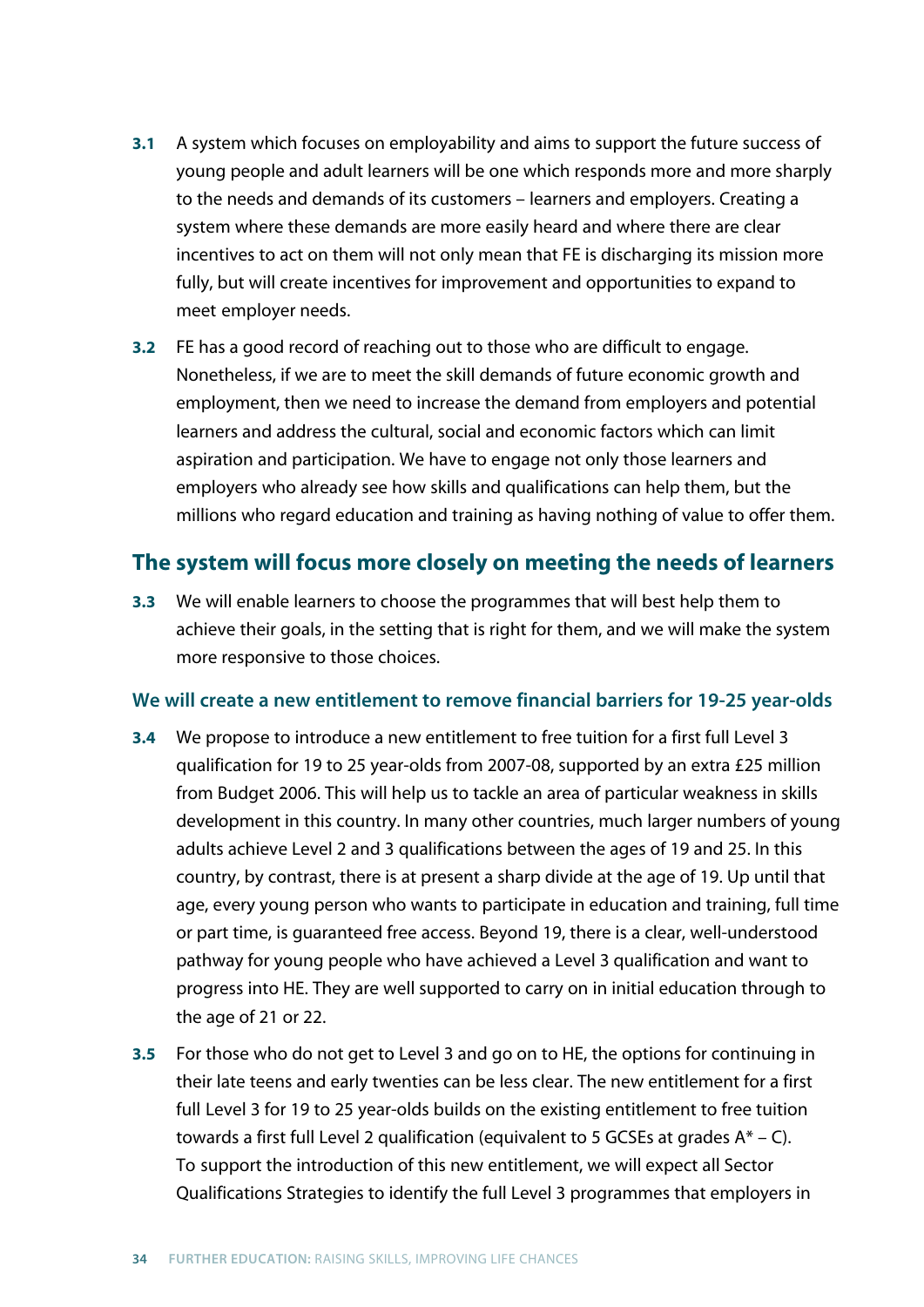- **3.1** A system which focuses on employability and aims to support the future success of young people and adult learners will be one which responds more and more sharply to the needs and demands of its customers – learners and employers. Creating a system where these demands are more easily heard and where there are clear incentives to act on them will not only mean that FE is discharging its mission more fully, but will create incentives for improvement and opportunities to expand to meet employer needs.
- **3.2** FE has a good record of reaching out to those who are difficult to engage. Nonetheless, if we are to meet the skill demands of future economic growth and employment, then we need to increase the demand from employers and potential learners and address the cultural, social and economic factors which can limit aspiration and participation. We have to engage not only those learners and employers who already see how skills and qualifications can help them, but the millions who regard education and training as having nothing of value to offer them.

## **The system will focus more closely on meeting the needs of learners**

**3.3** We will enable learners to choose the programmes that will best help them to achieve their goals, in the setting that is right for them, and we will make the system more responsive to those choices.

## **We will create a new entitlement to remove financial barriers for 19-25 year-olds**

- **3.4** We propose to introduce a new entitlement to free tuition for a first full Level 3 qualification for 19 to 25 year-olds from 2007-08, supported by an extra £25 million from Budget 2006. This will help us to tackle an area of particular weakness in skills development in this country. In many other countries, much larger numbers of young adults achieve Level 2 and 3 qualifications between the ages of 19 and 25. In this country, by contrast, there is at present a sharp divide at the age of 19. Up until that age, every young person who wants to participate in education and training, full time or part time, is guaranteed free access. Beyond 19, there is a clear, well-understood pathway for young people who have achieved a Level 3 qualification and want to progress into HE. They are well supported to carry on in initial education through to the age of 21 or 22.
- **3.5** For those who do not get to Level 3 and go on to HE, the options for continuing in their late teens and early twenties can be less clear. The new entitlement for a first full Level 3 for 19 to 25 year-olds builds on the existing entitlement to free tuition towards a first full Level 2 qualification (equivalent to 5 GCSEs at grades  $A^* - C$ ). To support the introduction of this new entitlement, we will expect all Sector Qualifications Strategies to identify the full Level 3 programmes that employers in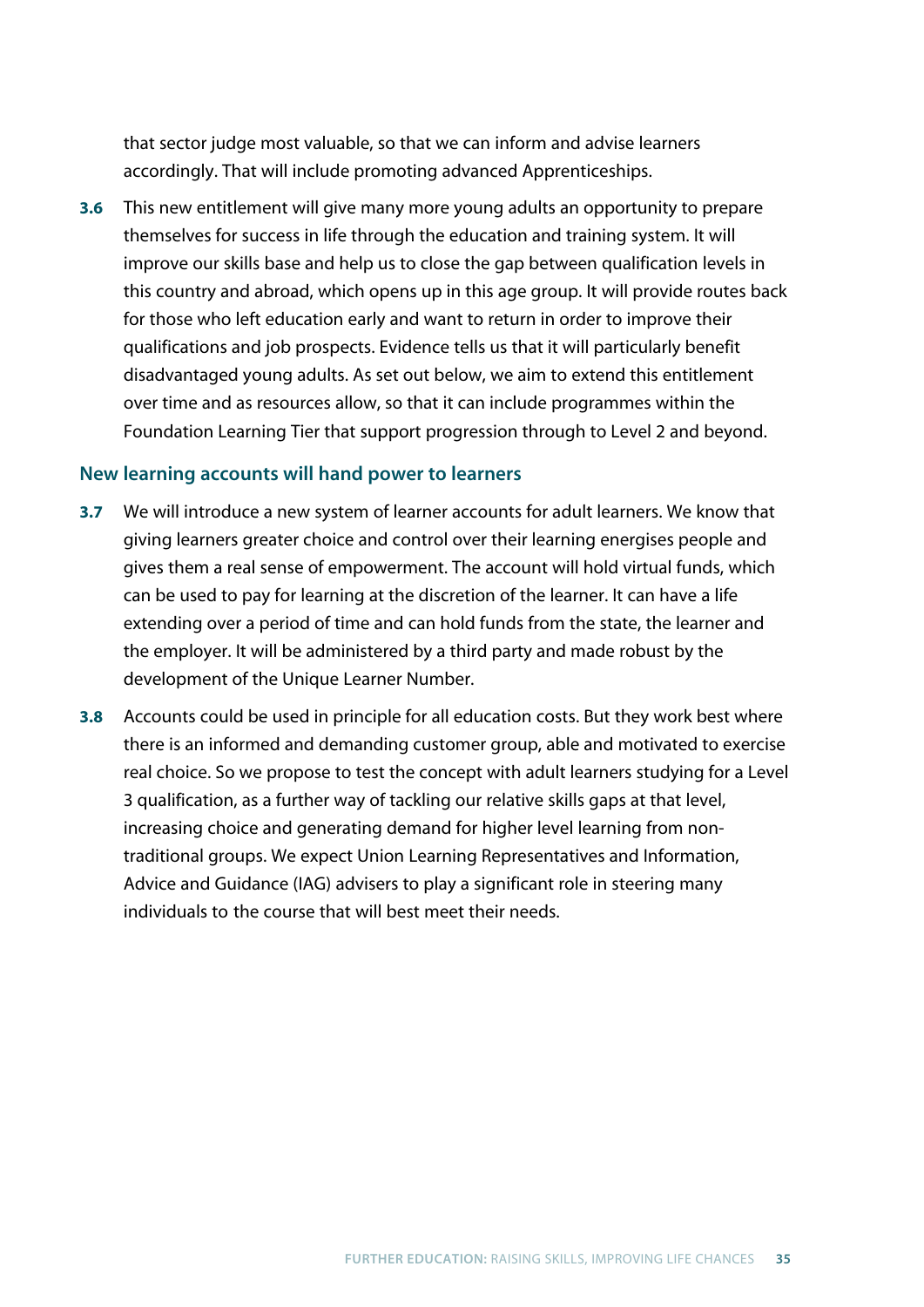that sector judge most valuable, so that we can inform and advise learners accordingly. That will include promoting advanced Apprenticeships.

**3.6** This new entitlement will give many more young adults an opportunity to prepare themselves for success in life through the education and training system. It will improve our skills base and help us to close the gap between qualification levels in this country and abroad, which opens up in this age group. It will provide routes back for those who left education early and want to return in order to improve their qualifications and job prospects. Evidence tells us that it will particularly benefit disadvantaged young adults. As set out below, we aim to extend this entitlement over time and as resources allow, so that it can include programmes within the Foundation Learning Tier that support progression through to Level 2 and beyond.

### **New learning accounts will hand power to learners**

- **3.7** We will introduce a new system of learner accounts for adult learners. We know that giving learners greater choice and control over their learning energises people and gives them a real sense of empowerment. The account will hold virtual funds, which can be used to pay for learning at the discretion of the learner. It can have a life extending over a period of time and can hold funds from the state, the learner and the employer. It will be administered by a third party and made robust by the development of the Unique Learner Number.
- **3.8** Accounts could be used in principle for all education costs. But they work best where there is an informed and demanding customer group, able and motivated to exercise real choice. So we propose to test the concept with adult learners studying for a Level 3 qualification, as a further way of tackling our relative skills gaps at that level, increasing choice and generating demand for higher level learning from nontraditional groups. We expect Union Learning Representatives and Information, Advice and Guidance (IAG) advisers to play a significant role in steering many individuals to the course that will best meet their needs.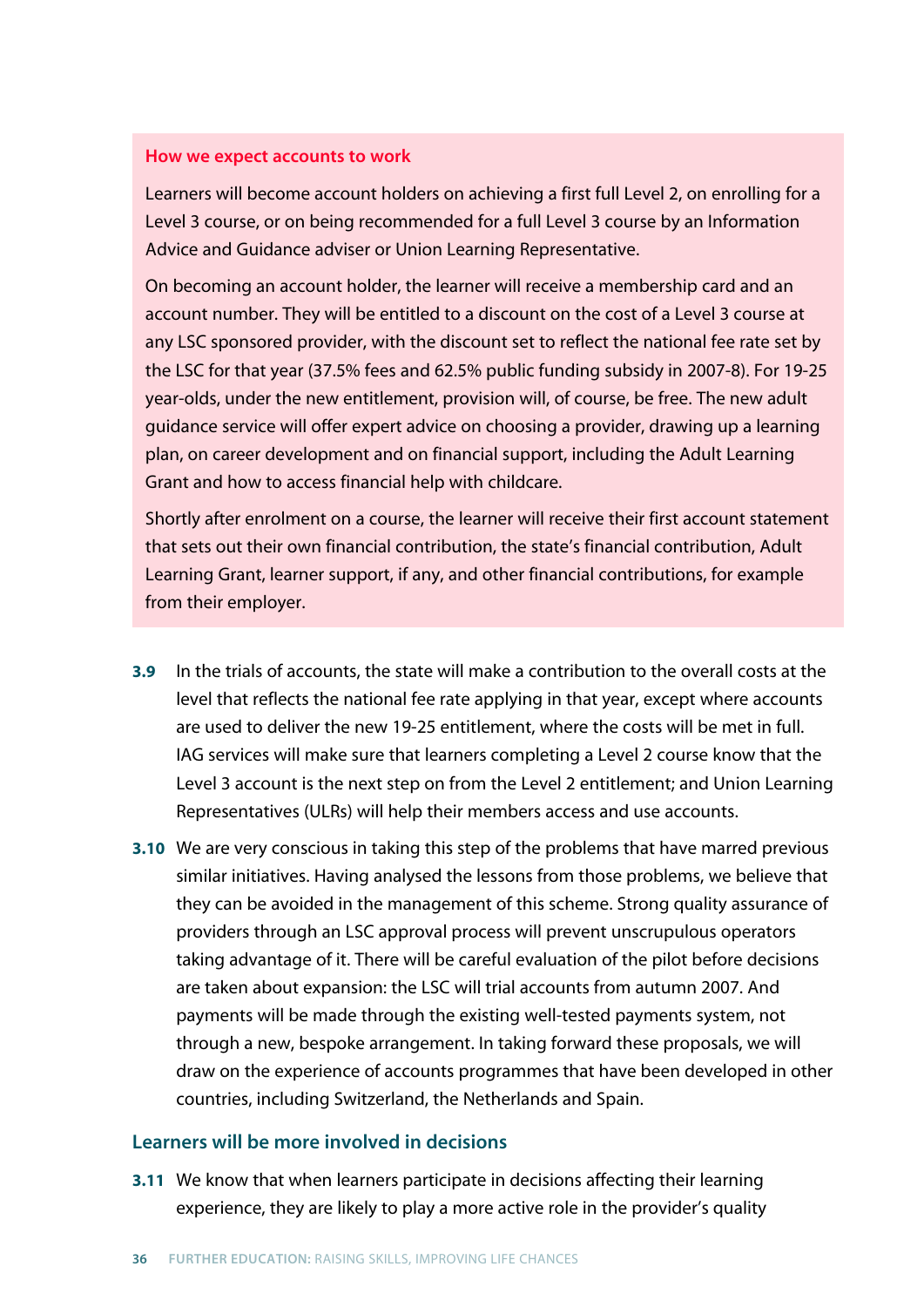#### **How we expect accounts to work**

Learners will become account holders on achieving a first full Level 2, on enrolling for a Level 3 course, or on being recommended for a full Level 3 course by an Information Advice and Guidance adviser or Union Learning Representative.

On becoming an account holder, the learner will receive a membership card and an account number. They will be entitled to a discount on the cost of a Level 3 course at any LSC sponsored provider, with the discount set to reflect the national fee rate set by the LSC for that year (37.5% fees and 62.5% public funding subsidy in 2007-8). For 19-25 year-olds, under the new entitlement, provision will, of course, be free. The new adult guidance service will offer expert advice on choosing a provider, drawing up a learning plan, on career development and on financial support, including the Adult Learning Grant and how to access financial help with childcare.

Shortly after enrolment on a course, the learner will receive their first account statement that sets out their own financial contribution, the state's financial contribution, Adult Learning Grant, learner support, if any, and other financial contributions, for example from their employer.

- **3.9** In the trials of accounts, the state will make a contribution to the overall costs at the level that reflects the national fee rate applying in that year, except where accounts are used to deliver the new 19-25 entitlement, where the costs will be met in full. IAG services will make sure that learners completing a Level 2 course know that the Level 3 account is the next step on from the Level 2 entitlement; and Union Learning Representatives (ULRs) will help their members access and use accounts.
- **3.10** We are very conscious in taking this step of the problems that have marred previous similar initiatives. Having analysed the lessons from those problems, we believe that they can be avoided in the management of this scheme. Strong quality assurance of providers through an LSC approval process will prevent unscrupulous operators taking advantage of it. There will be careful evaluation of the pilot before decisions are taken about expansion: the LSC will trial accounts from autumn 2007. And payments will be made through the existing well-tested payments system, not through a new, bespoke arrangement. In taking forward these proposals, we will draw on the experience of accounts programmes that have been developed in other countries, including Switzerland, the Netherlands and Spain.

#### **Learners will be more involved in decisions**

**3.11** We know that when learners participate in decisions affecting their learning experience, they are likely to play a more active role in the provider's quality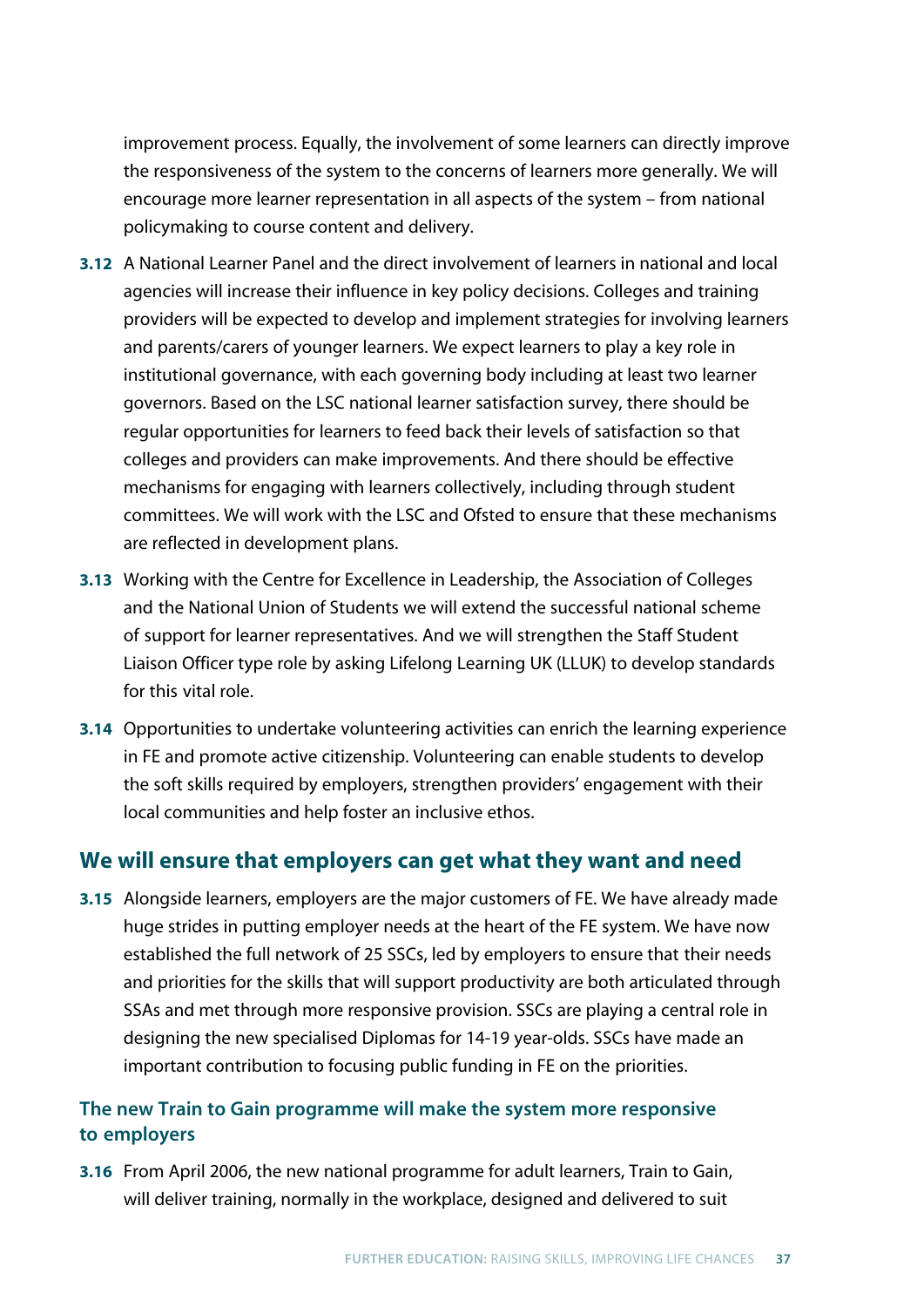improvement process. Equally, the involvement of some learners can directly improve the responsiveness of the system to the concerns of learners more generally. We will encourage more learner representation in all aspects of the system – from national policymaking to course content and delivery.

- **3.12** A National Learner Panel and the direct involvement of learners in national and local agencies will increase their influence in key policy decisions. Colleges and training providers will be expected to develop and implement strategies for involving learners and parents/carers of younger learners. We expect learners to play a key role in institutional governance, with each governing body including at least two learner governors. Based on the LSC national learner satisfaction survey, there should be regular opportunities for learners to feed back their levels of satisfaction so that colleges and providers can make improvements. And there should be effective mechanisms for engaging with learners collectively, including through student committees. We will work with the LSC and Ofsted to ensure that these mechanisms are reflected in development plans.
- **3.13** Working with the Centre for Excellence in Leadership, the Association of Colleges and the National Union of Students we will extend the successful national scheme of support for learner representatives. And we will strengthen the Staff Student Liaison Officer type role by asking Lifelong Learning UK (LLUK) to develop standards for this vital role.
- **3.14** Opportunities to undertake volunteering activities can enrich the learning experience in FE and promote active citizenship. Volunteering can enable students to develop the soft skills required by employers, strengthen providers' engagement with their local communities and help foster an inclusive ethos.

## **We will ensure that employers can get what they want and need**

**3.15** Alongside learners, employers are the major customers of FE. We have already made huge strides in putting employer needs at the heart of the FE system. We have now established the full network of 25 SSCs, led by employers to ensure that their needs and priorities for the skills that will support productivity are both articulated through SSAs and met through more responsive provision. SSCs are playing a central role in designing the new specialised Diplomas for 14-19 year-olds. SSCs have made an important contribution to focusing public funding in FE on the priorities.

# **The new Train to Gain programme will make the system more responsive to employers**

**3.16** From April 2006, the new national programme for adult learners, Train to Gain, will deliver training, normally in the workplace, designed and delivered to suit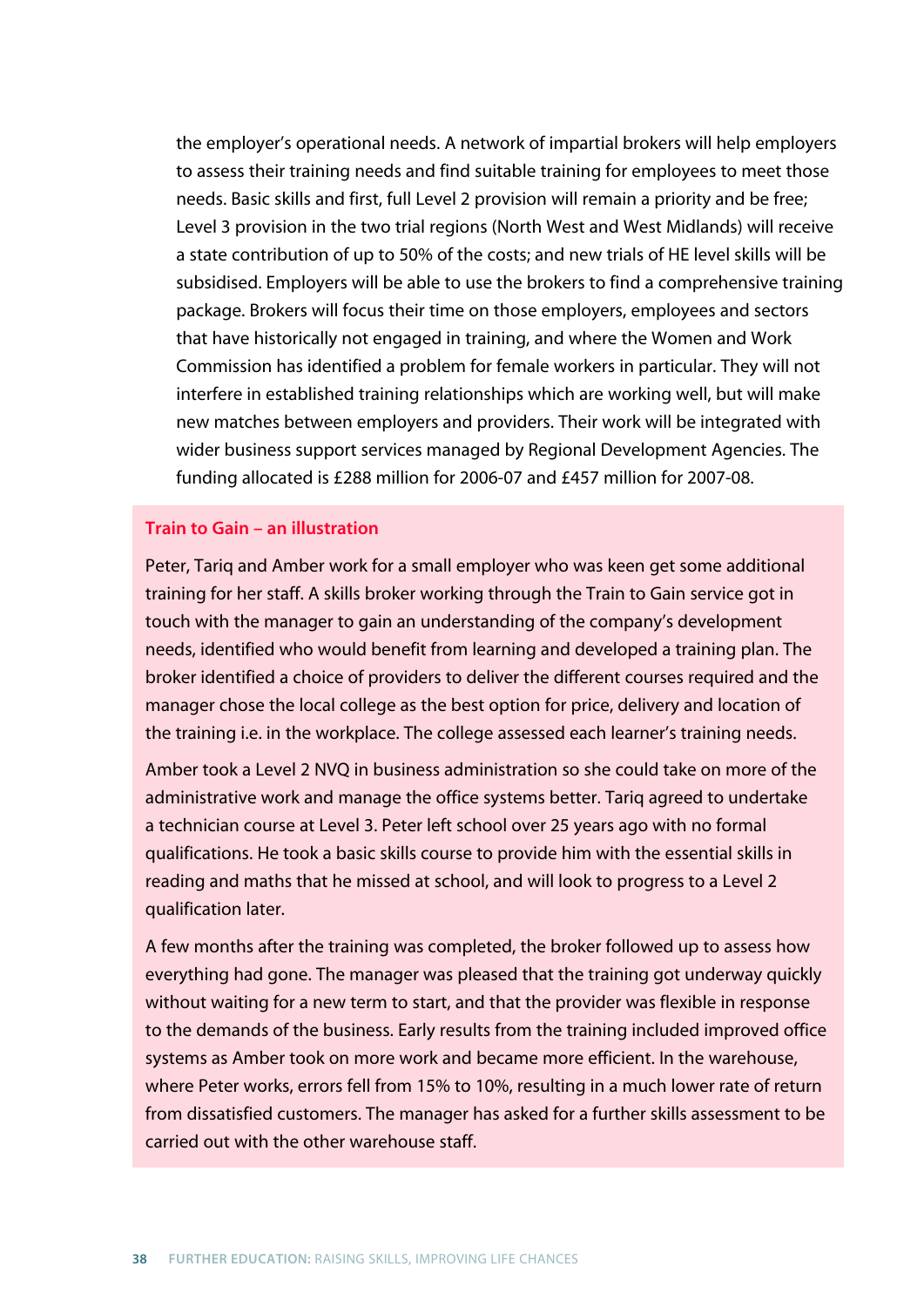the employer's operational needs. A network of impartial brokers will help employers to assess their training needs and find suitable training for employees to meet those needs. Basic skills and first, full Level 2 provision will remain a priority and be free; Level 3 provision in the two trial regions (North West and West Midlands) will receive a state contribution of up to 50% of the costs; and new trials of HE level skills will be subsidised. Employers will be able to use the brokers to find a comprehensive training package. Brokers will focus their time on those employers, employees and sectors that have historically not engaged in training, and where the Women and Work Commission has identified a problem for female workers in particular. They will not interfere in established training relationships which are working well, but will make new matches between employers and providers. Their work will be integrated with wider business support services managed by Regional Development Agencies. The funding allocated is £288 million for 2006-07 and £457 million for 2007-08.

#### **Train to Gain – an illustration**

Peter, Tariq and Amber work for a small employer who was keen get some additional training for her staff. A skills broker working through the Train to Gain service got in touch with the manager to gain an understanding of the company's development needs, identified who would benefit from learning and developed a training plan. The broker identified a choice of providers to deliver the different courses required and the manager chose the local college as the best option for price, delivery and location of the training i.e. in the workplace. The college assessed each learner's training needs.

Amber took a Level 2 NVQ in business administration so she could take on more of the administrative work and manage the office systems better. Tariq agreed to undertake a technician course at Level 3. Peter left school over 25 years ago with no formal qualifications. He took a basic skills course to provide him with the essential skills in reading and maths that he missed at school, and will look to progress to a Level 2 qualification later.

A few months after the training was completed, the broker followed up to assess how everything had gone. The manager was pleased that the training got underway quickly without waiting for a new term to start, and that the provider was flexible in response to the demands of the business. Early results from the training included improved office systems as Amber took on more work and became more efficient. In the warehouse, where Peter works, errors fell from 15% to 10%, resulting in a much lower rate of return from dissatisfied customers. The manager has asked for a further skills assessment to be carried out with the other warehouse staff.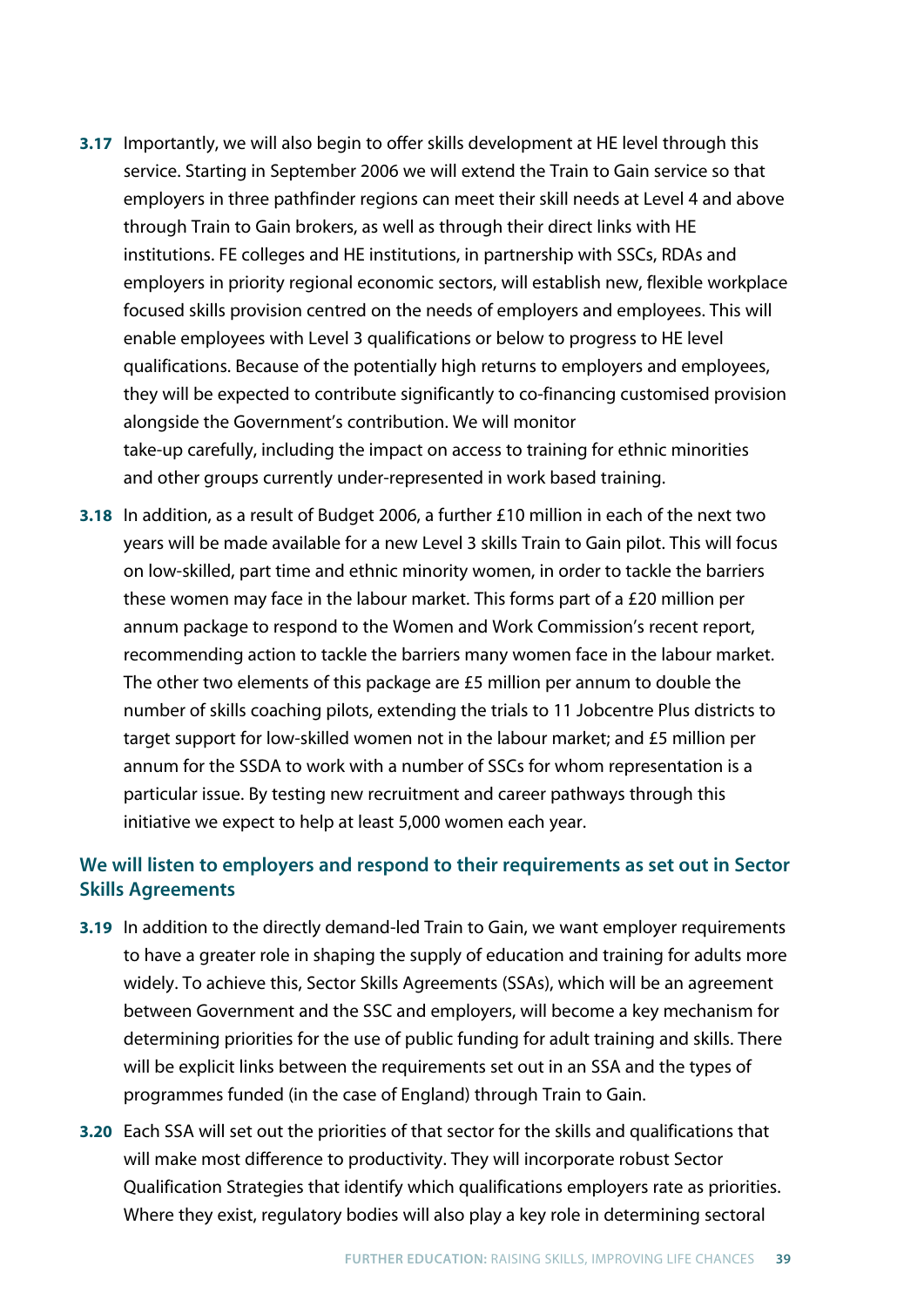- **3.17** Importantly, we will also begin to offer skills development at HE level through this service. Starting in September 2006 we will extend the Train to Gain service so that employers in three pathfinder regions can meet their skill needs at Level 4 and above through Train to Gain brokers, as well as through their direct links with HE institutions. FE colleges and HE institutions, in partnership with SSCs, RDAs and employers in priority regional economic sectors, will establish new, flexible workplace focused skills provision centred on the needs of employers and employees. This will enable employees with Level 3 qualifications or below to progress to HE level qualifications. Because of the potentially high returns to employers and employees, they will be expected to contribute significantly to co-financing customised provision alongside the Government's contribution. We will monitor take-up carefully, including the impact on access to training for ethnic minorities and other groups currently under-represented in work based training.
- **3.18** In addition, as a result of Budget 2006, a further £10 million in each of the next two years will be made available for a new Level 3 skills Train to Gain pilot. This will focus on low-skilled, part time and ethnic minority women, in order to tackle the barriers these women may face in the labour market. This forms part of a £20 million per annum package to respond to the Women and Work Commission's recent report, recommending action to tackle the barriers many women face in the labour market. The other two elements of this package are £5 million per annum to double the number of skills coaching pilots, extending the trials to 11 Jobcentre Plus districts to target support for low-skilled women not in the labour market; and £5 million per annum for the SSDA to work with a number of SSCs for whom representation is a particular issue. By testing new recruitment and career pathways through this initiative we expect to help at least 5,000 women each year.

## **We will listen to employers and respond to their requirements as set out in Sector Skills Agreements**

- **3.19** In addition to the directly demand-led Train to Gain, we want employer requirements to have a greater role in shaping the supply of education and training for adults more widely. To achieve this, Sector Skills Agreements (SSAs), which will be an agreement between Government and the SSC and employers, will become a key mechanism for determining priorities for the use of public funding for adult training and skills. There will be explicit links between the requirements set out in an SSA and the types of programmes funded (in the case of England) through Train to Gain.
- **3.20** Each SSA will set out the priorities of that sector for the skills and qualifications that will make most difference to productivity. They will incorporate robust Sector Qualification Strategies that identify which qualifications employers rate as priorities. Where they exist, regulatory bodies will also play a key role in determining sectoral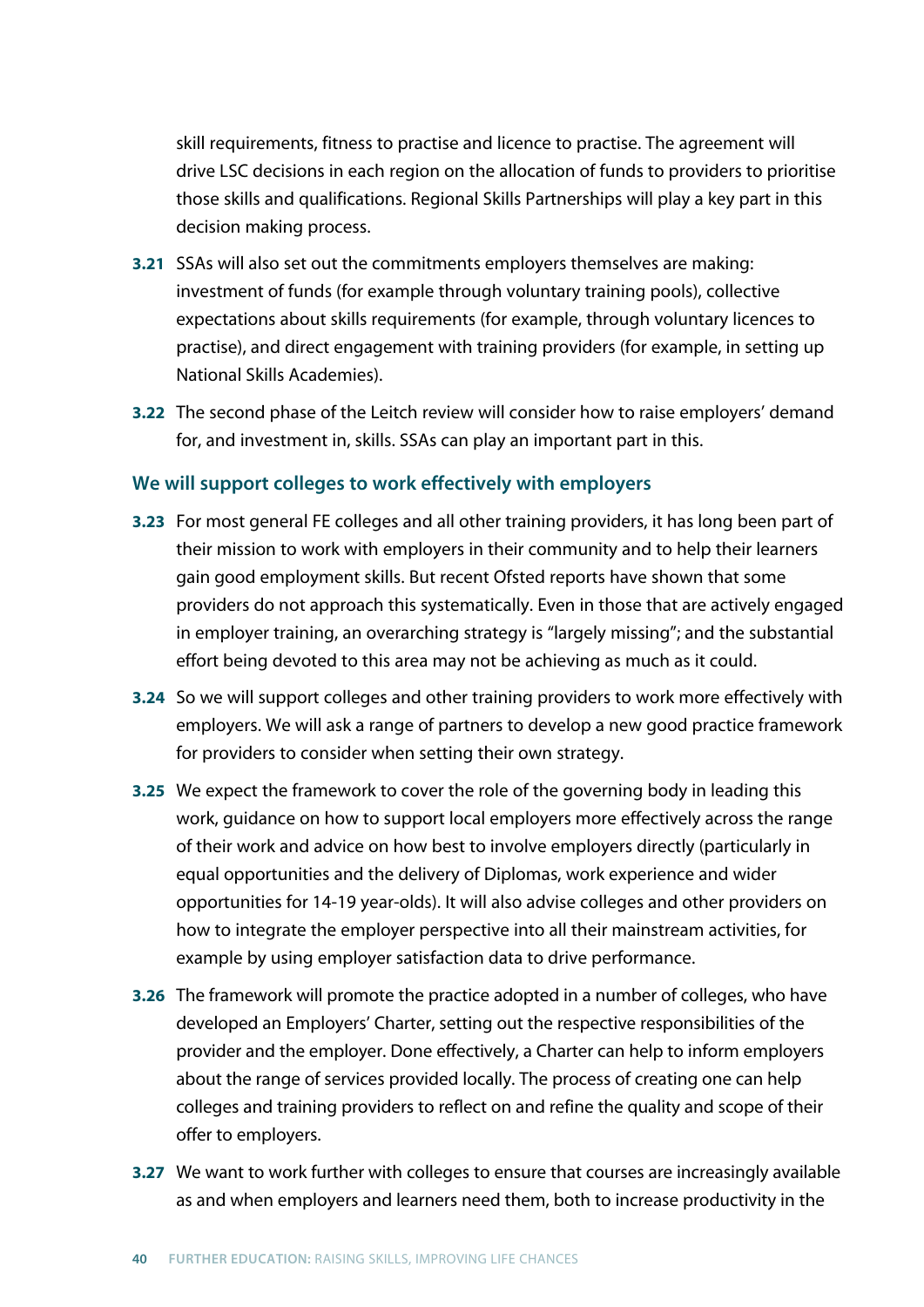skill requirements, fitness to practise and licence to practise. The agreement will drive LSC decisions in each region on the allocation of funds to providers to prioritise those skills and qualifications. Regional Skills Partnerships will play a key part in this decision making process.

- **3.21** SSAs will also set out the commitments employers themselves are making: investment of funds (for example through voluntary training pools), collective expectations about skills requirements (for example, through voluntary licences to practise), and direct engagement with training providers (for example, in setting up National Skills Academies).
- **3.22** The second phase of the Leitch review will consider how to raise employers' demand for, and investment in, skills. SSAs can play an important part in this.

## **We will support colleges to work effectively with employers**

- **3.23** For most general FE colleges and all other training providers, it has long been part of their mission to work with employers in their community and to help their learners gain good employment skills. But recent Ofsted reports have shown that some providers do not approach this systematically. Even in those that are actively engaged in employer training, an overarching strategy is "largely missing"; and the substantial effort being devoted to this area may not be achieving as much as it could.
- **3.24** So we will support colleges and other training providers to work more effectively with employers. We will ask a range of partners to develop a new good practice framework for providers to consider when setting their own strategy.
- **3.25** We expect the framework to cover the role of the governing body in leading this work, guidance on how to support local employers more effectively across the range of their work and advice on how best to involve employers directly (particularly in equal opportunities and the delivery of Diplomas, work experience and wider opportunities for 14-19 year-olds). It will also advise colleges and other providers on how to integrate the employer perspective into all their mainstream activities, for example by using employer satisfaction data to drive performance.
- **3.26** The framework will promote the practice adopted in a number of colleges, who have developed an Employers' Charter, setting out the respective responsibilities of the provider and the employer. Done effectively, a Charter can help to inform employers about the range of services provided locally. The process of creating one can help colleges and training providers to reflect on and refine the quality and scope of their offer to employers.
- **3.27** We want to work further with colleges to ensure that courses are increasingly available as and when employers and learners need them, both to increase productivity in the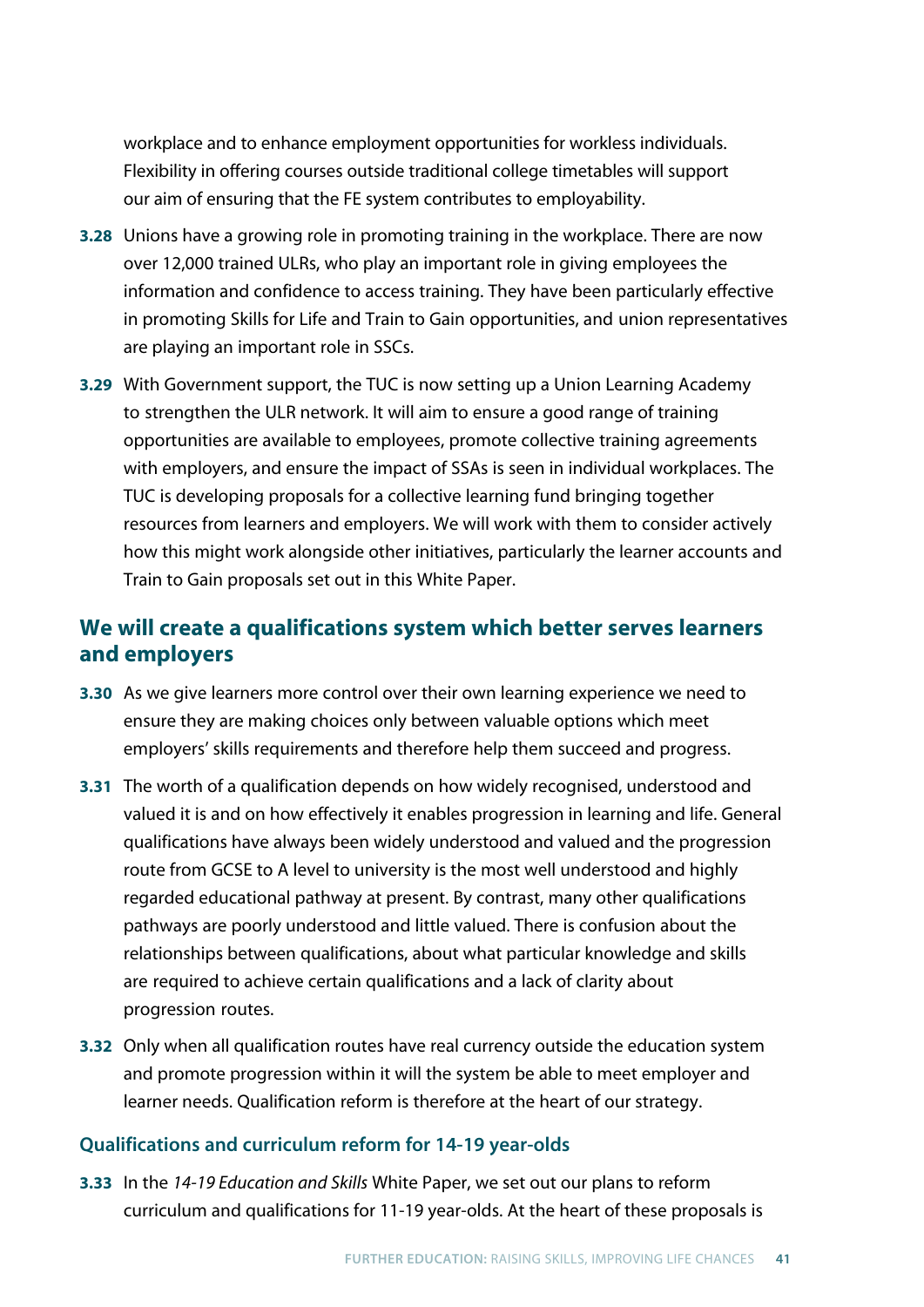workplace and to enhance employment opportunities for workless individuals. Flexibility in offering courses outside traditional college timetables will support our aim of ensuring that the FE system contributes to employability.

- **3.28** Unions have a growing role in promoting training in the workplace. There are now over 12,000 trained ULRs, who play an important role in giving employees the information and confidence to access training. They have been particularly effective in promoting Skills for Life and Train to Gain opportunities, and union representatives are playing an important role in SSCs.
- **3.29** With Government support, the TUC is now setting up a Union Learning Academy to strengthen the ULR network. It will aim to ensure a good range of training opportunities are available to employees, promote collective training agreements with employers, and ensure the impact of SSAs is seen in individual workplaces. The TUC is developing proposals for a collective learning fund bringing together resources from learners and employers. We will work with them to consider actively how this might work alongside other initiatives, particularly the learner accounts and Train to Gain proposals set out in this White Paper.

# **We will create a qualifications system which better serves learners and employers**

- **3.30** As we give learners more control over their own learning experience we need to ensure they are making choices only between valuable options which meet employers' skills requirements and therefore help them succeed and progress.
- **3.31** The worth of a qualification depends on how widely recognised, understood and valued it is and on how effectively it enables progression in learning and life. General qualifications have always been widely understood and valued and the progression route from GCSE to A level to university is the most well understood and highly regarded educational pathway at present. By contrast, many other qualifications pathways are poorly understood and little valued. There is confusion about the relationships between qualifications, about what particular knowledge and skills are required to achieve certain qualifications and a lack of clarity about progression routes.
- **3.32** Only when all qualification routes have real currency outside the education system and promote progression within it will the system be able to meet employer and learner needs. Qualification reform is therefore at the heart of our strategy.

## **Qualifications and curriculum reform for 14-19 year-olds**

**3.33** In the *14-19 Education and Skills* White Paper, we set out our plans to reform curriculum and qualifications for 11-19 year-olds. At the heart of these proposals is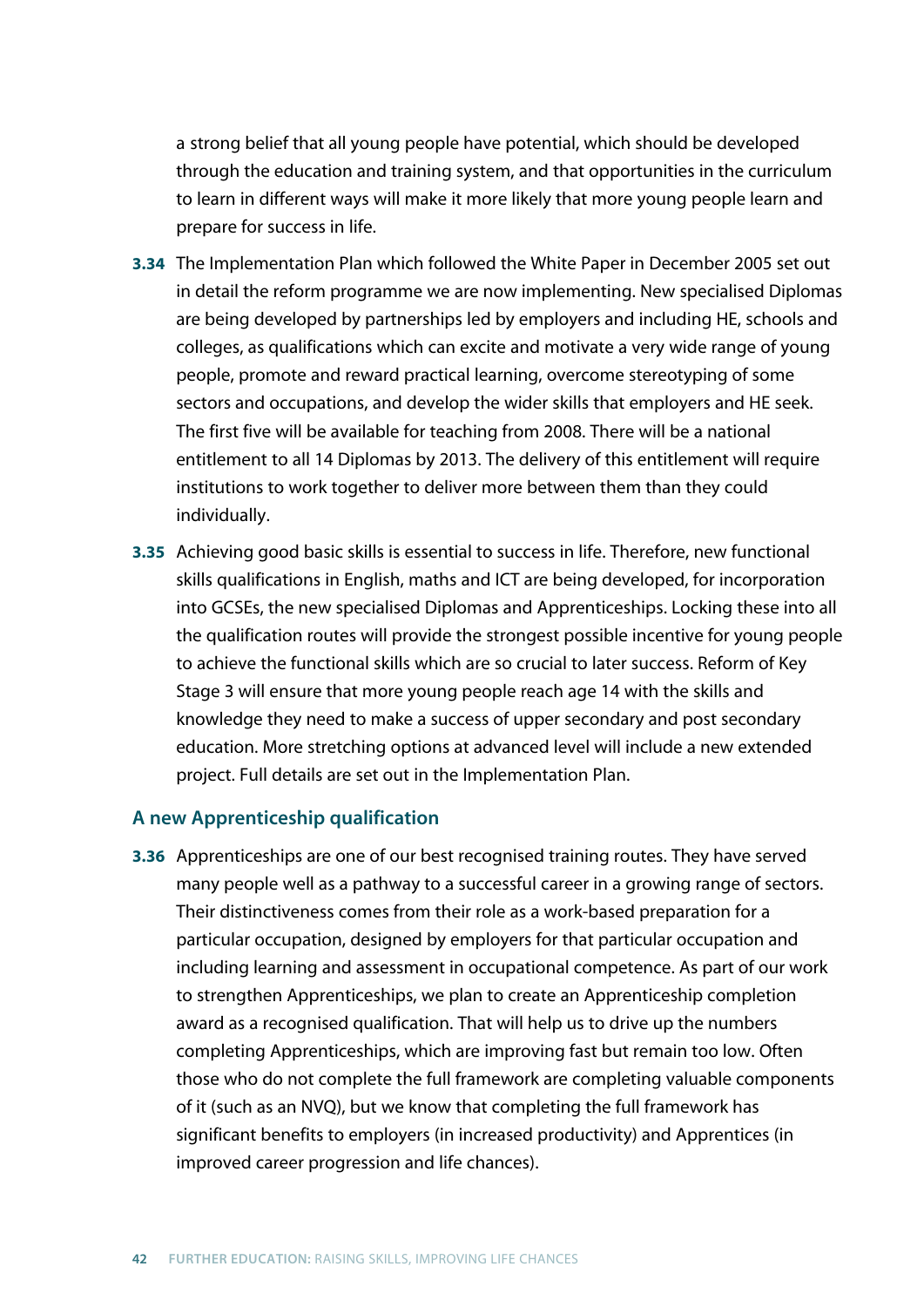a strong belief that all young people have potential, which should be developed through the education and training system, and that opportunities in the curriculum to learn in different ways will make it more likely that more young people learn and prepare for success in life.

- **3.34** The Implementation Plan which followed the White Paper in December 2005 set out in detail the reform programme we are now implementing. New specialised Diplomas are being developed by partnerships led by employers and including HE, schools and colleges, as qualifications which can excite and motivate a very wide range of young people, promote and reward practical learning, overcome stereotyping of some sectors and occupations, and develop the wider skills that employers and HE seek. The first five will be available for teaching from 2008. There will be a national entitlement to all 14 Diplomas by 2013. The delivery of this entitlement will require institutions to work together to deliver more between them than they could individually.
- **3.35** Achieving good basic skills is essential to success in life. Therefore, new functional skills qualifications in English, maths and ICT are being developed, for incorporation into GCSEs, the new specialised Diplomas and Apprenticeships. Locking these into all the qualification routes will provide the strongest possible incentive for young people to achieve the functional skills which are so crucial to later success. Reform of Key Stage 3 will ensure that more young people reach age 14 with the skills and knowledge they need to make a success of upper secondary and post secondary education. More stretching options at advanced level will include a new extended project. Full details are set out in the Implementation Plan.

#### **A new Apprenticeship qualification**

**3.36** Apprenticeships are one of our best recognised training routes. They have served many people well as a pathway to a successful career in a growing range of sectors. Their distinctiveness comes from their role as a work-based preparation for a particular occupation, designed by employers for that particular occupation and including learning and assessment in occupational competence. As part of our work to strengthen Apprenticeships, we plan to create an Apprenticeship completion award as a recognised qualification. That will help us to drive up the numbers completing Apprenticeships, which are improving fast but remain too low. Often those who do not complete the full framework are completing valuable components of it (such as an NVQ), but we know that completing the full framework has significant benefits to employers (in increased productivity) and Apprentices (in improved career progression and life chances).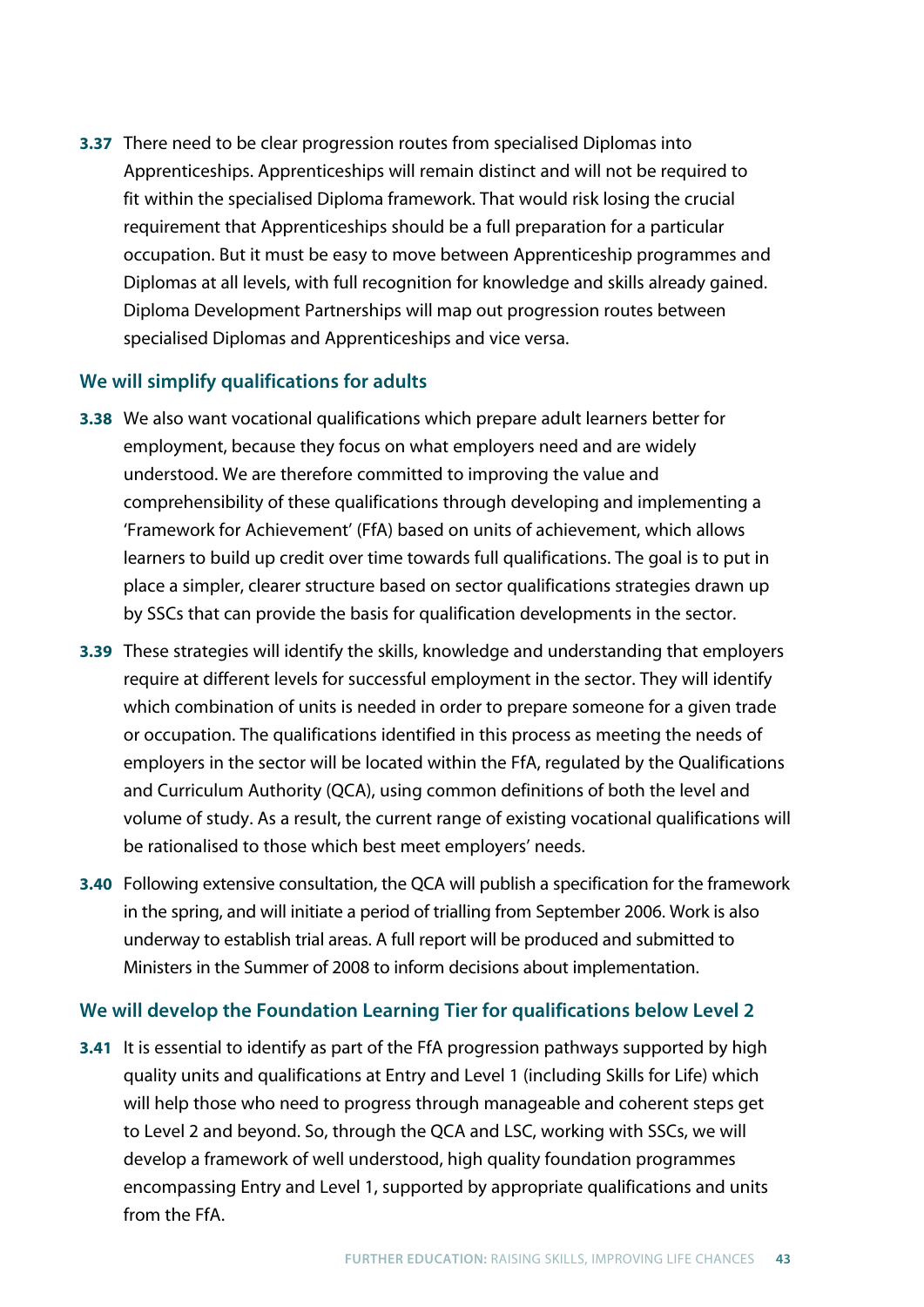**3.37** There need to be clear progression routes from specialised Diplomas into Apprenticeships. Apprenticeships will remain distinct and will not be required to fit within the specialised Diploma framework. That would risk losing the crucial requirement that Apprenticeships should be a full preparation for a particular occupation. But it must be easy to move between Apprenticeship programmes and Diplomas at all levels, with full recognition for knowledge and skills already gained. Diploma Development Partnerships will map out progression routes between specialised Diplomas and Apprenticeships and vice versa.

## **We will simplify qualifications for adults**

- **3.38** We also want vocational qualifications which prepare adult learners better for employment, because they focus on what employers need and are widely understood. We are therefore committed to improving the value and comprehensibility of these qualifications through developing and implementing a 'Framework for Achievement' (FfA) based on units of achievement, which allows learners to build up credit over time towards full qualifications. The goal is to put in place a simpler, clearer structure based on sector qualifications strategies drawn up by SSCs that can provide the basis for qualification developments in the sector.
- **3.39** These strategies will identify the skills, knowledge and understanding that employers require at different levels for successful employment in the sector. They will identify which combination of units is needed in order to prepare someone for a given trade or occupation. The qualifications identified in this process as meeting the needs of employers in the sector will be located within the FfA, regulated by the Qualifications and Curriculum Authority (QCA), using common definitions of both the level and volume of study. As a result, the current range of existing vocational qualifications will be rationalised to those which best meet employers' needs.
- **3.40** Following extensive consultation, the QCA will publish a specification for the framework in the spring, and will initiate a period of trialling from September 2006. Work is also underway to establish trial areas. A full report will be produced and submitted to Ministers in the Summer of 2008 to inform decisions about implementation.

## **We will develop the Foundation Learning Tier for qualifications below Level 2**

**3.41** It is essential to identify as part of the FfA progression pathways supported by high quality units and qualifications at Entry and Level 1 (including Skills for Life) which will help those who need to progress through manageable and coherent steps get to Level 2 and beyond. So, through the QCA and LSC, working with SSCs, we will develop a framework of well understood, high quality foundation programmes encompassing Entry and Level 1, supported by appropriate qualifications and units from the FfA.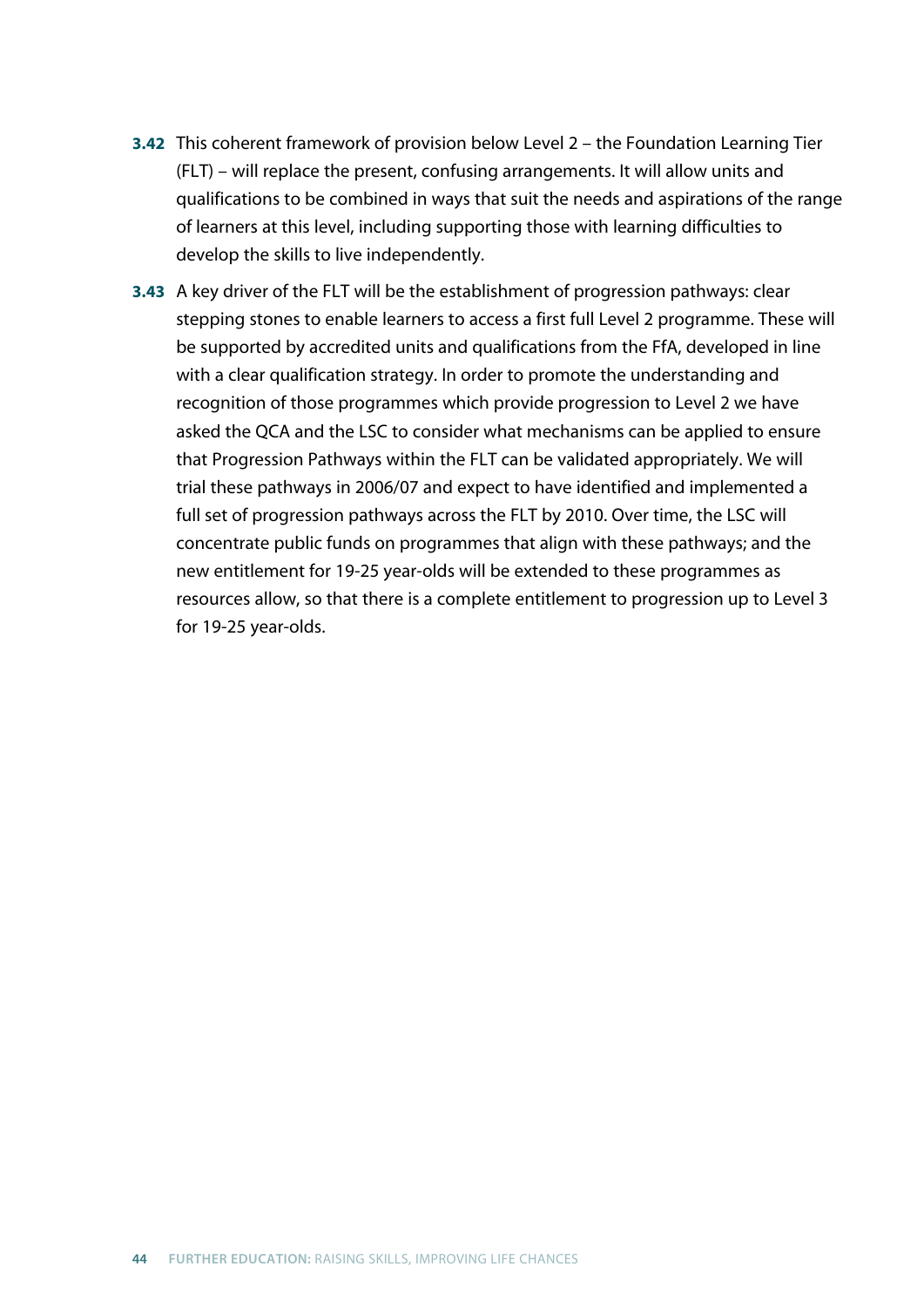- **3.42** This coherent framework of provision below Level 2 the Foundation Learning Tier (FLT) – will replace the present, confusing arrangements. It will allow units and qualifications to be combined in ways that suit the needs and aspirations of the range of learners at this level, including supporting those with learning difficulties to develop the skills to live independently.
- **3.43** A key driver of the FLT will be the establishment of progression pathways: clear stepping stones to enable learners to access a first full Level 2 programme. These will be supported by accredited units and qualifications from the FfA, developed in line with a clear qualification strategy. In order to promote the understanding and recognition of those programmes which provide progression to Level 2 we have asked the QCA and the LSC to consider what mechanisms can be applied to ensure that Progression Pathways within the FLT can be validated appropriately. We will trial these pathways in 2006/07 and expect to have identified and implemented a full set of progression pathways across the FLT by 2010. Over time, the LSC will concentrate public funds on programmes that align with these pathways; and the new entitlement for 19-25 year-olds will be extended to these programmes as resources allow, so that there is a complete entitlement to progression up to Level 3 for 19-25 year-olds.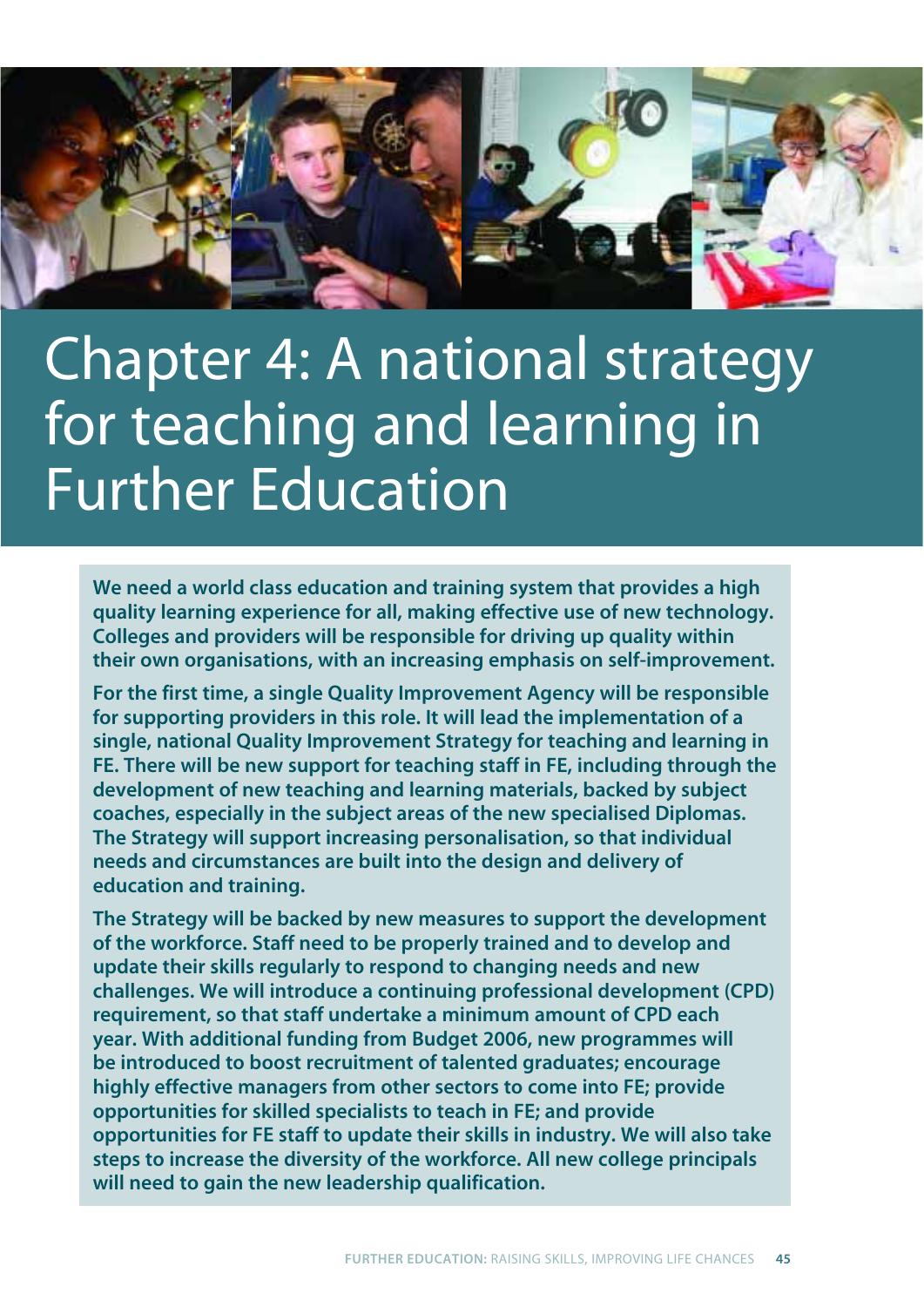

# Chapter 4: A national strategy for teaching and learning in Further Education

**We need a world class education and training system that provides a high quality learning experience for all, making effective use of new technology. Colleges and providers will be responsible for driving up quality within their own organisations, with an increasing emphasis on self-improvement.** 

**For the first time, a single Quality Improvement Agency will be responsible for supporting providers in this role. It will lead the implementation of a single, national Quality Improvement Strategy for teaching and learning in FE. There will be new support for teaching staff in FE, including through the development of new teaching and learning materials, backed by subject coaches, especially in the subject areas of the new specialised Diplomas. The Strategy will support increasing personalisation, so that individual needs and circumstances are built into the design and delivery of education and training.**

**The Strategy will be backed by new measures to support the development of the workforce. Staff need to be properly trained and to develop and update their skills regularly to respond to changing needs and new challenges. We will introduce a continuing professional development (CPD) requirement, so that staff undertake a minimum amount of CPD each year. With additional funding from Budget 2006, new programmes will be introduced to boost recruitment of talented graduates; encourage highly effective managers from other sectors to come into FE; provide opportunities for skilled specialists to teach in FE; and provide opportunities for FE staff to update their skills in industry. We will also take steps to increase the diversity of the workforce. All new college principals will need to gain the new leadership qualification.**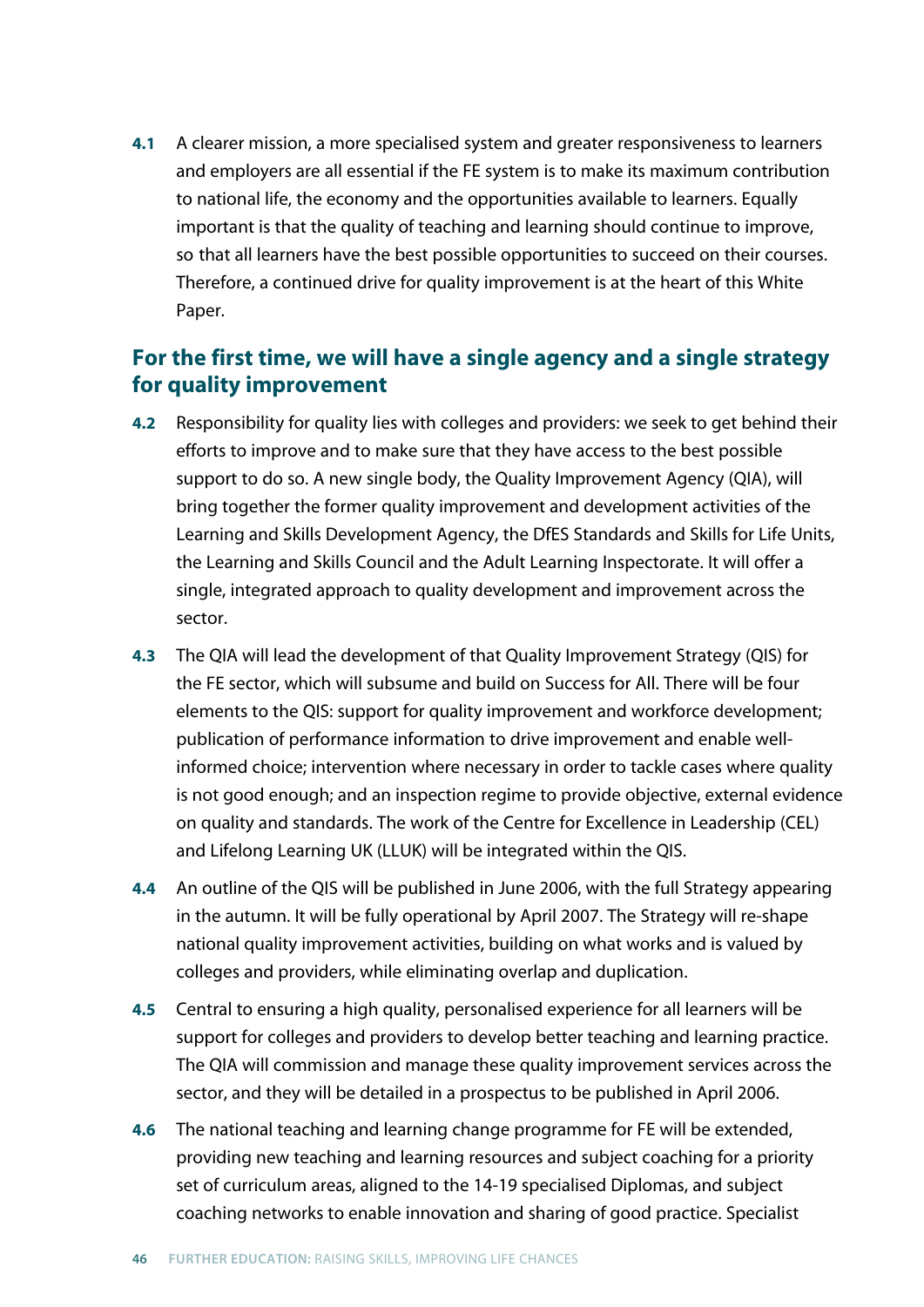**4.1** A clearer mission, a more specialised system and greater responsiveness to learners and employers are all essential if the FE system is to make its maximum contribution to national life, the economy and the opportunities available to learners. Equally important is that the quality of teaching and learning should continue to improve, so that all learners have the best possible opportunities to succeed on their courses. Therefore, a continued drive for quality improvement is at the heart of this White Paper.

# **For the first time, we will have a single agency and a single strategy for quality improvement**

- **4.2** Responsibility for quality lies with colleges and providers: we seek to get behind their efforts to improve and to make sure that they have access to the best possible support to do so. A new single body, the Quality Improvement Agency (QIA), will bring together the former quality improvement and development activities of the Learning and Skills Development Agency, the DfES Standards and Skills for Life Units, the Learning and Skills Council and the Adult Learning Inspectorate. It will offer a single, integrated approach to quality development and improvement across the sector.
- **4.3** The QIA will lead the development of that Quality Improvement Strategy (QIS) for the FE sector, which will subsume and build on Success for All. There will be four elements to the QIS: support for quality improvement and workforce development; publication of performance information to drive improvement and enable wellinformed choice; intervention where necessary in order to tackle cases where quality is not good enough; and an inspection regime to provide objective, external evidence on quality and standards. The work of the Centre for Excellence in Leadership (CEL) and Lifelong Learning UK (LLUK) will be integrated within the QIS.
- **4.4** An outline of the QIS will be published in June 2006, with the full Strategy appearing in the autumn. It will be fully operational by April 2007. The Strategy will re-shape national quality improvement activities, building on what works and is valued by colleges and providers, while eliminating overlap and duplication.
- **4.5** Central to ensuring a high quality, personalised experience for all learners will be support for colleges and providers to develop better teaching and learning practice. The QIA will commission and manage these quality improvement services across the sector, and they will be detailed in a prospectus to be published in April 2006.
- **4.6** The national teaching and learning change programme for FE will be extended, providing new teaching and learning resources and subject coaching for a priority set of curriculum areas, aligned to the 14-19 specialised Diplomas, and subject coaching networks to enable innovation and sharing of good practice. Specialist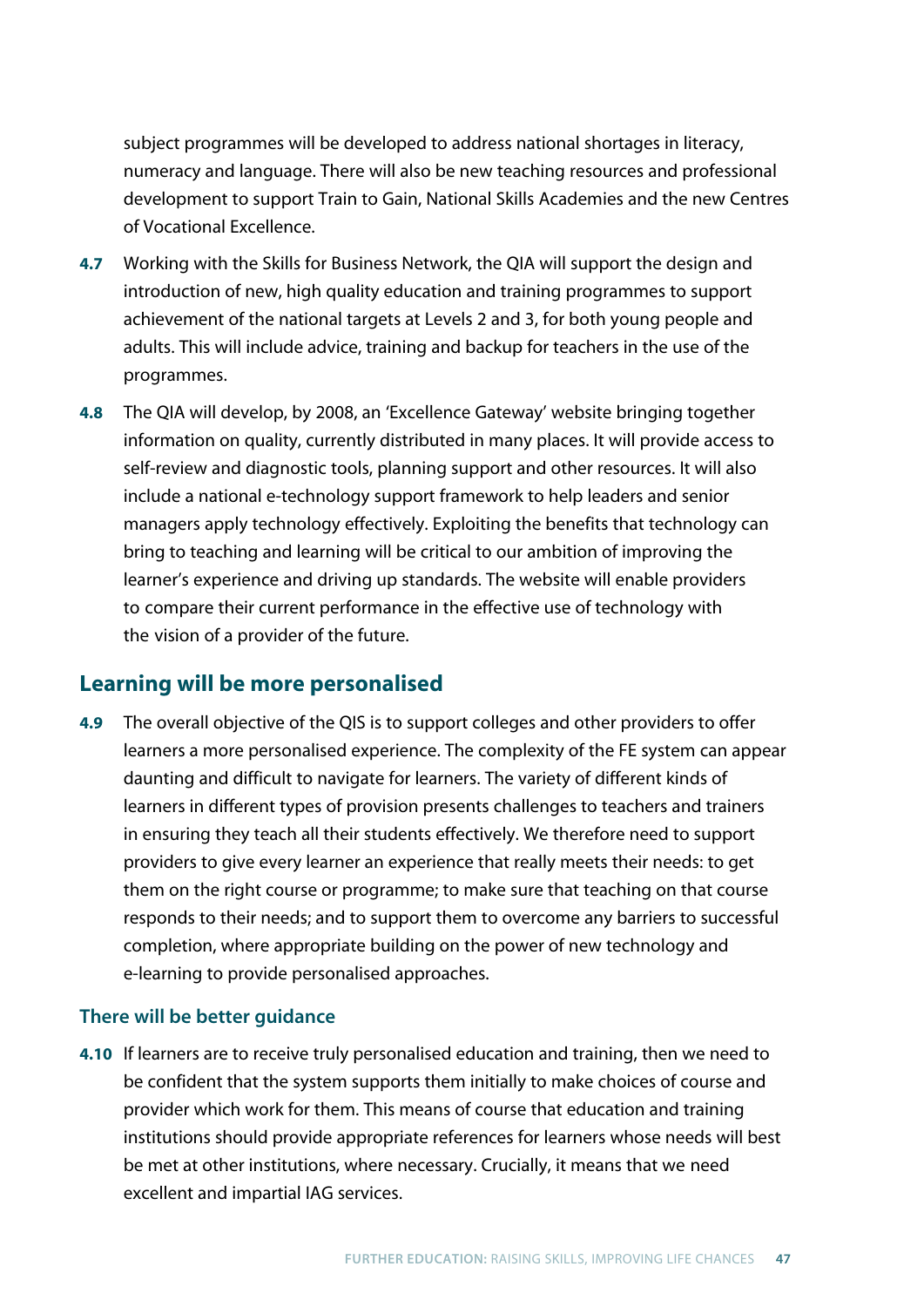subject programmes will be developed to address national shortages in literacy, numeracy and language. There will also be new teaching resources and professional development to support Train to Gain, National Skills Academies and the new Centres of Vocational Excellence.

- **4.7** Working with the Skills for Business Network, the QIA will support the design and introduction of new, high quality education and training programmes to support achievement of the national targets at Levels 2 and 3, for both young people and adults. This will include advice, training and backup for teachers in the use of the programmes.
- **4.8** The QIA will develop, by 2008, an 'Excellence Gateway' website bringing together information on quality, currently distributed in many places. It will provide access to self-review and diagnostic tools, planning support and other resources. It will also include a national e-technology support framework to help leaders and senior managers apply technology effectively. Exploiting the benefits that technology can bring to teaching and learning will be critical to our ambition of improving the learner's experience and driving up standards. The website will enable providers to compare their current performance in the effective use of technology with the vision of a provider of the future.

# **Learning will be more personalised**

**4.9** The overall objective of the QIS is to support colleges and other providers to offer learners a more personalised experience. The complexity of the FE system can appear daunting and difficult to navigate for learners. The variety of different kinds of learners in different types of provision presents challenges to teachers and trainers in ensuring they teach all their students effectively. We therefore need to support providers to give every learner an experience that really meets their needs: to get them on the right course or programme; to make sure that teaching on that course responds to their needs; and to support them to overcome any barriers to successful completion, where appropriate building on the power of new technology and e-learning to provide personalised approaches.

## **There will be better guidance**

**4.10** If learners are to receive truly personalised education and training, then we need to be confident that the system supports them initially to make choices of course and provider which work for them. This means of course that education and training institutions should provide appropriate references for learners whose needs will best be met at other institutions, where necessary. Crucially, it means that we need excellent and impartial IAG services.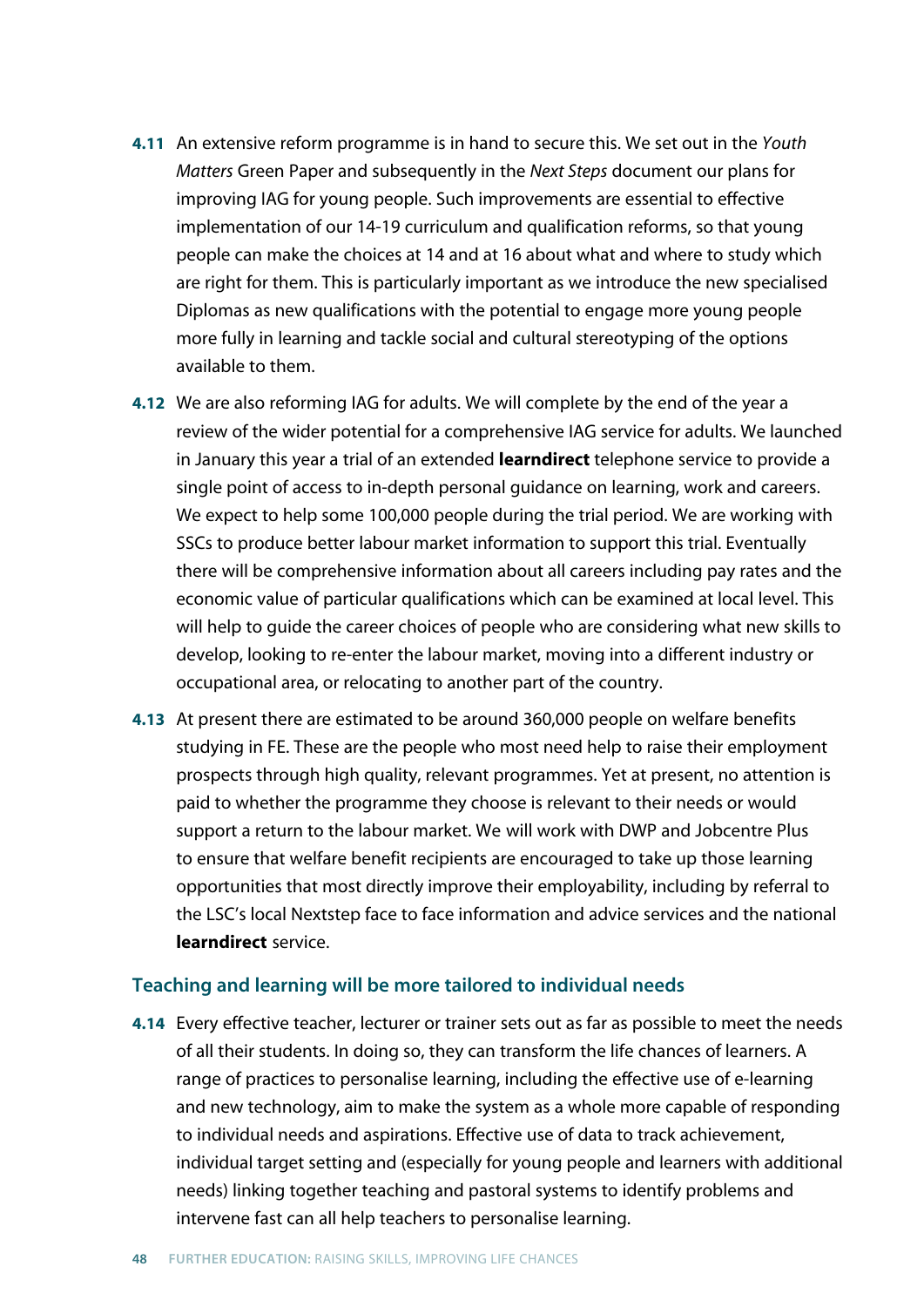- **4.11** An extensive reform programme is in hand to secure this. We set out in the *Youth Matters* Green Paper and subsequently in the *Next Steps* document our plans for improving IAG for young people. Such improvements are essential to effective implementation of our 14-19 curriculum and qualification reforms, so that young people can make the choices at 14 and at 16 about what and where to study which are right for them. This is particularly important as we introduce the new specialised Diplomas as new qualifications with the potential to engage more young people more fully in learning and tackle social and cultural stereotyping of the options available to them.
- **4.12** We are also reforming IAG for adults. We will complete by the end of the year a review of the wider potential for a comprehensive IAG service for adults. We launched in January this year a trial of an extended **learndirect** telephone service to provide a single point of access to in-depth personal guidance on learning, work and careers. We expect to help some 100,000 people during the trial period. We are working with SSCs to produce better labour market information to support this trial. Eventually there will be comprehensive information about all careers including pay rates and the economic value of particular qualifications which can be examined at local level. This will help to guide the career choices of people who are considering what new skills to develop, looking to re-enter the labour market, moving into a different industry or occupational area, or relocating to another part of the country.
- **4.13** At present there are estimated to be around 360,000 people on welfare benefits studying in FE. These are the people who most need help to raise their employment prospects through high quality, relevant programmes. Yet at present, no attention is paid to whether the programme they choose is relevant to their needs or would support a return to the labour market. We will work with DWP and Jobcentre Plus to ensure that welfare benefit recipients are encouraged to take up those learning opportunities that most directly improve their employability, including by referral to the LSC's local Nextstep face to face information and advice services and the national **learndirect** service.

#### **Teaching and learning will be more tailored to individual needs**

**4.14** Every effective teacher, lecturer or trainer sets out as far as possible to meet the needs of all their students. In doing so, they can transform the life chances of learners. A range of practices to personalise learning, including the effective use of e-learning and new technology, aim to make the system as a whole more capable of responding to individual needs and aspirations. Effective use of data to track achievement, individual target setting and (especially for young people and learners with additional needs) linking together teaching and pastoral systems to identify problems and intervene fast can all help teachers to personalise learning.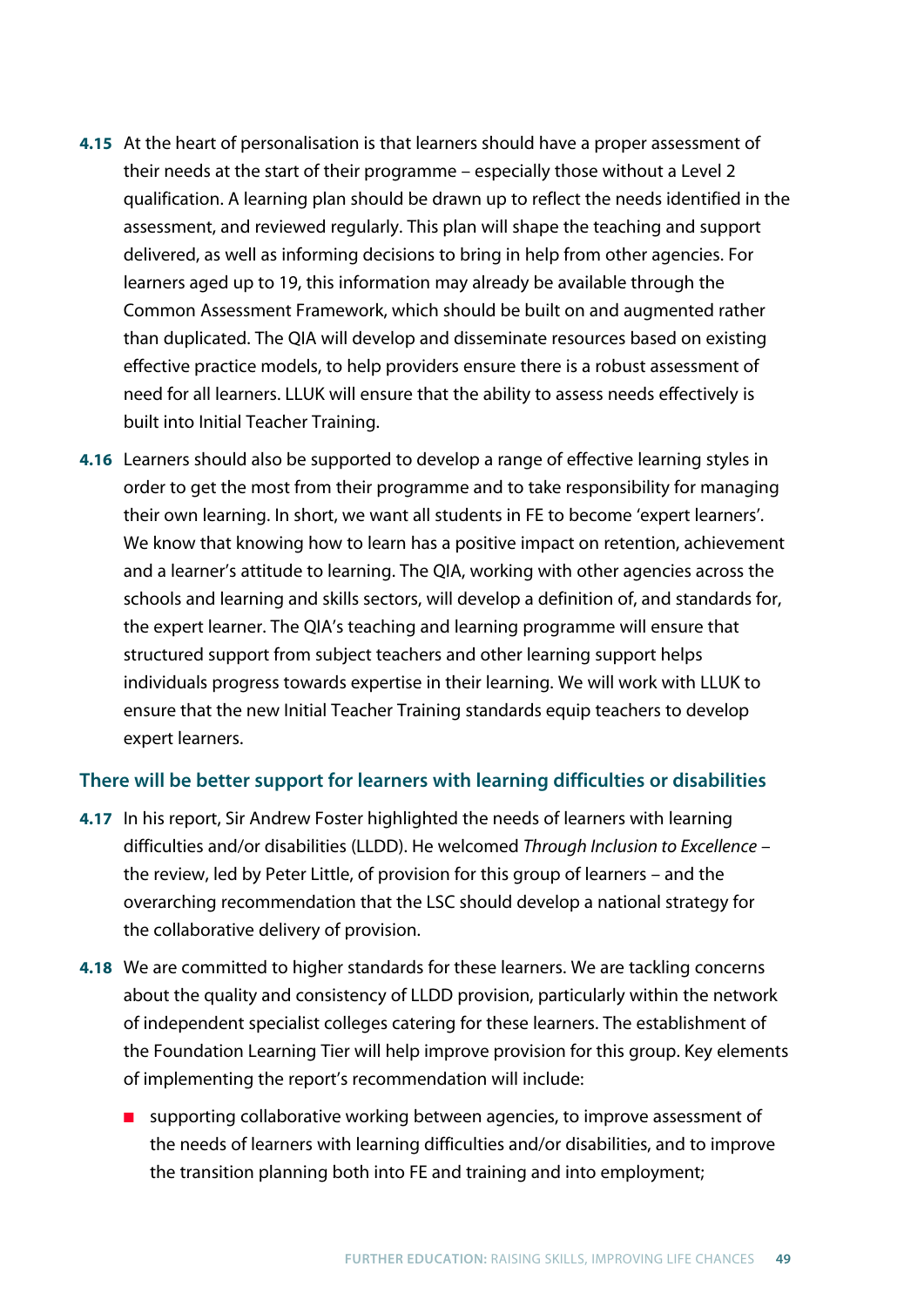- **4.15** At the heart of personalisation is that learners should have a proper assessment of their needs at the start of their programme – especially those without a Level 2 qualification. A learning plan should be drawn up to reflect the needs identified in the assessment, and reviewed regularly. This plan will shape the teaching and support delivered, as well as informing decisions to bring in help from other agencies. For learners aged up to 19, this information may already be available through the Common Assessment Framework, which should be built on and augmented rather than duplicated. The QIA will develop and disseminate resources based on existing effective practice models, to help providers ensure there is a robust assessment of need for all learners. LLUK will ensure that the ability to assess needs effectively is built into Initial Teacher Training.
- **4.16** Learners should also be supported to develop a range of effective learning styles in order to get the most from their programme and to take responsibility for managing their own learning. In short, we want all students in FE to become 'expert learners'. We know that knowing how to learn has a positive impact on retention, achievement and a learner's attitude to learning. The QIA, working with other agencies across the schools and learning and skills sectors, will develop a definition of, and standards for, the expert learner. The QIA's teaching and learning programme will ensure that structured support from subject teachers and other learning support helps individuals progress towards expertise in their learning. We will work with LLUK to ensure that the new Initial Teacher Training standards equip teachers to develop expert learners.

## **There will be better support for learners with learning difficulties or disabilities**

- **4.17** In his report, Sir Andrew Foster highlighted the needs of learners with learning difficulties and/or disabilities (LLDD). He welcomed *Through Inclusion to Excellence* – the review, led by Peter Little, of provision for this group of learners – and the overarching recommendation that the LSC should develop a national strategy for the collaborative delivery of provision.
- **4.18** We are committed to higher standards for these learners. We are tackling concerns about the quality and consistency of LLDD provision, particularly within the network of independent specialist colleges catering for these learners. The establishment of the Foundation Learning Tier will help improve provision for this group. Key elements of implementing the report's recommendation will include:
	- supporting collaborative working between agencies, to improve assessment of the needs of learners with learning difficulties and/or disabilities, and to improve the transition planning both into FE and training and into employment;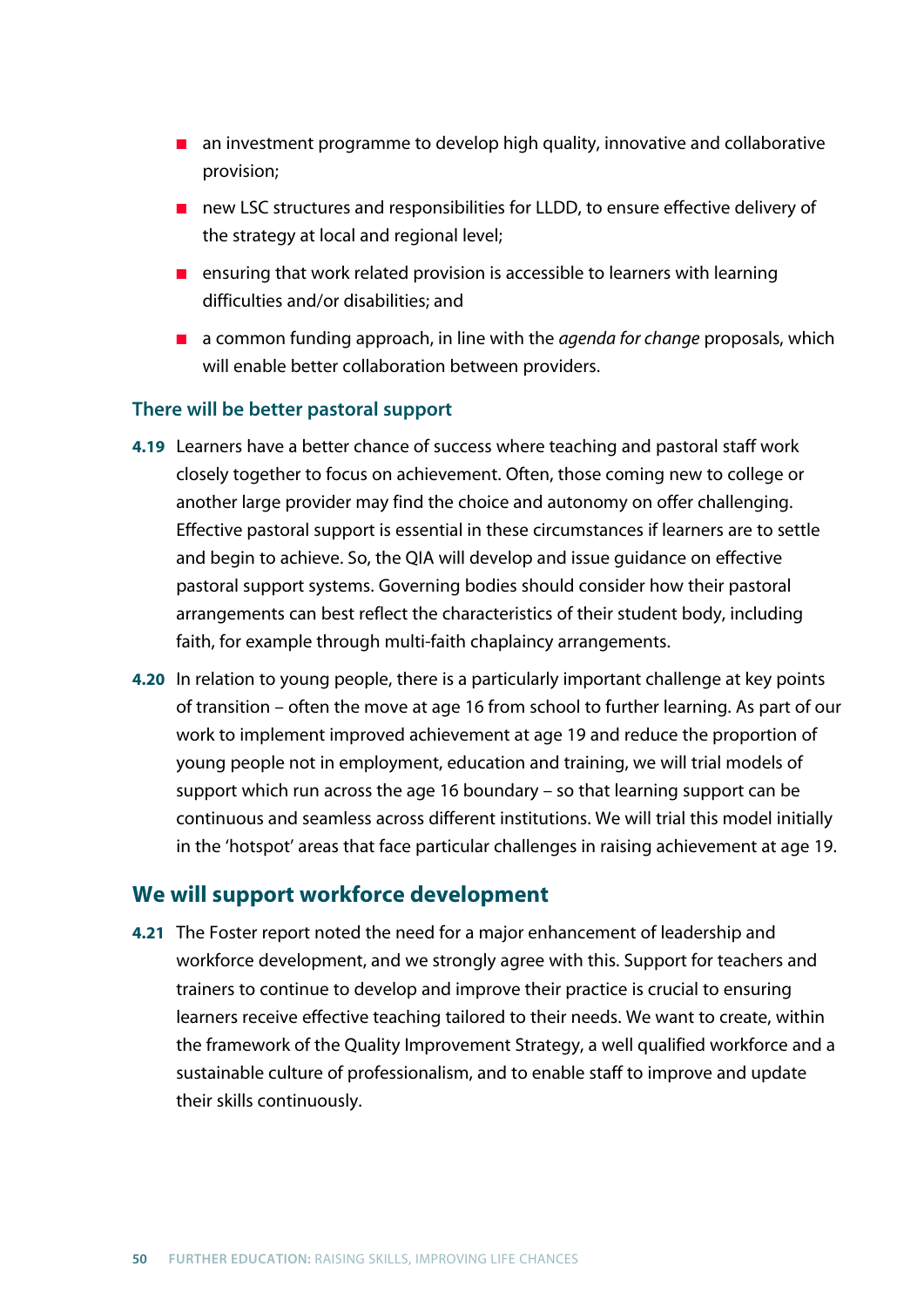- an investment programme to develop high quality, innovative and collaborative provision;
- new LSC structures and responsibilities for LLDD, to ensure effective delivery of the strategy at local and regional level;
- ensuring that work related provision is accessible to learners with learning difficulties and/or disabilities; and
- a common funding approach, in line with the *agenda for change* proposals, which will enable better collaboration between providers.

## **There will be better pastoral support**

- **4.19** Learners have a better chance of success where teaching and pastoral staff work closely together to focus on achievement. Often, those coming new to college or another large provider may find the choice and autonomy on offer challenging. Effective pastoral support is essential in these circumstances if learners are to settle and begin to achieve. So, the QIA will develop and issue guidance on effective pastoral support systems. Governing bodies should consider how their pastoral arrangements can best reflect the characteristics of their student body, including faith, for example through multi-faith chaplaincy arrangements.
- **4.20** In relation to young people, there is a particularly important challenge at key points of transition – often the move at age 16 from school to further learning. As part of our work to implement improved achievement at age 19 and reduce the proportion of young people not in employment, education and training, we will trial models of support which run across the age 16 boundary – so that learning support can be continuous and seamless across different institutions. We will trial this model initially in the 'hotspot' areas that face particular challenges in raising achievement at age 19.

# **We will support workforce development**

**4.21** The Foster report noted the need for a major enhancement of leadership and workforce development, and we strongly agree with this. Support for teachers and trainers to continue to develop and improve their practice is crucial to ensuring learners receive effective teaching tailored to their needs. We want to create, within the framework of the Quality Improvement Strategy, a well qualified workforce and a sustainable culture of professionalism, and to enable staff to improve and update their skills continuously.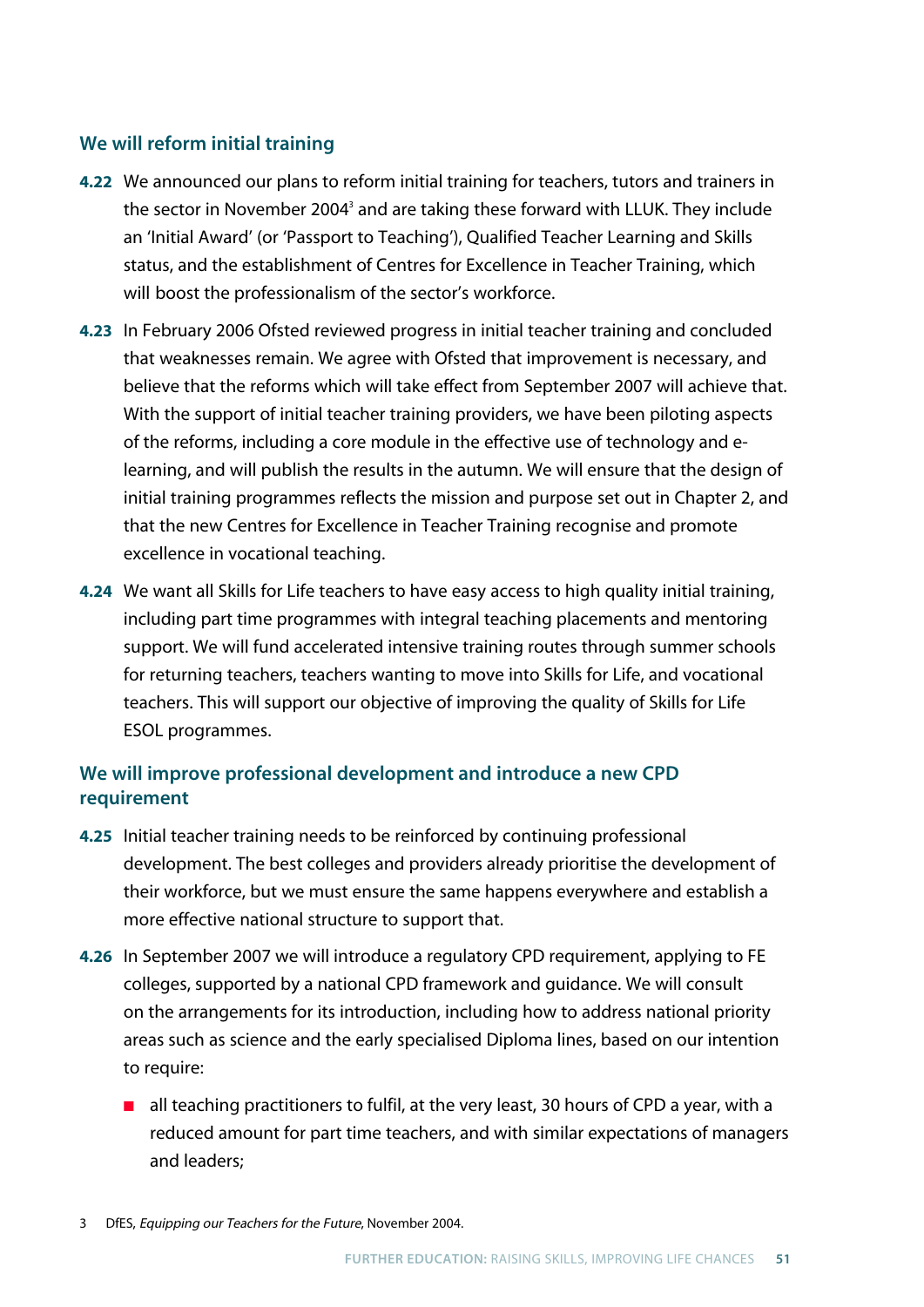## **We will reform initial training**

- **4.22** We announced our plans to reform initial training for teachers, tutors and trainers in the sector in November 2004<sup>3</sup> and are taking these forward with LLUK. They include an 'Initial Award' (or 'Passport to Teaching'), Qualified Teacher Learning and Skills status, and the establishment of Centres for Excellence in Teacher Training, which will boost the professionalism of the sector's workforce.
- **4.23** In February 2006 Ofsted reviewed progress in initial teacher training and concluded that weaknesses remain. We agree with Ofsted that improvement is necessary, and believe that the reforms which will take effect from September 2007 will achieve that. With the support of initial teacher training providers, we have been piloting aspects of the reforms, including a core module in the effective use of technology and elearning, and will publish the results in the autumn. We will ensure that the design of initial training programmes reflects the mission and purpose set out in Chapter 2, and that the new Centres for Excellence in Teacher Training recognise and promote excellence in vocational teaching.
- **4.24** We want all Skills for Life teachers to have easy access to high quality initial training, including part time programmes with integral teaching placements and mentoring support. We will fund accelerated intensive training routes through summer schools for returning teachers, teachers wanting to move into Skills for Life, and vocational teachers. This will support our objective of improving the quality of Skills for Life ESOL programmes.

# **We will improve professional development and introduce a new CPD requirement**

- **4.25** Initial teacher training needs to be reinforced by continuing professional development. The best colleges and providers already prioritise the development of their workforce, but we must ensure the same happens everywhere and establish a more effective national structure to support that.
- **4.26** In September 2007 we will introduce a regulatory CPD requirement, applying to FE colleges, supported by a national CPD framework and guidance. We will consult on the arrangements for its introduction, including how to address national priority areas such as science and the early specialised Diploma lines, based on our intention to require:
	- all teaching practitioners to fulfil, at the very least, 30 hours of CPD a year, with a reduced amount for part time teachers, and with similar expectations of managers and leaders;
- 3 DfES, Equipping our Teachers for the Future, November 2004.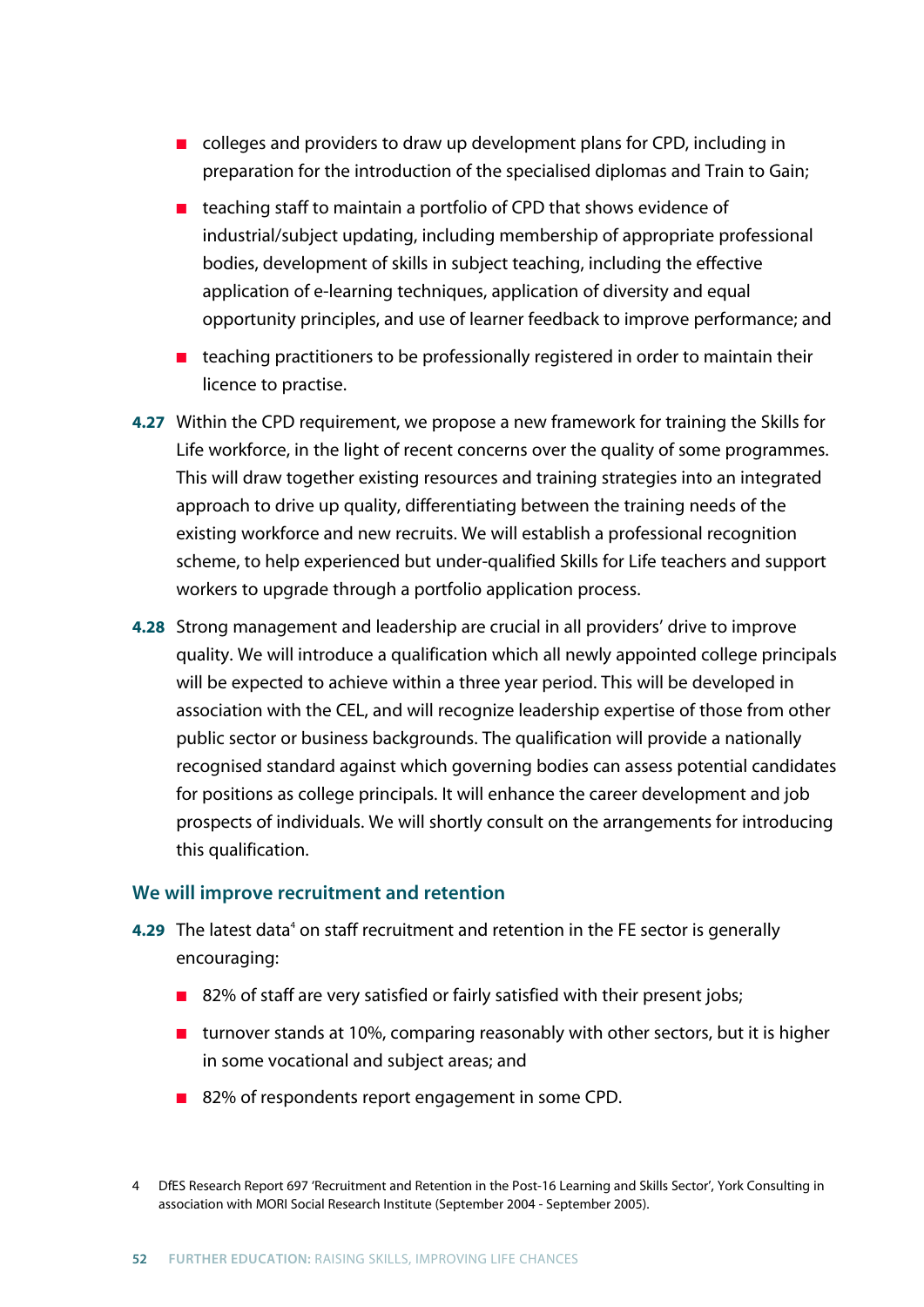- colleges and providers to draw up development plans for CPD, including in preparation for the introduction of the specialised diplomas and Train to Gain;
- teaching staff to maintain a portfolio of CPD that shows evidence of industrial/subject updating, including membership of appropriate professional bodies, development of skills in subject teaching, including the effective application of e-learning techniques, application of diversity and equal opportunity principles, and use of learner feedback to improve performance; and
- teaching practitioners to be professionally registered in order to maintain their licence to practise.
- **4.27** Within the CPD requirement, we propose a new framework for training the Skills for Life workforce, in the light of recent concerns over the quality of some programmes. This will draw together existing resources and training strategies into an integrated approach to drive up quality, differentiating between the training needs of the existing workforce and new recruits. We will establish a professional recognition scheme, to help experienced but under-qualified Skills for Life teachers and support workers to upgrade through a portfolio application process.
- **4.28** Strong management and leadership are crucial in all providers' drive to improve quality. We will introduce a qualification which all newly appointed college principals will be expected to achieve within a three year period. This will be developed in association with the CEL, and will recognize leadership expertise of those from other public sector or business backgrounds. The qualification will provide a nationally recognised standard against which governing bodies can assess potential candidates for positions as college principals. It will enhance the career development and job prospects of individuals. We will shortly consult on the arrangements for introducing this qualification.

#### **We will improve recruitment and retention**

- **4.29** The latest data<sup>4</sup> on staff recruitment and retention in the FE sector is generally encouraging:
	- 82% of staff are very satisfied or fairly satisfied with their present jobs;
	- turnover stands at 10%, comparing reasonably with other sectors, but it is higher in some vocational and subject areas; and
	- 82% of respondents report engagement in some CPD.

<sup>4</sup> DfES Research Report 697 'Recruitment and Retention in the Post-16 Learning and Skills Sector', York Consulting in association with MORI Social Research Institute (September 2004 - September 2005).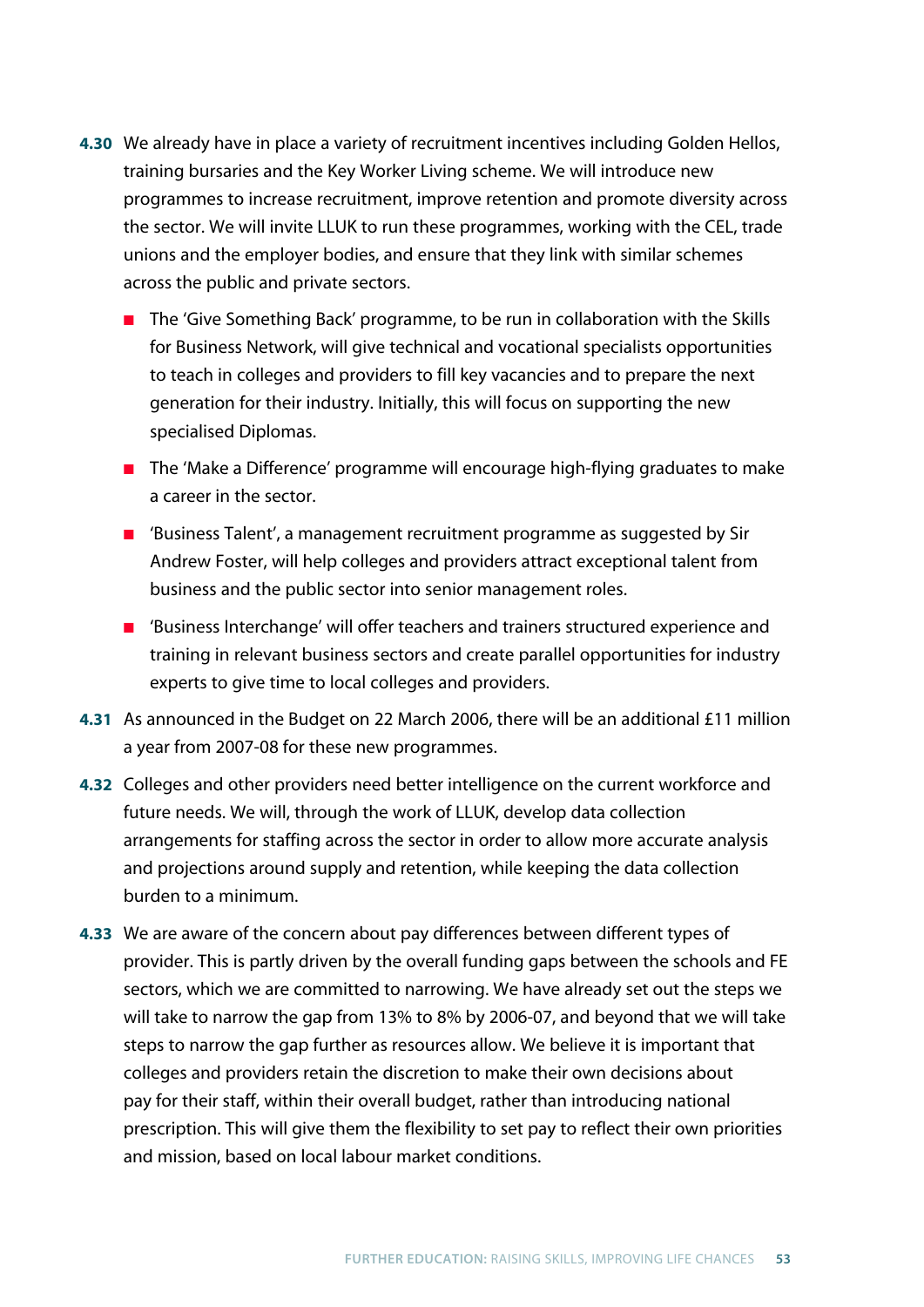- **4.30** We already have in place a variety of recruitment incentives including Golden Hellos, training bursaries and the Key Worker Living scheme. We will introduce new programmes to increase recruitment, improve retention and promote diversity across the sector. We will invite LLUK to run these programmes, working with the CEL, trade unions and the employer bodies, and ensure that they link with similar schemes across the public and private sectors.
	- The 'Give Something Back' programme, to be run in collaboration with the Skills for Business Network, will give technical and vocational specialists opportunities to teach in colleges and providers to fill key vacancies and to prepare the next generation for their industry. Initially, this will focus on supporting the new specialised Diplomas.
	- The 'Make a Difference' programme will encourage high-flying graduates to make a career in the sector.
	- 'Business Talent', a management recruitment programme as suggested by Sir Andrew Foster, will help colleges and providers attract exceptional talent from business and the public sector into senior management roles.
	- 'Business Interchange' will offer teachers and trainers structured experience and training in relevant business sectors and create parallel opportunities for industry experts to give time to local colleges and providers.
- **4.31** As announced in the Budget on 22 March 2006, there will be an additional £11 million a year from 2007-08 for these new programmes.
- **4.32** Colleges and other providers need better intelligence on the current workforce and future needs. We will, through the work of LLUK, develop data collection arrangements for staffing across the sector in order to allow more accurate analysis and projections around supply and retention, while keeping the data collection burden to a minimum.
- **4.33** We are aware of the concern about pay differences between different types of provider. This is partly driven by the overall funding gaps between the schools and FE sectors, which we are committed to narrowing. We have already set out the steps we will take to narrow the gap from 13% to 8% by 2006-07, and beyond that we will take steps to narrow the gap further as resources allow. We believe it is important that colleges and providers retain the discretion to make their own decisions about pay for their staff, within their overall budget, rather than introducing national prescription. This will give them the flexibility to set pay to reflect their own priorities and mission, based on local labour market conditions.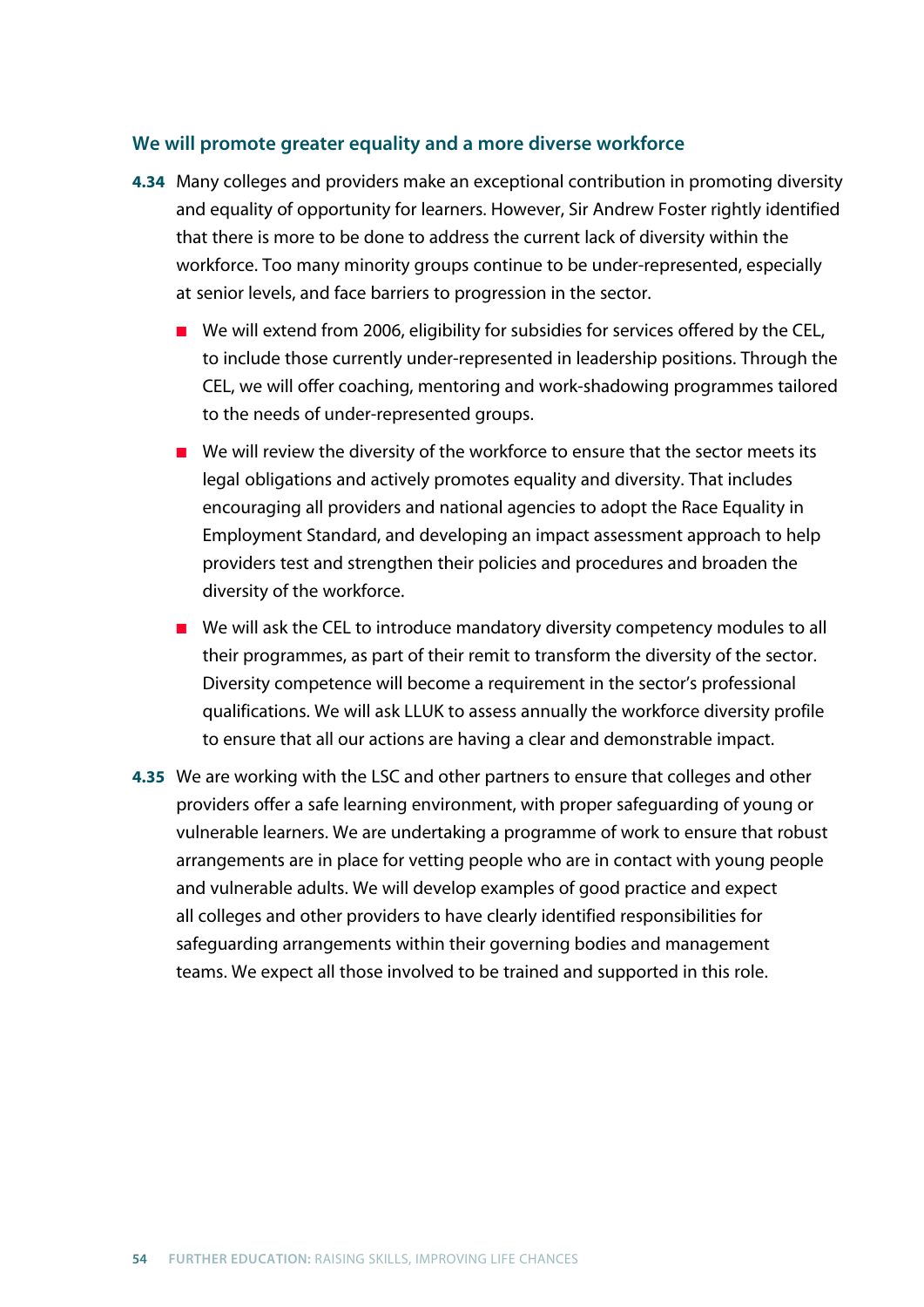#### **We will promote greater equality and a more diverse workforce**

- **4.34** Many colleges and providers make an exceptional contribution in promoting diversity and equality of opportunity for learners. However, Sir Andrew Foster rightly identified that there is more to be done to address the current lack of diversity within the workforce. Too many minority groups continue to be under-represented, especially at senior levels, and face barriers to progression in the sector.
	- We will extend from 2006, eligibility for subsidies for services offered by the CEL, to include those currently under-represented in leadership positions. Through the CEL, we will offer coaching, mentoring and work-shadowing programmes tailored to the needs of under-represented groups.
	- We will review the diversity of the workforce to ensure that the sector meets its legal obligations and actively promotes equality and diversity. That includes encouraging all providers and national agencies to adopt the Race Equality in Employment Standard, and developing an impact assessment approach to help providers test and strengthen their policies and procedures and broaden the diversity of the workforce.
	- We will ask the CEL to introduce mandatory diversity competency modules to all their programmes, as part of their remit to transform the diversity of the sector. Diversity competence will become a requirement in the sector's professional qualifications. We will ask LLUK to assess annually the workforce diversity profile to ensure that all our actions are having a clear and demonstrable impact.
- **4.35** We are working with the LSC and other partners to ensure that colleges and other providers offer a safe learning environment, with proper safeguarding of young or vulnerable learners. We are undertaking a programme of work to ensure that robust arrangements are in place for vetting people who are in contact with young people and vulnerable adults. We will develop examples of good practice and expect all colleges and other providers to have clearly identified responsibilities for safeguarding arrangements within their governing bodies and management teams. We expect all those involved to be trained and supported in this role.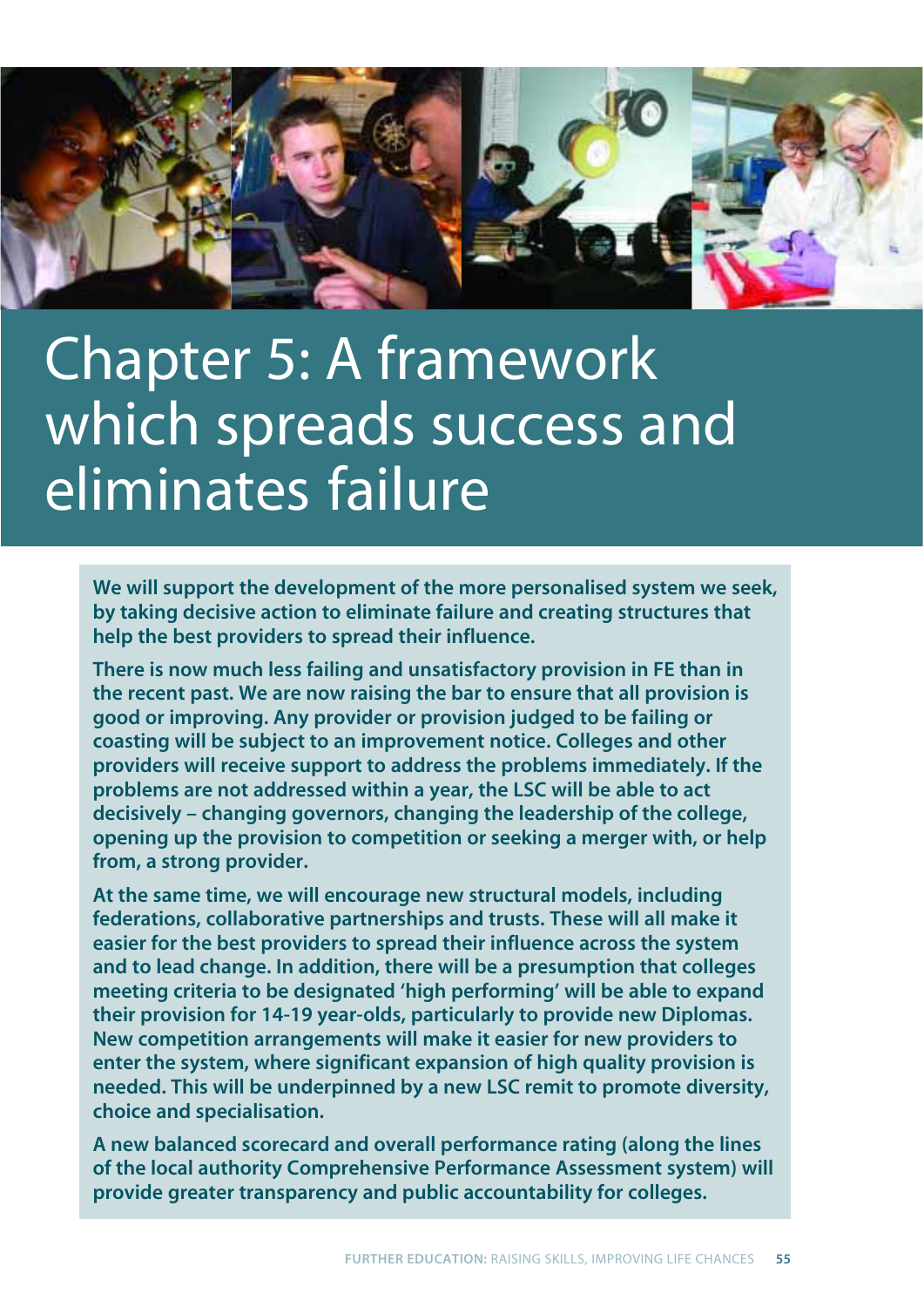

# Chapter 5: A framework which spreads success and eliminates failure

**We will support the development of the more personalised system we seek, by taking decisive action to eliminate failure and creating structures that help the best providers to spread their influence.**

**There is now much less failing and unsatisfactory provision in FE than in the recent past. We are now raising the bar to ensure that all provision is good or improving. Any provider or provision judged to be failing or coasting will be subject to an improvement notice. Colleges and other providers will receive support to address the problems immediately. If the problems are not addressed within a year, the LSC will be able to act decisively – changing governors, changing the leadership of the college, opening up the provision to competition or seeking a merger with, or help from, a strong provider.** 

**At the same time, we will encourage new structural models, including federations, collaborative partnerships and trusts. These will all make it easier for the best providers to spread their influence across the system and to lead change. In addition, there will be a presumption that colleges meeting criteria to be designated 'high performing' will be able to expand their provision for 14-19 year-olds, particularly to provide new Diplomas. New competition arrangements will make it easier for new providers to enter the system, where significant expansion of high quality provision is needed. This will be underpinned by a new LSC remit to promote diversity, choice and specialisation.**

**A new balanced scorecard and overall performance rating (along the lines of the local authority Comprehensive Performance Assessment system) will provide greater transparency and public accountability for colleges.**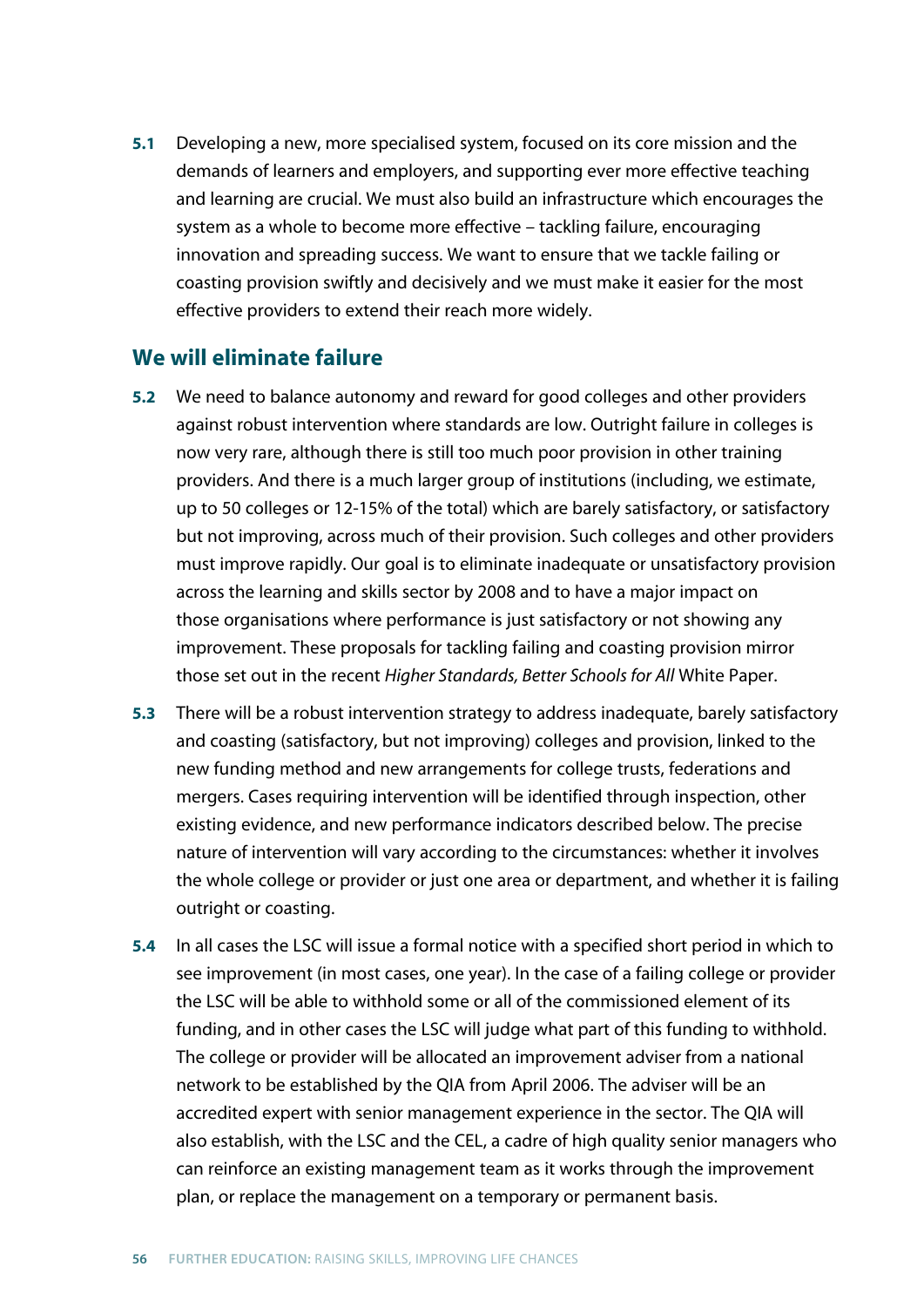**5.1** Developing a new, more specialised system, focused on its core mission and the demands of learners and employers, and supporting ever more effective teaching and learning are crucial. We must also build an infrastructure which encourages the system as a whole to become more effective – tackling failure, encouraging innovation and spreading success. We want to ensure that we tackle failing or coasting provision swiftly and decisively and we must make it easier for the most effective providers to extend their reach more widely.

## **We will eliminate failure**

- **5.2** We need to balance autonomy and reward for good colleges and other providers against robust intervention where standards are low. Outright failure in colleges is now very rare, although there is still too much poor provision in other training providers. And there is a much larger group of institutions (including, we estimate, up to 50 colleges or 12-15% of the total) which are barely satisfactory, or satisfactory but not improving, across much of their provision. Such colleges and other providers must improve rapidly. Our goal is to eliminate inadequate or unsatisfactory provision across the learning and skills sector by 2008 and to have a major impact on those organisations where performance is just satisfactory or not showing any improvement. These proposals for tackling failing and coasting provision mirror those set out in the recent *Higher Standards, Better Schools for All* White Paper.
- **5.3** There will be a robust intervention strategy to address inadequate, barely satisfactory and coasting (satisfactory, but not improving) colleges and provision, linked to the new funding method and new arrangements for college trusts, federations and mergers. Cases requiring intervention will be identified through inspection, other existing evidence, and new performance indicators described below. The precise nature of intervention will vary according to the circumstances: whether it involves the whole college or provider or just one area or department, and whether it is failing outright or coasting.
- **5.4** In all cases the LSC will issue a formal notice with a specified short period in which to see improvement (in most cases, one year). In the case of a failing college or provider the LSC will be able to withhold some or all of the commissioned element of its funding, and in other cases the LSC will judge what part of this funding to withhold. The college or provider will be allocated an improvement adviser from a national network to be established by the QIA from April 2006. The adviser will be an accredited expert with senior management experience in the sector. The QIA will also establish, with the LSC and the CEL, a cadre of high quality senior managers who can reinforce an existing management team as it works through the improvement plan, or replace the management on a temporary or permanent basis.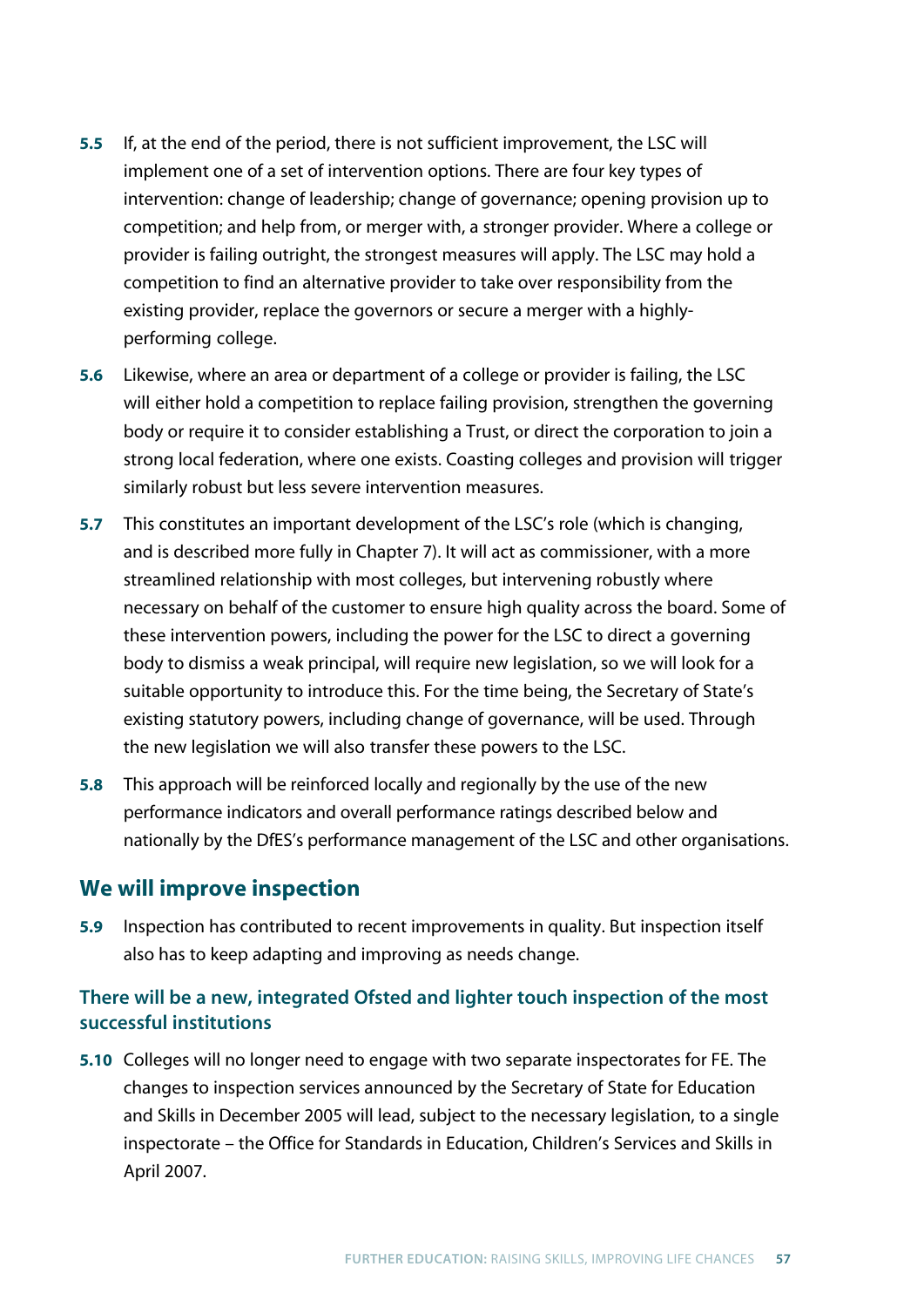- **5.5** If, at the end of the period, there is not sufficient improvement, the LSC will implement one of a set of intervention options. There are four key types of intervention: change of leadership; change of governance; opening provision up to competition; and help from, or merger with, a stronger provider. Where a college or provider is failing outright, the strongest measures will apply. The LSC may hold a competition to find an alternative provider to take over responsibility from the existing provider, replace the governors or secure a merger with a highlyperforming college.
- **5.6** Likewise, where an area or department of a college or provider is failing, the LSC will either hold a competition to replace failing provision, strengthen the governing body or require it to consider establishing a Trust, or direct the corporation to join a strong local federation, where one exists. Coasting colleges and provision will trigger similarly robust but less severe intervention measures.
- **5.7** This constitutes an important development of the LSC's role (which is changing, and is described more fully in Chapter 7). It will act as commissioner, with a more streamlined relationship with most colleges, but intervening robustly where necessary on behalf of the customer to ensure high quality across the board. Some of these intervention powers, including the power for the LSC to direct a governing body to dismiss a weak principal, will require new legislation, so we will look for a suitable opportunity to introduce this. For the time being, the Secretary of State's existing statutory powers, including change of governance, will be used. Through the new legislation we will also transfer these powers to the LSC.
- **5.8** This approach will be reinforced locally and regionally by the use of the new performance indicators and overall performance ratings described below and nationally by the DfES's performance management of the LSC and other organisations.

# **We will improve inspection**

**5.9** Inspection has contributed to recent improvements in quality. But inspection itself also has to keep adapting and improving as needs change.

## **There will be a new, integrated Ofsted and lighter touch inspection of the most successful institutions**

**5.10** Colleges will no longer need to engage with two separate inspectorates for FE. The changes to inspection services announced by the Secretary of State for Education and Skills in December 2005 will lead, subject to the necessary legislation, to a single inspectorate – the Office for Standards in Education, Children's Services and Skills in April 2007.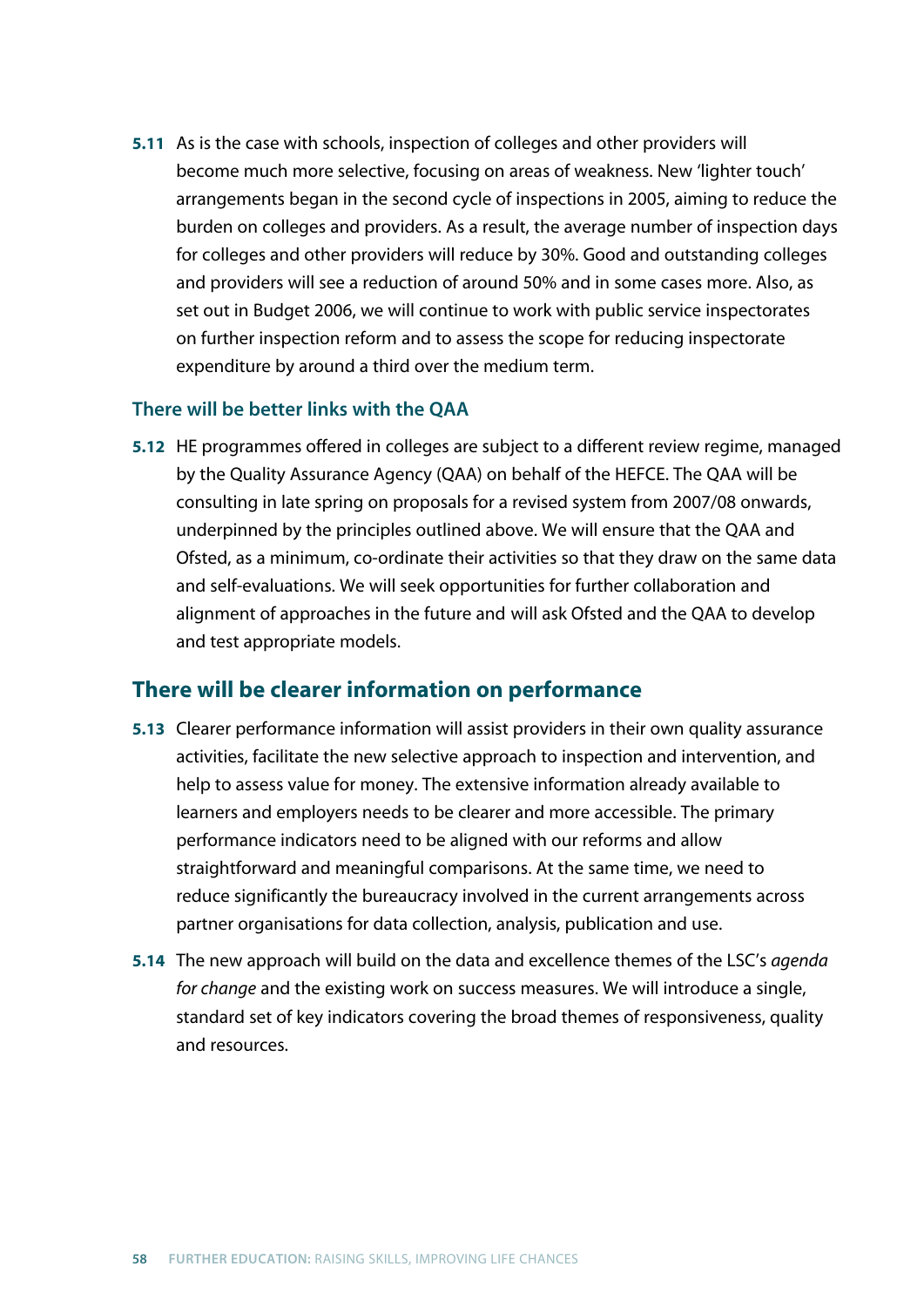**5.11** As is the case with schools, inspection of colleges and other providers will become much more selective, focusing on areas of weakness. New 'lighter touch' arrangements began in the second cycle of inspections in 2005, aiming to reduce the burden on colleges and providers. As a result, the average number of inspection days for colleges and other providers will reduce by 30%. Good and outstanding colleges and providers will see a reduction of around 50% and in some cases more. Also, as set out in Budget 2006, we will continue to work with public service inspectorates on further inspection reform and to assess the scope for reducing inspectorate expenditure by around a third over the medium term.

## **There will be better links with the QAA**

**5.12** HE programmes offered in colleges are subject to a different review regime, managed by the Quality Assurance Agency (QAA) on behalf of the HEFCE. The QAA will be consulting in late spring on proposals for a revised system from 2007/08 onwards, underpinned by the principles outlined above. We will ensure that the QAA and Ofsted, as a minimum, co-ordinate their activities so that they draw on the same data and self-evaluations. We will seek opportunities for further collaboration and alignment of approaches in the future and will ask Ofsted and the QAA to develop and test appropriate models.

## **There will be clearer information on performance**

- **5.13** Clearer performance information will assist providers in their own quality assurance activities, facilitate the new selective approach to inspection and intervention, and help to assess value for money. The extensive information already available to learners and employers needs to be clearer and more accessible. The primary performance indicators need to be aligned with our reforms and allow straightforward and meaningful comparisons. At the same time, we need to reduce significantly the bureaucracy involved in the current arrangements across partner organisations for data collection, analysis, publication and use.
- **5.14** The new approach will build on the data and excellence themes of the LSC's *agenda for change* and the existing work on success measures. We will introduce a single, standard set of key indicators covering the broad themes of responsiveness, quality and resources.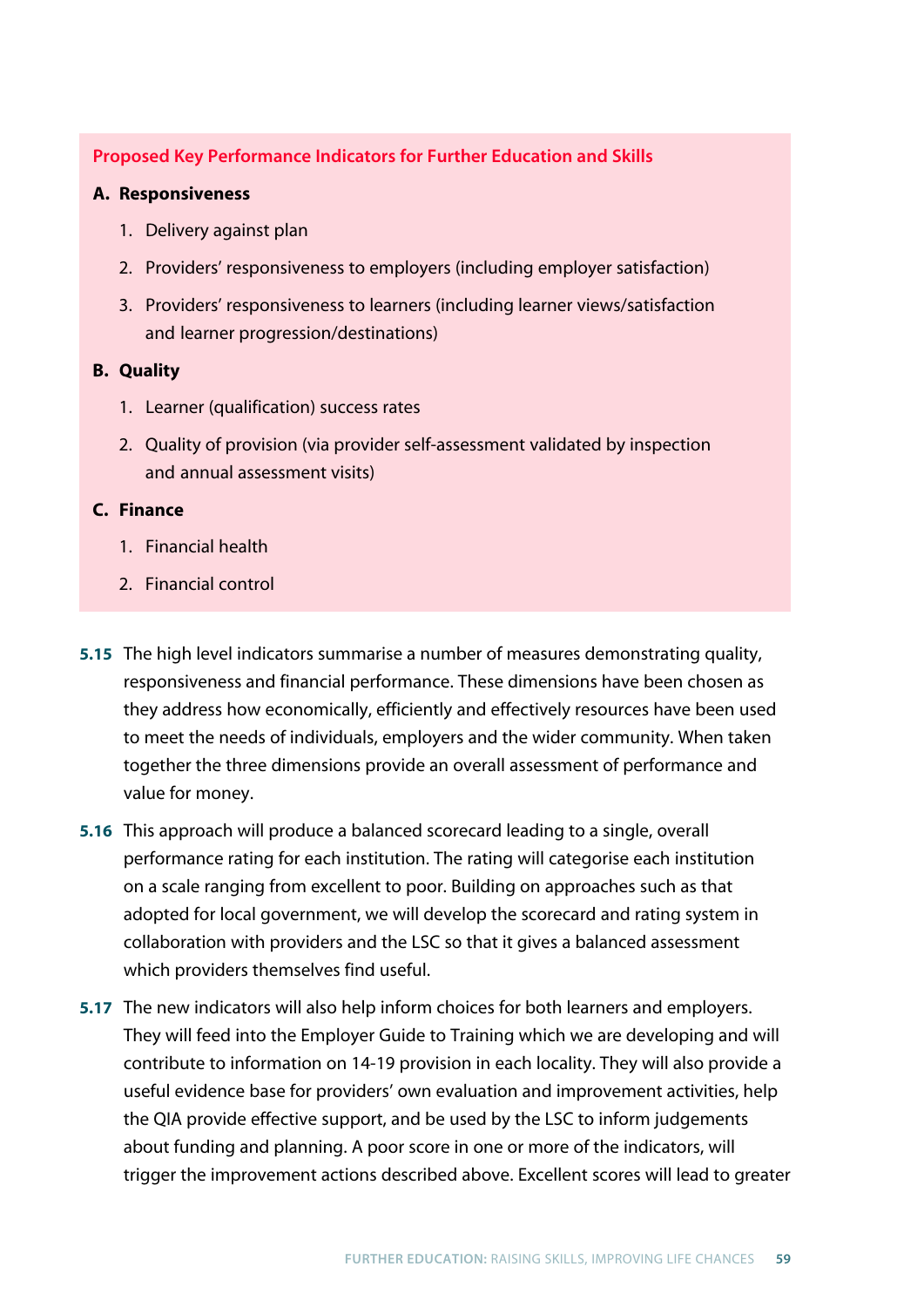**Proposed Key Performance Indicators for Further Education and Skills**

## **A. Responsiveness**

- 1. Delivery against plan
- 2. Providers' responsiveness to employers (including employer satisfaction)
- 3. Providers' responsiveness to learners (including learner views/satisfaction and learner progression/destinations)

### **B. Quality**

- 1. Learner (qualification) success rates
- 2. Quality of provision (via provider self-assessment validated by inspection and annual assessment visits)

### **C. Finance**

- 1. Financial health
- 2. Financial control
- **5.15** The high level indicators summarise a number of measures demonstrating quality, responsiveness and financial performance. These dimensions have been chosen as they address how economically, efficiently and effectively resources have been used to meet the needs of individuals, employers and the wider community. When taken together the three dimensions provide an overall assessment of performance and value for money.
- **5.16** This approach will produce a balanced scorecard leading to a single, overall performance rating for each institution. The rating will categorise each institution on a scale ranging from excellent to poor. Building on approaches such as that adopted for local government, we will develop the scorecard and rating system in collaboration with providers and the LSC so that it gives a balanced assessment which providers themselves find useful.
- **5.17** The new indicators will also help inform choices for both learners and employers. They will feed into the Employer Guide to Training which we are developing and will contribute to information on 14-19 provision in each locality. They will also provide a useful evidence base for providers' own evaluation and improvement activities, help the QIA provide effective support, and be used by the LSC to inform judgements about funding and planning. A poor score in one or more of the indicators, will trigger the improvement actions described above. Excellent scores will lead to greater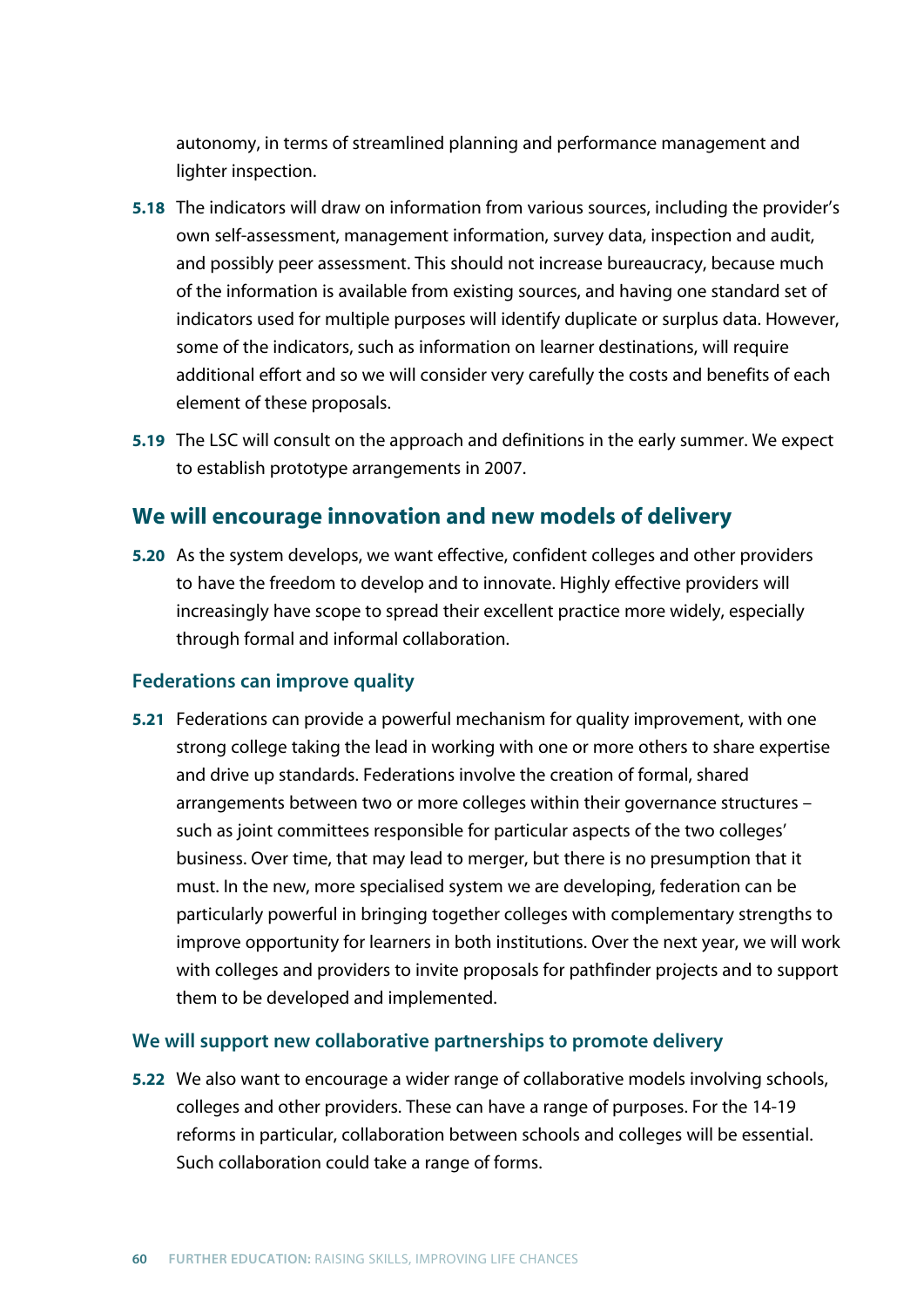autonomy, in terms of streamlined planning and performance management and lighter inspection.

- **5.18** The indicators will draw on information from various sources, including the provider's own self-assessment, management information, survey data, inspection and audit, and possibly peer assessment. This should not increase bureaucracy, because much of the information is available from existing sources, and having one standard set of indicators used for multiple purposes will identify duplicate or surplus data. However, some of the indicators, such as information on learner destinations, will require additional effort and so we will consider very carefully the costs and benefits of each element of these proposals.
- **5.19** The LSC will consult on the approach and definitions in the early summer. We expect to establish prototype arrangements in 2007.

# **We will encourage innovation and new models of delivery**

**5.20** As the system develops, we want effective, confident colleges and other providers to have the freedom to develop and to innovate. Highly effective providers will increasingly have scope to spread their excellent practice more widely, especially through formal and informal collaboration.

## **Federations can improve quality**

**5.21** Federations can provide a powerful mechanism for quality improvement, with one strong college taking the lead in working with one or more others to share expertise and drive up standards. Federations involve the creation of formal, shared arrangements between two or more colleges within their governance structures – such as joint committees responsible for particular aspects of the two colleges' business. Over time, that may lead to merger, but there is no presumption that it must. In the new, more specialised system we are developing, federation can be particularly powerful in bringing together colleges with complementary strengths to improve opportunity for learners in both institutions. Over the next year, we will work with colleges and providers to invite proposals for pathfinder projects and to support them to be developed and implemented.

#### **We will support new collaborative partnerships to promote delivery**

**5.22** We also want to encourage a wider range of collaborative models involving schools, colleges and other providers. These can have a range of purposes. For the 14-19 reforms in particular, collaboration between schools and colleges will be essential. Such collaboration could take a range of forms.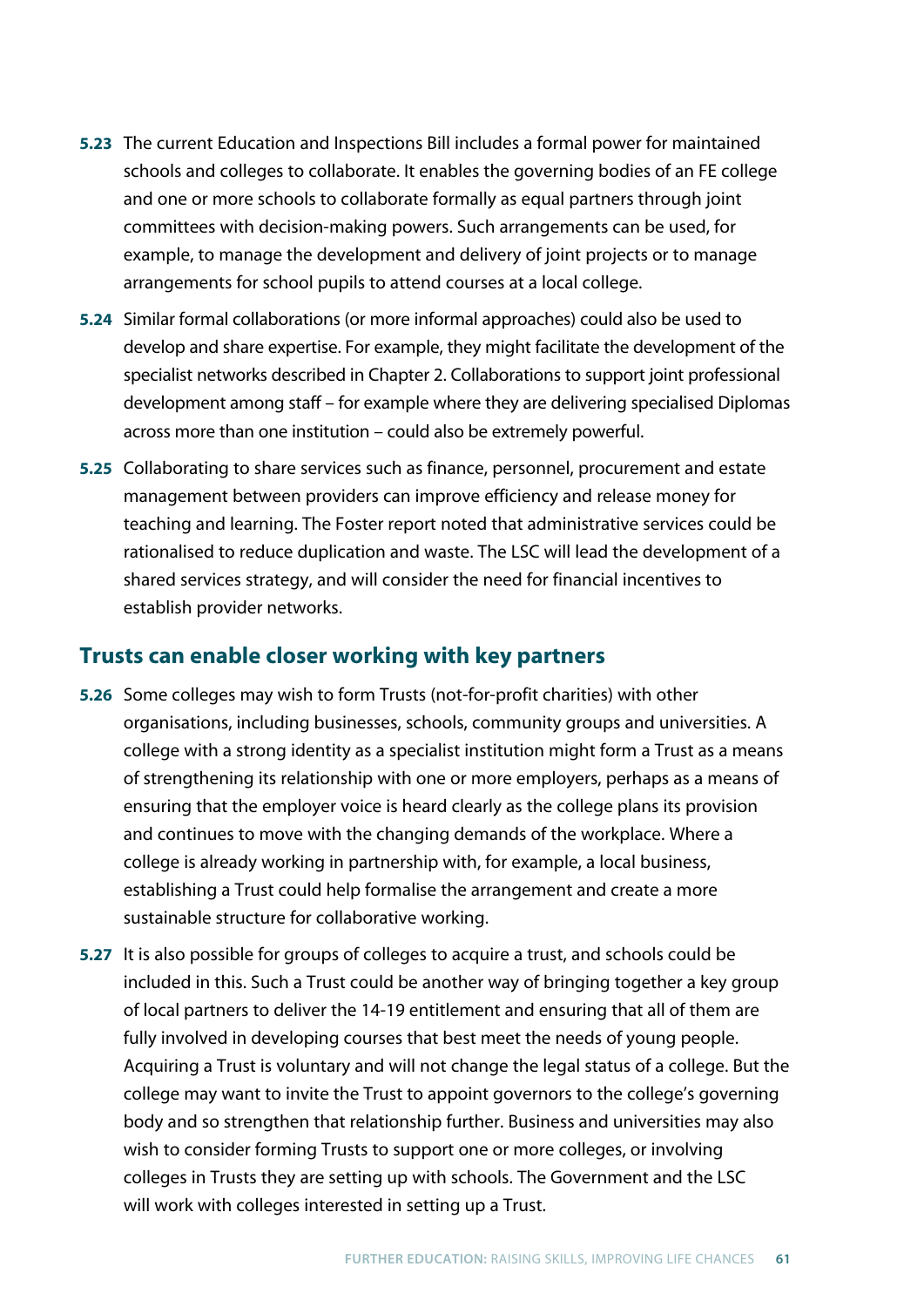- **5.23** The current Education and Inspections Bill includes a formal power for maintained schools and colleges to collaborate. It enables the governing bodies of an FE college and one or more schools to collaborate formally as equal partners through joint committees with decision-making powers. Such arrangements can be used, for example, to manage the development and delivery of joint projects or to manage arrangements for school pupils to attend courses at a local college.
- **5.24** Similar formal collaborations (or more informal approaches) could also be used to develop and share expertise. For example, they might facilitate the development of the specialist networks described in Chapter 2. Collaborations to support joint professional development among staff – for example where they are delivering specialised Diplomas across more than one institution – could also be extremely powerful.
- **5.25** Collaborating to share services such as finance, personnel, procurement and estate management between providers can improve efficiency and release money for teaching and learning. The Foster report noted that administrative services could be rationalised to reduce duplication and waste. The LSC will lead the development of a shared services strategy, and will consider the need for financial incentives to establish provider networks.

# **Trusts can enable closer working with key partners**

- **5.26** Some colleges may wish to form Trusts (not-for-profit charities) with other organisations, including businesses, schools, community groups and universities. A college with a strong identity as a specialist institution might form a Trust as a means of strengthening its relationship with one or more employers, perhaps as a means of ensuring that the employer voice is heard clearly as the college plans its provision and continues to move with the changing demands of the workplace. Where a college is already working in partnership with, for example, a local business, establishing a Trust could help formalise the arrangement and create a more sustainable structure for collaborative working.
- **5.27** It is also possible for groups of colleges to acquire a trust, and schools could be included in this. Such a Trust could be another way of bringing together a key group of local partners to deliver the 14-19 entitlement and ensuring that all of them are fully involved in developing courses that best meet the needs of young people. Acquiring a Trust is voluntary and will not change the legal status of a college. But the college may want to invite the Trust to appoint governors to the college's governing body and so strengthen that relationship further. Business and universities may also wish to consider forming Trusts to support one or more colleges, or involving colleges in Trusts they are setting up with schools. The Government and the LSC will work with colleges interested in setting up a Trust.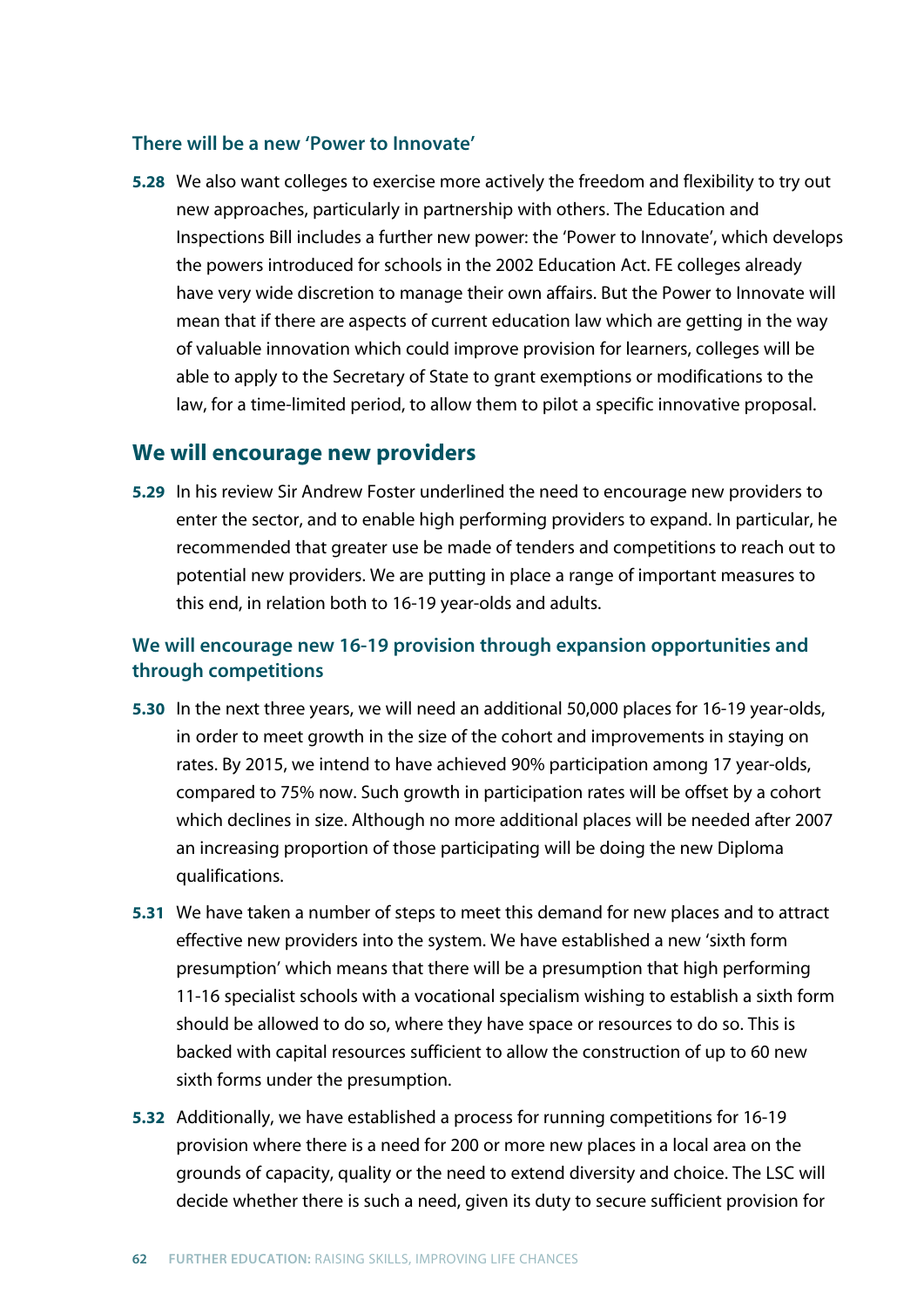#### **There will be a new 'Power to Innovate'**

**5.28** We also want colleges to exercise more actively the freedom and flexibility to try out new approaches, particularly in partnership with others. The Education and Inspections Bill includes a further new power: the 'Power to Innovate', which develops the powers introduced for schools in the 2002 Education Act. FE colleges already have very wide discretion to manage their own affairs. But the Power to Innovate will mean that if there are aspects of current education law which are getting in the way of valuable innovation which could improve provision for learners, colleges will be able to apply to the Secretary of State to grant exemptions or modifications to the law, for a time-limited period, to allow them to pilot a specific innovative proposal.

### **We will encourage new providers**

**5.29** In his review Sir Andrew Foster underlined the need to encourage new providers to enter the sector, and to enable high performing providers to expand. In particular, he recommended that greater use be made of tenders and competitions to reach out to potential new providers. We are putting in place a range of important measures to this end, in relation both to 16-19 year-olds and adults.

## **We will encourage new 16-19 provision through expansion opportunities and through competitions**

- **5.30** In the next three years, we will need an additional 50,000 places for 16-19 year-olds, in order to meet growth in the size of the cohort and improvements in staying on rates. By 2015, we intend to have achieved 90% participation among 17 year-olds, compared to 75% now. Such growth in participation rates will be offset by a cohort which declines in size. Although no more additional places will be needed after 2007 an increasing proportion of those participating will be doing the new Diploma qualifications.
- **5.31** We have taken a number of steps to meet this demand for new places and to attract effective new providers into the system. We have established a new 'sixth form presumption' which means that there will be a presumption that high performing 11-16 specialist schools with a vocational specialism wishing to establish a sixth form should be allowed to do so, where they have space or resources to do so. This is backed with capital resources sufficient to allow the construction of up to 60 new sixth forms under the presumption.
- **5.32** Additionally, we have established a process for running competitions for 16-19 provision where there is a need for 200 or more new places in a local area on the grounds of capacity, quality or the need to extend diversity and choice. The LSC will decide whether there is such a need, given its duty to secure sufficient provision for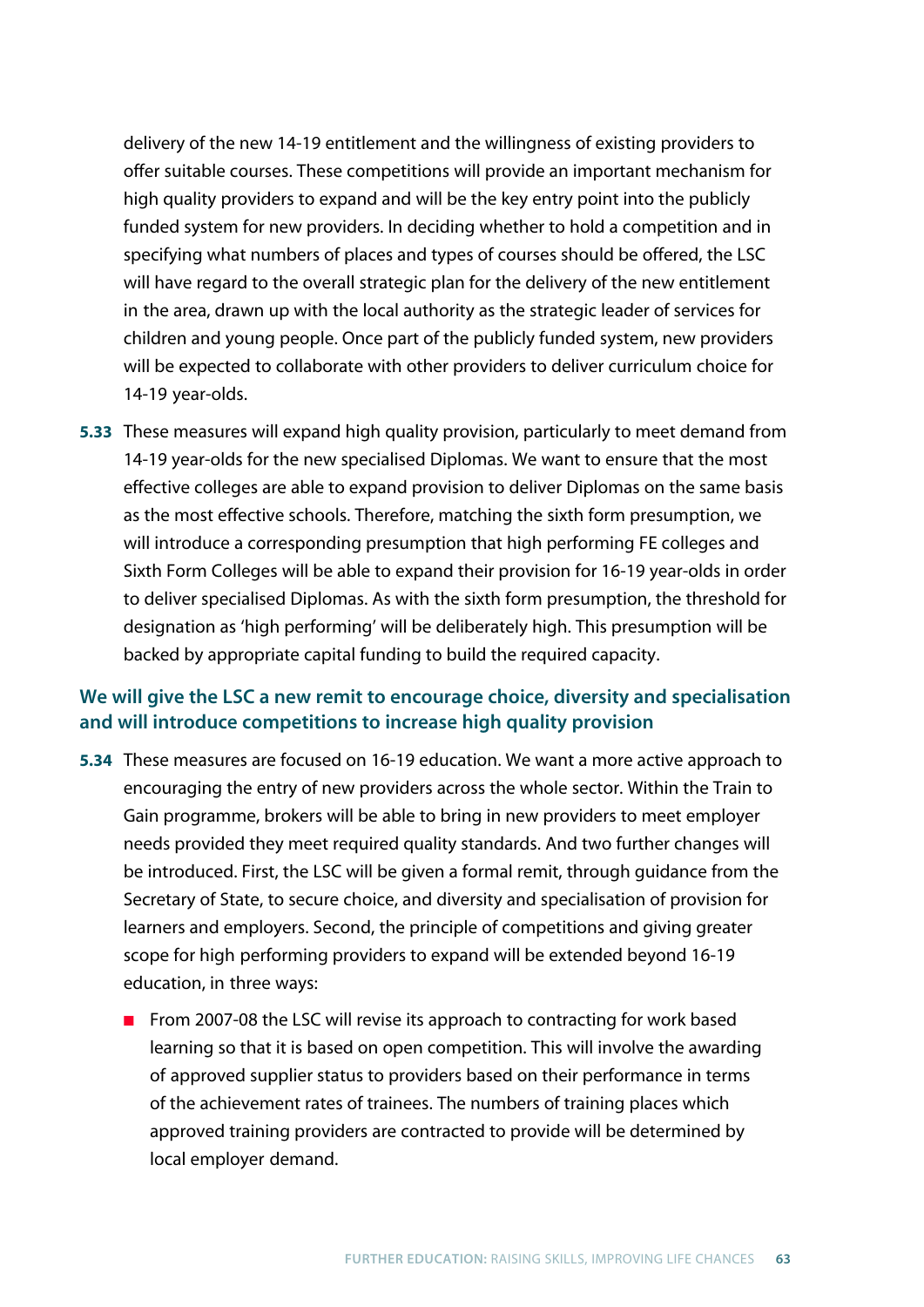delivery of the new 14-19 entitlement and the willingness of existing providers to offer suitable courses. These competitions will provide an important mechanism for high quality providers to expand and will be the key entry point into the publicly funded system for new providers. In deciding whether to hold a competition and in specifying what numbers of places and types of courses should be offered, the LSC will have regard to the overall strategic plan for the delivery of the new entitlement in the area, drawn up with the local authority as the strategic leader of services for children and young people. Once part of the publicly funded system, new providers will be expected to collaborate with other providers to deliver curriculum choice for 14-19 year-olds.

**5.33** These measures will expand high quality provision, particularly to meet demand from 14-19 year-olds for the new specialised Diplomas. We want to ensure that the most effective colleges are able to expand provision to deliver Diplomas on the same basis as the most effective schools. Therefore, matching the sixth form presumption, we will introduce a corresponding presumption that high performing FE colleges and Sixth Form Colleges will be able to expand their provision for 16-19 year-olds in order to deliver specialised Diplomas. As with the sixth form presumption, the threshold for designation as 'high performing' will be deliberately high. This presumption will be backed by appropriate capital funding to build the required capacity.

## **We will give the LSC a new remit to encourage choice, diversity and specialisation and will introduce competitions to increase high quality provision**

- **5.34** These measures are focused on 16-19 education. We want a more active approach to encouraging the entry of new providers across the whole sector. Within the Train to Gain programme, brokers will be able to bring in new providers to meet employer needs provided they meet required quality standards. And two further changes will be introduced. First, the LSC will be given a formal remit, through guidance from the Secretary of State, to secure choice, and diversity and specialisation of provision for learners and employers. Second, the principle of competitions and giving greater scope for high performing providers to expand will be extended beyond 16-19 education, in three ways:
	- From 2007-08 the LSC will revise its approach to contracting for work based learning so that it is based on open competition. This will involve the awarding of approved supplier status to providers based on their performance in terms of the achievement rates of trainees. The numbers of training places which approved training providers are contracted to provide will be determined by local employer demand.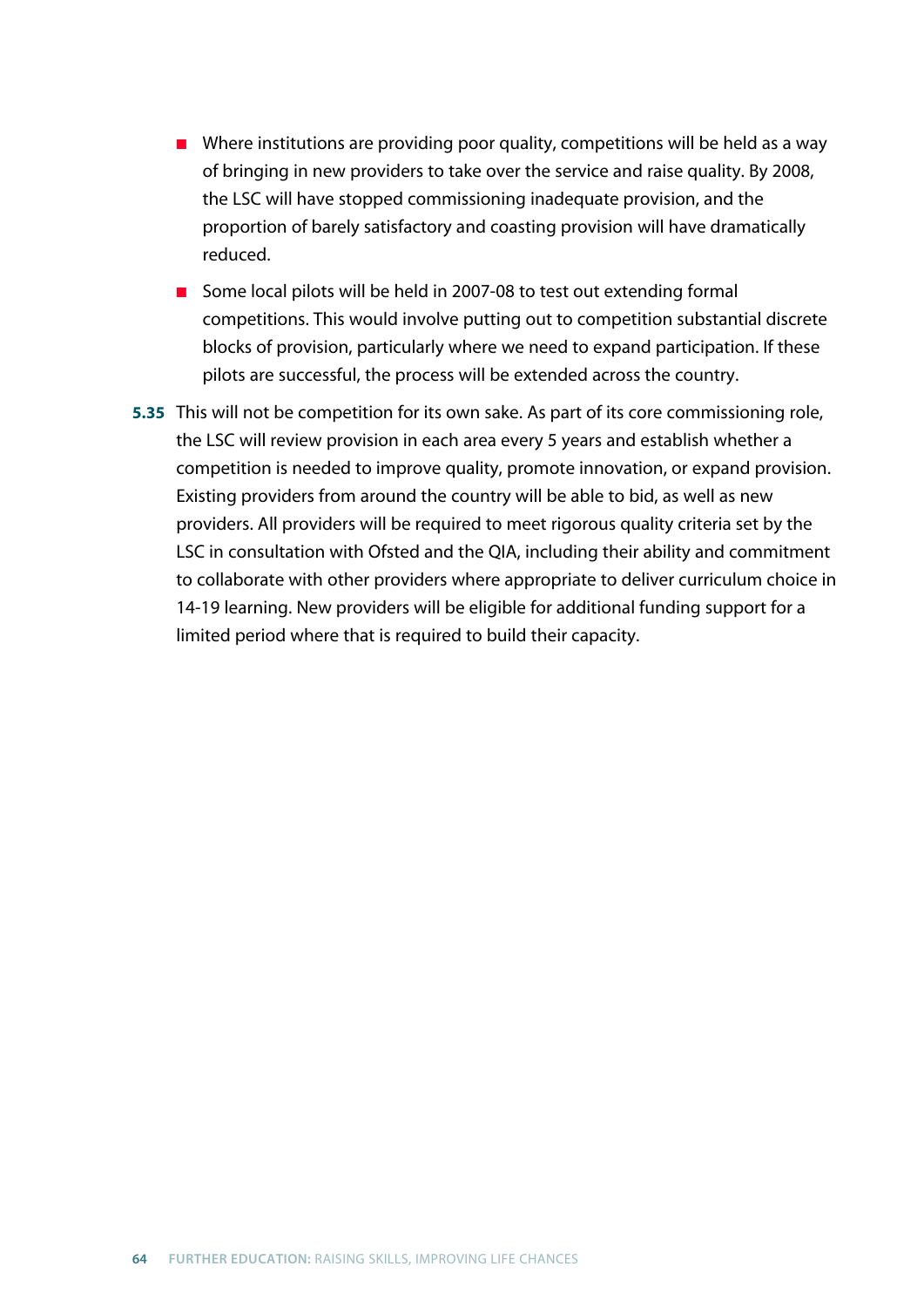- Where institutions are providing poor quality, competitions will be held as a way of bringing in new providers to take over the service and raise quality. By 2008, the LSC will have stopped commissioning inadequate provision, and the proportion of barely satisfactory and coasting provision will have dramatically reduced.
- Some local pilots will be held in 2007-08 to test out extending formal competitions. This would involve putting out to competition substantial discrete blocks of provision, particularly where we need to expand participation. If these pilots are successful, the process will be extended across the country.
- **5.35** This will not be competition for its own sake. As part of its core commissioning role, the LSC will review provision in each area every 5 years and establish whether a competition is needed to improve quality, promote innovation, or expand provision. Existing providers from around the country will be able to bid, as well as new providers. All providers will be required to meet rigorous quality criteria set by the LSC in consultation with Ofsted and the QIA, including their ability and commitment to collaborate with other providers where appropriate to deliver curriculum choice in 14-19 learning. New providers will be eligible for additional funding support for a limited period where that is required to build their capacity.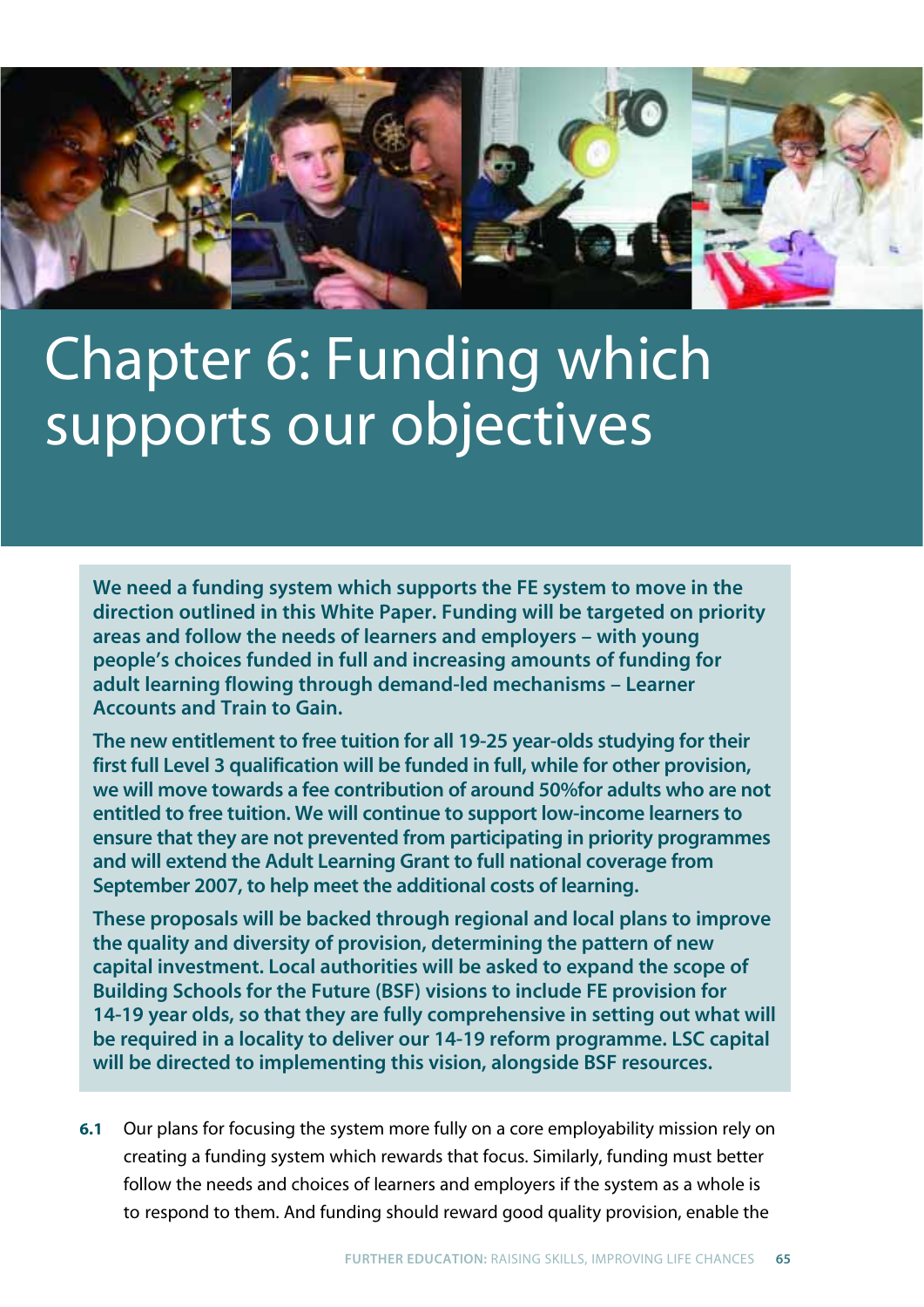

# Chapter 6: Funding which supports our objectives

**We need a funding system which supports the FE system to move in the direction outlined in this White Paper. Funding will be targeted on priority areas and follow the needs of learners and employers – with young people's choices funded in full and increasing amounts of funding for adult learning flowing through demand-led mechanisms – Learner Accounts and Train to Gain.**

**The new entitlement to free tuition for all 19-25 year-olds studying for their first full Level 3 qualification will be funded in full, while for other provision, we will move towards a fee contribution of around 50%for adults who are not entitled to free tuition. We will continue to support low-income learners to ensure that they are not prevented from participating in priority programmes and will extend the Adult Learning Grant to full national coverage from September 2007, to help meet the additional costs of learning.**

**These proposals will be backed through regional and local plans to improve the quality and diversity of provision, determining the pattern of new capital investment. Local authorities will be asked to expand the scope of Building Schools for the Future (BSF) visions to include FE provision for 14-19 year olds, so that they are fully comprehensive in setting out what will be required in a locality to deliver our 14-19 reform programme. LSC capital will be directed to implementing this vision, alongside BSF resources.**

**6.1** Our plans for focusing the system more fully on a core employability mission rely on creating a funding system which rewards that focus. Similarly, funding must better follow the needs and choices of learners and employers if the system as a whole is to respond to them. And funding should reward good quality provision, enable the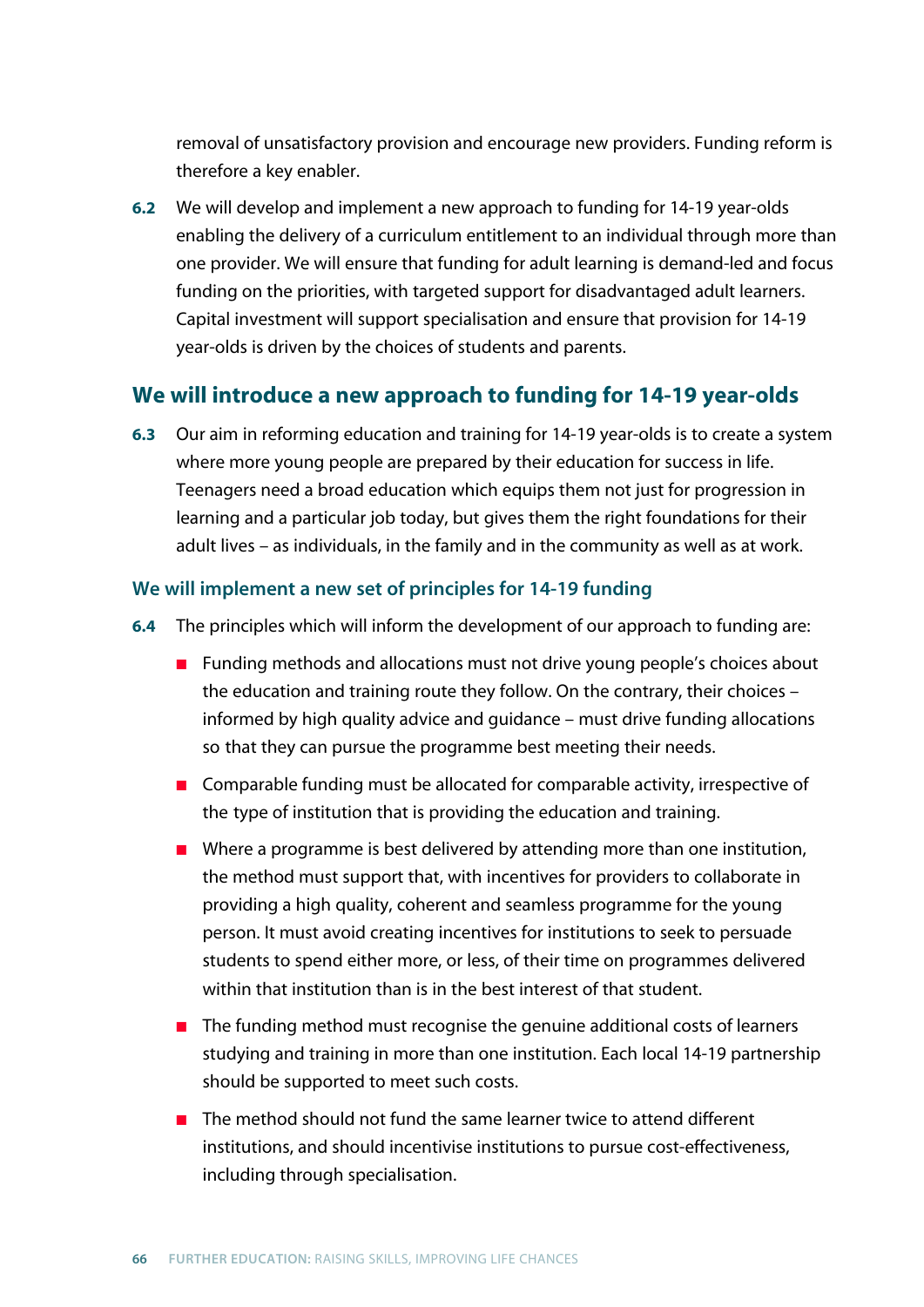removal of unsatisfactory provision and encourage new providers. Funding reform is therefore a key enabler.

**6.2** We will develop and implement a new approach to funding for 14-19 year-olds enabling the delivery of a curriculum entitlement to an individual through more than one provider. We will ensure that funding for adult learning is demand-led and focus funding on the priorities, with targeted support for disadvantaged adult learners. Capital investment will support specialisation and ensure that provision for 14-19 year-olds is driven by the choices of students and parents.

# **We will introduce a new approach to funding for 14-19 year-olds**

**6.3** Our aim in reforming education and training for 14-19 year-olds is to create a system where more young people are prepared by their education for success in life. Teenagers need a broad education which equips them not just for progression in learning and a particular job today, but gives them the right foundations for their adult lives – as individuals, in the family and in the community as well as at work.

## **We will implement a new set of principles for 14-19 funding**

- **6.4** The principles which will inform the development of our approach to funding are:
	- Funding methods and allocations must not drive young people's choices about the education and training route they follow. On the contrary, their choices – informed by high quality advice and guidance – must drive funding allocations so that they can pursue the programme best meeting their needs.
	- Comparable funding must be allocated for comparable activity, irrespective of the type of institution that is providing the education and training.
	- Where a programme is best delivered by attending more than one institution, the method must support that, with incentives for providers to collaborate in providing a high quality, coherent and seamless programme for the young person. It must avoid creating incentives for institutions to seek to persuade students to spend either more, or less, of their time on programmes delivered within that institution than is in the best interest of that student.
	- The funding method must recognise the genuine additional costs of learners studying and training in more than one institution. Each local 14-19 partnership should be supported to meet such costs.
	- The method should not fund the same learner twice to attend different institutions, and should incentivise institutions to pursue cost-effectiveness, including through specialisation.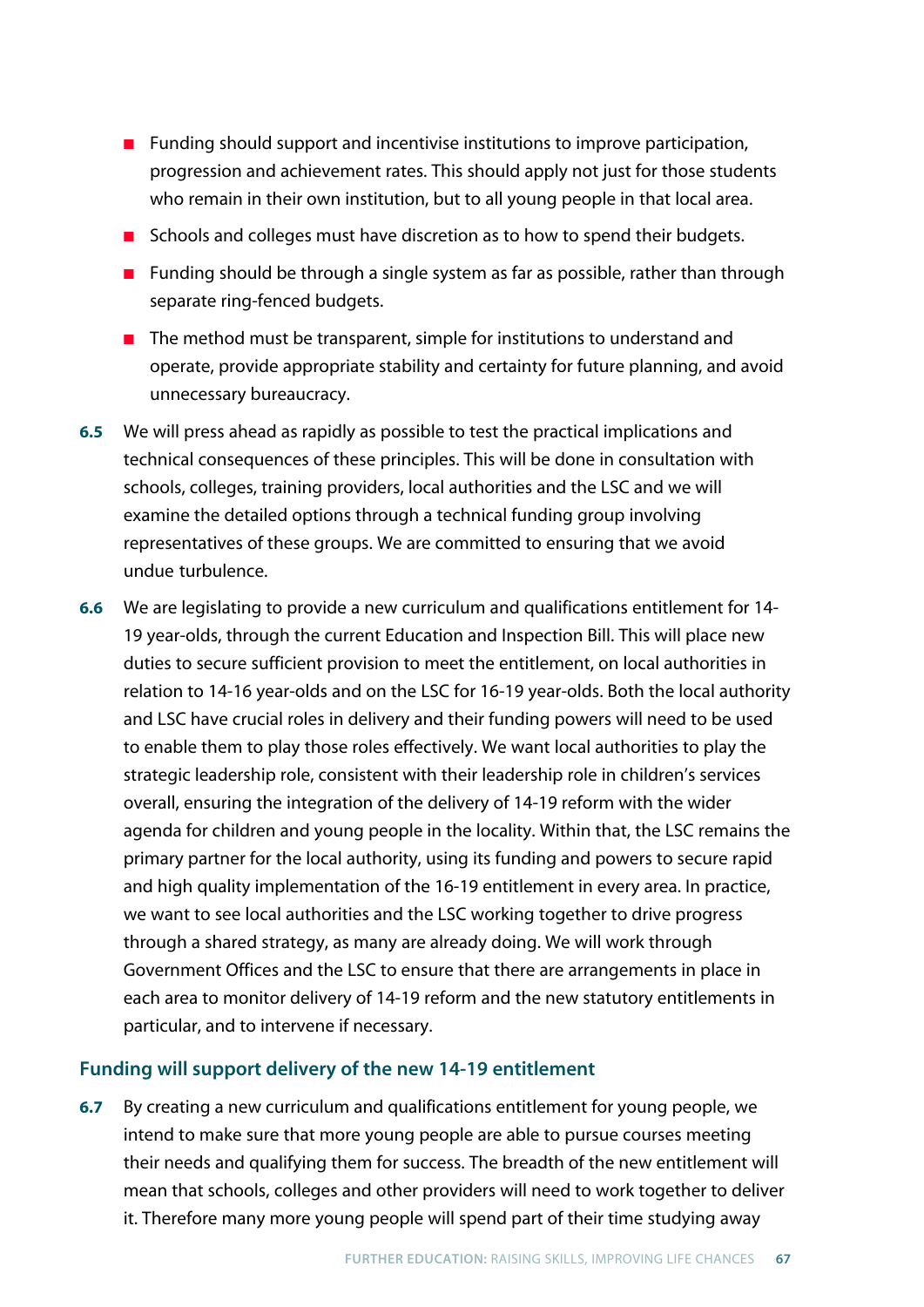- Funding should support and incentivise institutions to improve participation, progression and achievement rates. This should apply not just for those students who remain in their own institution, but to all young people in that local area.
- Schools and colleges must have discretion as to how to spend their budgets.
- Funding should be through a single system as far as possible, rather than through separate ring-fenced budgets.
- The method must be transparent, simple for institutions to understand and operate, provide appropriate stability and certainty for future planning, and avoid unnecessary bureaucracy.
- **6.5** We will press ahead as rapidly as possible to test the practical implications and technical consequences of these principles. This will be done in consultation with schools, colleges, training providers, local authorities and the LSC and we will examine the detailed options through a technical funding group involving representatives of these groups. We are committed to ensuring that we avoid undue turbulence.
- **6.6** We are legislating to provide a new curriculum and qualifications entitlement for 14- 19 year-olds, through the current Education and Inspection Bill. This will place new duties to secure sufficient provision to meet the entitlement, on local authorities in relation to 14-16 year-olds and on the LSC for 16-19 year-olds. Both the local authority and LSC have crucial roles in delivery and their funding powers will need to be used to enable them to play those roles effectively. We want local authorities to play the strategic leadership role, consistent with their leadership role in children's services overall, ensuring the integration of the delivery of 14-19 reform with the wider agenda for children and young people in the locality. Within that, the LSC remains the primary partner for the local authority, using its funding and powers to secure rapid and high quality implementation of the 16-19 entitlement in every area. In practice, we want to see local authorities and the LSC working together to drive progress through a shared strategy, as many are already doing. We will work through Government Offices and the LSC to ensure that there are arrangements in place in each area to monitor delivery of 14-19 reform and the new statutory entitlements in particular, and to intervene if necessary.

## **Funding will support delivery of the new 14-19 entitlement**

**6.7** By creating a new curriculum and qualifications entitlement for young people, we intend to make sure that more young people are able to pursue courses meeting their needs and qualifying them for success. The breadth of the new entitlement will mean that schools, colleges and other providers will need to work together to deliver it. Therefore many more young people will spend part of their time studying away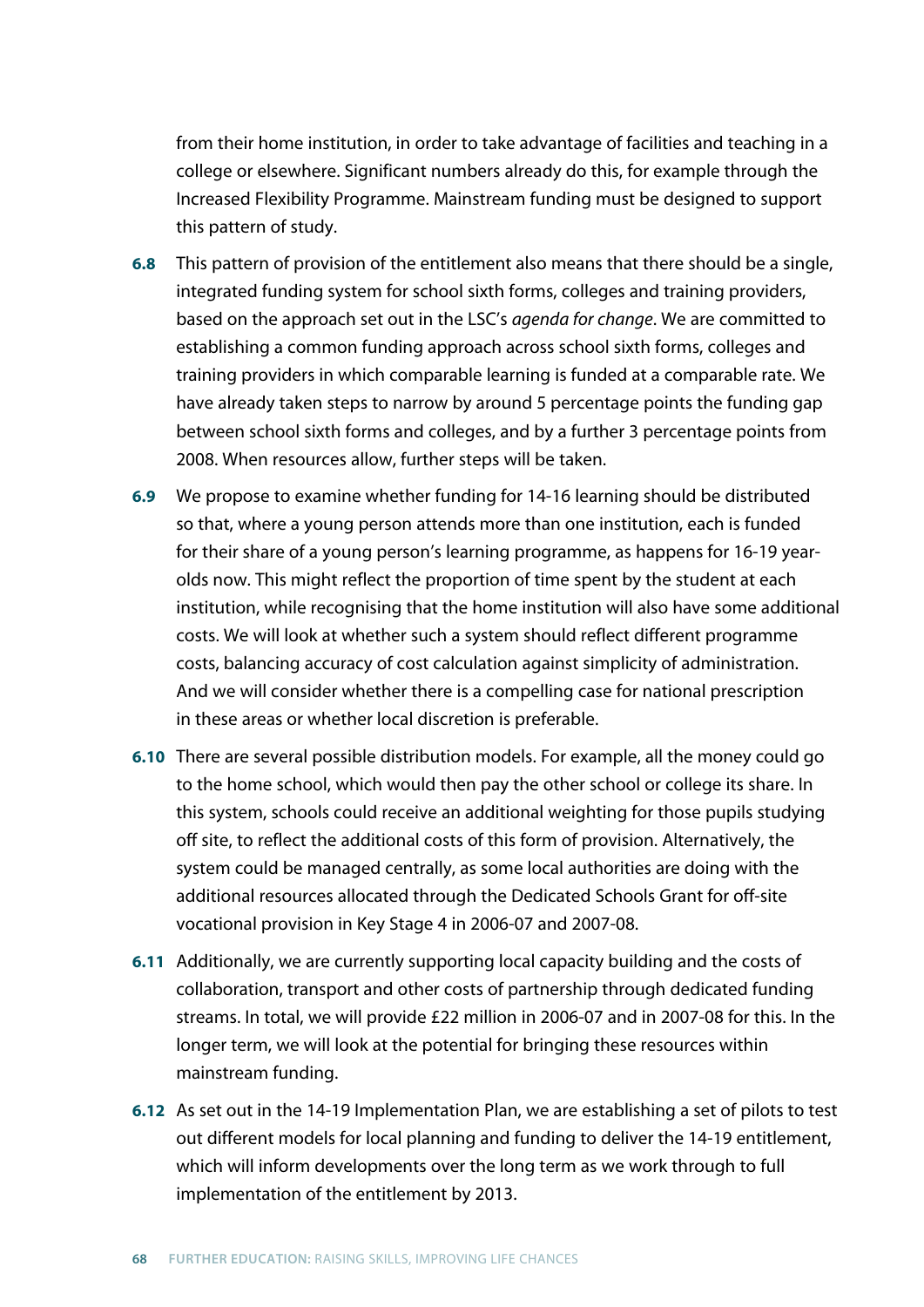from their home institution, in order to take advantage of facilities and teaching in a college or elsewhere. Significant numbers already do this, for example through the Increased Flexibility Programme. Mainstream funding must be designed to support this pattern of study.

- **6.8** This pattern of provision of the entitlement also means that there should be a single, integrated funding system for school sixth forms, colleges and training providers, based on the approach set out in the LSC's *agenda for change*. We are committed to establishing a common funding approach across school sixth forms, colleges and training providers in which comparable learning is funded at a comparable rate. We have already taken steps to narrow by around 5 percentage points the funding gap between school sixth forms and colleges, and by a further 3 percentage points from 2008. When resources allow, further steps will be taken.
- **6.9** We propose to examine whether funding for 14-16 learning should be distributed so that, where a young person attends more than one institution, each is funded for their share of a young person's learning programme, as happens for 16-19 yearolds now. This might reflect the proportion of time spent by the student at each institution, while recognising that the home institution will also have some additional costs. We will look at whether such a system should reflect different programme costs, balancing accuracy of cost calculation against simplicity of administration. And we will consider whether there is a compelling case for national prescription in these areas or whether local discretion is preferable.
- **6.10** There are several possible distribution models. For example, all the money could go to the home school, which would then pay the other school or college its share. In this system, schools could receive an additional weighting for those pupils studying off site, to reflect the additional costs of this form of provision. Alternatively, the system could be managed centrally, as some local authorities are doing with the additional resources allocated through the Dedicated Schools Grant for off-site vocational provision in Key Stage 4 in 2006-07 and 2007-08.
- **6.11** Additionally, we are currently supporting local capacity building and the costs of collaboration, transport and other costs of partnership through dedicated funding streams. In total, we will provide £22 million in 2006-07 and in 2007-08 for this. In the longer term, we will look at the potential for bringing these resources within mainstream funding.
- **6.12** As set out in the 14-19 Implementation Plan, we are establishing a set of pilots to test out different models for local planning and funding to deliver the 14-19 entitlement, which will inform developments over the long term as we work through to full implementation of the entitlement by 2013.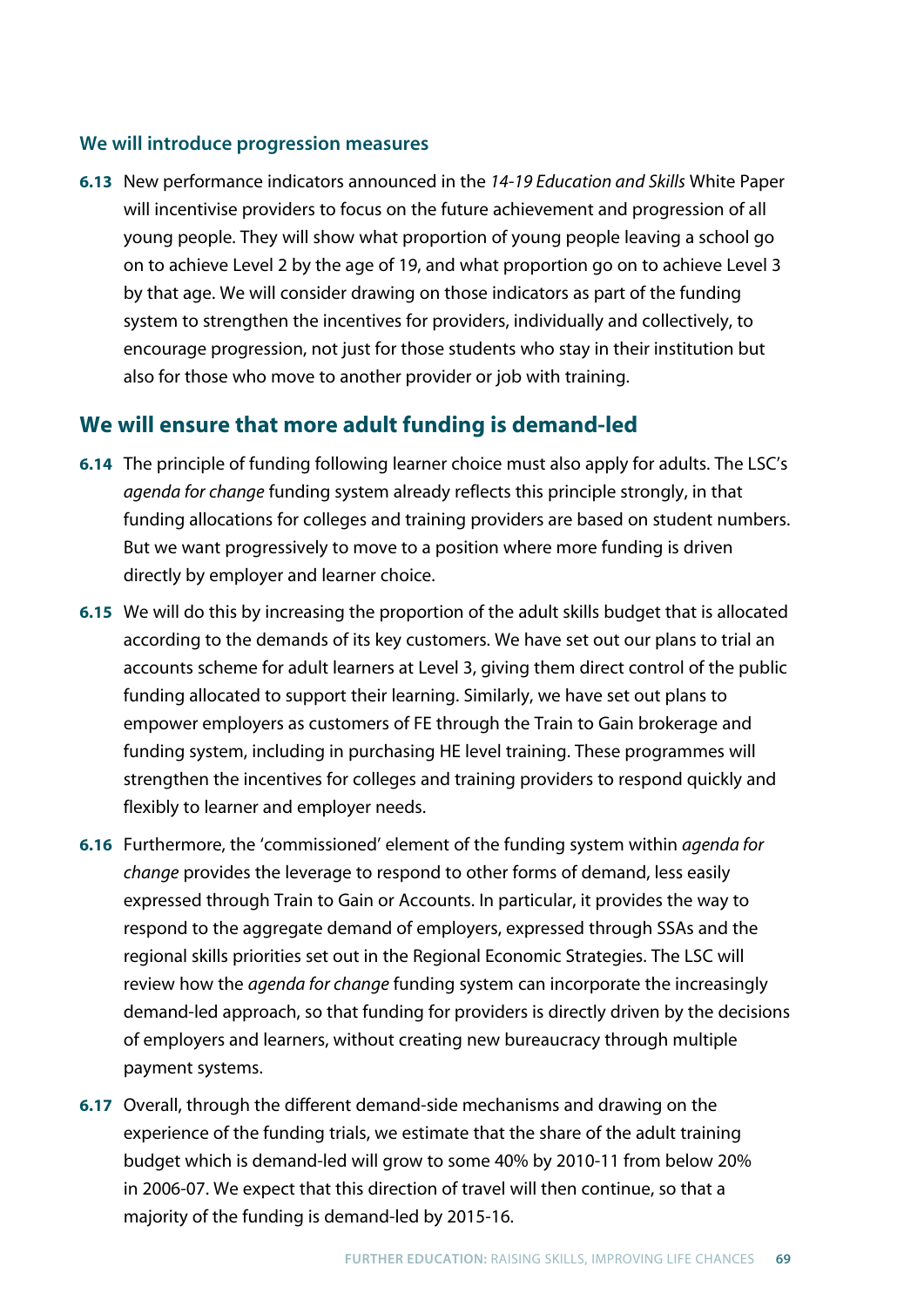#### **We will introduce progression measures**

**6.13** New performance indicators announced in the *14-19 Education and Skills* White Paper will incentivise providers to focus on the future achievement and progression of all young people. They will show what proportion of young people leaving a school go on to achieve Level 2 by the age of 19, and what proportion go on to achieve Level 3 by that age. We will consider drawing on those indicators as part of the funding system to strengthen the incentives for providers, individually and collectively, to encourage progression, not just for those students who stay in their institution but also for those who move to another provider or job with training.

## **We will ensure that more adult funding is demand-led**

- **6.14** The principle of funding following learner choice must also apply for adults. The LSC's *agenda for change* funding system already reflects this principle strongly, in that funding allocations for colleges and training providers are based on student numbers. But we want progressively to move to a position where more funding is driven directly by employer and learner choice.
- **6.15** We will do this by increasing the proportion of the adult skills budget that is allocated according to the demands of its key customers. We have set out our plans to trial an accounts scheme for adult learners at Level 3, giving them direct control of the public funding allocated to support their learning. Similarly, we have set out plans to empower employers as customers of FE through the Train to Gain brokerage and funding system, including in purchasing HE level training. These programmes will strengthen the incentives for colleges and training providers to respond quickly and flexibly to learner and employer needs.
- **6.16** Furthermore, the 'commissioned' element of the funding system within *agenda for change* provides the leverage to respond to other forms of demand, less easily expressed through Train to Gain or Accounts. In particular, it provides the way to respond to the aggregate demand of employers, expressed through SSAs and the regional skills priorities set out in the Regional Economic Strategies. The LSC will review how the *agenda for change* funding system can incorporate the increasingly demand-led approach, so that funding for providers is directly driven by the decisions of employers and learners, without creating new bureaucracy through multiple payment systems.
- **6.17** Overall, through the different demand-side mechanisms and drawing on the experience of the funding trials, we estimate that the share of the adult training budget which is demand-led will grow to some 40% by 2010-11 from below 20% in 2006-07. We expect that this direction of travel will then continue, so that a majority of the funding is demand-led by 2015-16.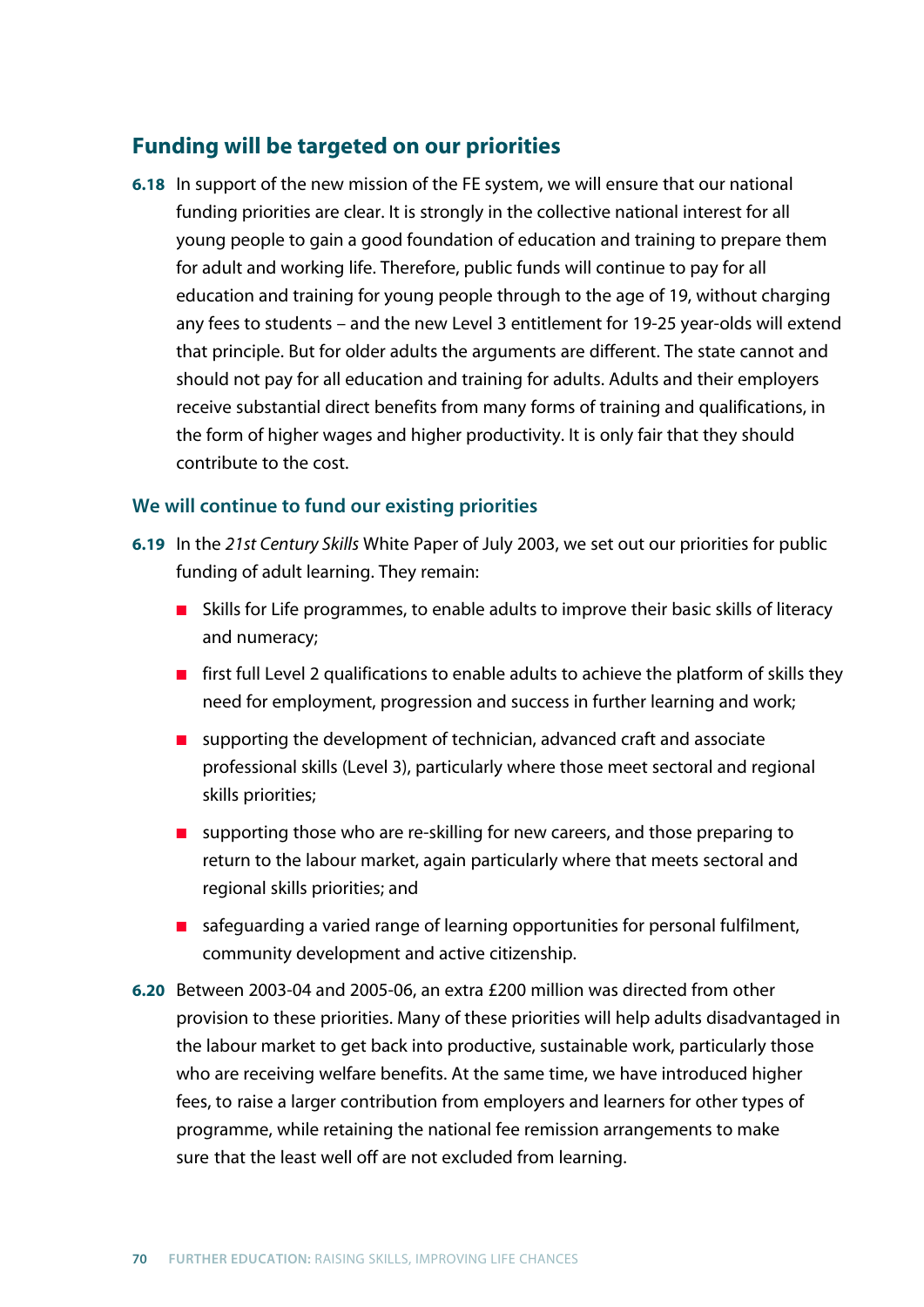## **Funding will be targeted on our priorities**

**6.18** In support of the new mission of the FE system, we will ensure that our national funding priorities are clear. It is strongly in the collective national interest for all young people to gain a good foundation of education and training to prepare them for adult and working life. Therefore, public funds will continue to pay for all education and training for young people through to the age of 19, without charging any fees to students – and the new Level 3 entitlement for 19-25 year-olds will extend that principle. But for older adults the arguments are different. The state cannot and should not pay for all education and training for adults. Adults and their employers receive substantial direct benefits from many forms of training and qualifications, in the form of higher wages and higher productivity. It is only fair that they should contribute to the cost.

#### **We will continue to fund our existing priorities**

- **6.19** In the *21st Century Skills* White Paper of July 2003, we set out our priorities for public funding of adult learning. They remain:
	- Skills for Life programmes, to enable adults to improve their basic skills of literacy and numeracy;
	- first full Level 2 qualifications to enable adults to achieve the platform of skills they need for employment, progression and success in further learning and work;
	- supporting the development of technician, advanced craft and associate professional skills (Level 3), particularly where those meet sectoral and regional skills priorities;
	- supporting those who are re-skilling for new careers, and those preparing to return to the labour market, again particularly where that meets sectoral and regional skills priorities; and
	- safeguarding a varied range of learning opportunities for personal fulfilment, community development and active citizenship.
- **6.20** Between 2003-04 and 2005-06, an extra £200 million was directed from other provision to these priorities. Many of these priorities will help adults disadvantaged in the labour market to get back into productive, sustainable work, particularly those who are receiving welfare benefits. At the same time, we have introduced higher fees, to raise a larger contribution from employers and learners for other types of programme, while retaining the national fee remission arrangements to make sure that the least well off are not excluded from learning.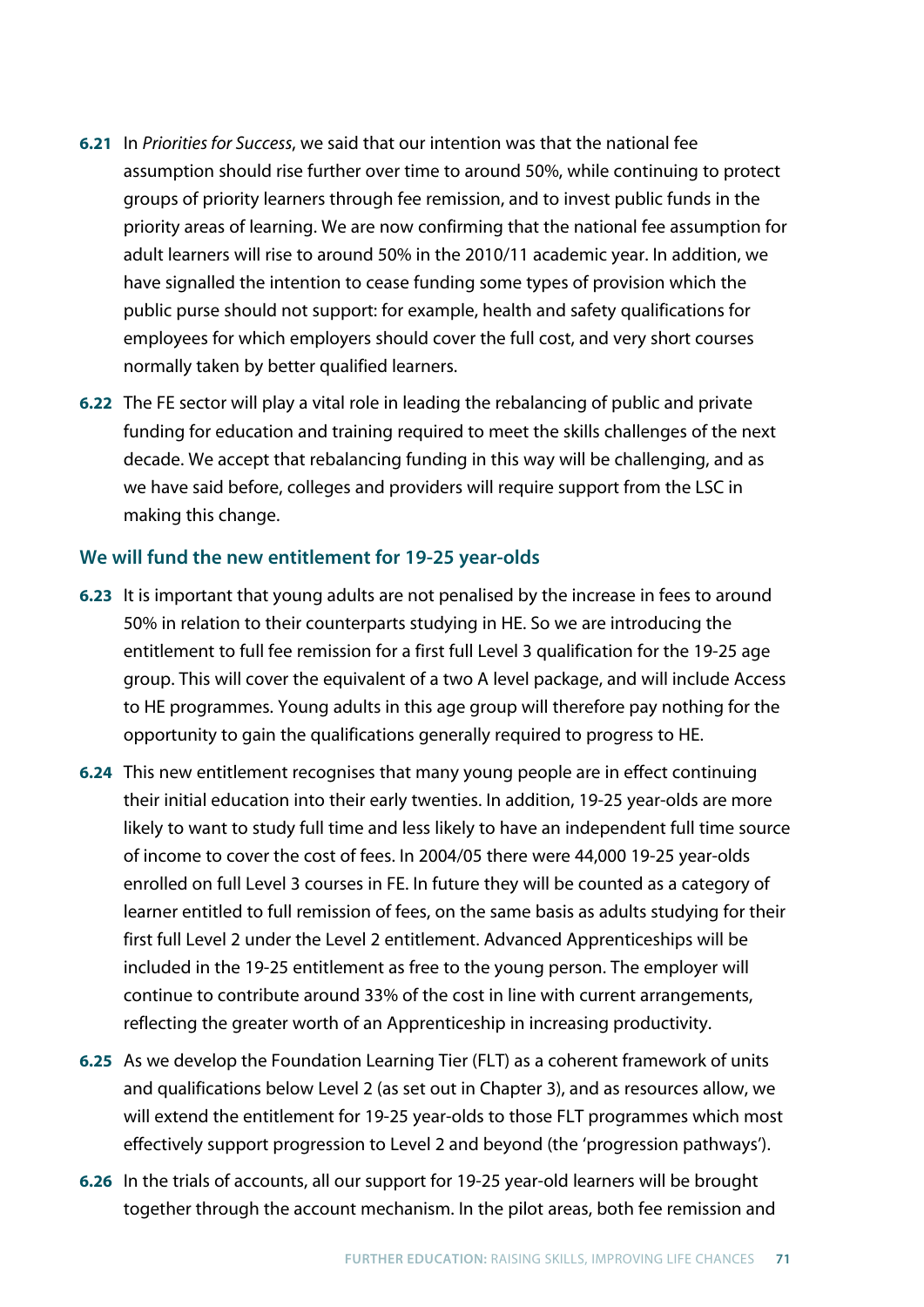- **6.21** In *Priorities for Success*, we said that our intention was that the national fee assumption should rise further over time to around 50%, while continuing to protect groups of priority learners through fee remission, and to invest public funds in the priority areas of learning. We are now confirming that the national fee assumption for adult learners will rise to around 50% in the 2010/11 academic year. In addition, we have signalled the intention to cease funding some types of provision which the public purse should not support: for example, health and safety qualifications for employees for which employers should cover the full cost, and very short courses normally taken by better qualified learners.
- **6.22** The FE sector will play a vital role in leading the rebalancing of public and private funding for education and training required to meet the skills challenges of the next decade. We accept that rebalancing funding in this way will be challenging, and as we have said before, colleges and providers will require support from the LSC in making this change.

### **We will fund the new entitlement for 19-25 year-olds**

- **6.23** It is important that young adults are not penalised by the increase in fees to around 50% in relation to their counterparts studying in HE. So we are introducing the entitlement to full fee remission for a first full Level 3 qualification for the 19-25 age group. This will cover the equivalent of a two A level package, and will include Access to HE programmes. Young adults in this age group will therefore pay nothing for the opportunity to gain the qualifications generally required to progress to HE.
- **6.24** This new entitlement recognises that many young people are in effect continuing their initial education into their early twenties. In addition, 19-25 year-olds are more likely to want to study full time and less likely to have an independent full time source of income to cover the cost of fees. In 2004/05 there were 44,000 19-25 year-olds enrolled on full Level 3 courses in FE. In future they will be counted as a category of learner entitled to full remission of fees, on the same basis as adults studying for their first full Level 2 under the Level 2 entitlement. Advanced Apprenticeships will be included in the 19-25 entitlement as free to the young person. The employer will continue to contribute around 33% of the cost in line with current arrangements, reflecting the greater worth of an Apprenticeship in increasing productivity.
- **6.25** As we develop the Foundation Learning Tier (FLT) as a coherent framework of units and qualifications below Level 2 (as set out in Chapter 3), and as resources allow, we will extend the entitlement for 19-25 year-olds to those FLT programmes which most effectively support progression to Level 2 and beyond (the 'progression pathways').
- **6.26** In the trials of accounts, all our support for 19-25 year-old learners will be brought together through the account mechanism. In the pilot areas, both fee remission and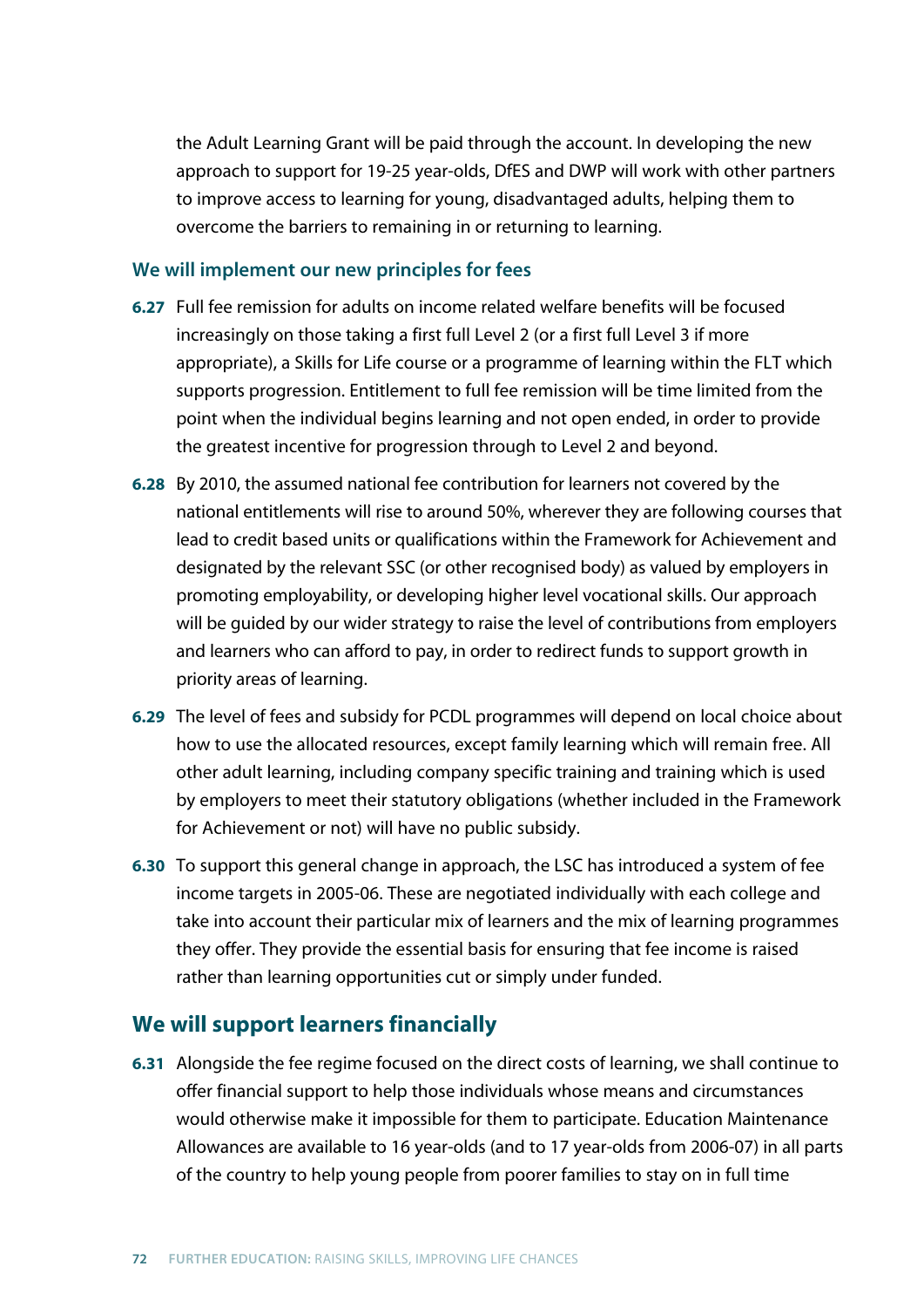the Adult Learning Grant will be paid through the account. In developing the new approach to support for 19-25 year-olds, DfES and DWP will work with other partners to improve access to learning for young, disadvantaged adults, helping them to overcome the barriers to remaining in or returning to learning.

#### **We will implement our new principles for fees**

- **6.27** Full fee remission for adults on income related welfare benefits will be focused increasingly on those taking a first full Level 2 (or a first full Level 3 if more appropriate), a Skills for Life course or a programme of learning within the FLT which supports progression. Entitlement to full fee remission will be time limited from the point when the individual begins learning and not open ended, in order to provide the greatest incentive for progression through to Level 2 and beyond.
- **6.28** By 2010, the assumed national fee contribution for learners not covered by the national entitlements will rise to around 50%, wherever they are following courses that lead to credit based units or qualifications within the Framework for Achievement and designated by the relevant SSC (or other recognised body) as valued by employers in promoting employability, or developing higher level vocational skills. Our approach will be guided by our wider strategy to raise the level of contributions from employers and learners who can afford to pay, in order to redirect funds to support growth in priority areas of learning.
- **6.29** The level of fees and subsidy for PCDL programmes will depend on local choice about how to use the allocated resources, except family learning which will remain free. All other adult learning, including company specific training and training which is used by employers to meet their statutory obligations (whether included in the Framework for Achievement or not) will have no public subsidy.
- **6.30** To support this general change in approach, the LSC has introduced a system of fee income targets in 2005-06. These are negotiated individually with each college and take into account their particular mix of learners and the mix of learning programmes they offer. They provide the essential basis for ensuring that fee income is raised rather than learning opportunities cut or simply under funded.

## **We will support learners financially**

**6.31** Alongside the fee regime focused on the direct costs of learning, we shall continue to offer financial support to help those individuals whose means and circumstances would otherwise make it impossible for them to participate. Education Maintenance Allowances are available to 16 year-olds (and to 17 year-olds from 2006-07) in all parts of the country to help young people from poorer families to stay on in full time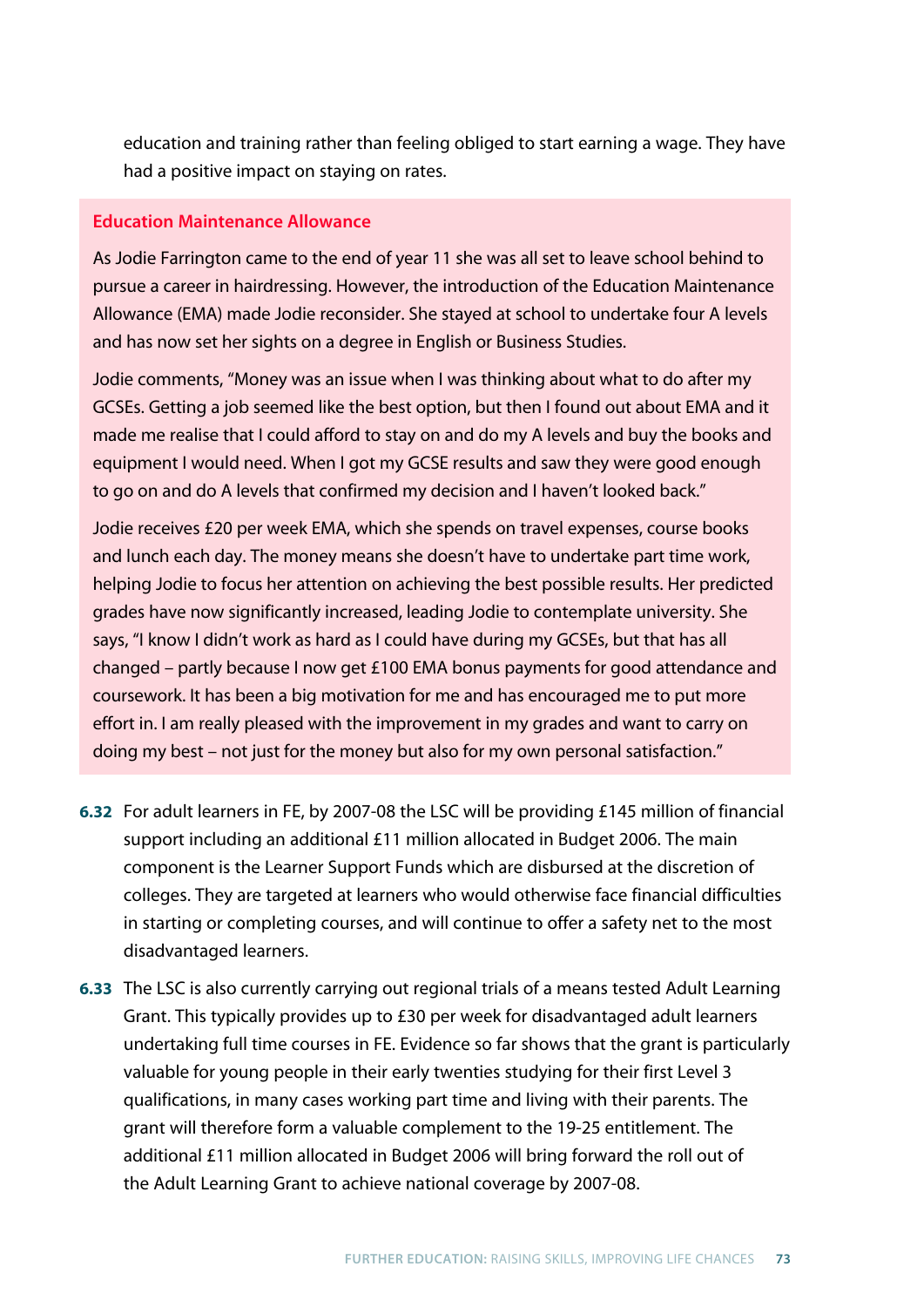education and training rather than feeling obliged to start earning a wage. They have had a positive impact on staying on rates.

### **Education Maintenance Allowance**

As Jodie Farrington came to the end of year 11 she was all set to leave school behind to pursue a career in hairdressing. However, the introduction of the Education Maintenance Allowance (EMA) made Jodie reconsider. She stayed at school to undertake four A levels and has now set her sights on a degree in English or Business Studies.

Jodie comments, "Money was an issue when I was thinking about what to do after my GCSEs. Getting a job seemed like the best option, but then I found out about EMA and it made me realise that I could afford to stay on and do my A levels and buy the books and equipment I would need. When I got my GCSE results and saw they were good enough to go on and do A levels that confirmed my decision and I haven't looked back."

Jodie receives £20 per week EMA, which she spends on travel expenses, course books and lunch each day. The money means she doesn't have to undertake part time work, helping Jodie to focus her attention on achieving the best possible results. Her predicted grades have now significantly increased, leading Jodie to contemplate university. She says, "I know I didn't work as hard as I could have during my GCSEs, but that has all changed – partly because I now get £100 EMA bonus payments for good attendance and coursework. It has been a big motivation for me and has encouraged me to put more effort in. I am really pleased with the improvement in my grades and want to carry on doing my best – not just for the money but also for my own personal satisfaction."

- **6.32** For adult learners in FE, by 2007-08 the LSC will be providing £145 million of financial support including an additional £11 million allocated in Budget 2006. The main component is the Learner Support Funds which are disbursed at the discretion of colleges. They are targeted at learners who would otherwise face financial difficulties in starting or completing courses, and will continue to offer a safety net to the most disadvantaged learners.
- **6.33** The LSC is also currently carrying out regional trials of a means tested Adult Learning Grant. This typically provides up to £30 per week for disadvantaged adult learners undertaking full time courses in FE. Evidence so far shows that the grant is particularly valuable for young people in their early twenties studying for their first Level 3 qualifications, in many cases working part time and living with their parents. The grant will therefore form a valuable complement to the 19-25 entitlement. The additional £11 million allocated in Budget 2006 will bring forward the roll out of the Adult Learning Grant to achieve national coverage by 2007-08.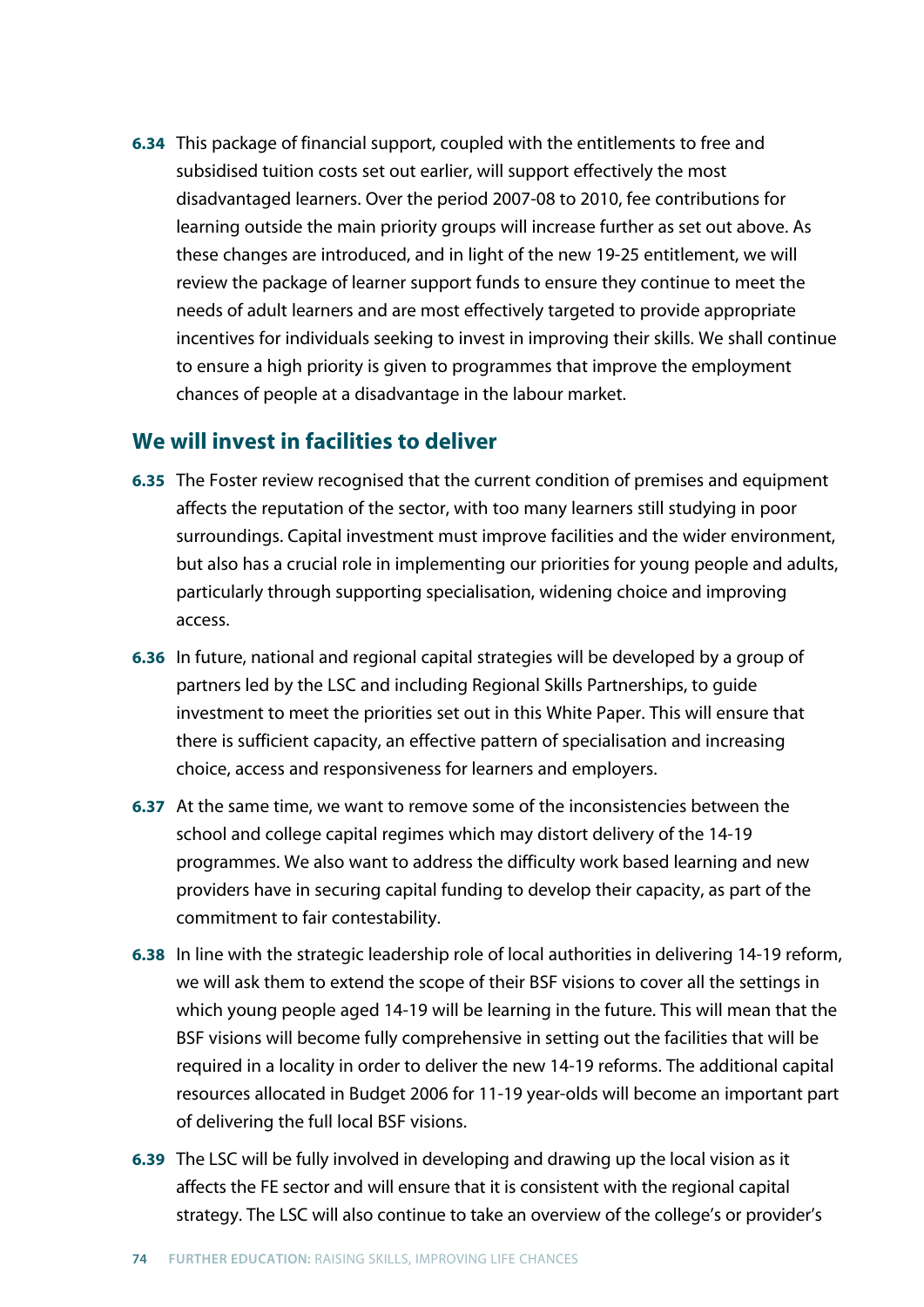**6.34** This package of financial support, coupled with the entitlements to free and subsidised tuition costs set out earlier, will support effectively the most disadvantaged learners. Over the period 2007-08 to 2010, fee contributions for learning outside the main priority groups will increase further as set out above. As these changes are introduced, and in light of the new 19-25 entitlement, we will review the package of learner support funds to ensure they continue to meet the needs of adult learners and are most effectively targeted to provide appropriate incentives for individuals seeking to invest in improving their skills. We shall continue to ensure a high priority is given to programmes that improve the employment chances of people at a disadvantage in the labour market.

## **We will invest in facilities to deliver**

- **6.35** The Foster review recognised that the current condition of premises and equipment affects the reputation of the sector, with too many learners still studying in poor surroundings. Capital investment must improve facilities and the wider environment, but also has a crucial role in implementing our priorities for young people and adults, particularly through supporting specialisation, widening choice and improving access.
- **6.36** In future, national and regional capital strategies will be developed by a group of partners led by the LSC and including Regional Skills Partnerships, to guide investment to meet the priorities set out in this White Paper. This will ensure that there is sufficient capacity, an effective pattern of specialisation and increasing choice, access and responsiveness for learners and employers.
- **6.37** At the same time, we want to remove some of the inconsistencies between the school and college capital regimes which may distort delivery of the 14-19 programmes. We also want to address the difficulty work based learning and new providers have in securing capital funding to develop their capacity, as part of the commitment to fair contestability.
- **6.38** In line with the strategic leadership role of local authorities in delivering 14-19 reform, we will ask them to extend the scope of their BSF visions to cover all the settings in which young people aged 14-19 will be learning in the future. This will mean that the BSF visions will become fully comprehensive in setting out the facilities that will be required in a locality in order to deliver the new 14-19 reforms. The additional capital resources allocated in Budget 2006 for 11-19 year-olds will become an important part of delivering the full local BSF visions.
- **6.39** The LSC will be fully involved in developing and drawing up the local vision as it affects the FE sector and will ensure that it is consistent with the regional capital strategy. The LSC will also continue to take an overview of the college's or provider's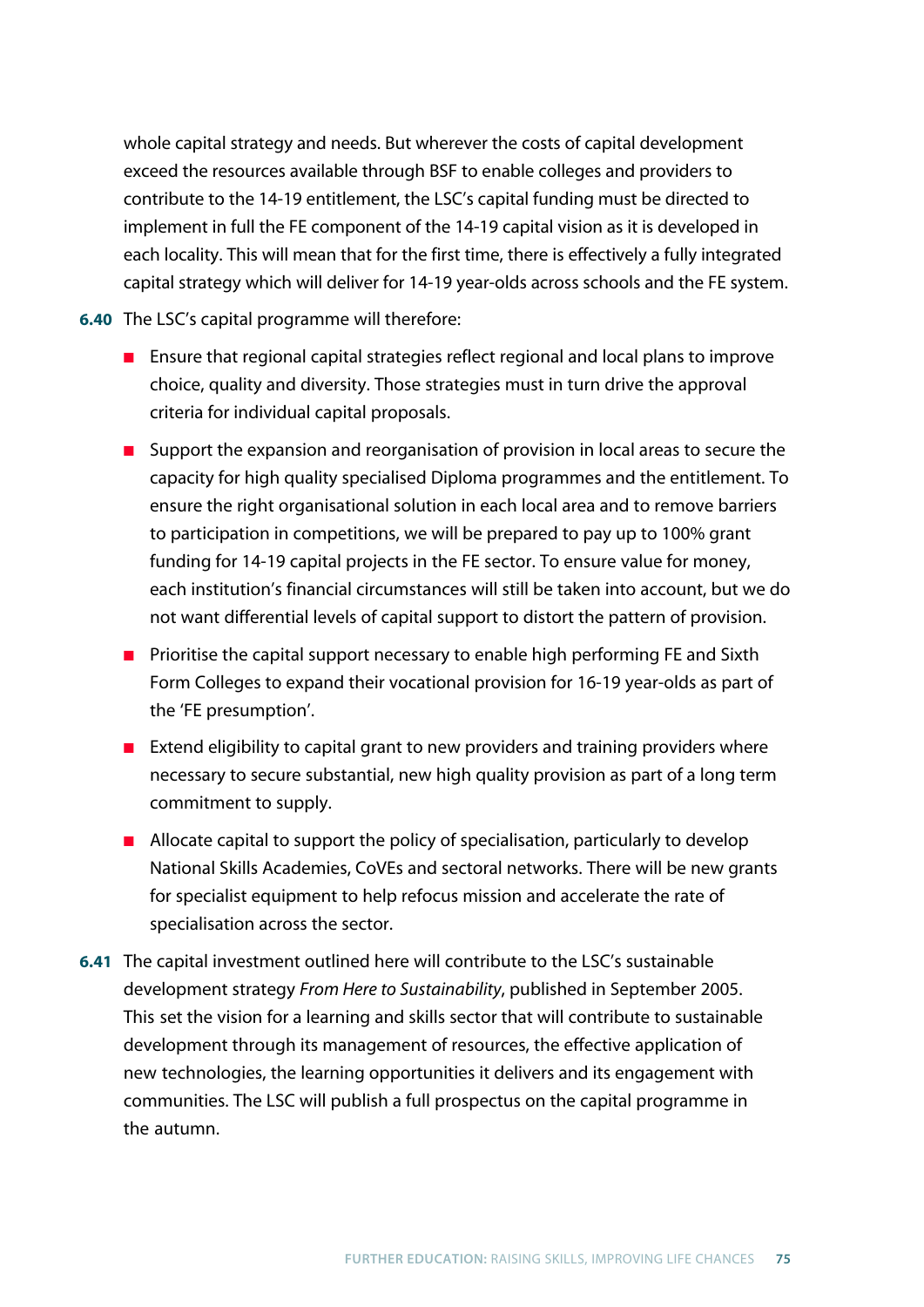whole capital strategy and needs. But wherever the costs of capital development exceed the resources available through BSF to enable colleges and providers to contribute to the 14-19 entitlement, the LSC's capital funding must be directed to implement in full the FE component of the 14-19 capital vision as it is developed in each locality. This will mean that for the first time, there is effectively a fully integrated capital strategy which will deliver for 14-19 year-olds across schools and the FE system.

**6.40** The LSC's capital programme will therefore:

- Ensure that regional capital strategies reflect regional and local plans to improve choice, quality and diversity. Those strategies must in turn drive the approval criteria for individual capital proposals.
- Support the expansion and reorganisation of provision in local areas to secure the capacity for high quality specialised Diploma programmes and the entitlement. To ensure the right organisational solution in each local area and to remove barriers to participation in competitions, we will be prepared to pay up to 100% grant funding for 14-19 capital projects in the FE sector. To ensure value for money, each institution's financial circumstances will still be taken into account, but we do not want differential levels of capital support to distort the pattern of provision.
- Prioritise the capital support necessary to enable high performing FE and Sixth Form Colleges to expand their vocational provision for 16-19 year-olds as part of the 'FE presumption'.
- Extend eligibility to capital grant to new providers and training providers where necessary to secure substantial, new high quality provision as part of a long term commitment to supply.
- Allocate capital to support the policy of specialisation, particularly to develop National Skills Academies, CoVEs and sectoral networks. There will be new grants for specialist equipment to help refocus mission and accelerate the rate of specialisation across the sector.
- **6.41** The capital investment outlined here will contribute to the LSC's sustainable development strategy *From Here to Sustainability*, published in September 2005. This set the vision for a learning and skills sector that will contribute to sustainable development through its management of resources, the effective application of new technologies, the learning opportunities it delivers and its engagement with communities. The LSC will publish a full prospectus on the capital programme in the autumn.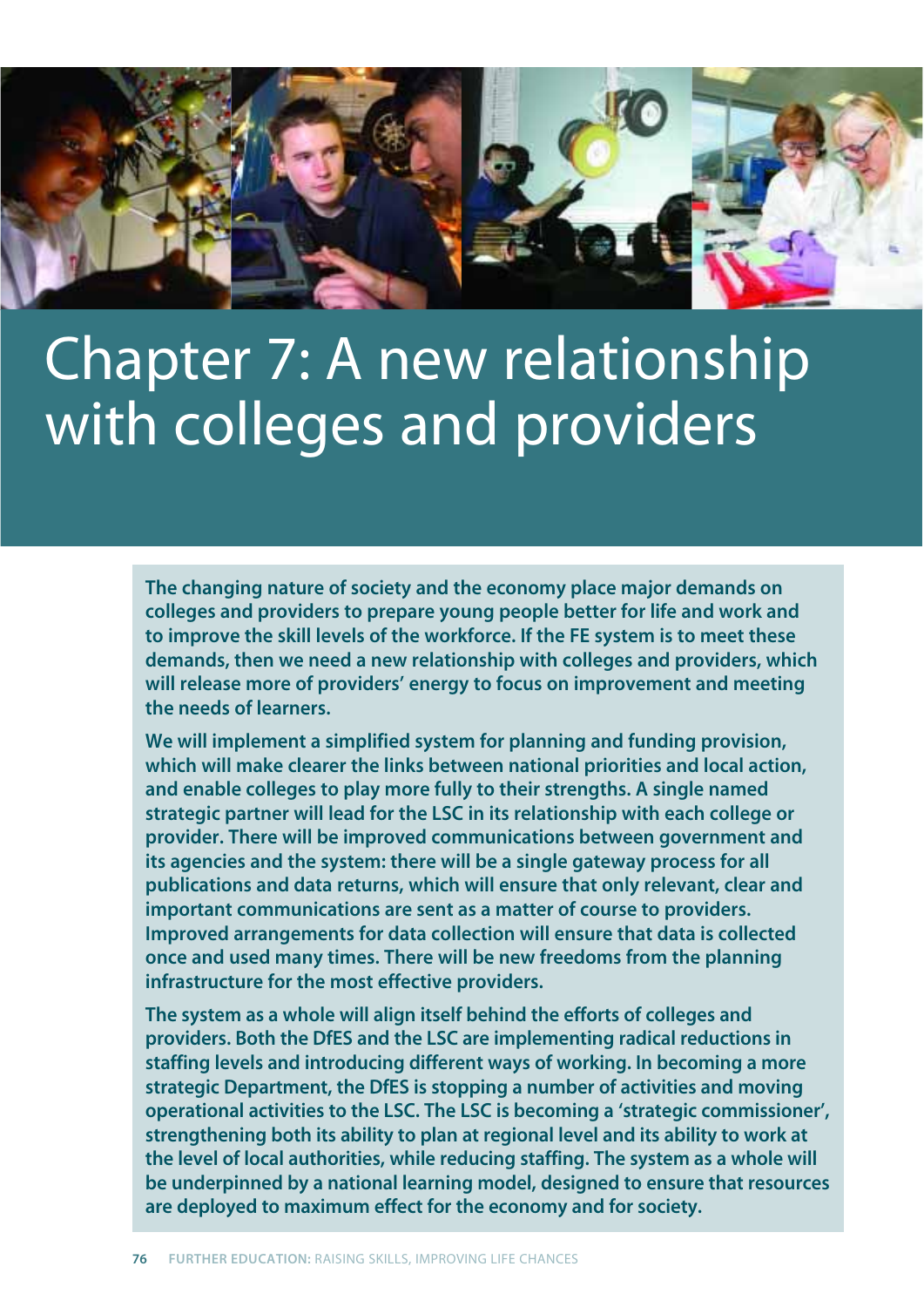

# Chapter 7: A new relationship with colleges and providers

**The changing nature of society and the economy place major demands on colleges and providers to prepare young people better for life and work and to improve the skill levels of the workforce. If the FE system is to meet these demands, then we need a new relationship with colleges and providers, which will release more of providers' energy to focus on improvement and meeting the needs of learners.** 

**We will implement a simplified system for planning and funding provision, which will make clearer the links between national priorities and local action, and enable colleges to play more fully to their strengths. A single named strategic partner will lead for the LSC in its relationship with each college or provider. There will be improved communications between government and its agencies and the system: there will be a single gateway process for all publications and data returns, which will ensure that only relevant, clear and important communications are sent as a matter of course to providers. Improved arrangements for data collection will ensure that data is collected once and used many times. There will be new freedoms from the planning infrastructure for the most effective providers.**

**The system as a whole will align itself behind the efforts of colleges and providers. Both the DfES and the LSC are implementing radical reductions in staffing levels and introducing different ways of working. In becoming a more strategic Department, the DfES is stopping a number of activities and moving operational activities to the LSC. The LSC is becoming a 'strategic commissioner', strengthening both its ability to plan at regional level and its ability to work at the level of local authorities, while reducing staffing. The system as a whole will be underpinned by a national learning model, designed to ensure that resources are deployed to maximum effect for the economy and for society.**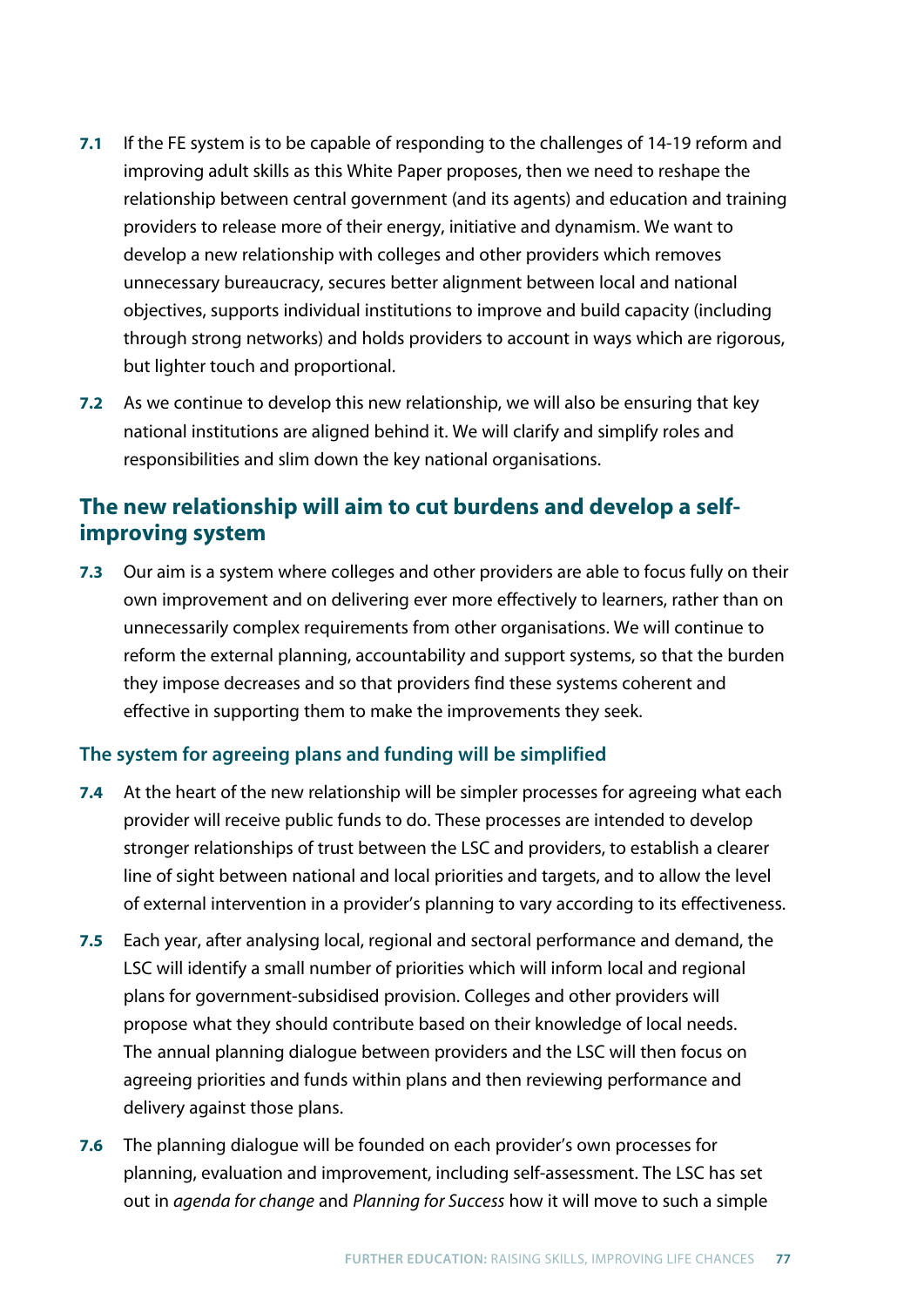- **7.1** If the FE system is to be capable of responding to the challenges of 14-19 reform and improving adult skills as this White Paper proposes, then we need to reshape the relationship between central government (and its agents) and education and training providers to release more of their energy, initiative and dynamism. We want to develop a new relationship with colleges and other providers which removes unnecessary bureaucracy, secures better alignment between local and national objectives, supports individual institutions to improve and build capacity (including through strong networks) and holds providers to account in ways which are rigorous, but lighter touch and proportional.
- **7.2** As we continue to develop this new relationship, we will also be ensuring that key national institutions are aligned behind it. We will clarify and simplify roles and responsibilities and slim down the key national organisations.

## **The new relationship will aim to cut burdens and develop a selfimproving system**

**7.3** Our aim is a system where colleges and other providers are able to focus fully on their own improvement and on delivering ever more effectively to learners, rather than on unnecessarily complex requirements from other organisations. We will continue to reform the external planning, accountability and support systems, so that the burden they impose decreases and so that providers find these systems coherent and effective in supporting them to make the improvements they seek.

## **The system for agreeing plans and funding will be simplified**

- **7.4** At the heart of the new relationship will be simpler processes for agreeing what each provider will receive public funds to do. These processes are intended to develop stronger relationships of trust between the LSC and providers, to establish a clearer line of sight between national and local priorities and targets, and to allow the level of external intervention in a provider's planning to vary according to its effectiveness.
- **7.5** Each year, after analysing local, regional and sectoral performance and demand, the LSC will identify a small number of priorities which will inform local and regional plans for government-subsidised provision. Colleges and other providers will propose what they should contribute based on their knowledge of local needs. The annual planning dialogue between providers and the LSC will then focus on agreeing priorities and funds within plans and then reviewing performance and delivery against those plans.
- **7.6** The planning dialogue will be founded on each provider's own processes for planning, evaluation and improvement, including self-assessment. The LSC has set out in *agenda for change* and *Planning for Success* how it will move to such a simple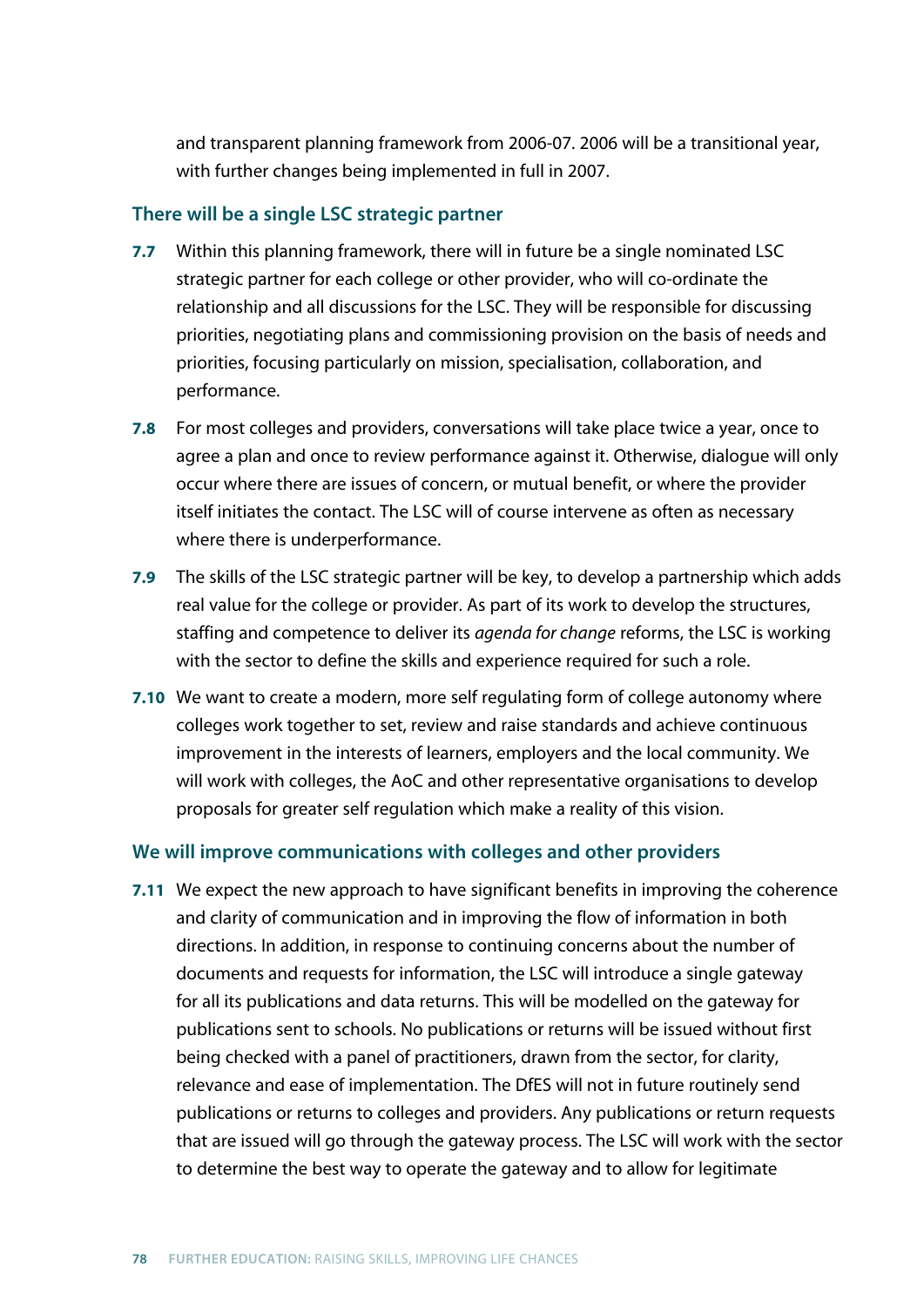and transparent planning framework from 2006-07. 2006 will be a transitional year, with further changes being implemented in full in 2007.

### **There will be a single LSC strategic partner**

- **7.7** Within this planning framework, there will in future be a single nominated LSC strategic partner for each college or other provider, who will co-ordinate the relationship and all discussions for the LSC. They will be responsible for discussing priorities, negotiating plans and commissioning provision on the basis of needs and priorities, focusing particularly on mission, specialisation, collaboration, and performance.
- **7.8** For most colleges and providers, conversations will take place twice a year, once to agree a plan and once to review performance against it. Otherwise, dialogue will only occur where there are issues of concern, or mutual benefit, or where the provider itself initiates the contact. The LSC will of course intervene as often as necessary where there is underperformance.
- **7.9** The skills of the LSC strategic partner will be key, to develop a partnership which adds real value for the college or provider. As part of its work to develop the structures, staffing and competence to deliver its *agenda for change* reforms, the LSC is working with the sector to define the skills and experience required for such a role.
- **7.10** We want to create a modern, more self regulating form of college autonomy where colleges work together to set, review and raise standards and achieve continuous improvement in the interests of learners, employers and the local community. We will work with colleges, the AoC and other representative organisations to develop proposals for greater self regulation which make a reality of this vision.

### **We will improve communications with colleges and other providers**

**7.11** We expect the new approach to have significant benefits in improving the coherence and clarity of communication and in improving the flow of information in both directions. In addition, in response to continuing concerns about the number of documents and requests for information, the LSC will introduce a single gateway for all its publications and data returns. This will be modelled on the gateway for publications sent to schools. No publications or returns will be issued without first being checked with a panel of practitioners, drawn from the sector, for clarity, relevance and ease of implementation. The DfES will not in future routinely send publications or returns to colleges and providers. Any publications or return requests that are issued will go through the gateway process. The LSC will work with the sector to determine the best way to operate the gateway and to allow for legitimate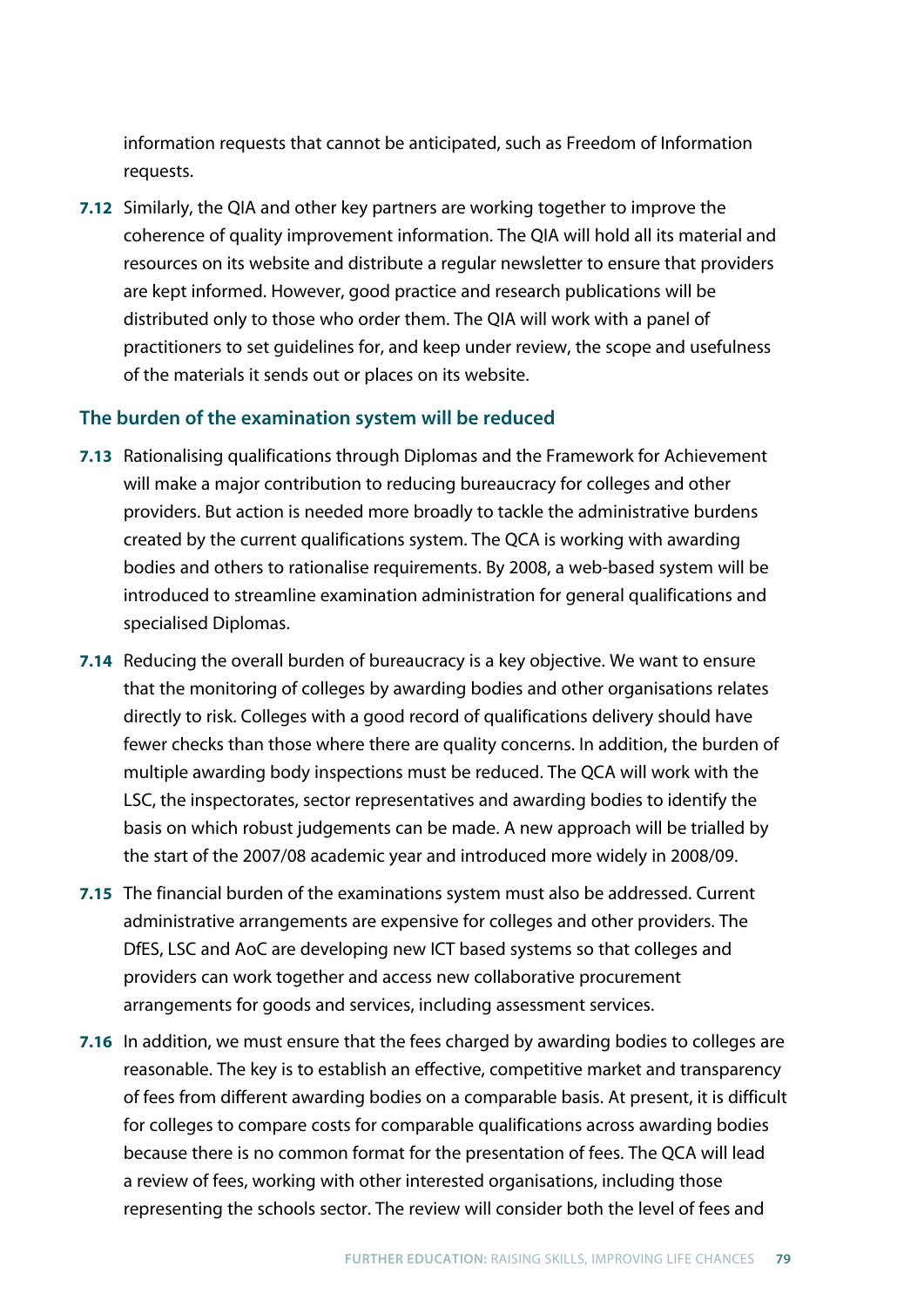information requests that cannot be anticipated, such as Freedom of Information requests.

**7.12** Similarly, the QIA and other key partners are working together to improve the coherence of quality improvement information. The QIA will hold all its material and resources on its website and distribute a regular newsletter to ensure that providers are kept informed. However, good practice and research publications will be distributed only to those who order them. The QIA will work with a panel of practitioners to set guidelines for, and keep under review, the scope and usefulness of the materials it sends out or places on its website.

### **The burden of the examination system will be reduced**

- **7.13** Rationalising qualifications through Diplomas and the Framework for Achievement will make a major contribution to reducing bureaucracy for colleges and other providers. But action is needed more broadly to tackle the administrative burdens created by the current qualifications system. The QCA is working with awarding bodies and others to rationalise requirements. By 2008, a web-based system will be introduced to streamline examination administration for general qualifications and specialised Diplomas.
- **7.14** Reducing the overall burden of bureaucracy is a key objective. We want to ensure that the monitoring of colleges by awarding bodies and other organisations relates directly to risk. Colleges with a good record of qualifications delivery should have fewer checks than those where there are quality concerns. In addition, the burden of multiple awarding body inspections must be reduced. The QCA will work with the LSC, the inspectorates, sector representatives and awarding bodies to identify the basis on which robust judgements can be made. A new approach will be trialled by the start of the 2007/08 academic year and introduced more widely in 2008/09.
- **7.15** The financial burden of the examinations system must also be addressed. Current administrative arrangements are expensive for colleges and other providers. The DfES, LSC and AoC are developing new ICT based systems so that colleges and providers can work together and access new collaborative procurement arrangements for goods and services, including assessment services.
- **7.16** In addition, we must ensure that the fees charged by awarding bodies to colleges are reasonable. The key is to establish an effective, competitive market and transparency of fees from different awarding bodies on a comparable basis. At present, it is difficult for colleges to compare costs for comparable qualifications across awarding bodies because there is no common format for the presentation of fees. The QCA will lead a review of fees, working with other interested organisations, including those representing the schools sector. The review will consider both the level of fees and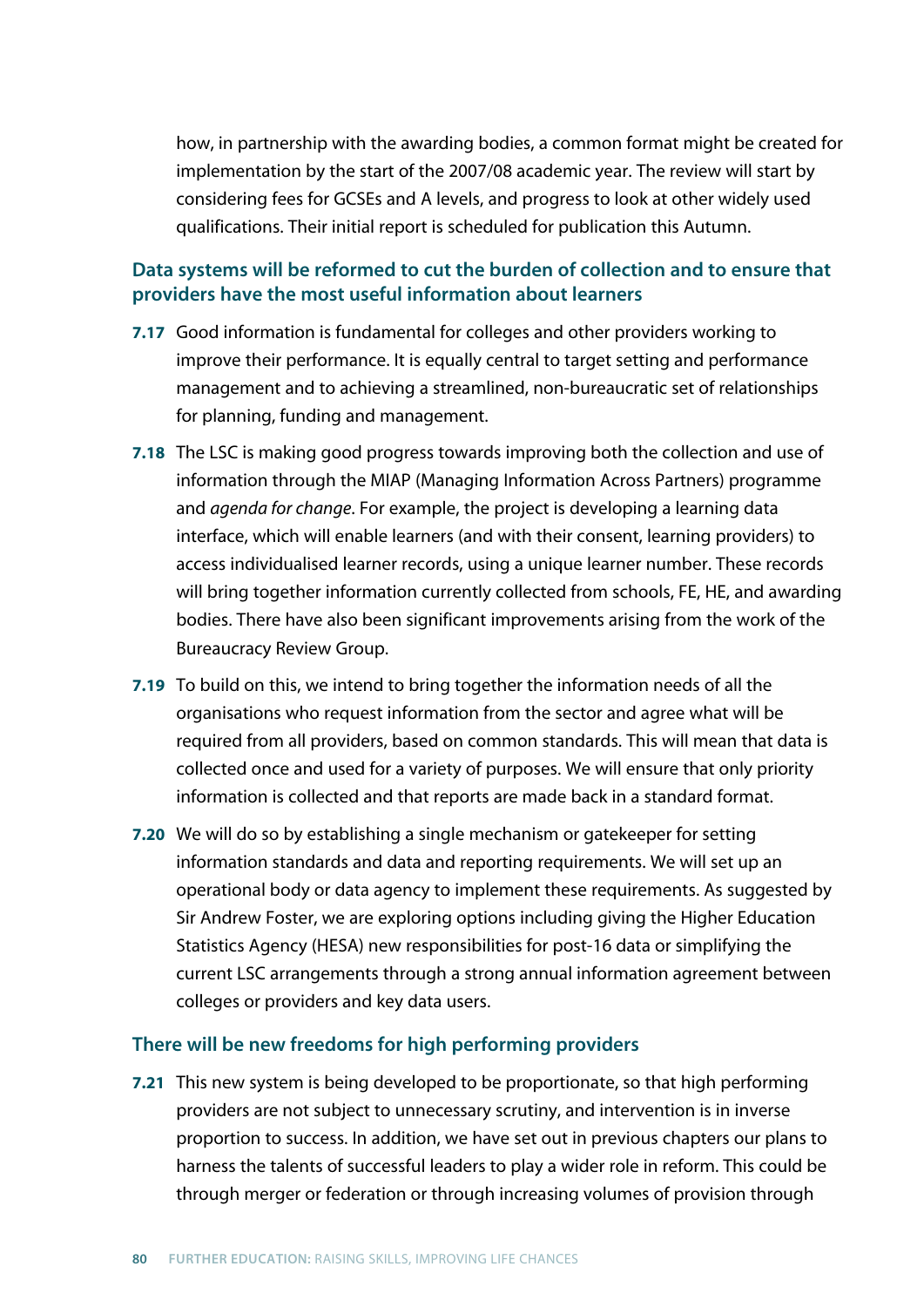how, in partnership with the awarding bodies, a common format might be created for implementation by the start of the 2007/08 academic year. The review will start by considering fees for GCSEs and A levels, and progress to look at other widely used qualifications. Their initial report is scheduled for publication this Autumn.

## **Data systems will be reformed to cut the burden of collection and to ensure that providers have the most useful information about learners**

- **7.17** Good information is fundamental for colleges and other providers working to improve their performance. It is equally central to target setting and performance management and to achieving a streamlined, non-bureaucratic set of relationships for planning, funding and management.
- **7.18** The LSC is making good progress towards improving both the collection and use of information through the MIAP (Managing Information Across Partners) programme and *agenda for change*. For example, the project is developing a learning data interface, which will enable learners (and with their consent, learning providers) to access individualised learner records, using a unique learner number. These records will bring together information currently collected from schools, FE, HE, and awarding bodies. There have also been significant improvements arising from the work of the Bureaucracy Review Group.
- **7.19** To build on this, we intend to bring together the information needs of all the organisations who request information from the sector and agree what will be required from all providers, based on common standards. This will mean that data is collected once and used for a variety of purposes. We will ensure that only priority information is collected and that reports are made back in a standard format.
- **7.20** We will do so by establishing a single mechanism or gatekeeper for setting information standards and data and reporting requirements. We will set up an operational body or data agency to implement these requirements. As suggested by Sir Andrew Foster, we are exploring options including giving the Higher Education Statistics Agency (HESA) new responsibilities for post-16 data or simplifying the current LSC arrangements through a strong annual information agreement between colleges or providers and key data users.

#### **There will be new freedoms for high performing providers**

**7.21** This new system is being developed to be proportionate, so that high performing providers are not subject to unnecessary scrutiny, and intervention is in inverse proportion to success. In addition, we have set out in previous chapters our plans to harness the talents of successful leaders to play a wider role in reform. This could be through merger or federation or through increasing volumes of provision through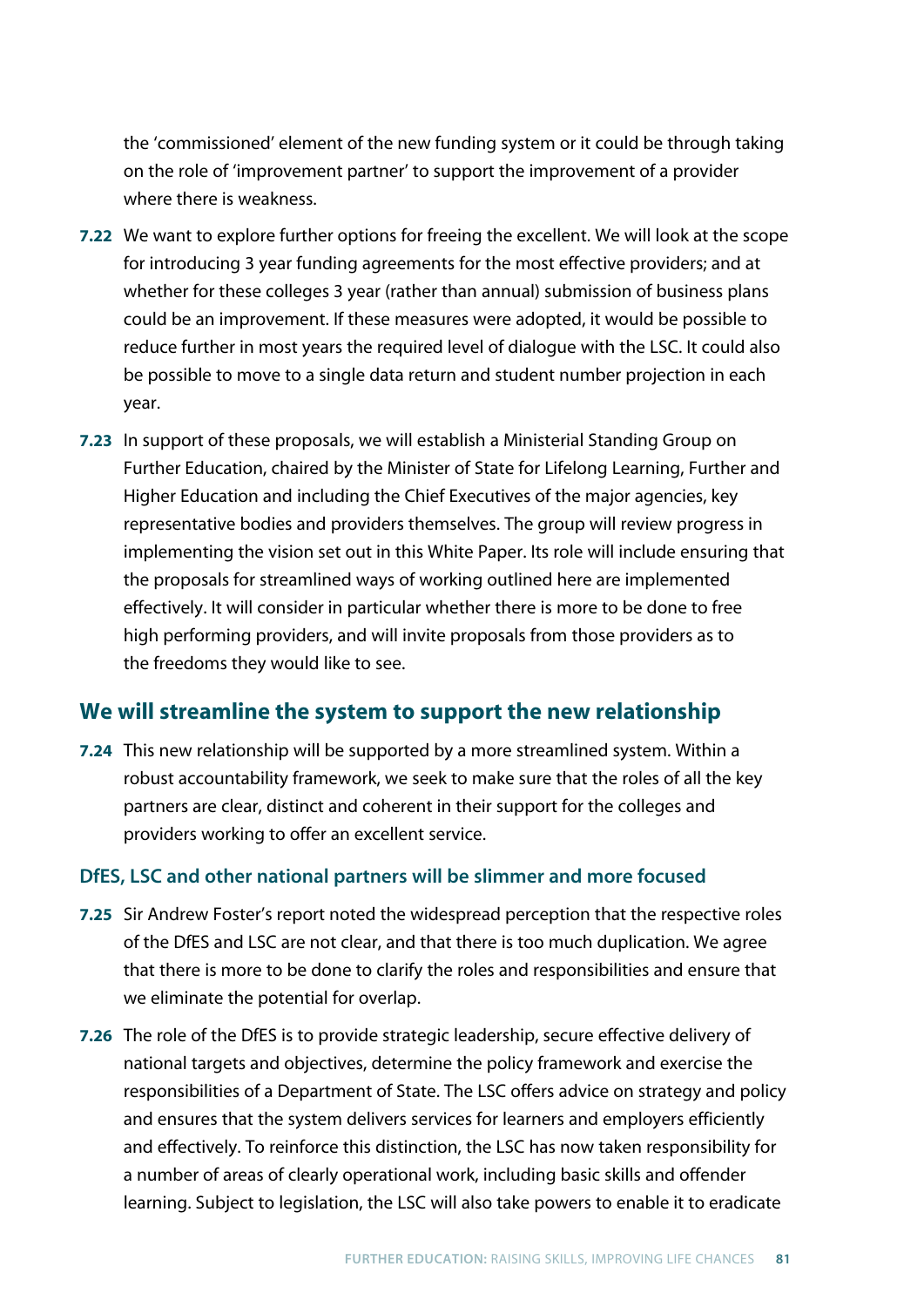the 'commissioned' element of the new funding system or it could be through taking on the role of 'improvement partner' to support the improvement of a provider where there is weakness.

- **7.22** We want to explore further options for freeing the excellent. We will look at the scope for introducing 3 year funding agreements for the most effective providers; and at whether for these colleges 3 year (rather than annual) submission of business plans could be an improvement. If these measures were adopted, it would be possible to reduce further in most years the required level of dialogue with the LSC. It could also be possible to move to a single data return and student number projection in each year.
- **7.23** In support of these proposals, we will establish a Ministerial Standing Group on Further Education, chaired by the Minister of State for Lifelong Learning, Further and Higher Education and including the Chief Executives of the major agencies, key representative bodies and providers themselves. The group will review progress in implementing the vision set out in this White Paper. Its role will include ensuring that the proposals for streamlined ways of working outlined here are implemented effectively. It will consider in particular whether there is more to be done to free high performing providers, and will invite proposals from those providers as to the freedoms they would like to see.

## **We will streamline the system to support the new relationship**

**7.24** This new relationship will be supported by a more streamlined system. Within a robust accountability framework, we seek to make sure that the roles of all the key partners are clear, distinct and coherent in their support for the colleges and providers working to offer an excellent service.

### **DfES, LSC and other national partners will be slimmer and more focused**

- **7.25** Sir Andrew Foster's report noted the widespread perception that the respective roles of the DfES and LSC are not clear, and that there is too much duplication. We agree that there is more to be done to clarify the roles and responsibilities and ensure that we eliminate the potential for overlap.
- **7.26** The role of the DfES is to provide strategic leadership, secure effective delivery of national targets and objectives, determine the policy framework and exercise the responsibilities of a Department of State. The LSC offers advice on strategy and policy and ensures that the system delivers services for learners and employers efficiently and effectively. To reinforce this distinction, the LSC has now taken responsibility for a number of areas of clearly operational work, including basic skills and offender learning. Subject to legislation, the LSC will also take powers to enable it to eradicate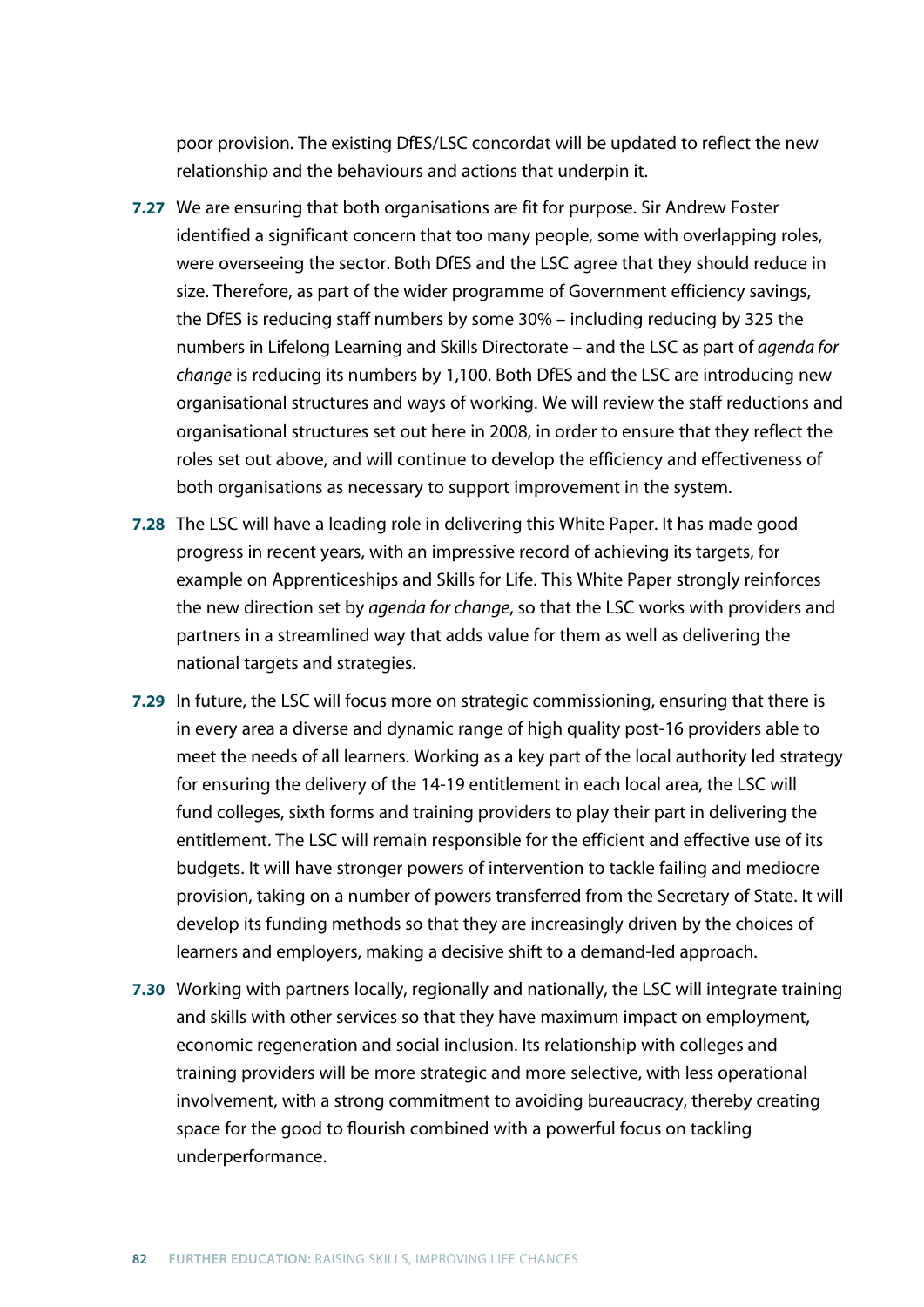poor provision. The existing DfES/LSC concordat will be updated to reflect the new relationship and the behaviours and actions that underpin it.

- **7.27** We are ensuring that both organisations are fit for purpose. Sir Andrew Foster identified a significant concern that too many people, some with overlapping roles, were overseeing the sector. Both DfES and the LSC agree that they should reduce in size. Therefore, as part of the wider programme of Government efficiency savings, the DfES is reducing staff numbers by some 30% – including reducing by 325 the numbers in Lifelong Learning and Skills Directorate – and the LSC as part of *agenda for change* is reducing its numbers by 1,100. Both DfES and the LSC are introducing new organisational structures and ways of working. We will review the staff reductions and organisational structures set out here in 2008, in order to ensure that they reflect the roles set out above, and will continue to develop the efficiency and effectiveness of both organisations as necessary to support improvement in the system.
- **7.28** The LSC will have a leading role in delivering this White Paper. It has made good progress in recent years, with an impressive record of achieving its targets, for example on Apprenticeships and Skills for Life. This White Paper strongly reinforces the new direction set by *agenda for change*, so that the LSC works with providers and partners in a streamlined way that adds value for them as well as delivering the national targets and strategies.
- **7.29** In future, the LSC will focus more on strategic commissioning, ensuring that there is in every area a diverse and dynamic range of high quality post-16 providers able to meet the needs of all learners. Working as a key part of the local authority led strategy for ensuring the delivery of the 14-19 entitlement in each local area, the LSC will fund colleges, sixth forms and training providers to play their part in delivering the entitlement. The LSC will remain responsible for the efficient and effective use of its budgets. It will have stronger powers of intervention to tackle failing and mediocre provision, taking on a number of powers transferred from the Secretary of State. It will develop its funding methods so that they are increasingly driven by the choices of learners and employers, making a decisive shift to a demand-led approach.
- **7.30** Working with partners locally, regionally and nationally, the LSC will integrate training and skills with other services so that they have maximum impact on employment, economic regeneration and social inclusion. Its relationship with colleges and training providers will be more strategic and more selective, with less operational involvement, with a strong commitment to avoiding bureaucracy, thereby creating space for the good to flourish combined with a powerful focus on tackling underperformance.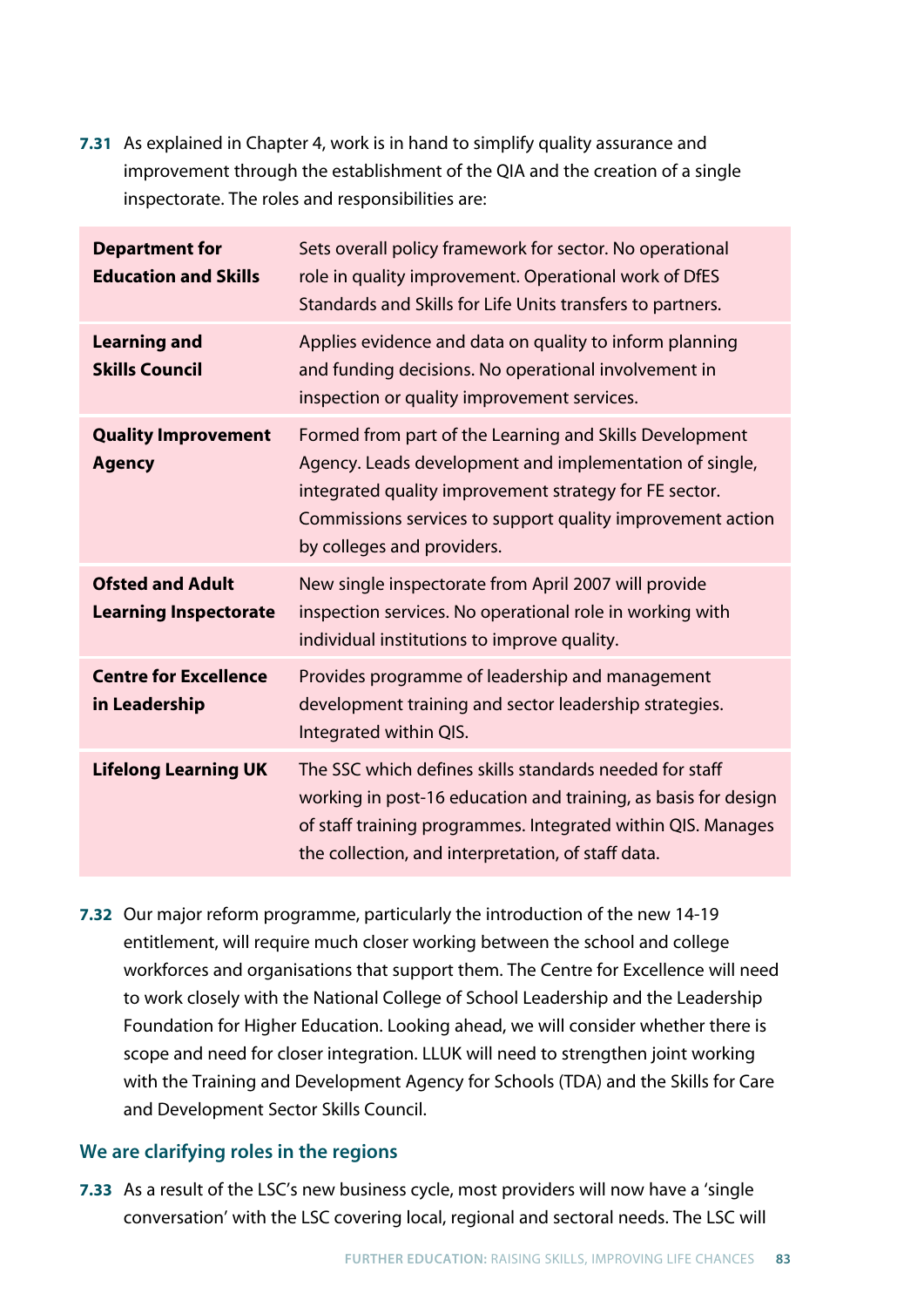**7.31** As explained in Chapter 4, work is in hand to simplify quality assurance and improvement through the establishment of the QIA and the creation of a single inspectorate. The roles and responsibilities are:

| <b>Department for</b><br><b>Education and Skills</b>    | Sets overall policy framework for sector. No operational<br>role in quality improvement. Operational work of DfES<br>Standards and Skills for Life Units transfers to partners.                                                                                          |
|---------------------------------------------------------|--------------------------------------------------------------------------------------------------------------------------------------------------------------------------------------------------------------------------------------------------------------------------|
| <b>Learning and</b><br><b>Skills Council</b>            | Applies evidence and data on quality to inform planning<br>and funding decisions. No operational involvement in<br>inspection or quality improvement services.                                                                                                           |
| <b>Quality Improvement</b><br><b>Agency</b>             | Formed from part of the Learning and Skills Development<br>Agency. Leads development and implementation of single,<br>integrated quality improvement strategy for FE sector.<br>Commissions services to support quality improvement action<br>by colleges and providers. |
| <b>Ofsted and Adult</b><br><b>Learning Inspectorate</b> | New single inspectorate from April 2007 will provide<br>inspection services. No operational role in working with<br>individual institutions to improve quality.                                                                                                          |
| <b>Centre for Excellence</b><br>in Leadership           | Provides programme of leadership and management<br>development training and sector leadership strategies.<br>Integrated within QIS.                                                                                                                                      |
| <b>Lifelong Learning UK</b>                             | The SSC which defines skills standards needed for staff<br>working in post-16 education and training, as basis for design<br>of staff training programmes. Integrated within QIS. Manages<br>the collection, and interpretation, of staff data.                          |

**7.32** Our major reform programme, particularly the introduction of the new 14-19 entitlement, will require much closer working between the school and college workforces and organisations that support them. The Centre for Excellence will need to work closely with the National College of School Leadership and the Leadership Foundation for Higher Education. Looking ahead, we will consider whether there is scope and need for closer integration. LLUK will need to strengthen joint working with the Training and Development Agency for Schools (TDA) and the Skills for Care and Development Sector Skills Council.

### **We are clarifying roles in the regions**

**7.33** As a result of the LSC's new business cycle, most providers will now have a 'single conversation' with the LSC covering local, regional and sectoral needs. The LSC will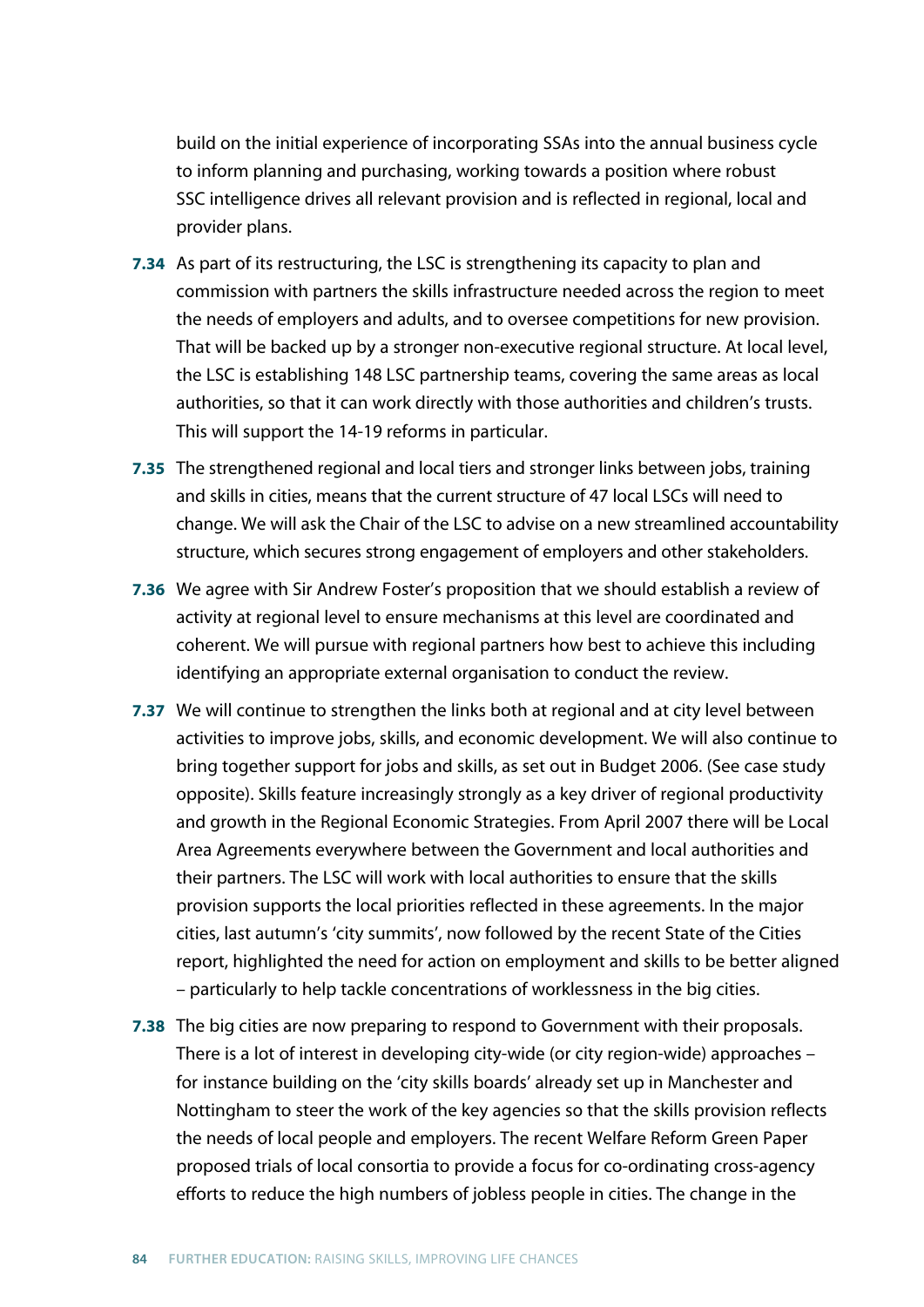build on the initial experience of incorporating SSAs into the annual business cycle to inform planning and purchasing, working towards a position where robust SSC intelligence drives all relevant provision and is reflected in regional, local and provider plans.

- **7.34** As part of its restructuring, the LSC is strengthening its capacity to plan and commission with partners the skills infrastructure needed across the region to meet the needs of employers and adults, and to oversee competitions for new provision. That will be backed up by a stronger non-executive regional structure. At local level, the LSC is establishing 148 LSC partnership teams, covering the same areas as local authorities, so that it can work directly with those authorities and children's trusts. This will support the 14-19 reforms in particular.
- **7.35** The strengthened regional and local tiers and stronger links between jobs, training and skills in cities, means that the current structure of 47 local LSCs will need to change. We will ask the Chair of the LSC to advise on a new streamlined accountability structure, which secures strong engagement of employers and other stakeholders.
- **7.36** We agree with Sir Andrew Foster's proposition that we should establish a review of activity at regional level to ensure mechanisms at this level are coordinated and coherent. We will pursue with regional partners how best to achieve this including identifying an appropriate external organisation to conduct the review.
- **7.37** We will continue to strengthen the links both at regional and at city level between activities to improve jobs, skills, and economic development. We will also continue to bring together support for jobs and skills, as set out in Budget 2006. (See case study opposite). Skills feature increasingly strongly as a key driver of regional productivity and growth in the Regional Economic Strategies. From April 2007 there will be Local Area Agreements everywhere between the Government and local authorities and their partners. The LSC will work with local authorities to ensure that the skills provision supports the local priorities reflected in these agreements. In the major cities, last autumn's 'city summits', now followed by the recent State of the Cities report, highlighted the need for action on employment and skills to be better aligned – particularly to help tackle concentrations of worklessness in the big cities.
- **7.38** The big cities are now preparing to respond to Government with their proposals. There is a lot of interest in developing city-wide (or city region-wide) approaches – for instance building on the 'city skills boards' already set up in Manchester and Nottingham to steer the work of the key agencies so that the skills provision reflects the needs of local people and employers. The recent Welfare Reform Green Paper proposed trials of local consortia to provide a focus for co-ordinating cross-agency efforts to reduce the high numbers of jobless people in cities. The change in the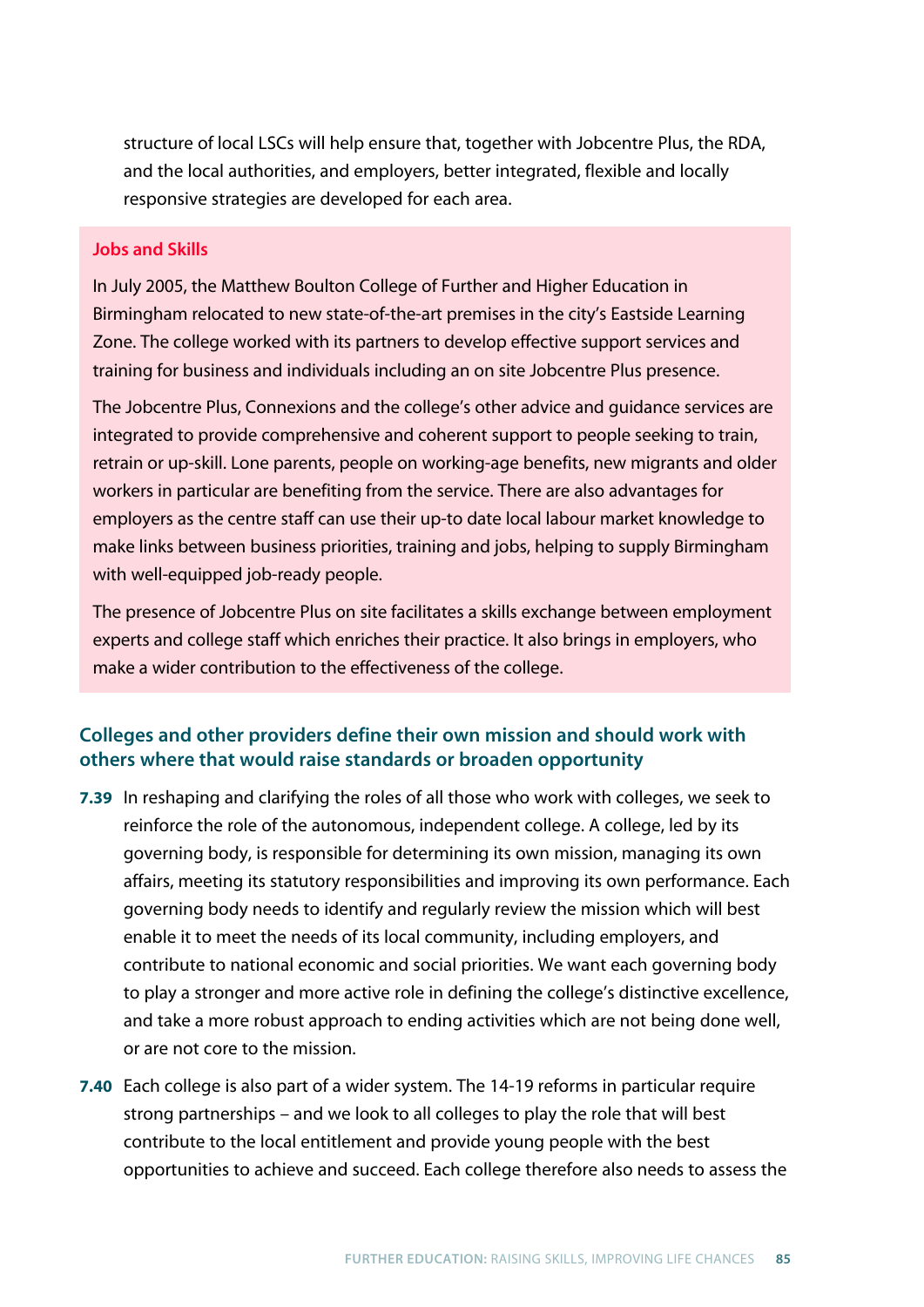structure of local LSCs will help ensure that, together with Jobcentre Plus, the RDA, and the local authorities, and employers, better integrated, flexible and locally responsive strategies are developed for each area.

#### **Jobs and Skills**

In July 2005, the Matthew Boulton College of Further and Higher Education in Birmingham relocated to new state-of-the-art premises in the city's Eastside Learning Zone. The college worked with its partners to develop effective support services and training for business and individuals including an on site Jobcentre Plus presence.

The Jobcentre Plus, Connexions and the college's other advice and guidance services are integrated to provide comprehensive and coherent support to people seeking to train, retrain or up-skill. Lone parents, people on working-age benefits, new migrants and older workers in particular are benefiting from the service. There are also advantages for employers as the centre staff can use their up-to date local labour market knowledge to make links between business priorities, training and jobs, helping to supply Birmingham with well-equipped job-ready people.

The presence of Jobcentre Plus on site facilitates a skills exchange between employment experts and college staff which enriches their practice. It also brings in employers, who make a wider contribution to the effectiveness of the college.

## **Colleges and other providers define their own mission and should work with others where that would raise standards or broaden opportunity**

- **7.39** In reshaping and clarifying the roles of all those who work with colleges, we seek to reinforce the role of the autonomous, independent college. A college, led by its governing body, is responsible for determining its own mission, managing its own affairs, meeting its statutory responsibilities and improving its own performance. Each governing body needs to identify and regularly review the mission which will best enable it to meet the needs of its local community, including employers, and contribute to national economic and social priorities. We want each governing body to play a stronger and more active role in defining the college's distinctive excellence, and take a more robust approach to ending activities which are not being done well, or are not core to the mission.
- **7.40** Each college is also part of a wider system. The 14-19 reforms in particular require strong partnerships – and we look to all colleges to play the role that will best contribute to the local entitlement and provide young people with the best opportunities to achieve and succeed. Each college therefore also needs to assess the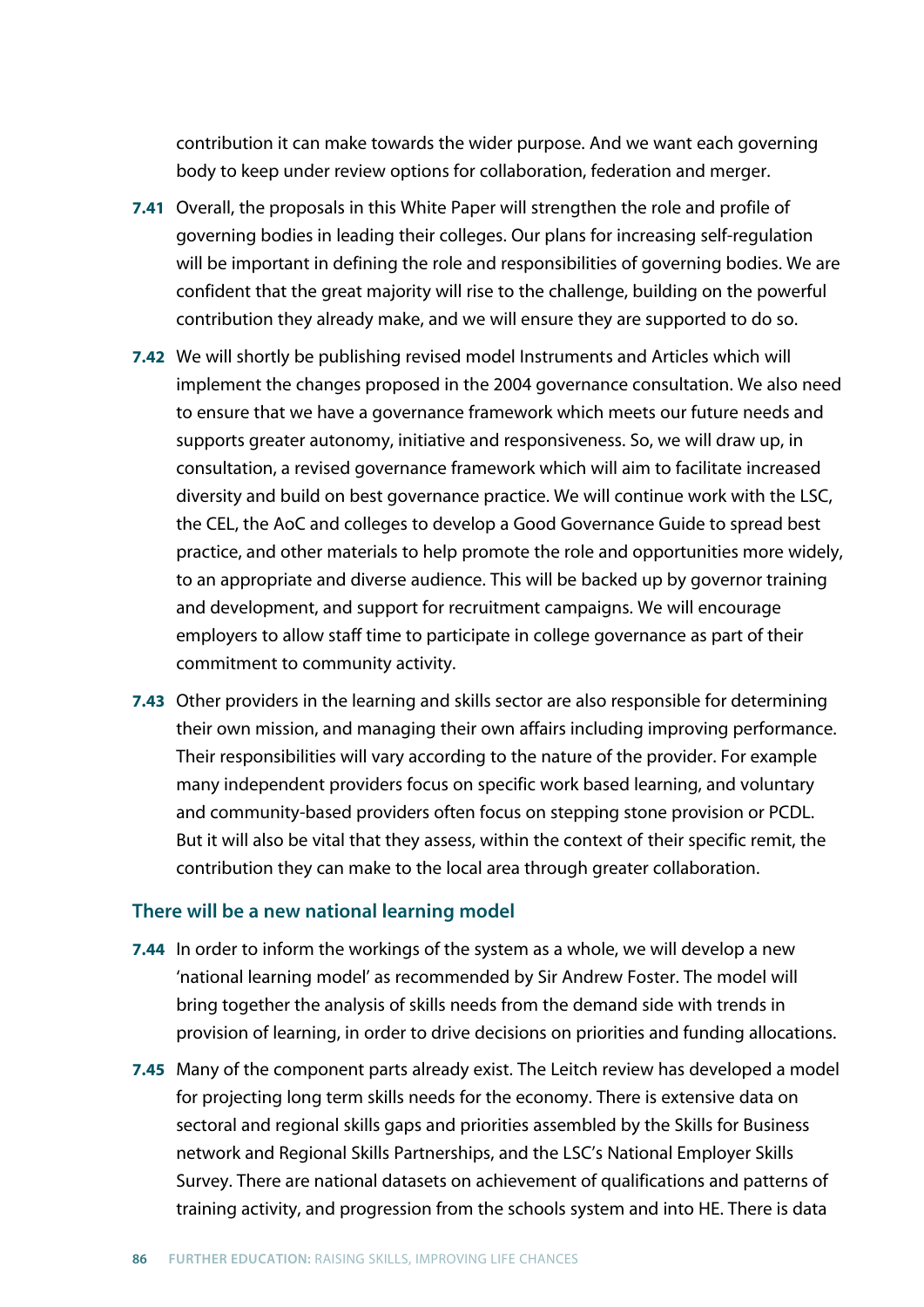contribution it can make towards the wider purpose. And we want each governing body to keep under review options for collaboration, federation and merger.

- **7.41** Overall, the proposals in this White Paper will strengthen the role and profile of governing bodies in leading their colleges. Our plans for increasing self-regulation will be important in defining the role and responsibilities of governing bodies. We are confident that the great majority will rise to the challenge, building on the powerful contribution they already make, and we will ensure they are supported to do so.
- **7.42** We will shortly be publishing revised model Instruments and Articles which will implement the changes proposed in the 2004 governance consultation. We also need to ensure that we have a governance framework which meets our future needs and supports greater autonomy, initiative and responsiveness. So, we will draw up, in consultation, a revised governance framework which will aim to facilitate increased diversity and build on best governance practice. We will continue work with the LSC, the CEL, the AoC and colleges to develop a Good Governance Guide to spread best practice, and other materials to help promote the role and opportunities more widely, to an appropriate and diverse audience. This will be backed up by governor training and development, and support for recruitment campaigns. We will encourage employers to allow staff time to participate in college governance as part of their commitment to community activity.
- **7.43** Other providers in the learning and skills sector are also responsible for determining their own mission, and managing their own affairs including improving performance. Their responsibilities will vary according to the nature of the provider. For example many independent providers focus on specific work based learning, and voluntary and community-based providers often focus on stepping stone provision or PCDL. But it will also be vital that they assess, within the context of their specific remit, the contribution they can make to the local area through greater collaboration.

#### **There will be a new national learning model**

- **7.44** In order to inform the workings of the system as a whole, we will develop a new 'national learning model' as recommended by Sir Andrew Foster. The model will bring together the analysis of skills needs from the demand side with trends in provision of learning, in order to drive decisions on priorities and funding allocations.
- **7.45** Many of the component parts already exist. The Leitch review has developed a model for projecting long term skills needs for the economy. There is extensive data on sectoral and regional skills gaps and priorities assembled by the Skills for Business network and Regional Skills Partnerships, and the LSC's National Employer Skills Survey. There are national datasets on achievement of qualifications and patterns of training activity, and progression from the schools system and into HE. There is data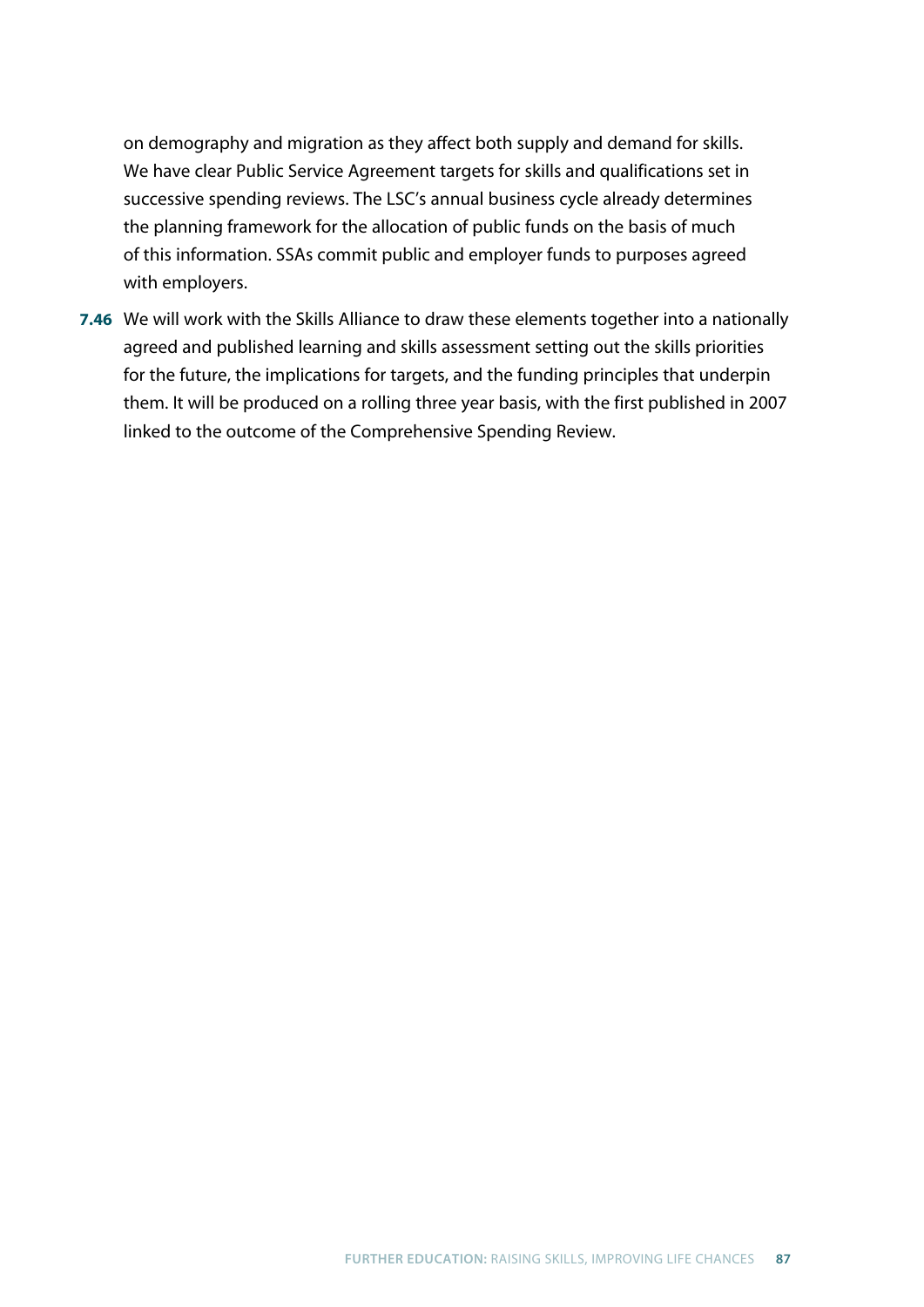on demography and migration as they affect both supply and demand for skills. We have clear Public Service Agreement targets for skills and qualifications set in successive spending reviews. The LSC's annual business cycle already determines the planning framework for the allocation of public funds on the basis of much of this information. SSAs commit public and employer funds to purposes agreed with employers.

**7.46** We will work with the Skills Alliance to draw these elements together into a nationally agreed and published learning and skills assessment setting out the skills priorities for the future, the implications for targets, and the funding principles that underpin them. It will be produced on a rolling three year basis, with the first published in 2007 linked to the outcome of the Comprehensive Spending Review.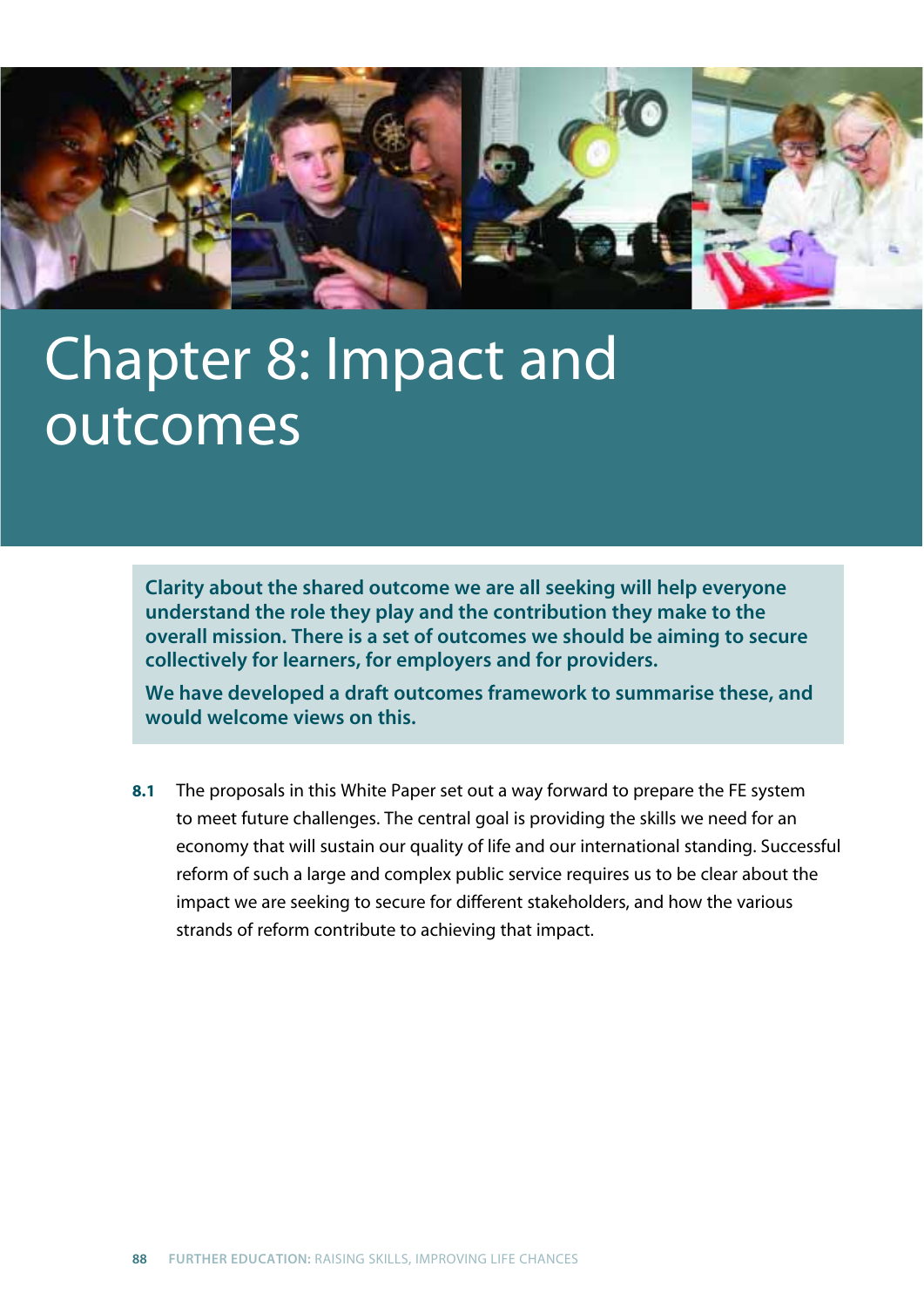

# Chapter 8: Impact and outcomes

**Clarity about the shared outcome we are all seeking will help everyone understand the role they play and the contribution they make to the overall mission. There is a set of outcomes we should be aiming to secure collectively for learners, for employers and for providers.**

**We have developed a draft outcomes framework to summarise these, and would welcome views on this.**

**8.1** The proposals in this White Paper set out a way forward to prepare the FE system to meet future challenges. The central goal is providing the skills we need for an economy that will sustain our quality of life and our international standing. Successful reform of such a large and complex public service requires us to be clear about the impact we are seeking to secure for different stakeholders, and how the various strands of reform contribute to achieving that impact.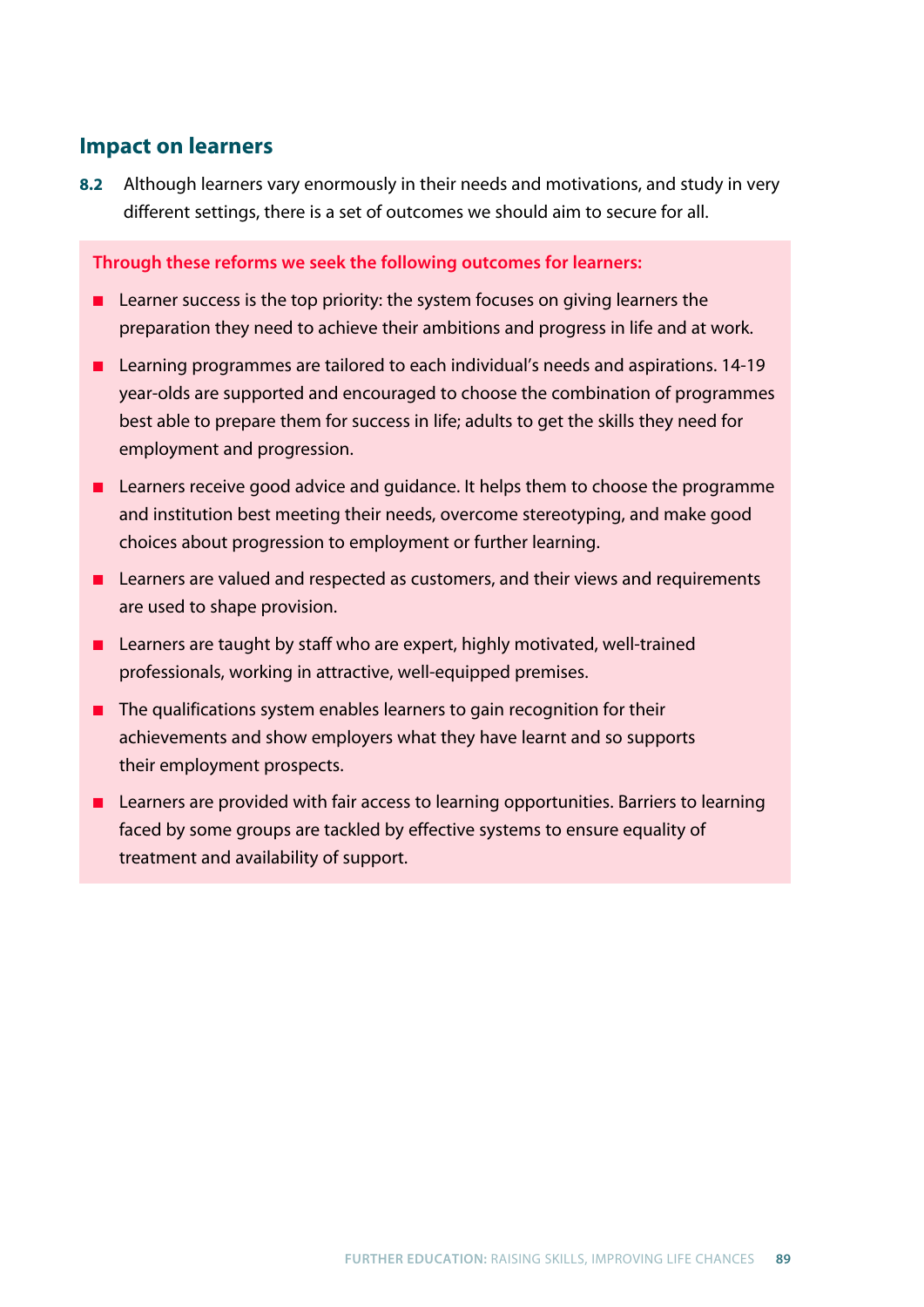## **Impact on learners**

**8.2** Although learners vary enormously in their needs and motivations, and study in very different settings, there is a set of outcomes we should aim to secure for all.

**Through these reforms we seek the following outcomes for learners:**

- Learner success is the top priority: the system focuses on giving learners the preparation they need to achieve their ambitions and progress in life and at work.
- Learning programmes are tailored to each individual's needs and aspirations. 14-19 year-olds are supported and encouraged to choose the combination of programmes best able to prepare them for success in life; adults to get the skills they need for employment and progression.
- Learners receive good advice and guidance. It helps them to choose the programme and institution best meeting their needs, overcome stereotyping, and make good choices about progression to employment or further learning.
- Learners are valued and respected as customers, and their views and requirements are used to shape provision.
- Learners are taught by staff who are expert, highly motivated, well-trained professionals, working in attractive, well-equipped premises.
- The qualifications system enables learners to gain recognition for their achievements and show employers what they have learnt and so supports their employment prospects.
- Learners are provided with fair access to learning opportunities. Barriers to learning faced by some groups are tackled by effective systems to ensure equality of treatment and availability of support.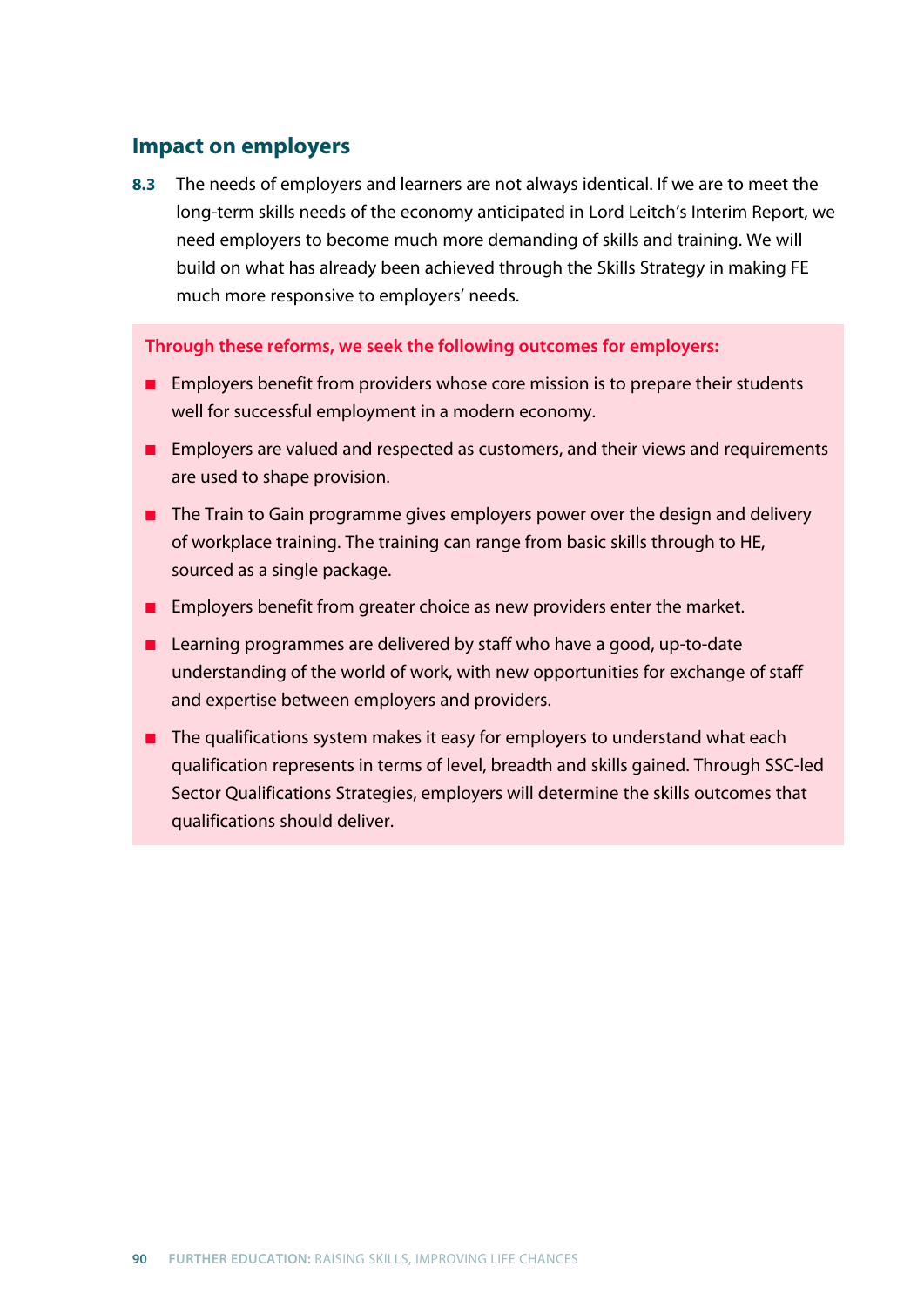## **Impact on employers**

**8.3** The needs of employers and learners are not always identical. If we are to meet the long-term skills needs of the economy anticipated in Lord Leitch's Interim Report, we need employers to become much more demanding of skills and training. We will build on what has already been achieved through the Skills Strategy in making FE much more responsive to employers' needs.

**Through these reforms, we seek the following outcomes for employers:**

- Employers benefit from providers whose core mission is to prepare their students well for successful employment in a modern economy.
- Employers are valued and respected as customers, and their views and requirements are used to shape provision.
- The Train to Gain programme gives employers power over the design and delivery of workplace training. The training can range from basic skills through to HE, sourced as a single package.
- Employers benefit from greater choice as new providers enter the market.
- Learning programmes are delivered by staff who have a good, up-to-date understanding of the world of work, with new opportunities for exchange of staff and expertise between employers and providers.
- The qualifications system makes it easy for employers to understand what each qualification represents in terms of level, breadth and skills gained. Through SSC-led Sector Qualifications Strategies, employers will determine the skills outcomes that qualifications should deliver.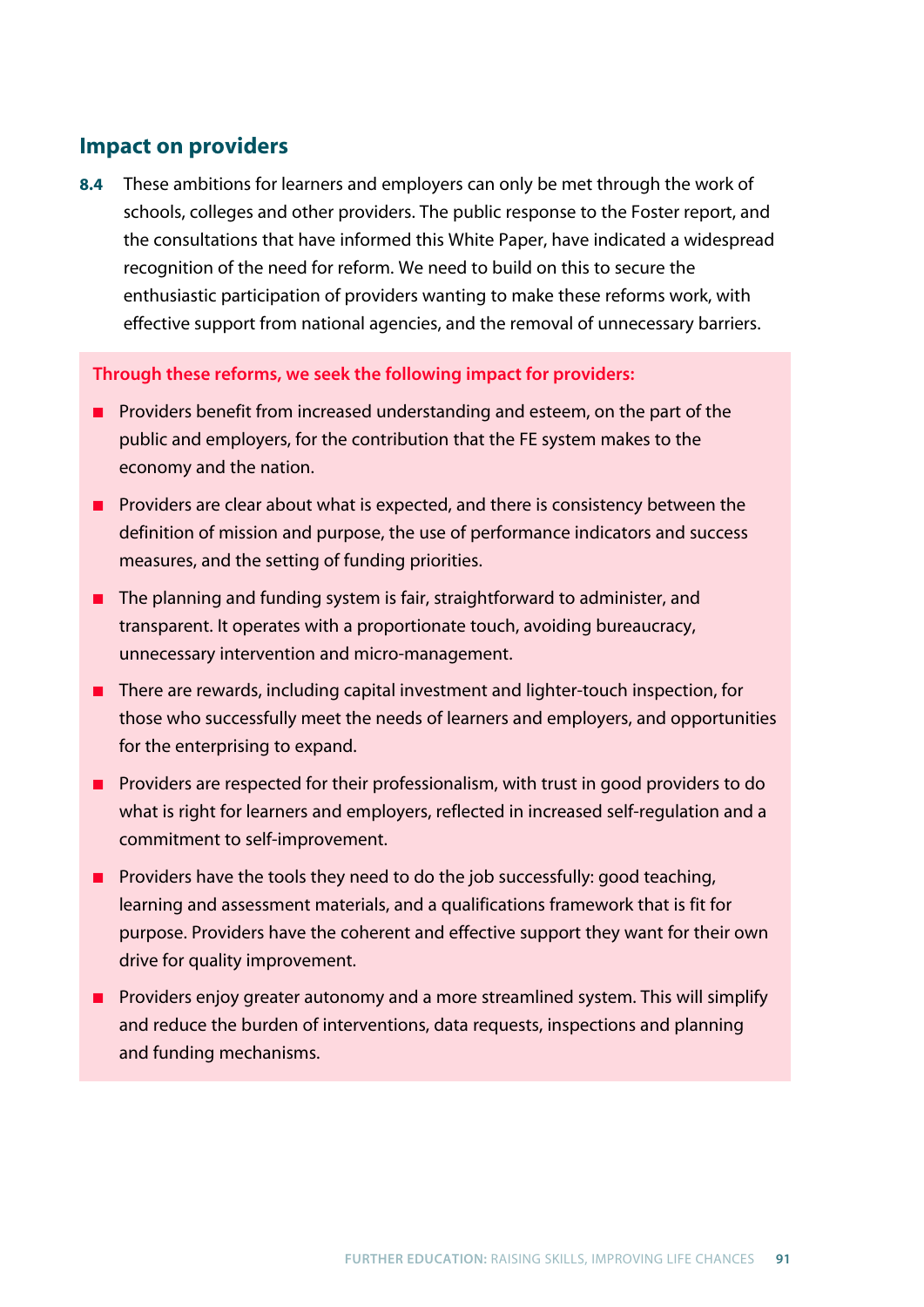## **Impact on providers**

**8.4** These ambitions for learners and employers can only be met through the work of schools, colleges and other providers. The public response to the Foster report, and the consultations that have informed this White Paper, have indicated a widespread recognition of the need for reform. We need to build on this to secure the enthusiastic participation of providers wanting to make these reforms work, with effective support from national agencies, and the removal of unnecessary barriers.

#### **Through these reforms, we seek the following impact for providers:**

- Providers benefit from increased understanding and esteem, on the part of the public and employers, for the contribution that the FE system makes to the economy and the nation.
- Providers are clear about what is expected, and there is consistency between the definition of mission and purpose, the use of performance indicators and success measures, and the setting of funding priorities.
- The planning and funding system is fair, straightforward to administer, and transparent. It operates with a proportionate touch, avoiding bureaucracy, unnecessary intervention and micro-management.
- There are rewards, including capital investment and lighter-touch inspection, for those who successfully meet the needs of learners and employers, and opportunities for the enterprising to expand.
- Providers are respected for their professionalism, with trust in good providers to do what is right for learners and employers, reflected in increased self-regulation and a commitment to self-improvement.
- Providers have the tools they need to do the job successfully: good teaching, learning and assessment materials, and a qualifications framework that is fit for purpose. Providers have the coherent and effective support they want for their own drive for quality improvement.
- Providers enjoy greater autonomy and a more streamlined system. This will simplify and reduce the burden of interventions, data requests, inspections and planning and funding mechanisms.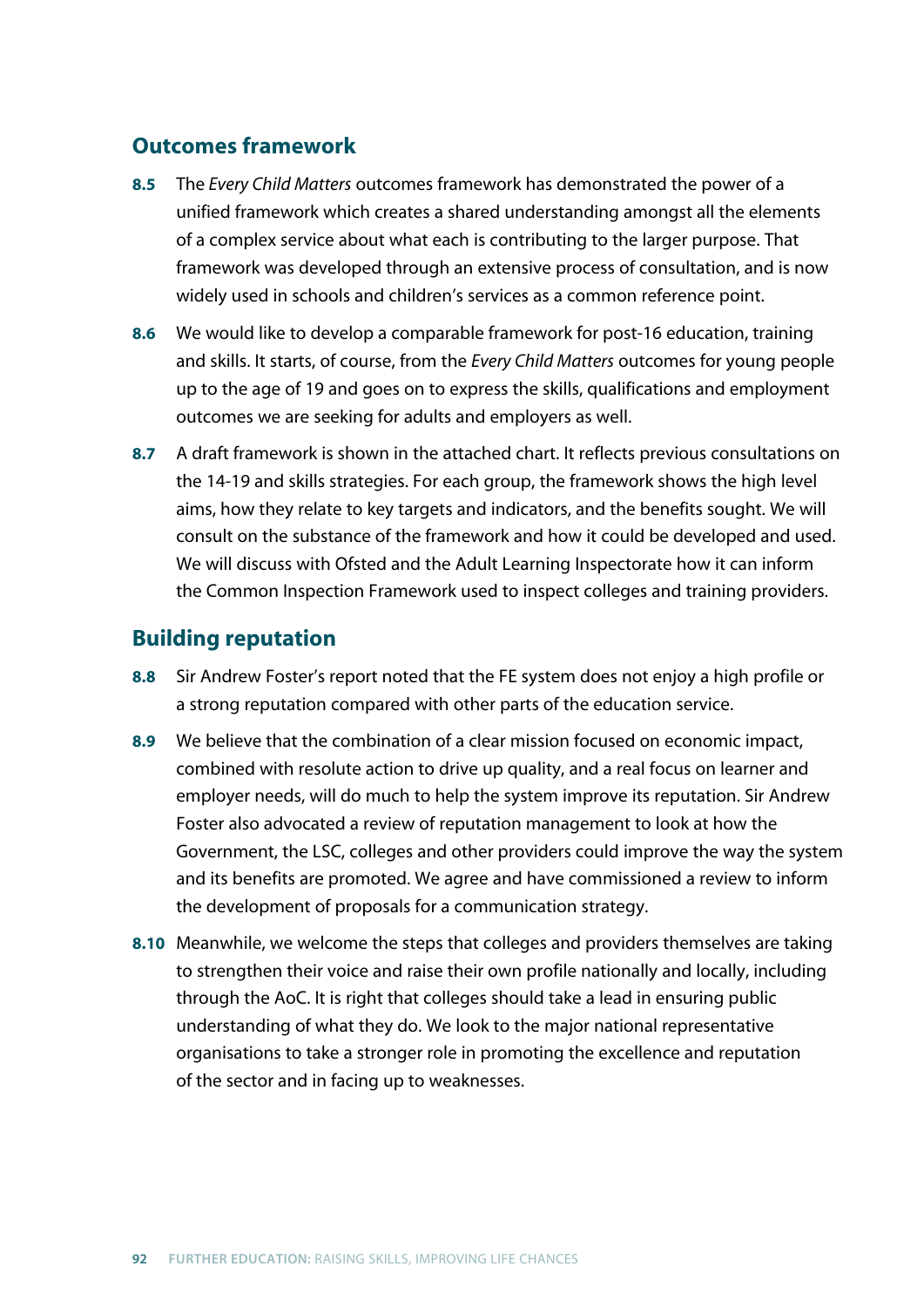## **Outcomes framework**

- **8.5** The *Every Child Matters* outcomes framework has demonstrated the power of a unified framework which creates a shared understanding amongst all the elements of a complex service about what each is contributing to the larger purpose. That framework was developed through an extensive process of consultation, and is now widely used in schools and children's services as a common reference point.
- **8.6** We would like to develop a comparable framework for post-16 education, training and skills. It starts, of course, from the *Every Child Matters* outcomes for young people up to the age of 19 and goes on to express the skills, qualifications and employment outcomes we are seeking for adults and employers as well.
- **8.7** A draft framework is shown in the attached chart. It reflects previous consultations on the 14-19 and skills strategies. For each group, the framework shows the high level aims, how they relate to key targets and indicators, and the benefits sought. We will consult on the substance of the framework and how it could be developed and used. We will discuss with Ofsted and the Adult Learning Inspectorate how it can inform the Common Inspection Framework used to inspect colleges and training providers.

## **Building reputation**

- **8.8** Sir Andrew Foster's report noted that the FE system does not enjoy a high profile or a strong reputation compared with other parts of the education service.
- **8.9** We believe that the combination of a clear mission focused on economic impact, combined with resolute action to drive up quality, and a real focus on learner and employer needs, will do much to help the system improve its reputation. Sir Andrew Foster also advocated a review of reputation management to look at how the Government, the LSC, colleges and other providers could improve the way the system and its benefits are promoted. We agree and have commissioned a review to inform the development of proposals for a communication strategy.
- **8.10** Meanwhile, we welcome the steps that colleges and providers themselves are taking to strengthen their voice and raise their own profile nationally and locally, including through the AoC. It is right that colleges should take a lead in ensuring public understanding of what they do. We look to the major national representative organisations to take a stronger role in promoting the excellence and reputation of the sector and in facing up to weaknesses.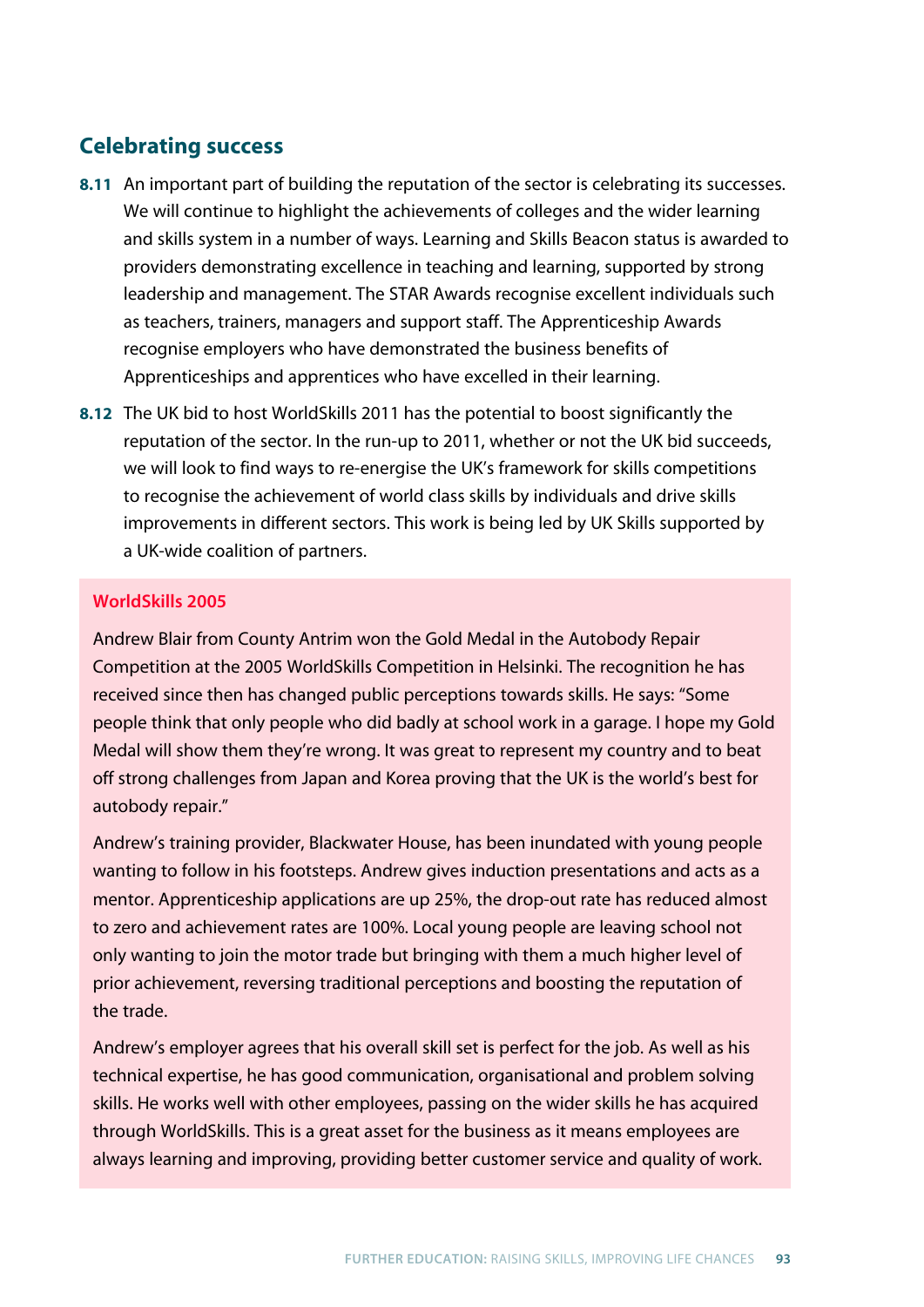## **Celebrating success**

- **8.11** An important part of building the reputation of the sector is celebrating its successes. We will continue to highlight the achievements of colleges and the wider learning and skills system in a number of ways. Learning and Skills Beacon status is awarded to providers demonstrating excellence in teaching and learning, supported by strong leadership and management. The STAR Awards recognise excellent individuals such as teachers, trainers, managers and support staff. The Apprenticeship Awards recognise employers who have demonstrated the business benefits of Apprenticeships and apprentices who have excelled in their learning.
- **8.12** The UK bid to host WorldSkills 2011 has the potential to boost significantly the reputation of the sector. In the run-up to 2011, whether or not the UK bid succeeds, we will look to find ways to re-energise the UK's framework for skills competitions to recognise the achievement of world class skills by individuals and drive skills improvements in different sectors. This work is being led by UK Skills supported by a UK-wide coalition of partners.

### **WorldSkills 2005**

Andrew Blair from County Antrim won the Gold Medal in the Autobody Repair Competition at the 2005 WorldSkills Competition in Helsinki. The recognition he has received since then has changed public perceptions towards skills. He says: "Some people think that only people who did badly at school work in a garage. I hope my Gold Medal will show them they're wrong. It was great to represent my country and to beat off strong challenges from Japan and Korea proving that the UK is the world's best for autobody repair."

Andrew's training provider, Blackwater House, has been inundated with young people wanting to follow in his footsteps. Andrew gives induction presentations and acts as a mentor. Apprenticeship applications are up 25%, the drop-out rate has reduced almost to zero and achievement rates are 100%. Local young people are leaving school not only wanting to join the motor trade but bringing with them a much higher level of prior achievement, reversing traditional perceptions and boosting the reputation of the trade.

Andrew's employer agrees that his overall skill set is perfect for the job. As well as his technical expertise, he has good communication, organisational and problem solving skills. He works well with other employees, passing on the wider skills he has acquired through WorldSkills. This is a great asset for the business as it means employees are always learning and improving, providing better customer service and quality of work.